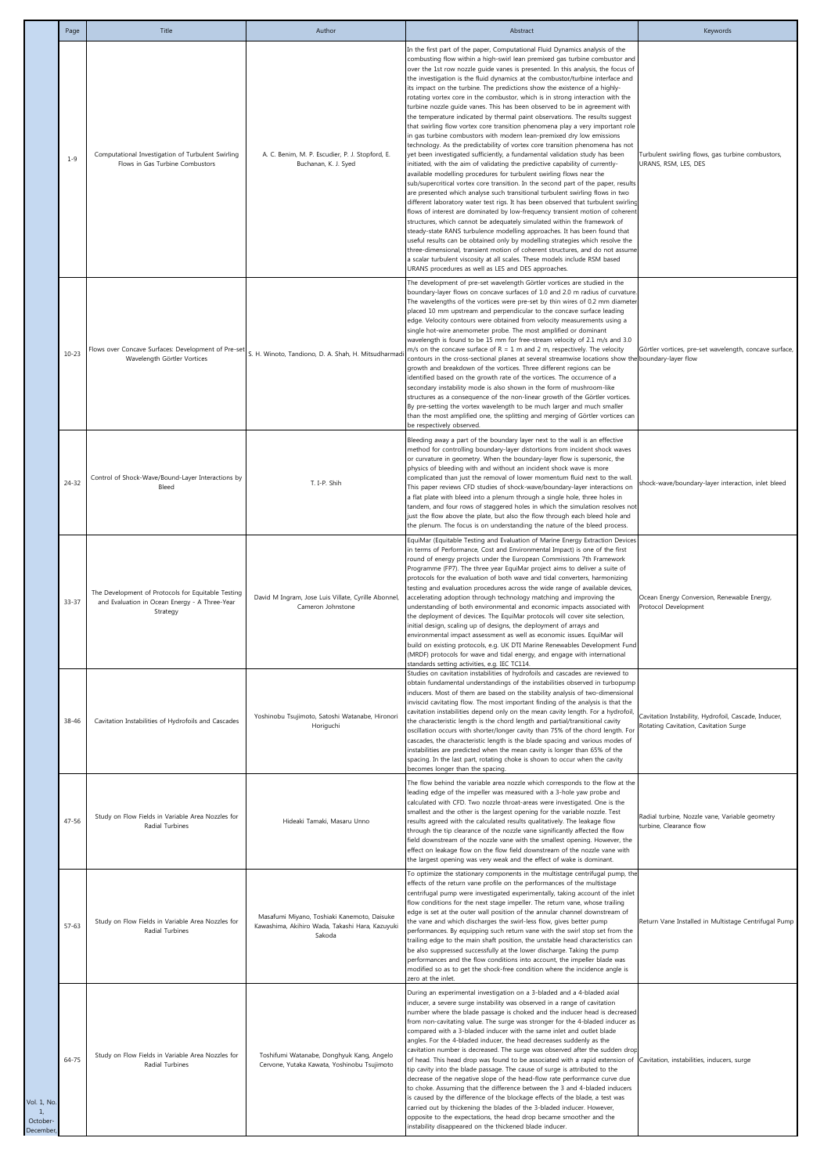|                                                     | Page      | Title                                                                                                           | Author                                                                                                   | Abstract                                                                                                                                                                                                                                                                                                                                                                                                                                                                                                                                                                                                                                                                                                                                                                                                                                                                                                                                                                                                                                                                                                                                                                                                                                                                                                                                                                                                                                                                                                                                                                                                                                                                                                                                                                                                                                                                                                                                                          | Keywords                                                                                      |
|-----------------------------------------------------|-----------|-----------------------------------------------------------------------------------------------------------------|----------------------------------------------------------------------------------------------------------|-------------------------------------------------------------------------------------------------------------------------------------------------------------------------------------------------------------------------------------------------------------------------------------------------------------------------------------------------------------------------------------------------------------------------------------------------------------------------------------------------------------------------------------------------------------------------------------------------------------------------------------------------------------------------------------------------------------------------------------------------------------------------------------------------------------------------------------------------------------------------------------------------------------------------------------------------------------------------------------------------------------------------------------------------------------------------------------------------------------------------------------------------------------------------------------------------------------------------------------------------------------------------------------------------------------------------------------------------------------------------------------------------------------------------------------------------------------------------------------------------------------------------------------------------------------------------------------------------------------------------------------------------------------------------------------------------------------------------------------------------------------------------------------------------------------------------------------------------------------------------------------------------------------------------------------------------------------------|-----------------------------------------------------------------------------------------------|
|                                                     | $1 - 9$   | Computational Investigation of Turbulent Swirling<br>Flows in Gas Turbine Combustors                            | A. C. Benim, M. P. Escudier, P. J. Stopford, E.<br>Buchanan, K. J. Syed                                  | In the first part of the paper, Computational Fluid Dynamics analysis of the<br>combusting flow within a high-swirl lean premixed gas turbine combustor and<br>over the 1st row nozzle guide vanes is presented. In this analysis, the focus of<br>the investigation is the fluid dynamics at the combustor/turbine interface and<br>its impact on the turbine. The predictions show the existence of a highly-<br>rotating vortex core in the combustor, which is in strong interaction with the<br>turbine nozzle quide vanes. This has been observed to be in agreement with<br>the temperature indicated by thermal paint observations. The results suggest<br>that swirling flow vortex core transition phenomena play a very important role<br>in gas turbine combustors with modern lean-premixed dry low emissions<br>technology. As the predictability of vortex core transition phenomena has not<br>yet been investigated sufficiently, a fundamental validation study has been<br>initiated, with the aim of validating the predictive capability of currently-<br>available modelling procedures for turbulent swirling flows near the<br>sub/supercritical vortex core transition. In the second part of the paper, results<br>are presented which analyse such transitional turbulent swirling flows in two<br>different laboratory water test rigs. It has been observed that turbulent swirling<br>flows of interest are dominated by low-frequency transient motion of coherent<br>structures, which cannot be adequately simulated within the framework of<br>steady-state RANS turbulence modelling approaches. It has been found that<br>useful results can be obtained only by modelling strategies which resolve the<br>three-dimensional, transient motion of coherent structures, and do not assume<br>a scalar turbulent viscosity at all scales. These models include RSM based<br>URANS procedures as well as LES and DES approaches. | Turbulent swirling flows, gas turbine combustors,<br>URANS, RSM, LES, DES                     |
|                                                     | $10 - 23$ | Flows over Concave Surfaces: Development of Pre-set<br>Wavelength Görtler Vortices                              | S. H. Winoto, Tandiono, D. A. Shah, H. Mitsudharmadi                                                     | The development of pre-set wavelength Görtler vortices are studied in the<br>boundary-layer flows on concave surfaces of 1.0 and 2.0 m radius of curvature.<br>The wavelengths of the vortices were pre-set by thin wires of 0.2 mm diameter<br>placed 10 mm upstream and perpendicular to the concave surface leading<br>edge. Velocity contours were obtained from velocity measurements using a<br>single hot-wire anemometer probe. The most amplified or dominant<br>wavelength is found to be 15 mm for free-stream velocity of 2.1 m/s and 3.0<br>m/s on the concave surface of $R = 1$ m and 2 m, respectively. The velocity<br>contours in the cross-sectional planes at several streamwise locations show the boundary-layer flow<br>growth and breakdown of the vortices. Three different regions can be<br>identified based on the growth rate of the vortices. The occurrence of a<br>secondary instability mode is also shown in the form of mushroom-like<br>structures as a consequence of the non-linear growth of the Görtler vortices.<br>By pre-setting the vortex wavelength to be much larger and much smaller<br>than the most amplified one, the splitting and merging of Görtler vortices can<br>be respectively observed.                                                                                                                                                                                                                                                                                                                                                                                                                                                                                                                                                                                                                                                                                                               | Görtler vortices, pre-set wavelength, concave surface,                                        |
|                                                     | $24 - 32$ | Control of Shock-Wave/Bound-Layer Interactions by<br>Bleed                                                      | T. I-P. Shih                                                                                             | Bleeding away a part of the boundary layer next to the wall is an effective<br>method for controlling boundary-layer distortions from incident shock waves<br>or curvature in geometry. When the boundary-layer flow is supersonic, the<br>physics of bleeding with and without an incident shock wave is more<br>complicated than just the removal of lower momentum fluid next to the wall.<br>This paper reviews CFD studies of shock-wave/boundary-layer interactions on<br>a flat plate with bleed into a plenum through a single hole, three holes in<br>tandem, and four rows of staggered holes in which the simulation resolves not<br>just the flow above the plate, but also the flow through each bleed hole and<br>the plenum. The focus is on understanding the nature of the bleed process.                                                                                                                                                                                                                                                                                                                                                                                                                                                                                                                                                                                                                                                                                                                                                                                                                                                                                                                                                                                                                                                                                                                                                        | shock-wave/boundary-layer interaction, inlet bleed                                            |
|                                                     | $33 - 37$ | The Development of Protocols for Equitable Testing<br>and Evaluation in Ocean Energy - A Three-Year<br>Strategy | David M Ingram, Jose Luis Villate, Cyrille Abonnel,<br>Cameron Johnstone                                 | EquiMar (Equitable Testing and Evaluation of Marine Energy Extraction Devices<br>in terms of Performance, Cost and Environmental Impact) is one of the first<br>round of energy projects under the European Commissions 7th Framework<br>Programme (FP7). The three year EquiMar project aims to deliver a suite of<br>protocols for the evaluation of both wave and tidal converters, harmonizing<br>testing and evaluation procedures across the wide range of available devices,<br>accelerating adoption through technology matching and improving the<br>understanding of both environmental and economic impacts associated with<br>the deployment of devices. The EquiMar protocols will cover site selection,<br>initial design, scaling up of designs, the deployment of arrays and<br>environmental impact assessment as well as economic issues. EquiMar will<br>build on existing protocols, e.g. UK DTI Marine Renewables Development Fund<br>(MRDF) protocols for wave and tidal energy, and engage with international<br>standards setting activities, e.g. IEC TC114.                                                                                                                                                                                                                                                                                                                                                                                                                                                                                                                                                                                                                                                                                                                                                                                                                                                                             | Ocean Energy Conversion, Renewable Energy,<br>Protocol Development                            |
|                                                     | 38-46     | Cavitation Instabilities of Hydrofoils and Cascades                                                             | Yoshinobu Tsujimoto, Satoshi Watanabe, Hironori<br>Horiguchi                                             | Studies on cavitation instabilities of hydrofoils and cascades are reviewed to<br>obtain fundamental understandings of the instabilities observed in turbopump<br>inducers. Most of them are based on the stability analysis of two-dimensional<br>inviscid cavitating flow. The most important finding of the analysis is that the<br>cavitation instabilities depend only on the mean cavity length. For a hydrofoil,<br>the characteristic length is the chord length and partial/transitional cavity<br>oscillation occurs with shorter/longer cavity than 75% of the chord length. For<br>cascades, the characteristic length is the blade spacing and various modes of<br>instabilities are predicted when the mean cavity is longer than 65% of the<br>spacing. In the last part, rotating choke is shown to occur when the cavity<br>becomes longer than the spacing.                                                                                                                                                                                                                                                                                                                                                                                                                                                                                                                                                                                                                                                                                                                                                                                                                                                                                                                                                                                                                                                                                     | Cavitation Instability, Hydrofoil, Cascade, Inducer,<br>Rotating Cavitation, Cavitation Surge |
|                                                     | $47 - 56$ | Study on Flow Fields in Variable Area Nozzles for<br>Radial Turbines                                            | Hideaki Tamaki, Masaru Unno                                                                              | The flow behind the variable area nozzle which corresponds to the flow at the<br>leading edge of the impeller was measured with a 3-hole yaw probe and<br>calculated with CFD. Two nozzle throat-areas were investigated. One is the<br>smallest and the other is the largest opening for the variable nozzle. Test<br>results agreed with the calculated results qualitatively. The leakage flow<br>through the tip clearance of the nozzle vane significantly affected the flow<br>field downstream of the nozzle vane with the smallest opening. However, the<br>effect on leakage flow on the flow field downstream of the nozzle vane with<br>the largest opening was very weak and the effect of wake is dominant.                                                                                                                                                                                                                                                                                                                                                                                                                                                                                                                                                                                                                                                                                                                                                                                                                                                                                                                                                                                                                                                                                                                                                                                                                                          | Radial turbine, Nozzle vane, Variable geometry<br>turbine, Clearance flow                     |
|                                                     | $57 - 63$ | Study on Flow Fields in Variable Area Nozzles for<br>Radial Turbines                                            | Masafumi Miyano, Toshiaki Kanemoto, Daisuke<br>Kawashima, Akihiro Wada, Takashi Hara, Kazuyuki<br>Sakoda | To optimize the stationary components in the multistage centrifugal pump, the<br>effects of the return vane profile on the performances of the multistage<br>centrifugal pump were investigated experimentally, taking account of the inlet<br>flow conditions for the next stage impeller. The return vane, whose trailing<br>edge is set at the outer wall position of the annular channel downstream of<br>the vane and which discharges the swirl-less flow, gives better pump<br>performances. By equipping such return vane with the swirl stop set from the<br>trailing edge to the main shaft position, the unstable head characteristics can<br>be also suppressed successfully at the lower discharge. Taking the pump<br>performances and the flow conditions into account, the impeller blade was<br>modified so as to get the shock-free condition where the incidence angle is<br>zero at the inlet.                                                                                                                                                                                                                                                                                                                                                                                                                                                                                                                                                                                                                                                                                                                                                                                                                                                                                                                                                                                                                                                | Return Vane Installed in Multistage Centrifugal Pump                                          |
| Vol. 1, No.<br>$\mathbf{1}$<br>October-<br>December | 64-75     | Study on Flow Fields in Variable Area Nozzles for<br>Radial Turbines                                            | Toshifumi Watanabe, Donghyuk Kang, Angelo<br>Cervone, Yutaka Kawata, Yoshinobu Tsujimoto                 | During an experimental investigation on a 3-bladed and a 4-bladed axial<br>inducer, a severe surge instability was observed in a range of cavitation<br>number where the blade passage is choked and the inducer head is decreased<br>from non-cavitating value. The surge was stronger for the 4-bladed inducer as<br>compared with a 3-bladed inducer with the same inlet and outlet blade<br>angles. For the 4-bladed inducer, the head decreases suddenly as the<br>cavitation number is decreased. The surge was observed after the sudden drop<br>of head. This head drop was found to be associated with a rapid extension of Cavitation, instabilities, inducers, surge<br>tip cavity into the blade passage. The cause of surge is attributed to the<br>decrease of the negative slope of the head-flow rate performance curve due<br>to choke. Assuming that the difference between the 3 and 4-bladed inducers<br>is caused by the difference of the blockage effects of the blade, a test was<br>carried out by thickening the blades of the 3-bladed inducer. However,<br>opposite to the expectations, the head drop became smoother and the<br>instability disappeared on the thickened blade inducer.                                                                                                                                                                                                                                                                                                                                                                                                                                                                                                                                                                                                                                                                                                                                             |                                                                                               |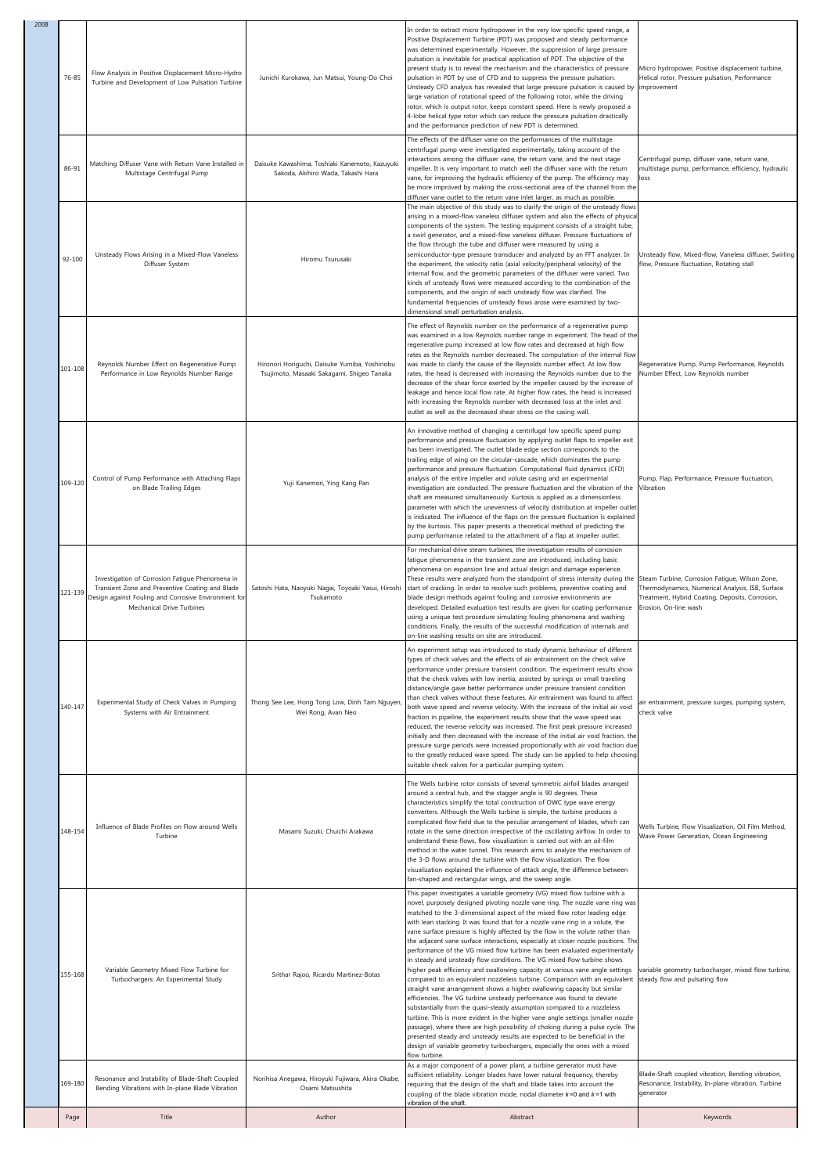| 2008 | 76-85   | Flow Analysis in Positive Displacement Micro-Hydro<br>Turbine and Development of Low Pulsation Turbine                                                                                  | Junichi Kurokawa, Jun Matsui, Young-Do Choi                                                 | In order to extract micro hydropower in the very low specific speed range, a<br>Positive Displacement Turbine (PDT) was proposed and steady performance<br>was determined experimentally. However, the suppression of large pressure<br>pulsation is inevitable for practical application of PDT. The objective of the<br>present study is to reveal the mechanism and the characteristics of pressure<br>pulsation in PDT by use of CFD and to suppress the pressure pulsation.<br>Unsteady CFD analysis has revealed that large pressure pulsation is caused by<br>large variation of rotational speed of the following rotor, while the driving<br>rotor, which is output rotor, keeps constant speed. Here is newly proposed a<br>4-lobe helical type rotor which can reduce the pressure pulsation drastically<br>and the performance prediction of new PDT is determined.                                                                                                                                                                                                                                                                                                                                                                                                                                                                                                                                | Micro hydropower, Positive displacement turbine,<br>Helical rotor, Pressure pulsation, Performance<br>improvement                                                              |
|------|---------|-----------------------------------------------------------------------------------------------------------------------------------------------------------------------------------------|---------------------------------------------------------------------------------------------|----------------------------------------------------------------------------------------------------------------------------------------------------------------------------------------------------------------------------------------------------------------------------------------------------------------------------------------------------------------------------------------------------------------------------------------------------------------------------------------------------------------------------------------------------------------------------------------------------------------------------------------------------------------------------------------------------------------------------------------------------------------------------------------------------------------------------------------------------------------------------------------------------------------------------------------------------------------------------------------------------------------------------------------------------------------------------------------------------------------------------------------------------------------------------------------------------------------------------------------------------------------------------------------------------------------------------------------------------------------------------------------------------------------|--------------------------------------------------------------------------------------------------------------------------------------------------------------------------------|
|      | 86-91   | Matching Diffuser Vane with Return Vane Installed in<br>Multistage Centrifugal Pump                                                                                                     | Daisuke Kawashima, Toshiaki Kanemoto, Kazuyuki<br>Sakoda, Akihiro Wada, Takashi Hara        | The effects of the diffuser vane on the performances of the multistage<br>centrifugal pump were investigated experimentally, taking account of the<br>interactions among the diffuser vane, the return vane, and the next stage<br>impeller. It is very important to match well the diffuser vane with the return<br>vane, for improving the hydraulic efficiency of the pump. The efficiency may<br>be more improved by making the cross-sectional area of the channel from the<br>diffuser vane outlet to the return vane inlet larger, as much as possible.                                                                                                                                                                                                                                                                                                                                                                                                                                                                                                                                                                                                                                                                                                                                                                                                                                                 | Centrifugal pump, diffuser vane, return vane,<br>multistage pump, performance, efficiency, hydraulic<br>loss                                                                   |
|      | 92-100  | Unsteady Flows Arising in a Mixed-Flow Vaneless<br>Diffuser System                                                                                                                      | Hiromu Tsurusaki                                                                            | The main objective of this study was to clarify the origin of the unsteady flows<br>arising in a mixed-flow vaneless diffuser system and also the effects of physica<br>components of the system. The testing equipment consists of a straight tube,<br>a swirl generator, and a mixed-flow vaneless diffuser. Pressure fluctuations of<br>the flow through the tube and diffuser were measured by using a<br>semiconductor-type pressure transducer and analyzed by an FFT analyzer. In<br>the experiment, the velocity ratio (axial velocity/peripheral velocity) of the<br>internal flow, and the geometric parameters of the diffuser were varied. Two<br>kinds of unsteady flows were measured according to the combination of the<br>components, and the origin of each unsteady flow was clarified. The<br>fundamental frequencies of unsteady flows arose were examined by two-<br>dimensional small perturbation analysis.                                                                                                                                                                                                                                                                                                                                                                                                                                                                            | Unsteady flow, Mixed-flow, Vaneless diffuser, Swirling<br>flow, Pressure fluctuation, Rotating stall                                                                           |
|      | 101-108 | Reynolds Number Effect on Regenerative Pump<br>Performance in Low Reynolds Number Range                                                                                                 | Hironori Horiguchi, Daisuke Yumiba, Yoshinobu<br>Tsujimoto, Masaaki Sakagami, Shigeo Tanaka | The effect of Reynolds number on the performance of a regenerative pump<br>was examined in a low Reynolds number range in experiment. The head of the<br>regenerative pump increased at low flow rates and decreased at high flow<br>rates as the Reynolds number decreased. The computation of the internal flow<br>was made to clarify the cause of the Reynolds number effect. At low flow<br>rates, the head is decreased with increasing the Reynolds number due to the<br>decrease of the shear force exerted by the impeller caused by the increase of<br>leakage and hence local flow rate. At higher flow rates, the head is increased<br>with increasing the Reynolds number with decreased loss at the inlet and<br>outlet as well as the decreased shear stress on the casing wall.                                                                                                                                                                                                                                                                                                                                                                                                                                                                                                                                                                                                                | Regenerative Pump, Pump Performance, Reynolds<br>Number Effect, Low Reynolds number                                                                                            |
|      | 109-120 | Control of Pump Performance with Attaching Flaps<br>on Blade Trailing Edges                                                                                                             | Yuji Kanemori, Ying Kang Pan                                                                | An innovative method of changing a centrifugal low specific speed pump<br>performance and pressure fluctuation by applying outlet flaps to impeller exit<br>has been investigated. The outlet blade edge section corresponds to the<br>trailing edge of wing on the circular-cascade, which dominates the pump<br>performance and pressure fluctuation. Computational fluid dynamics (CFD)<br>analysis of the entire impeller and volute casing and an experimental<br>investigation are conducted. The pressure fluctuation and the vibration of the<br>shaft are measured simultaneously. Kurtosis is applied as a dimensionless<br>parameter with which the unevenness of velocity distribution at impeller outlet<br>is indicated. The influence of the flaps on the pressure fluctuation is explained<br>by the kurtosis. This paper presents a theoretical method of predicting the<br>pump performance related to the attachment of a flap at impeller outlet.                                                                                                                                                                                                                                                                                                                                                                                                                                          | Pump, Flap, Performance, Pressure fluctuation,<br>Vibration                                                                                                                    |
|      | 121-139 | Investigation of Corrosion Fatigue Phenomena in<br>Transient Zone and Preventive Coating and Blade<br>Design against Fouling and Corrosive Environment for<br>Mechanical Drive Turbines | Satoshi Hata, Naoyuki Nagai, Toyoaki Yasui, Hiroshi<br>Tsukamoto                            | For mechanical drive steam turbines, the investigation results of corrosion<br>fatique phenomena in the transient zone are introduced, including basic<br>phenomena on expansion line and actual design and damage experience.<br>These results were analyzed from the standpoint of stress intensity during the<br>start of cracking. In order to resolve such problems, preventive coating and<br>blade design methods against fouling and corrosive environments are<br>developed. Detailed evaluation test results are given for coating performance<br>using a unique test procedure simulating fouling phenomena and washing<br>conditions. Finally, the results of the successful modification of internals and<br>on-line washing results on site are introduced.                                                                                                                                                                                                                                                                                                                                                                                                                                                                                                                                                                                                                                      | Steam Turbine, Corrosion Fatigue, Wilson Zone,<br>Thermodynamics, Numerical Analysis, ISB, Surface<br>Treatment, Hybrid Coating, Deposits, Corrosion,<br>Erosion, On-line wash |
|      | 140-147 | Experimental Study of Check Valves in Pumping<br>Systems with Air Entrainment                                                                                                           | Thong See Lee, Hong Tong Low, Dinh Tam Nguyen,<br>Wei Rong, Avan Neo                        | An experiment setup was introduced to study dynamic behaviour of different<br>types of check valves and the effects of air entrainment on the check valve<br>performance under pressure transient condition. The experiment results show<br>that the check valves with low inertia, assisted by springs or small traveling<br>distance/angle gave better performance under pressure transient condition<br>than check valves without these features. Air entrainment was found to affect<br>both wave speed and reverse velocity. With the increase of the initial air void<br>fraction in pipeline, the experiment results show that the wave speed was<br>reduced, the reverse velocity was increased. The first peak pressure increased<br>initially and then decreased with the increase of the initial air void fraction, the<br>pressure surge periods were increased proportionally with air void fraction due<br>to the greatly reduced wave speed. The study can be applied to help choosing<br>suitable check valves for a particular pumping system.                                                                                                                                                                                                                                                                                                                                                | air entrainment, pressure surges, pumping system,<br>check valve                                                                                                               |
|      | 148-154 | Influence of Blade Profiles on Flow around Wells<br>Turbine                                                                                                                             | Masami Suzuki, Chuichi Arakawa                                                              | The Wells turbine rotor consists of several symmetric airfoil blades arranged<br>around a central hub, and the stagger angle is 90 degrees. These<br>characteristics simplify the total construction of OWC type wave energy<br>converters. Although the Wells turbine is simple, the turbine produces a<br>complicated flow field due to the peculiar arrangement of blades, which can<br>rotate in the same direction irrespective of the oscillating airflow. In order to<br>understand these flows, flow visualization is carried out with an oil-film<br>method in the water tunnel. This research aims to analyze the mechanism of<br>the 3-D flows around the turbine with the flow visualization. The flow<br>visualization explained the influence of attack angle, the difference between<br>fan-shaped and rectangular wings, and the sweep angle.                                                                                                                                                                                                                                                                                                                                                                                                                                                                                                                                                  | Wells Turbine, Flow Visualization, Oil Film Method,<br>Wave Power Generation, Ocean Engineering                                                                                |
|      | 155-168 | Variable Geometry Mixed Flow Turbine for<br>Turbochargers: An Experimental Study                                                                                                        | Srithar Rajoo, Ricardo Martinez-Botas                                                       | This paper investigates a variable geometry (VG) mixed flow turbine with a<br>novel, purposely designed pivoting nozzle vane ring. The nozzle vane ring was<br>matched to the 3-dimensional aspect of the mixed flow rotor leading edge<br>with lean stacking. It was found that for a nozzle vane ring in a volute, the<br>vane surface pressure is highly affected by the flow in the volute rather than<br>the adjacent vane surface interactions, especially at closer nozzle positions. The<br>performance of the VG mixed flow turbine has been evaluated experimentally<br>in steady and unsteady flow conditions. The VG mixed flow turbine shows<br>higher peak efficiency and swallowing capacity at various vane angle settings<br>compared to an equivalent nozzleless turbine. Comparison with an equivalent<br>straight vane arrangement shows a higher swallowing capacity but similar<br>efficiencies. The VG turbine unsteady performance was found to deviate<br>substantially from the quasi-steady assumption compared to a nozzleless<br>turbine. This is more evident in the higher vane angle settings (smaller nozzle<br>passage), where there are high possibility of choking during a pulse cycle. The<br>presented steady and unsteady results are expected to be beneficial in the<br>design of variable geometry turbochargers, especially the ones with a mixed<br>flow turbine. | variable geometry turbocharger, mixed flow turbine,<br>steady flow and pulsating flow                                                                                          |
|      | 169-180 | Resonance and Instability of Blade-Shaft Coupled<br>Bending Vibrations with In-plane Blade Vibration                                                                                    | Norihisa Anegawa, Hiroyuki Fujiwara, Akira Okabe,<br>Osami Matsushita                       | As a major component of a power plant, a turbine generator must have<br>sufficient reliability. Longer blades have lower natural frequency, thereby<br>equiring that the design of the shaft and blade takes into account the<br>coupling of the blade vibration mode, nodal diameter $k=0$ and $k=1$ with<br>vibration of the shaft.                                                                                                                                                                                                                                                                                                                                                                                                                                                                                                                                                                                                                                                                                                                                                                                                                                                                                                                                                                                                                                                                          | Blade-Shaft coupled vibration, Bending vibration,<br>Resonance, Instability, In-plane vibration, Turbine<br>generator                                                          |
|      | Page    | Title                                                                                                                                                                                   | Author                                                                                      | Abstract                                                                                                                                                                                                                                                                                                                                                                                                                                                                                                                                                                                                                                                                                                                                                                                                                                                                                                                                                                                                                                                                                                                                                                                                                                                                                                                                                                                                       | Keywords                                                                                                                                                                       |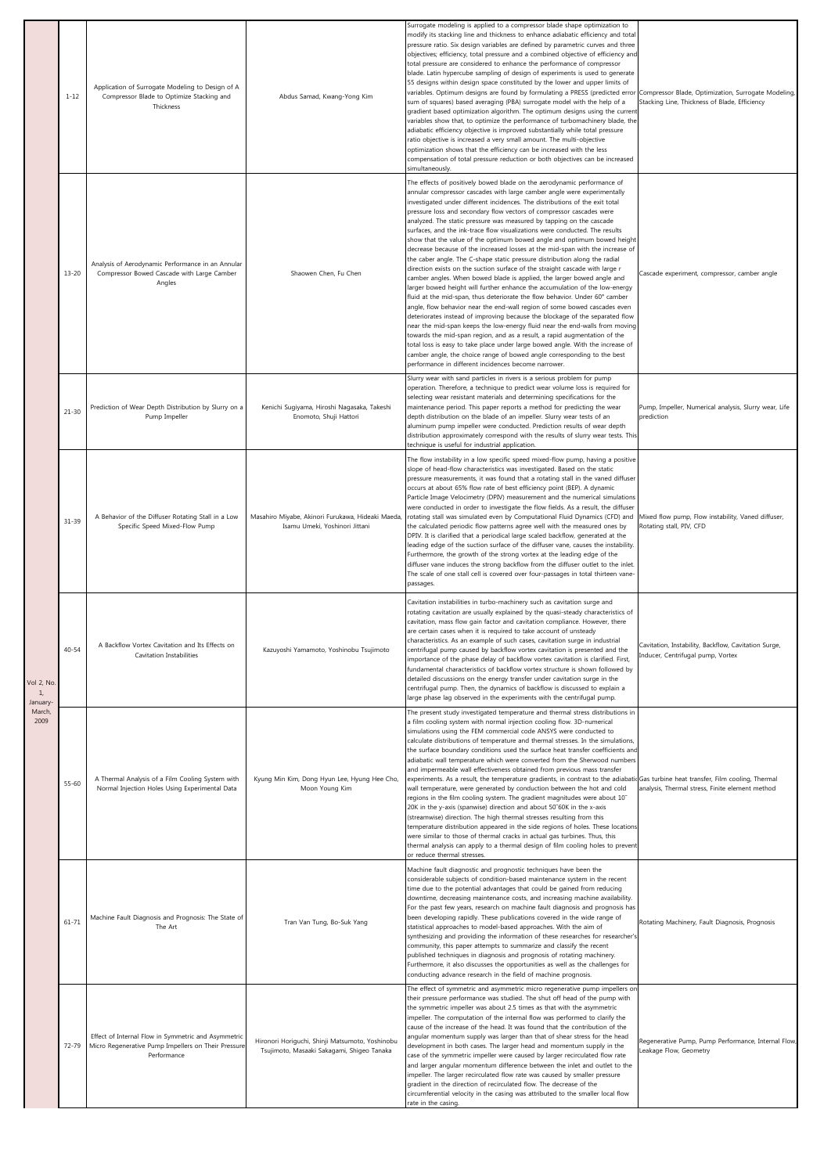|                           | $1 - 12$  | Application of Surrogate Modeling to Design of A<br>Compressor Blade to Optimize Stacking and<br>Thickness                | Abdus Samad, Kwang-Yong Kim                                                                   | Surrogate modeling is applied to a compressor blade shape optimization to<br>modify its stacking line and thickness to enhance adiabatic efficiency and total<br>pressure ratio. Six design variables are defined by parametric curves and three<br>objectives; efficiency, total pressure and a combined objective of efficiency and<br>total pressure are considered to enhance the performance of compressor<br>blade. Latin hypercube sampling of design of experiments is used to generate<br>55 designs within design space constituted by the lower and upper limits of<br>variables. Optimum designs are found by formulating a PRESS (predicted error<br>sum of squares) based averaging (PBA) surrogate model with the help of a<br>gradient based optimization algorithm. The optimum designs using the current<br>variables show that, to optimize the performance of turbomachinery blade, the<br>adiabatic efficiency objective is improved substantially while total pressure<br>ratio objective is increased a very small amount. The multi-objective<br>optimization shows that the efficiency can be increased with the less<br>compensation of total pressure reduction or both objectives can be increased<br>simultaneously.                                                                                                                                                                                                                                                                                                                                 | Compressor Blade, Optimization, Surrogate Modeling,<br>Stacking Line, Thickness of Blade, Efficiency |
|---------------------------|-----------|---------------------------------------------------------------------------------------------------------------------------|-----------------------------------------------------------------------------------------------|-----------------------------------------------------------------------------------------------------------------------------------------------------------------------------------------------------------------------------------------------------------------------------------------------------------------------------------------------------------------------------------------------------------------------------------------------------------------------------------------------------------------------------------------------------------------------------------------------------------------------------------------------------------------------------------------------------------------------------------------------------------------------------------------------------------------------------------------------------------------------------------------------------------------------------------------------------------------------------------------------------------------------------------------------------------------------------------------------------------------------------------------------------------------------------------------------------------------------------------------------------------------------------------------------------------------------------------------------------------------------------------------------------------------------------------------------------------------------------------------------------------------------------------------------------------------------------------|------------------------------------------------------------------------------------------------------|
|                           | $13 - 20$ | Analysis of Aerodynamic Performance in an Annular<br>Compressor Bowed Cascade with Large Camber<br>Angles                 | Shaowen Chen, Fu Chen                                                                         | The effects of positively bowed blade on the aerodynamic performance of<br>annular compressor cascades with large camber angle were experimentally<br>investigated under different incidences. The distributions of the exit total<br>pressure loss and secondary flow vectors of compressor cascades were<br>analyzed. The static pressure was measured by tapping on the cascade<br>surfaces, and the ink-trace flow visualizations were conducted. The results<br>show that the value of the optimum bowed angle and optimum bowed height<br>decrease because of the increased losses at the mid-span with the increase of<br>the caber angle. The C-shape static pressure distribution along the radial<br>direction exists on the suction surface of the straight cascade with large r<br>camber angles. When bowed blade is applied, the larger bowed angle and<br>larger bowed height will further enhance the accumulation of the low-energy<br>fluid at the mid-span, thus deteriorate the flow behavior. Under 60° camber<br>angle, flow behavior near the end-wall region of some bowed cascades even<br>deteriorates instead of improving because the blockage of the separated flow<br>near the mid-span keeps the low-energy fluid near the end-walls from moving<br>towards the mid-span region, and as a result, a rapid augmentation of the<br>total loss is easy to take place under large bowed angle. With the increase of<br>camber angle, the choice range of bowed angle corresponding to the best<br>performance in different incidences become narrower. | Cascade experiment, compressor, camber angle                                                         |
|                           | $21 - 30$ | Prediction of Wear Depth Distribution by Slurry on a<br>Pump Impeller                                                     | Kenichi Sugiyama, Hiroshi Nagasaka, Takeshi<br>Enomoto, Shuji Hattori                         | Slurry wear with sand particles in rivers is a serious problem for pump<br>operation. Therefore, a technique to predict wear volume loss is required for<br>selecting wear resistant materials and determining specifications for the<br>maintenance period. This paper reports a method for predicting the wear<br>depth distribution on the blade of an impeller. Slurry wear tests of an<br>aluminum pump impeller were conducted. Prediction results of wear depth<br>distribution approximately correspond with the results of slurry wear tests. This<br>technique is useful for industrial application.                                                                                                                                                                                                                                                                                                                                                                                                                                                                                                                                                                                                                                                                                                                                                                                                                                                                                                                                                                    | Pump, Impeller, Numerical analysis, Slurry wear, Life<br>prediction                                  |
| Vol 2, No<br>$\mathbf{1}$ | $31 - 39$ | A Behavior of the Diffuser Rotating Stall in a Low<br>Specific Speed Mixed-Flow Pump                                      | Masahiro Miyabe, Akinori Furukawa, Hideaki Maeda,<br>Isamu Umeki, Yoshinori Jittani           | The flow instability in a low specific speed mixed-flow pump, having a positive<br>slope of head-flow characteristics was investigated. Based on the static<br>pressure measurements, it was found that a rotating stall in the vaned diffuser<br>occurs at about 65% flow rate of best efficiency point (BEP). A dynamic<br>Particle Image Velocimetry (DPIV) measurement and the numerical simulations<br>were conducted in order to investigate the flow fields. As a result, the diffuser<br>rotating stall was simulated even by Computational Fluid Dynamics (CFD) and<br>the calculated periodic flow patterns agree well with the measured ones by<br>DPIV. It is clarified that a periodical large scaled backflow, generated at the<br>leading edge of the suction surface of the diffuser vane, causes the instability.<br>Furthermore, the growth of the strong vortex at the leading edge of the<br>diffuser vane induces the strong backflow from the diffuser outlet to the inlet<br>The scale of one stall cell is covered over four-passages in total thirteen vane-<br>passages.                                                                                                                                                                                                                                                                                                                                                                                                                                                                                | Mixed flow pump, Flow instability, Vaned diffuser,<br>Rotating stall, PIV, CFD                       |
|                           | $40 - 54$ | A Backflow Vortex Cavitation and Its Effects on<br>Cavitation Instabilities                                               | Kazuyoshi Yamamoto, Yoshinobu Tsujimoto                                                       | Cavitation instabilities in turbo-machinery such as cavitation surge and<br>rotating cavitation are usually explained by the quasi-steady characteristics of<br>cavitation, mass flow gain factor and cavitation compliance. However, there<br>are certain cases when it is required to take account of unsteady<br>characteristics. As an example of such cases, cavitation surge in industrial<br>centrifugal pump caused by backflow vortex cavitation is presented and the<br>importance of the phase delay of backflow vortex cavitation is clarified. First,<br>fundamental characteristics of backflow vortex structure is shown followed by<br>detailed discussions on the energy transfer under cavitation surge in the<br>centrifugal pump. Then, the dynamics of backflow is discussed to explain a<br>large phase lag observed in the experiments with the centrifugal pump.                                                                                                                                                                                                                                                                                                                                                                                                                                                                                                                                                                                                                                                                                          | Cavitation, Instability, Backflow, Cavitation Surge,<br>Inducer, Centrifugal pump, Vortex            |
| March,<br>2009            | $55 - 60$ | A Thermal Analysis of a Film Cooling System with<br>Normal Injection Holes Using Experimental Data                        | Kyung Min Kim, Dong Hyun Lee, Hyung Hee Cho,<br>Moon Young Kim                                | The present study investigated temperature and thermal stress distributions in<br>a film cooling system with normal injection cooling flow. 3D-numerical<br>simulations using the FEM commercial code ANSYS were conducted to<br>calculate distributions of temperature and thermal stresses. In the simulations,<br>the surface boundary conditions used the surface heat transfer coefficients and<br>adiabatic wall temperature which were converted from the Sherwood numbers<br>and impermeable wall effectiveness obtained from previous mass transfer<br>experiments. As a result, the temperature gradients, in contrast to the adiabatic Gas turbine heat transfer, Film cooling, Thermal<br>wall temperature, were generated by conduction between the hot and cold<br>regions in the film cooling system. The gradient magnitudes were about 10"<br>20K in the y-axis (spanwise) direction and about 50"60K in the x-axis<br>(streamwise) direction. The high thermal stresses resulting from this<br>temperature distribution appeared in the side regions of holes. These locations<br>were similar to those of thermal cracks in actual gas turbines. Thus, this<br>thermal analysis can apply to a thermal design of film cooling holes to prevent<br>or reduce thermal stresses.                                                                                                                                                                                                                                                                                  | analysis, Thermal stress, Finite element method                                                      |
|                           | $61 - 71$ | Machine Fault Diagnosis and Prognosis: The State of<br>The Art                                                            | Tran Van Tung, Bo-Suk Yang                                                                    | Machine fault diagnostic and prognostic techniques have been the<br>considerable subjects of condition-based maintenance system in the recent<br>time due to the potential advantages that could be gained from reducing<br>downtime, decreasing maintenance costs, and increasing machine availability.<br>For the past few years, research on machine fault diagnosis and prognosis has<br>been developing rapidly. These publications covered in the wide range of<br>statistical approaches to model-based approaches. With the aim of<br>synthesizing and providing the information of these researches for researcher's<br>community, this paper attempts to summarize and classify the recent<br>published techniques in diagnosis and prognosis of rotating machinery.<br>Furthermore, it also discusses the opportunities as well as the challenges for<br>conducting advance research in the field of machine prognosis.                                                                                                                                                                                                                                                                                                                                                                                                                                                                                                                                                                                                                                                | Rotating Machinery, Fault Diagnosis, Prognosis                                                       |
|                           | 72-79     | Effect of Internal Flow in Symmetric and Asymmetric<br>Micro Regenerative Pump Impellers on Their Pressure<br>Performance | Hironori Horiguchi, Shinji Matsumoto, Yoshinobu<br>Tsujimoto, Masaaki Sakagami, Shigeo Tanaka | The effect of symmetric and asymmetric micro regenerative pump impellers or<br>their pressure performance was studied. The shut off head of the pump with<br>the symmetric impeller was about 2.5 times as that with the asymmetric<br>impeller. The computation of the internal flow was performed to clarify the<br>cause of the increase of the head. It was found that the contribution of the<br>angular momentum supply was larger than that of shear stress for the head<br>development in both cases. The larger head and momentum supply in the<br>case of the symmetric impeller were caused by larger recirculated flow rate<br>and larger angular momentum difference between the inlet and outlet to the<br>impeller. The larger recirculated flow rate was caused by smaller pressure<br>gradient in the direction of recirculated flow. The decrease of the<br>circumferential velocity in the casing was attributed to the smaller local flow<br>rate in the casing.                                                                                                                                                                                                                                                                                                                                                                                                                                                                                                                                                                                              | Regenerative Pump, Pump Performance, Internal Flow<br>Leakage Flow, Geometry                         |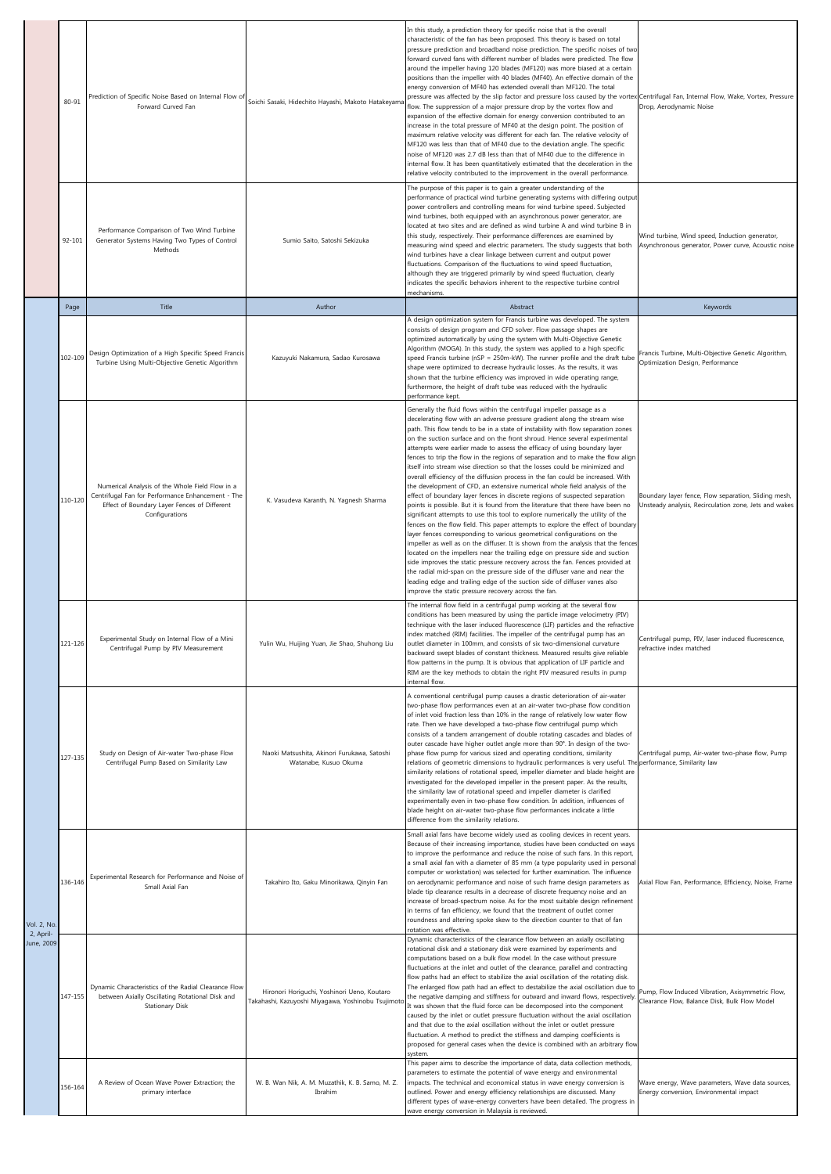|                                        | 80-91       | Prediction of Specific Noise Based on Internal Flow of<br>Forward Curved Fan                                                                                           | Soichi Sasaki, Hidechito Hayashi, Makoto Hatakeyama                                              | In this study, a prediction theory for specific noise that is the overall<br>characteristic of the fan has been proposed. This theory is based on total<br>pressure prediction and broadband noise prediction. The specific noises of two<br>forward curved fans with different number of blades were predicted. The flow<br>around the impeller having 120 blades (MF120) was more biased at a certain<br>positions than the impeller with 40 blades (MF40). An effective domain of the<br>energy conversion of MF40 has extended overall than MF120. The total<br>pressure was affected by the slip factor and pressure loss caused by the vortex Centrifugal Fan, Internal Flow, Wake, Vortex, Pressure<br>flow. The suppression of a major pressure drop by the vortex flow and<br>expansion of the effective domain for energy conversion contributed to an<br>increase in the total pressure of MF40 at the design point. The position of<br>maximum relative velocity was different for each fan. The relative velocity of<br>MF120 was less than that of MF40 due to the deviation angle. The specific<br>noise of MF120 was 2.7 dB less than that of MF40 due to the difference in<br>internal flow. It has been quantitatively estimated that the deceleration in the<br>relative velocity contributed to the improvement in the overall performance.                                                                                                                                                                                                                                                                    | Drop, Aerodynamic Noise                                                                                       |
|----------------------------------------|-------------|------------------------------------------------------------------------------------------------------------------------------------------------------------------------|--------------------------------------------------------------------------------------------------|------------------------------------------------------------------------------------------------------------------------------------------------------------------------------------------------------------------------------------------------------------------------------------------------------------------------------------------------------------------------------------------------------------------------------------------------------------------------------------------------------------------------------------------------------------------------------------------------------------------------------------------------------------------------------------------------------------------------------------------------------------------------------------------------------------------------------------------------------------------------------------------------------------------------------------------------------------------------------------------------------------------------------------------------------------------------------------------------------------------------------------------------------------------------------------------------------------------------------------------------------------------------------------------------------------------------------------------------------------------------------------------------------------------------------------------------------------------------------------------------------------------------------------------------------------------------------------------------------------------------------------|---------------------------------------------------------------------------------------------------------------|
|                                        | 92-101      | Performance Comparison of Two Wind Turbine<br>Generator Systems Having Two Types of Control<br>Methods                                                                 | Sumio Saito, Satoshi Sekizuka                                                                    | The purpose of this paper is to gain a greater understanding of the<br>performance of practical wind turbine generating systems with differing output<br>power controllers and controlling means for wind turbine speed. Subjected<br>wind turbines, both equipped with an asynchronous power generator, are<br>located at two sites and are defined as wind turbine A and wind turbine B in<br>this study, respectively. Their performance differences are examined by<br>measuring wind speed and electric parameters. The study suggests that both<br>wind turbines have a clear linkage between current and output power<br>fluctuations. Comparison of the fluctuations to wind speed fluctuation,<br>although they are triggered primarily by wind speed fluctuation, clearly<br>indicates the specific behaviors inherent to the respective turbine control<br>mechanisms.                                                                                                                                                                                                                                                                                                                                                                                                                                                                                                                                                                                                                                                                                                                                                  | Wind turbine, Wind speed, Induction generator,<br>Asynchronous generator, Power curve, Acoustic noise         |
|                                        | Page        | Title                                                                                                                                                                  | Author                                                                                           | Abstract                                                                                                                                                                                                                                                                                                                                                                                                                                                                                                                                                                                                                                                                                                                                                                                                                                                                                                                                                                                                                                                                                                                                                                                                                                                                                                                                                                                                                                                                                                                                                                                                                           | Keywords                                                                                                      |
|                                        | 102-109     | Design Optimization of a High Specific Speed Francis<br>Turbine Using Multi-Objective Genetic Algorithm                                                                | Kazuyuki Nakamura, Sadao Kurosawa                                                                | A design optimization system for Francis turbine was developed. The system<br>consists of design program and CFD solver. Flow passage shapes are<br>optimized automatically by using the system with Multi-Objective Genetic<br>Algorithm (MOGA). In this study, the system was applied to a high specific<br>speed Francis turbine (nSP = 250m-kW). The runner profile and the draft tube<br>shape were optimized to decrease hydraulic losses. As the results, it was<br>shown that the turbine efficiency was improved in wide operating range,<br>furthermore, the height of draft tube was reduced with the hydraulic<br>performance kept.                                                                                                                                                                                                                                                                                                                                                                                                                                                                                                                                                                                                                                                                                                                                                                                                                                                                                                                                                                                    | Francis Turbine, Multi-Objective Genetic Algorithm,<br>Optimization Design, Performance                       |
|                                        | 110-120     | Numerical Analysis of the Whole Field Flow in a<br>Centrifugal Fan for Performance Enhancement - The<br>Effect of Boundary Layer Fences of Different<br>Configurations | K. Vasudeva Karanth, N. Yagnesh Sharma                                                           | Generally the fluid flows within the centrifugal impeller passage as a<br>decelerating flow with an adverse pressure gradient along the stream wise<br>path. This flow tends to be in a state of instability with flow separation zones<br>on the suction surface and on the front shroud. Hence several experimental<br>attempts were earlier made to assess the efficacy of using boundary layer<br>fences to trip the flow in the regions of separation and to make the flow align<br>itself into stream wise direction so that the losses could be minimized and<br>overall efficiency of the diffusion process in the fan could be increased. With<br>the development of CFD, an extensive numerical whole field analysis of the<br>effect of boundary layer fences in discrete regions of suspected separation<br>points is possible. But it is found from the literature that there have been no<br>significant attempts to use this tool to explore numerically the utility of the<br>fences on the flow field. This paper attempts to explore the effect of boundary<br>layer fences corresponding to various geometrical configurations on the<br>impeller as well as on the diffuser. It is shown from the analysis that the fences<br>located on the impellers near the trailing edge on pressure side and suction<br>side improves the static pressure recovery across the fan. Fences provided at<br>the radial mid-span on the pressure side of the diffuser vane and near the<br>leading edge and trailing edge of the suction side of diffuser vanes also<br>improve the static pressure recovery across the fan. | Boundary layer fence, Flow separation, Sliding mesh,<br>Unsteady analysis, Recirculation zone, Jets and wakes |
|                                        | $.21 - 126$ | Experimental Study on Internal Flow of a Mini<br>Centrifugal Pump by PIV Measurement                                                                                   | Yulin Wu, Huijing Yuan, Jie Shao, Shuhong Liu                                                    | The internal flow field in a centrifugal pump working at the several flow<br>conditions has been measured by using the particle image velocimetry (PIV)<br>technique with the laser induced fluorescence (LIF) particles and the refractive<br>index matched (RIM) facilities. The impeller of the centrifugal pump has an<br>utlet diameter in 100mm, and consists of six two-dimensional curvature<br>backward swept blades of constant thickness. Measured results give reliable<br>flow patterns in the pump. It is obvious that application of LIF particle and<br>RIM are the key methods to obtain the right PIV measured results in pump<br>internal flow.                                                                                                                                                                                                                                                                                                                                                                                                                                                                                                                                                                                                                                                                                                                                                                                                                                                                                                                                                                 | Centrifugal pump, PIV, laser induced fluorescence,<br>refractive index matched                                |
|                                        | 127-135     | Study on Design of Air-water Two-phase Flow<br>Centrifugal Pump Based on Similarity Law                                                                                | Naoki Matsushita, Akinori Furukawa, Satoshi<br>Watanabe, Kusuo Okuma                             | A conventional centrifugal pump causes a drastic deterioration of air-water<br>two-phase flow performances even at an air-water two-phase flow condition<br>of inlet void fraction less than 10% in the range of relatively low water flow<br>rate. Then we have developed a two-phase flow centrifugal pump which<br>consists of a tandem arrangement of double rotating cascades and blades of<br>outer cascade have higher outlet angle more than 90°. In design of the two-<br>phase flow pump for various sized and operating conditions, similarity<br>relations of geometric dimensions to hydraulic performances is very useful. Th<br>similarity relations of rotational speed, impeller diameter and blade height are<br>investigated for the developed impeller in the present paper. As the results,<br>the similarity law of rotational speed and impeller diameter is clarified<br>experimentally even in two-phase flow condition. In addition, influences of<br>blade height on air-water two-phase flow performances indicate a little<br>difference from the similarity relations.                                                                                                                                                                                                                                                                                                                                                                                                                                                                                                                               | Centrifugal pump, Air-water two-phase flow, Pump<br>performance, Similarity law                               |
| Vol. 2, No.<br>2, April-<br>June, 2009 | 136-146     | Experimental Research for Performance and Noise of<br>Small Axial Fan                                                                                                  | Takahiro Ito, Gaku Minorikawa, Qinyin Fan                                                        | Small axial fans have become widely used as cooling devices in recent years.<br>Because of their increasing importance, studies have been conducted on ways<br>to improve the performance and reduce the noise of such fans. In this report,<br>a small axial fan with a diameter of 85 mm (a type popularity used in personal<br>computer or workstation) was selected for further examination. The influence<br>on aerodynamic performance and noise of such frame design parameters as<br>blade tip clearance results in a decrease of discrete frequency noise and an<br>increase of broad-spectrum noise. As for the most suitable design refinement<br>in terms of fan efficiency, we found that the treatment of outlet corner<br>roundness and altering spoke skew to the direction counter to that of fan<br>rotation was effective.                                                                                                                                                                                                                                                                                                                                                                                                                                                                                                                                                                                                                                                                                                                                                                                      | Axial Flow Fan, Performance, Efficiency, Noise, Frame                                                         |
|                                        | 147-155     | Dynamic Characteristics of the Radial Clearance Flow<br>between Axially Oscillating Rotational Disk and<br><b>Stationary Disk</b>                                      | Hironori Horiguchi, Yoshinori Ueno, Koutaro<br>Takahashi, Kazuyoshi Miyagawa, Yoshinobu Tsujimot | Dynamic characteristics of the clearance flow between an axially oscillating<br>rotational disk and a stationary disk were examined by experiments and<br>computations based on a bulk flow model. In the case without pressure<br>fluctuations at the inlet and outlet of the clearance, parallel and contracting<br>flow paths had an effect to stabilize the axial oscillation of the rotating disk.<br>The enlarged flow path had an effect to destabilize the axial oscillation due to<br>the negative damping and stiffness for outward and inward flows, respectively<br>It was shown that the fluid force can be decomposed into the component<br>caused by the inlet or outlet pressure fluctuation without the axial oscillation<br>and that due to the axial oscillation without the inlet or outlet pressure<br>fluctuation. A method to predict the stiffness and damping coefficients is<br>proposed for general cases when the device is combined with an arbitrary flow<br>system.<br>This paper aims to describe the importance of data, data collection methods,                                                                                                                                                                                                                                                                                                                                                                                                                                                                                                                                                 | Pump, Flow Induced Vibration, Axisymmetric Flow,<br>Clearance Flow, Balance Disk, Bulk Flow Model             |
|                                        | 156-164     | A Review of Ocean Wave Power Extraction; the<br>primary interface                                                                                                      | W. B. Wan Nik, A. M. Muzathik, K. B. Samo, M. Z.<br>Ibrahim                                      | parameters to estimate the potential of wave energy and environmental<br>impacts. The technical and economical status in wave energy conversion is<br>outlined. Power and energy efficiency relationships are discussed. Many<br>different types of wave-energy converters have been detailed. The progress in<br>wave energy conversion in Malaysia is reviewed.                                                                                                                                                                                                                                                                                                                                                                                                                                                                                                                                                                                                                                                                                                                                                                                                                                                                                                                                                                                                                                                                                                                                                                                                                                                                  | Wave energy, Wave parameters, Wave data sources,<br>Energy conversion, Environmental impact                   |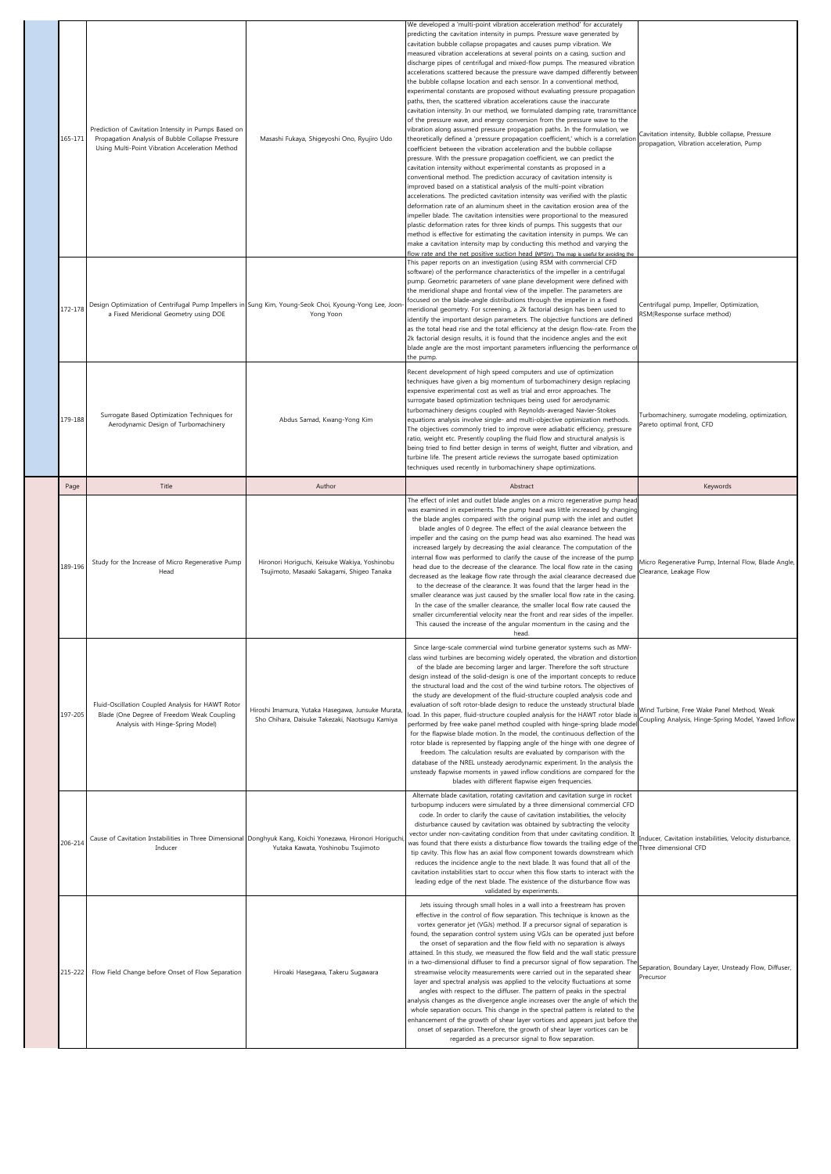| 165-171 | Prediction of Cavitation Intensity in Pumps Based on<br>Propagation Analysis of Bubble Collapse Pressure<br>Using Multi-Point Vibration Acceleration Method | Masashi Fukaya, Shigeyoshi Ono, Ryujiro Udo                                                                                                      | We developed a 'multi-point vibration acceleration method' for accurately<br>predicting the cavitation intensity in pumps. Pressure wave generated by<br>cavitation bubble collapse propagates and causes pump vibration. We<br>measured vibration accelerations at several points on a casing, suction and<br>discharge pipes of centrifugal and mixed-flow pumps. The measured vibration<br>accelerations scattered because the pressure wave damped differently betweer<br>the bubble collapse location and each sensor. In a conventional method,<br>experimental constants are proposed without evaluating pressure propagation<br>paths, then, the scattered vibration accelerations cause the inaccurate<br>cavitation intensity. In our method, we formulated damping rate, transmittance<br>of the pressure wave, and energy conversion from the pressure wave to the<br>vibration along assumed pressure propagation paths. In the formulation, we<br>theoretically defined a 'pressure propagation coefficient,' which is a correlatior<br>coefficient between the vibration acceleration and the bubble collapse<br>pressure. With the pressure propagation coefficient, we can predict the<br>cavitation intensity without experimental constants as proposed in a<br>conventional method. The prediction accuracy of cavitation intensity is<br>improved based on a statistical analysis of the multi-point vibration<br>accelerations. The predicted cavitation intensity was verified with the plastic<br>deformation rate of an aluminum sheet in the cavitation erosion area of the<br>impeller blade. The cavitation intensities were proportional to the measured<br>plastic deformation rates for three kinds of pumps. This suggests that our<br>method is effective for estimating the cavitation intensity in pumps. We can<br>make a cavitation intensity map by conducting this method and varying the<br>flow rate and the net positive suction head (NPSH). The map is useful for avoiding the | Cavitation intensity, Bubble collapse, Pressure<br>propagation, Vibration acceleration, Pump      |
|---------|-------------------------------------------------------------------------------------------------------------------------------------------------------------|--------------------------------------------------------------------------------------------------------------------------------------------------|----------------------------------------------------------------------------------------------------------------------------------------------------------------------------------------------------------------------------------------------------------------------------------------------------------------------------------------------------------------------------------------------------------------------------------------------------------------------------------------------------------------------------------------------------------------------------------------------------------------------------------------------------------------------------------------------------------------------------------------------------------------------------------------------------------------------------------------------------------------------------------------------------------------------------------------------------------------------------------------------------------------------------------------------------------------------------------------------------------------------------------------------------------------------------------------------------------------------------------------------------------------------------------------------------------------------------------------------------------------------------------------------------------------------------------------------------------------------------------------------------------------------------------------------------------------------------------------------------------------------------------------------------------------------------------------------------------------------------------------------------------------------------------------------------------------------------------------------------------------------------------------------------------------------------------------------------------------------------------------------------------------------------|---------------------------------------------------------------------------------------------------|
| 172-178 | a Fixed Meridional Geometry using DOE                                                                                                                       | Design Optimization of Centrifugal Pump Impellers in Sung Kim, Young-Seok Choi, Kyoung-Yong Lee, Joon-<br>Yong Yoon                              | This paper reports on an investigation (using RSM with commercial CFD<br>software) of the performance characteristics of the impeller in a centrifugal<br>pump. Geometric parameters of vane plane development were defined with<br>the meridional shape and frontal view of the impeller. The parameters are<br>focused on the blade-angle distributions through the impeller in a fixed<br>meridional geometry. For screening, a 2k factorial design has been used to<br>identify the important design parameters. The objective functions are defined<br>as the total head rise and the total efficiency at the design flow-rate. From the<br>2k factorial design results, it is found that the incidence angles and the exit<br>blade angle are the most important parameters influencing the performance of<br>the pump.                                                                                                                                                                                                                                                                                                                                                                                                                                                                                                                                                                                                                                                                                                                                                                                                                                                                                                                                                                                                                                                                                                                                                                                              | Centrifugal pump, Impeller, Optimization,<br>RSM(Response surface method)                         |
| 179-188 | Surrogate Based Optimization Techniques for<br>Aerodynamic Design of Turbomachinery                                                                         | Abdus Samad, Kwang-Yong Kim                                                                                                                      | Recent development of high speed computers and use of optimization<br>techniques have given a big momentum of turbomachinery design replacing<br>expensive experimental cost as well as trial and error approaches. The<br>surrogate based optimization techniques being used for aerodynamic<br>turbomachinery designs coupled with Reynolds-averaged Navier-Stokes<br>equations analysis involve single- and multi-objective optimization methods.<br>The objectives commonly tried to improve were adiabatic efficiency, pressure<br>ratio, weight etc. Presently coupling the fluid flow and structural analysis is<br>being tried to find better design in terms of weight, flutter and vibration, and<br>turbine life. The present article reviews the surrogate based optimization<br>techniques used recently in turbomachinery shape optimizations.                                                                                                                                                                                                                                                                                                                                                                                                                                                                                                                                                                                                                                                                                                                                                                                                                                                                                                                                                                                                                                                                                                                                                               | Turbomachinery, surrogate modeling, optimization,<br>Pareto optimal front, CFD                    |
| Page    | Title                                                                                                                                                       | Author                                                                                                                                           | Abstract                                                                                                                                                                                                                                                                                                                                                                                                                                                                                                                                                                                                                                                                                                                                                                                                                                                                                                                                                                                                                                                                                                                                                                                                                                                                                                                                                                                                                                                                                                                                                                                                                                                                                                                                                                                                                                                                                                                                                                                                                   | Keywords                                                                                          |
| 189-196 | Study for the Increase of Micro Regenerative Pump<br>Head                                                                                                   | Hironori Horiguchi, Keisuke Wakiya, Yoshinobu<br>Tsujimoto, Masaaki Sakagami, Shigeo Tanaka                                                      | The effect of inlet and outlet blade angles on a micro regenerative pump head<br>was examined in experiments. The pump head was little increased by changing<br>the blade angles compared with the original pump with the inlet and outlet<br>blade angles of 0 degree. The effect of the axial clearance between the<br>impeller and the casing on the pump head was also examined. The head was<br>increased largely by decreasing the axial clearance. The computation of the<br>internal flow was performed to clarify the cause of the increase of the pump<br>head due to the decrease of the clearance. The local flow rate in the casing<br>decreased as the leakage flow rate through the axial clearance decreased due<br>to the decrease of the clearance. It was found that the larger head in the                                                                                                                                                                                                                                                                                                                                                                                                                                                                                                                                                                                                                                                                                                                                                                                                                                                                                                                                                                                                                                                                                                                                                                                                             | Micro Regenerative Pump, Internal Flow, Blade Angle,<br>Clearance, Leakage Flow                   |
|         |                                                                                                                                                             |                                                                                                                                                  | smaller clearance was just caused by the smaller local flow rate in the casing.<br>In the case of the smaller clearance, the smaller local flow rate caused the<br>smaller circumferential velocity near the front and rear sides of the impeller.<br>This caused the increase of the angular momentum in the casing and the                                                                                                                                                                                                                                                                                                                                                                                                                                                                                                                                                                                                                                                                                                                                                                                                                                                                                                                                                                                                                                                                                                                                                                                                                                                                                                                                                                                                                                                                                                                                                                                                                                                                                               |                                                                                                   |
| 197-205 | Fluid-Oscillation Coupled Analysis for HAWT Rotor<br>Blade (One Degree of Freedom Weak Coupling<br>Analysis with Hinge-Spring Model)                        | Hiroshi Imamura, Yutaka Hasegawa, Junsuke Murata,<br>Sho Chihara, Daisuke Takezaki, Naotsugu Kamiya                                              | head.<br>Since large-scale commercial wind turbine generator systems such as MW-<br>class wind turbines are becoming widely operated, the vibration and distortion<br>of the blade are becoming larger and larger. Therefore the soft structure<br>design instead of the solid-design is one of the important concepts to reduce<br>the structural load and the cost of the wind turbine rotors. The objectives of<br>the study are development of the fluid-structure coupled analysis code and<br>evaluation of soft rotor-blade design to reduce the unsteady structural blade<br>load. In this paper, fluid-structure coupled analysis for the HAWT rotor blade<br>performed by free wake panel method coupled with hinge-spring blade model<br>for the flapwise blade motion. In the model, the continuous deflection of the<br>rotor blade is represented by flapping angle of the hinge with one degree of<br>freedom. The calculation results are evaluated by comparison with the<br>database of the NREL unsteady aerodynamic experiment. In the analysis the<br>unsteady flapwise moments in yawed inflow conditions are compared for the<br>blades with different flapwise eigen frequencies.                                                                                                                                                                                                                                                                                                                                                                                                                                                                                                                                                                                                                                                                                                                                                                                                                  | Wind Turbine, Free Wake Panel Method, Weak<br>Coupling Analysis, Hinge-Spring Model, Yawed Inflow |
| 206-214 | Inducer                                                                                                                                                     | Cause of Cavitation Instabilities in Three Dimensional Donghyuk Kang, Koichi Yonezawa, Hironori Horiguchi,<br>Yutaka Kawata, Yoshinobu Tsujimoto | Alternate blade cavitation, rotating cavitation and cavitation surge in rocket<br>turbopump inducers were simulated by a three dimensional commercial CFD<br>code. In order to clarify the cause of cavitation instabilities, the velocity<br>disturbance caused by cavitation was obtained by subtracting the velocity<br>vector under non-cavitating condition from that under cavitating condition. It<br>was found that there exists a disturbance flow towards the trailing edge of the<br>tip cavity. This flow has an axial flow component towards downstream which<br>reduces the incidence angle to the next blade. It was found that all of the<br>cavitation instabilities start to occur when this flow starts to interact with the<br>leading edge of the next blade. The existence of the disturbance flow was<br>validated by experiments.                                                                                                                                                                                                                                                                                                                                                                                                                                                                                                                                                                                                                                                                                                                                                                                                                                                                                                                                                                                                                                                                                                                                                                  | Inducer, Cavitation instabilities, Velocity disturbance,<br>Three dimensional CFD                 |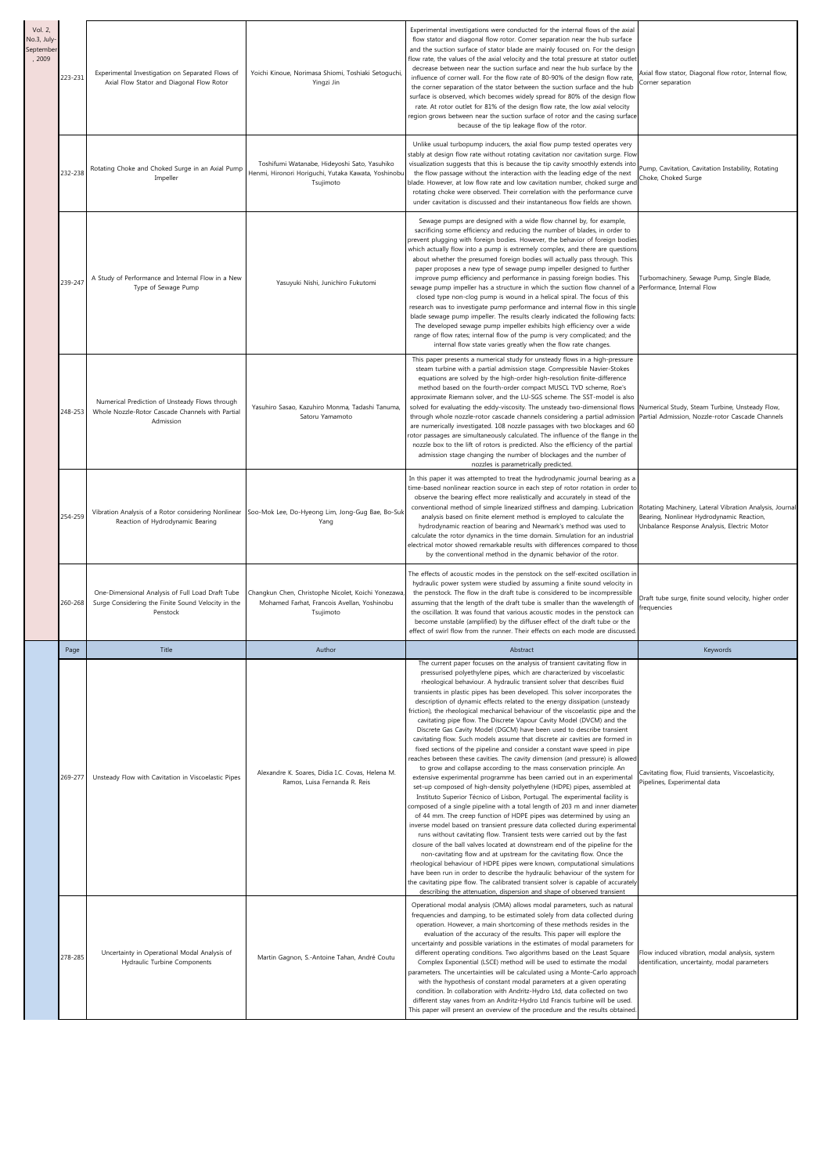| Vol. 2,<br>No.3, July-<br>eptembe<br>, 2009 | 223-231 | Experimental Investigation on Separated Flows of<br>Axial Flow Stator and Diagonal Flow Rotor                      | Yoichi Kinoue, Norimasa Shiomi, Toshiaki Setoguchi,<br>Yingzi Jin                                                | Experimental investigations were conducted for the internal flows of the axial<br>flow stator and diagonal flow rotor. Corner separation near the hub surface<br>and the suction surface of stator blade are mainly focused on. For the design<br>flow rate, the values of the axial velocity and the total pressure at stator outlet<br>decrease between near the suction surface and near the hub surface by the<br>influence of corner wall. For the flow rate of 80-90% of the design flow rate,<br>the corner separation of the stator between the suction surface and the hub<br>surface is observed, which becomes widely spread for 80% of the design flow<br>rate. At rotor outlet for 81% of the design flow rate, the low axial velocity<br>region grows between near the suction surface of rotor and the casing surface<br>because of the tip leakage flow of the rotor.                                                                                                                                                                                                                                                                                                                                                                                                                                                                                                                                                                                                                                                                                                                                                                                                                                                                                                                                                                                                                                                                                                                             | Axial flow stator, Diagonal flow rotor, Internal flow,<br>orner separation                                                                          |
|---------------------------------------------|---------|--------------------------------------------------------------------------------------------------------------------|------------------------------------------------------------------------------------------------------------------|-------------------------------------------------------------------------------------------------------------------------------------------------------------------------------------------------------------------------------------------------------------------------------------------------------------------------------------------------------------------------------------------------------------------------------------------------------------------------------------------------------------------------------------------------------------------------------------------------------------------------------------------------------------------------------------------------------------------------------------------------------------------------------------------------------------------------------------------------------------------------------------------------------------------------------------------------------------------------------------------------------------------------------------------------------------------------------------------------------------------------------------------------------------------------------------------------------------------------------------------------------------------------------------------------------------------------------------------------------------------------------------------------------------------------------------------------------------------------------------------------------------------------------------------------------------------------------------------------------------------------------------------------------------------------------------------------------------------------------------------------------------------------------------------------------------------------------------------------------------------------------------------------------------------------------------------------------------------------------------------------------------------|-----------------------------------------------------------------------------------------------------------------------------------------------------|
|                                             | 232-238 | Rotating Choke and Choked Surge in an Axial Pump<br>Impeller                                                       | Toshifumi Watanabe, Hideyoshi Sato, Yasuhiko<br>Henmi, Hironori Horiguchi, Yutaka Kawata, Yoshinobu<br>Tsujimoto | Unlike usual turbopump inducers, the axial flow pump tested operates very<br>stably at design flow rate without rotating cavitation nor cavitation surge. Flow<br>visualization suggests that this is because the tip cavity smoothly extends into<br>the flow passage without the interaction with the leading edge of the next<br>blade. However, at low flow rate and low cavitation number, choked surge and<br>rotating choke were observed. Their correlation with the performance curve<br>under cavitation is discussed and their instantaneous flow fields are shown.                                                                                                                                                                                                                                                                                                                                                                                                                                                                                                                                                                                                                                                                                                                                                                                                                                                                                                                                                                                                                                                                                                                                                                                                                                                                                                                                                                                                                                    | Pump, Cavitation, Cavitation Instability, Rotating<br>Choke, Choked Surge                                                                           |
|                                             | 239-247 | A Study of Performance and Internal Flow in a New<br>Type of Sewage Pump                                           | Yasuyuki Nishi, Junichiro Fukutomi                                                                               | Sewage pumps are designed with a wide flow channel by, for example,<br>sacrificing some efficiency and reducing the number of blades, in order to<br>prevent plugging with foreign bodies. However, the behavior of foreign bodies<br>which actually flow into a pump is extremely complex, and there are questions<br>about whether the presumed foreign bodies will actually pass through. This<br>paper proposes a new type of sewage pump impeller designed to further<br>improve pump efficiency and performance in passing foreign bodies. This<br>sewage pump impeller has a structure in which the suction flow channel of a<br>closed type non-clog pump is wound in a helical spiral. The focus of this<br>research was to investigate pump performance and internal flow in this single<br>blade sewage pump impeller. The results clearly indicated the following facts:<br>The developed sewage pump impeller exhibits high efficiency over a wide<br>range of flow rates; internal flow of the pump is very complicated; and the<br>internal flow state varies greatly when the flow rate changes.                                                                                                                                                                                                                                                                                                                                                                                                                                                                                                                                                                                                                                                                                                                                                                                                                                                                                                  | Turbomachinery, Sewage Pump, Single Blade,<br>Performance, Internal Flow                                                                            |
|                                             | 248-253 | Numerical Prediction of Unsteady Flows through<br>Whole Nozzle-Rotor Cascade Channels with Partial<br>Admission    | Yasuhiro Sasao, Kazuhiro Monma, Tadashi Tanuma,<br>Satoru Yamamoto                                               | This paper presents a numerical study for unsteady flows in a high-pressure<br>steam turbine with a partial admission stage. Compressible Navier-Stokes<br>equations are solved by the high-order high-resolution finite-difference<br>method based on the fourth-order compact MUSCL TVD scheme, Roe's<br>approximate Riemann solver, and the LU-SGS scheme. The SST-model is also<br>solved for evaluating the eddy-viscosity. The unsteady two-dimensional flows<br>through whole nozzle-rotor cascade channels considering a partial admission<br>are numerically investigated. 108 nozzle passages with two blockages and 60<br>rotor passages are simultaneously calculated. The influence of the flange in the<br>nozzle box to the lift of rotors is predicted. Also the efficiency of the partial<br>admission stage changing the number of blockages and the number of<br>nozzles is parametrically predicted.                                                                                                                                                                                                                                                                                                                                                                                                                                                                                                                                                                                                                                                                                                                                                                                                                                                                                                                                                                                                                                                                                          | Numerical Study, Steam Turbine, Unsteady Flow,<br>Partial Admission, Nozzle-rotor Cascade Channels                                                  |
|                                             | 254-259 | Vibration Analysis of a Rotor considering Nonlinear<br>Reaction of Hydrodynamic Bearing                            | Soo-Mok Lee, Do-Hyeong Lim, Jong-Gug Bae, Bo-Suk<br>Yang                                                         | In this paper it was attempted to treat the hydrodynamic journal bearing as a<br>time-based nonlinear reaction source in each step of rotor rotation in order to<br>observe the bearing effect more realistically and accurately in stead of the<br>conventional method of simple linearized stiffness and damping. Lubrication<br>analysis based on finite element method is employed to calculate the<br>hydrodynamic reaction of bearing and Newmark's method was used to<br>calculate the rotor dynamics in the time domain. Simulation for an industrial<br>electrical motor showed remarkable results with differences compared to those<br>by the conventional method in the dynamic behavior of the rotor.                                                                                                                                                                                                                                                                                                                                                                                                                                                                                                                                                                                                                                                                                                                                                                                                                                                                                                                                                                                                                                                                                                                                                                                                                                                                                                | Rotating Machinery, Lateral Vibration Analysis, Journal<br>Bearing, Nonlinear Hydrodynamic Reaction,<br>Unbalance Response Analysis, Electric Motor |
|                                             | 260-268 | One-Dimensional Analysis of Full Load Draft Tube<br>Surge Considering the Finite Sound Velocity in the<br>Penstock | Changkun Chen, Christophe Nicolet, Koichi Yonezawa,<br>Mohamed Farhat, Francois Avellan, Yoshinobu<br>Tsujimoto  | The effects of acoustic modes in the penstock on the self-excited oscillation in<br>hydraulic power system were studied by assuming a finite sound velocity in<br>the penstock. The flow in the draft tube is considered to be incompressible<br>assuming that the length of the draft tube is smaller than the wavelength of<br>the oscillation. It was found that various acoustic modes in the penstock can<br>become unstable (amplified) by the diffuser effect of the draft tube or the<br>effect of swirl flow from the runner. Their effects on each mode are discussed                                                                                                                                                                                                                                                                                                                                                                                                                                                                                                                                                                                                                                                                                                                                                                                                                                                                                                                                                                                                                                                                                                                                                                                                                                                                                                                                                                                                                                   | Draft tube surge, finite sound velocity, higher order<br>frequencies                                                                                |
|                                             | Page    | Title                                                                                                              | Author                                                                                                           | Abstract                                                                                                                                                                                                                                                                                                                                                                                                                                                                                                                                                                                                                                                                                                                                                                                                                                                                                                                                                                                                                                                                                                                                                                                                                                                                                                                                                                                                                                                                                                                                                                                                                                                                                                                                                                                                                                                                                                                                                                                                          | Keywords                                                                                                                                            |
|                                             | 269-277 | Unsteady Flow with Cavitation in Viscoelastic Pipes                                                                | Alexandre K. Soares, Dídia I.C. Covas, Helena M.<br>Ramos, Luisa Fernanda R. Reis                                | The current paper focuses on the analysis of transient cavitating flow in<br>pressurised polyethylene pipes, which are characterized by viscoelastic<br>rheological behaviour. A hydraulic transient solver that describes fluid<br>transients in plastic pipes has been developed. This solver incorporates the<br>description of dynamic effects related to the energy dissipation (unsteady<br>friction), the rheological mechanical behaviour of the viscoelastic pipe and the<br>cavitating pipe flow. The Discrete Vapour Cavity Model (DVCM) and the<br>Discrete Gas Cavity Model (DGCM) have been used to describe transient<br>cavitating flow. Such models assume that discrete air cavities are formed in<br>fixed sections of the pipeline and consider a constant wave speed in pipe<br>reaches between these cavities. The cavity dimension (and pressure) is allowed<br>to grow and collapse according to the mass conservation principle. An<br>extensive experimental programme has been carried out in an experimental<br>set-up composed of high-density polyethylene (HDPE) pipes, assembled at<br>Instituto Superior Técnico of Lisbon, Portugal. The experimental facility is<br>composed of a single pipeline with a total length of 203 m and inner diameter<br>of 44 mm. The creep function of HDPE pipes was determined by using an<br>inverse model based on transient pressure data collected during experimental<br>runs without cavitating flow. Transient tests were carried out by the fast<br>closure of the ball valves located at downstream end of the pipeline for the<br>non-cavitating flow and at upstream for the cavitating flow. Once the<br>rheological behaviour of HDPE pipes were known, computational simulations<br>have been run in order to describe the hydraulic behaviour of the system for<br>the cavitating pipe flow. The calibrated transient solver is capable of accurately<br>describing the attenuation, dispersion and shape of observed transient | Cavitating flow, Fluid transients, Viscoelasticity,<br>Pipelines, Experimental data                                                                 |
|                                             | 278-285 | Uncertainty in Operational Modal Analysis of<br>Hydraulic Turbine Components                                       | Martin Gagnon, S.-Antoine Tahan, André Coutu                                                                     | Operational modal analysis (OMA) allows modal parameters, such as natural<br>frequencies and damping, to be estimated solely from data collected during<br>operation. However, a main shortcoming of these methods resides in the<br>evaluation of the accuracy of the results. This paper will explore the<br>uncertainty and possible variations in the estimates of modal parameters for<br>different operating conditions. Two algorithms based on the Least Square<br>Complex Exponential (LSCE) method will be used to estimate the modal<br>parameters. The uncertainties will be calculated using a Monte-Carlo approach<br>with the hypothesis of constant modal parameters at a given operating<br>condition. In collaboration with Andritz-Hydro Ltd, data collected on two<br>different stay vanes from an Andritz-Hydro Ltd Francis turbine will be used.<br>This paper will present an overview of the procedure and the results obtained.                                                                                                                                                                                                                                                                                                                                                                                                                                                                                                                                                                                                                                                                                                                                                                                                                                                                                                                                                                                                                                                          | Flow induced vibration, modal analysis, system<br>identification, uncertainty, modal parameters                                                     |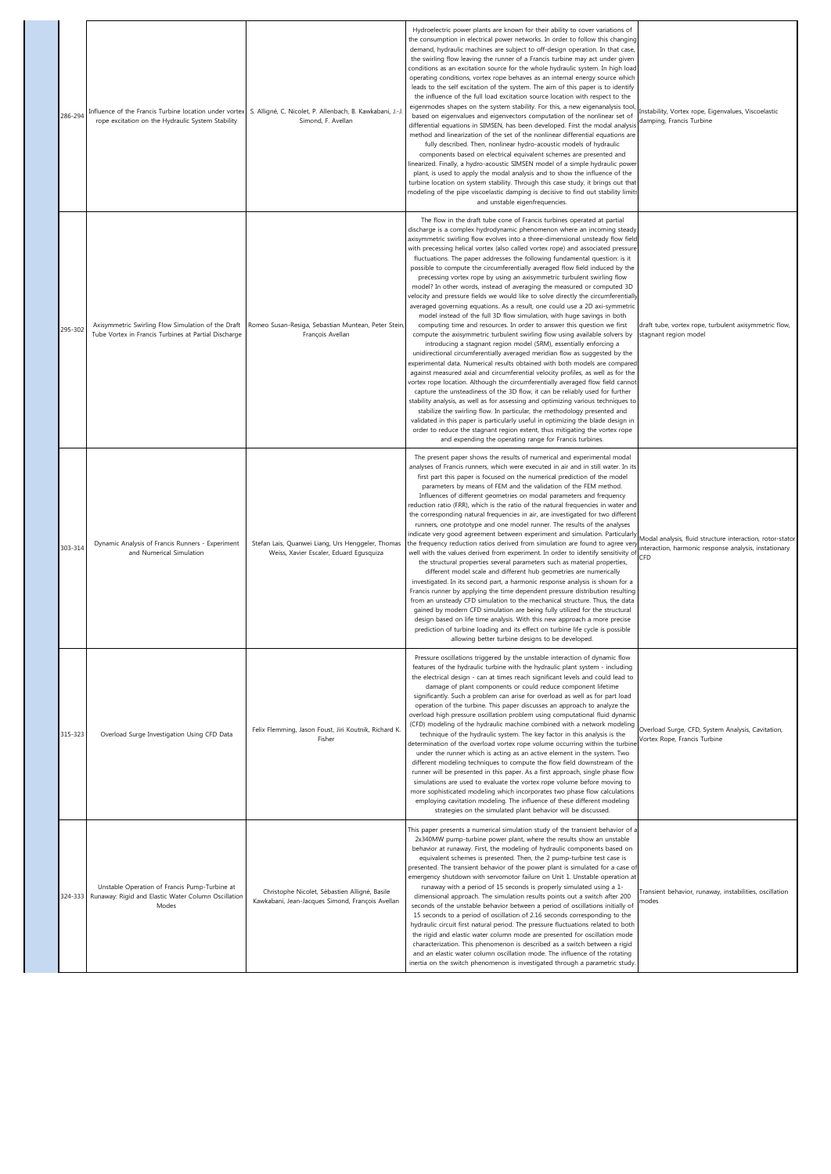| 286-294 | Influence of the Francis Turbine location under vortex<br>rope excitation on the Hydraulic System Stability   | S. Alligné, C. Nicolet, P. Allenbach, B. Kawkabani, J.-J<br>Simond, F. Avellan                    | Hydroelectric power plants are known for their ability to cover variations of<br>the consumption in electrical power networks. In order to follow this changing<br>demand, hydraulic machines are subject to off-design operation. In that case,<br>the swirling flow leaving the runner of a Francis turbine may act under given<br>conditions as an excitation source for the whole hydraulic system. In high load<br>operating conditions, vortex rope behaves as an internal energy source which<br>leads to the self excitation of the system. The aim of this paper is to identify<br>the influence of the full load excitation source location with respect to the<br>eigenmodes shapes on the system stability. For this, a new eigenanalysis tool<br>based on eigenvalues and eigenvectors computation of the nonlinear set of<br>differential equations in SIMSEN, has been developed. First the modal analysis<br>method and linearization of the set of the nonlinear differential equations are<br>fully described. Then, nonlinear hydro-acoustic models of hydraulic<br>components based on electrical equivalent schemes are presented and<br>linearized. Finally, a hydro-acoustic SIMSEN model of a simple hydraulic power<br>plant, is used to apply the modal analysis and to show the influence of the<br>turbine location on system stability. Through this case study, it brings out that<br>modeling of the pipe viscoelastic damping is decisive to find out stability limits<br>and unstable eigenfrequencies.                                                                                                                                                                                                                                                                                                                                                                                                            | Instability, Vortex rope, Eigenvalues, Viscoelastic<br>damping, Francis Turbine                                           |
|---------|---------------------------------------------------------------------------------------------------------------|---------------------------------------------------------------------------------------------------|-----------------------------------------------------------------------------------------------------------------------------------------------------------------------------------------------------------------------------------------------------------------------------------------------------------------------------------------------------------------------------------------------------------------------------------------------------------------------------------------------------------------------------------------------------------------------------------------------------------------------------------------------------------------------------------------------------------------------------------------------------------------------------------------------------------------------------------------------------------------------------------------------------------------------------------------------------------------------------------------------------------------------------------------------------------------------------------------------------------------------------------------------------------------------------------------------------------------------------------------------------------------------------------------------------------------------------------------------------------------------------------------------------------------------------------------------------------------------------------------------------------------------------------------------------------------------------------------------------------------------------------------------------------------------------------------------------------------------------------------------------------------------------------------------------------------------------------------------------------------------------------------------------------------------------------------------------|---------------------------------------------------------------------------------------------------------------------------|
| 295-302 | Axisymmetric Swirling Flow Simulation of the Draft<br>Tube Vortex in Francis Turbines at Partial Discharge    | Romeo Susan-Resiga, Sebastian Muntean, Peter Stein,<br>François Avellan                           | The flow in the draft tube cone of Francis turbines operated at partial<br>discharge is a complex hydrodynamic phenomenon where an incoming steady<br>axisymmetric swirling flow evolves into a three-dimensional unsteady flow field<br>with precessing helical vortex (also called vortex rope) and associated pressure<br>fluctuations. The paper addresses the following fundamental question: is it<br>possible to compute the circumferentially averaged flow field induced by the<br>precessing vortex rope by using an axisymmetric turbulent swirling flow<br>model? In other words, instead of averaging the measured or computed 3D<br>velocity and pressure fields we would like to solve directly the circumferentially<br>averaged governing equations. As a result, one could use a 2D axi-symmetric<br>model instead of the full 3D flow simulation, with huge savings in both<br>computing time and resources. In order to answer this question we first<br>compute the axisymmetric turbulent swirling flow using available solvers by<br>introducing a stagnant region model (SRM), essentially enforcing a<br>unidirectional circumferentially averaged meridian flow as suggested by the<br>experimental data. Numerical results obtained with both models are compared<br>against measured axial and circumferential velocity profiles, as well as for the<br>vortex rope location. Although the circumferentially averaged flow field cannot<br>capture the unsteadiness of the 3D flow, it can be reliably used for further<br>stability analysis, as well as for assessing and optimizing various techniques to<br>stabilize the swirling flow. In particular, the methodology presented and<br>validated in this paper is particularly useful in optimizing the blade design in<br>order to reduce the stagnant region extent, thus mitigating the vortex rope<br>and expending the operating range for Francis turbines. | draft tube, vortex rope, turbulent axisymmetric flow,<br>stagnant region model                                            |
| 303-314 | Dynamic Analysis of Francis Runners - Experiment<br>and Numerical Simulation                                  | Stefan Lais, Quanwei Liang, Urs Henggeler, Thomas<br>Weiss, Xavier Escaler, Eduard Egusquiza      | The present paper shows the results of numerical and experimental modal<br>analyses of Francis runners, which were executed in air and in still water. In its<br>first part this paper is focused on the numerical prediction of the model<br>parameters by means of FEM and the validation of the FEM method.<br>Influences of different geometries on modal parameters and frequency<br>reduction ratio (FRR), which is the ratio of the natural frequencies in water and<br>the corresponding natural frequencies in air, are investigated for two different<br>runners, one prototype and one model runner. The results of the analyses<br>indicate very good agreement between experiment and simulation. Particularly<br>the frequency reduction ratios derived from simulation are found to agree very<br>well with the values derived from experiment. In order to identify sensitivity of<br>the structural properties several parameters such as material properties,<br>different model scale and different hub geometries are numerically<br>investigated. In its second part, a harmonic response analysis is shown for a<br>Francis runner by applying the time dependent pressure distribution resulting<br>from an unsteady CFD simulation to the mechanical structure. Thus, the data<br>gained by modern CFD simulation are being fully utilized for the structural<br>design based on life time analysis. With this new approach a more precise<br>prediction of turbine loading and its effect on turbine life cycle is possible<br>allowing better turbine designs to be developed.                                                                                                                                                                                                                                                                                                                                            | Modal analysis, fluid structure interaction, rotor-stator<br>interaction, harmonic response analysis, instationary<br>CFD |
| 315-323 | Overload Surge Investigation Using CFD Data                                                                   | Felix Flemming, Jason Foust, Jiri Koutnik, Richard K.<br>Fisher                                   | Pressure oscillations triggered by the unstable interaction of dynamic flow<br>features of the hydraulic turbine with the hydraulic plant system - including<br>the electrical design - can at times reach significant levels and could lead to<br>damage of plant components or could reduce component lifetime<br>significantly. Such a problem can arise for overload as well as for part load<br>operation of the turbine. This paper discusses an approach to analyze the<br>overload high pressure oscillation problem using computational fluid dynamic<br>(CFD) modeling of the hydraulic machine combined with a network modeling<br>technique of the hydraulic system. The key factor in this analysis is the<br>determination of the overload vortex rope volume occurring within the turbine<br>under the runner which is acting as an active element in the system. Two<br>different modeling techniques to compute the flow field downstream of the<br>runner will be presented in this paper. As a first approach, single phase flow<br>simulations are used to evaluate the vortex rope volume before moving to<br>more sophisticated modeling which incorporates two phase flow calculations<br>employing cavitation modeling. The influence of these different modeling<br>strategies on the simulated plant behavior will be discussed.                                                                                                                                                                                                                                                                                                                                                                                                                                                                                                                                                                                          | Overload Surge, CFD, System Analysis, Cavitation,<br>Vortex Rope, Francis Turbine                                         |
| 324-333 | Unstable Operation of Francis Pump-Turbine at<br>Runaway: Rigid and Elastic Water Column Oscillation<br>Modes | Christophe Nicolet, Sébastien Alligné, Basile<br>Kawkabani, Jean-Jacques Simond, François Avellan | This paper presents a numerical simulation study of the transient behavior of a<br>2x340MW pump-turbine power plant, where the results show an unstable<br>behavior at runaway. First, the modeling of hydraulic components based on<br>equivalent schemes is presented. Then, the 2 pump-turbine test case is<br>presented. The transient behavior of the power plant is simulated for a case of<br>emergency shutdown with servomotor failure on Unit 1. Unstable operation at<br>runaway with a period of 15 seconds is properly simulated using a 1-<br>dimensional approach. The simulation results points out a switch after 200<br>seconds of the unstable behavior between a period of oscillations initially of<br>15 seconds to a period of oscillation of 2.16 seconds corresponding to the<br>hydraulic circuit first natural period. The pressure fluctuations related to both<br>the rigid and elastic water column mode are presented for oscillation mode<br>characterization. This phenomenon is described as a switch between a rigid<br>and an elastic water column oscillation mode. The influence of the rotating<br>inertia on the switch phenomenon is investigated through a parametric study                                                                                                                                                                                                                                                                                                                                                                                                                                                                                                                                                                                                                                                                                                                               | Transient behavior, runaway, instabilities, oscillation<br>modes                                                          |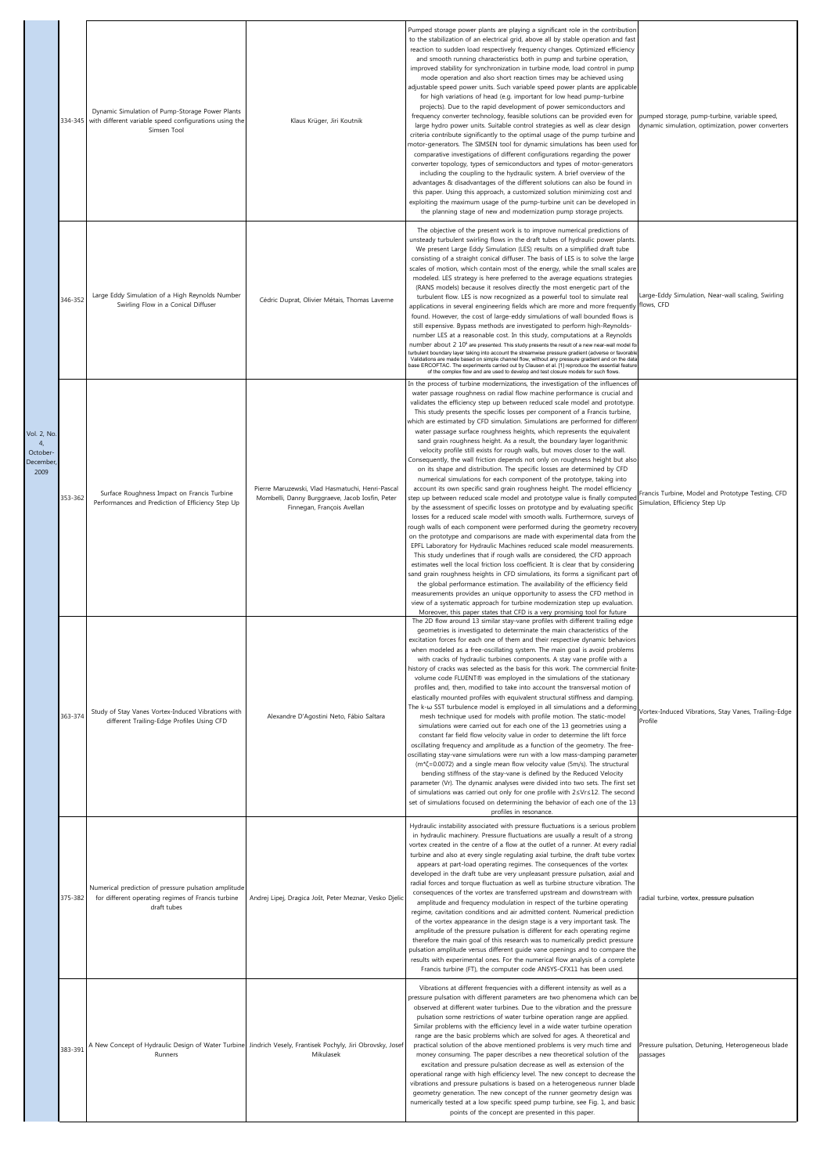|                                                             | 334-345 | Dynamic Simulation of Pump-Storage Power Plants<br>with different variable speed configurations using the<br>Simsen Tool  | Klaus Krüger, Jiri Koutnik                                                                                                        | Pumped storage power plants are playing a significant role in the contributior<br>to the stabilization of an electrical grid, above all by stable operation and fast<br>reaction to sudden load respectively frequency changes. Optimized efficiency<br>and smooth running characteristics both in pump and turbine operation,<br>improved stability for synchronization in turbine mode, load control in pump<br>mode operation and also short reaction times may be achieved using<br>adjustable speed power units. Such variable speed power plants are applicable<br>for high variations of head (e.g. important for low head pump-turbine<br>projects). Due to the rapid development of power semiconductors and<br>frequency converter technology, feasible solutions can be provided even for<br>large hydro power units. Suitable control strategies as well as clear design<br>criteria contribute significantly to the optimal usage of the pump turbine and<br>motor-generators. The SIMSEN tool for dynamic simulations has been used for<br>comparative investigations of different configurations regarding the power<br>converter topology, types of semiconductors and types of motor-generators<br>including the coupling to the hydraulic system. A brief overview of the<br>advantages & disadvantages of the different solutions can also be found in<br>this paper. Using this approach, a customized solution minimizing cost and<br>exploiting the maximum usage of the pump-turbine unit can be developed in<br>the planning stage of new and modernization pump storage projects.                                                                                                                                                                                                                                                              | pumped storage, pump-turbine, variable speed,<br>dynamic simulation, optimization, power converters |
|-------------------------------------------------------------|---------|---------------------------------------------------------------------------------------------------------------------------|-----------------------------------------------------------------------------------------------------------------------------------|-------------------------------------------------------------------------------------------------------------------------------------------------------------------------------------------------------------------------------------------------------------------------------------------------------------------------------------------------------------------------------------------------------------------------------------------------------------------------------------------------------------------------------------------------------------------------------------------------------------------------------------------------------------------------------------------------------------------------------------------------------------------------------------------------------------------------------------------------------------------------------------------------------------------------------------------------------------------------------------------------------------------------------------------------------------------------------------------------------------------------------------------------------------------------------------------------------------------------------------------------------------------------------------------------------------------------------------------------------------------------------------------------------------------------------------------------------------------------------------------------------------------------------------------------------------------------------------------------------------------------------------------------------------------------------------------------------------------------------------------------------------------------------------------------------------------------------------------------------------------------|-----------------------------------------------------------------------------------------------------|
|                                                             | 346-352 | Large Eddy Simulation of a High Reynolds Number<br>Swirling Flow in a Conical Diffuser                                    | Cédric Duprat, Olivier Métais, Thomas Laverne                                                                                     | The objective of the present work is to improve numerical predictions of<br>unsteady turbulent swirling flows in the draft tubes of hydraulic power plants.<br>We present Large Eddy Simulation (LES) results on a simplified draft tube<br>consisting of a straight conical diffuser. The basis of LES is to solve the large<br>scales of motion, which contain most of the energy, while the small scales are<br>modeled. LES strategy is here preferred to the average equations strategies<br>(RANS models) because it resolves directly the most energetic part of the<br>turbulent flow. LES is now recognized as a powerful tool to simulate real<br>applications in several engineering fields which are more and more frequently flows, CFD<br>found. However, the cost of large-eddy simulations of wall bounded flows is<br>still expensive. Bypass methods are investigated to perform high-Reynolds-<br>number LES at a reasonable cost. In this study, computations at a Reynolds<br>number about 2 10 <sup>5</sup> are presented. This study presents the result of a new near-wall model fo<br>turbulent boundary layer taking into account the streamwise pressure gradient (adverse or favorable<br>Validations are made based on simple channel flow, without any pressure gradient and on the data<br>base ERCOFTAC. The experiments carried out by Clausen et al. [1] reproduce the essential featur<br>of the complex flow and are used to develop and test closure models for such flows.                                                                                                                                                                                                                                                                                                                                                        | Large-Eddy Simulation, Near-wall scaling, Swirling                                                  |
| Vol. 2, No<br>$\overline{4}$<br>October<br>December<br>2009 | 353-362 | Surface Roughness Impact on Francis Turbine<br>Performances and Prediction of Efficiency Step Up                          | Pierre Maruzewski, Vlad Hasmatuchi, Henri-Pascal<br>Mombelli, Danny Burggraeve, Jacob Iosfin, Peter<br>Finnegan, François Avellan | In the process of turbine modernizations, the investigation of the influences of<br>water passage roughness on radial flow machine performance is crucial and<br>validates the efficiency step up between reduced scale model and prototype.<br>This study presents the specific losses per component of a Francis turbine,<br>which are estimated by CFD simulation. Simulations are performed for differen<br>water passage surface roughness heights, which represents the equivalent<br>sand grain roughness height. As a result, the boundary layer logarithmic<br>velocity profile still exists for rough walls, but moves closer to the wall.<br>Consequently, the wall friction depends not only on roughness height but also<br>on its shape and distribution. The specific losses are determined by CFD<br>numerical simulations for each component of the prototype, taking into<br>account its own specific sand grain roughness height. The model efficiency<br>step up between reduced scale model and prototype value is finally computed<br>by the assessment of specific losses on prototype and by evaluating specific<br>losses for a reduced scale model with smooth walls. Furthermore, surveys of<br>rough walls of each component were performed during the geometry recovery<br>on the prototype and comparisons are made with experimental data from the<br>EPFL Laboratory for Hydraulic Machines reduced scale model measurements.<br>This study underlines that if rough walls are considered, the CFD approach<br>estimates well the local friction loss coefficient. It is clear that by considering<br>sand grain roughness heights in CFD simulations, its forms a significant part of<br>the global performance estimation. The availability of the efficiency field                                                                   | Francis Turbine, Model and Prototype Testing, CFD<br>Simulation, Efficiency Step Up                 |
|                                                             | 363-374 | Study of Stay Vanes Vortex-Induced Vibrations with<br>different Trailing-Edge Profiles Using CFD                          | Alexandre D'Agostini Neto, Fábio Saltara                                                                                          | measurements provides an unique opportunity to assess the CFD method in<br>view of a systematic approach for turbine modernization step up evaluation.<br>Moreover, this paper states that CFD is a very promising tool for future<br>The 2D flow around 13 similar stay-vane profiles with different trailing edge<br>geometries is investigated to determinate the main characteristics of the<br>excitation forces for each one of them and their respective dynamic behaviors<br>when modeled as a free-oscillating system. The main goal is avoid problems<br>with cracks of hydraulic turbines components. A stay vane profile with a<br>history of cracks was selected as the basis for this work. The commercial finite<br>volume code FLUENT® was employed in the simulations of the stationary<br>profiles and, then, modified to take into account the transversal motion of<br>elastically mounted profiles with equivalent structural stiffness and damping.<br>The k-w SST turbulence model is employed in all simulations and a deforming<br>mesh technique used for models with profile motion. The static-model<br>simulations were carried out for each one of the 13 geometries using a<br>constant far field flow velocity value in order to determine the lift force<br>oscillating frequency and amplitude as a function of the geometry. The free-<br>oscillating stay-vane simulations were run with a low mass-damping parameter<br>$(m*\zeta=0.0072)$ and a single mean flow velocity value (5m/s). The structural<br>bending stiffness of the stay-vane is defined by the Reduced Velocity<br>parameter (Vr). The dynamic analyses were divided into two sets. The first set<br>of simulations was carried out only for one profile with 2sVrs12. The second<br>set of simulations focused on determining the behavior of each one of the 13 | Vortex-Induced Vibrations, Stay Vanes, Trailing-Edge<br>Profile                                     |
|                                                             | 375-382 | Numerical prediction of pressure pulsation amplitude<br>for different operating regimes of Francis turbine<br>draft tubes | Andrej Lipej, Dragica Jošt, Peter Meznar, Vesko Djelio                                                                            | profiles in resonance.<br>Hydraulic instability associated with pressure fluctuations is a serious problem<br>in hydraulic machinery. Pressure fluctuations are usually a result of a strong<br>vortex created in the centre of a flow at the outlet of a runner. At every radial<br>turbine and also at every single regulating axial turbine, the draft tube vortex<br>appears at part-load operating regimes. The consequences of the vortex<br>developed in the draft tube are very unpleasant pressure pulsation, axial and<br>radial forces and torque fluctuation as well as turbine structure vibration. The<br>consequences of the vortex are transferred upstream and downstream with<br>amplitude and frequency modulation in respect of the turbine operating<br>regime, cavitation conditions and air admitted content. Numerical prediction<br>of the vortex appearance in the design stage is a very important task. The<br>amplitude of the pressure pulsation is different for each operating regime<br>therefore the main goal of this research was to numerically predict pressure<br>pulsation amplitude versus different guide vane openings and to compare the<br>results with experimental ones. For the numerical flow analysis of a complete<br>Francis turbine (FT), the computer code ANSYS-CFX11 has been used.                                                                                                                                                                                                                                                                                                                                                                                                                                                                                                                             | radial turbine, vortex, pressure pulsation                                                          |
|                                                             | 383-391 | Runners                                                                                                                   | A New Concept of Hydraulic Design of Water Turbine   Jindrich Vesely, Frantisek Pochyly, Jiri Obrovsky, Josef<br>Mikulasek        | Vibrations at different frequencies with a different intensity as well as a<br>pressure pulsation with different parameters are two phenomena which can be<br>observed at different water turbines. Due to the vibration and the pressure<br>pulsation some restrictions of water turbine operation range are applied.<br>Similar problems with the efficiency level in a wide water turbine operation<br>range are the basic problems which are solved for ages. A theoretical and<br>practical solution of the above mentioned problems is very much time and<br>money consuming. The paper describes a new theoretical solution of the<br>excitation and pressure pulsation decrease as well as extension of the<br>operational range with high efficiency level. The new concept to decrease the<br>vibrations and pressure pulsations is based on a heterogeneous runner blade<br>geometry generation. The new concept of the runner geometry design was<br>numerically tested at a low specific speed pump turbine, see Fig. 1, and basic<br>points of the concept are presented in this paper.                                                                                                                                                                                                                                                                                                                                                                                                                                                                                                                                                                                                                                                                                                                                                                   | Pressure pulsation, Detuning, Heterogeneous blade<br>passages                                       |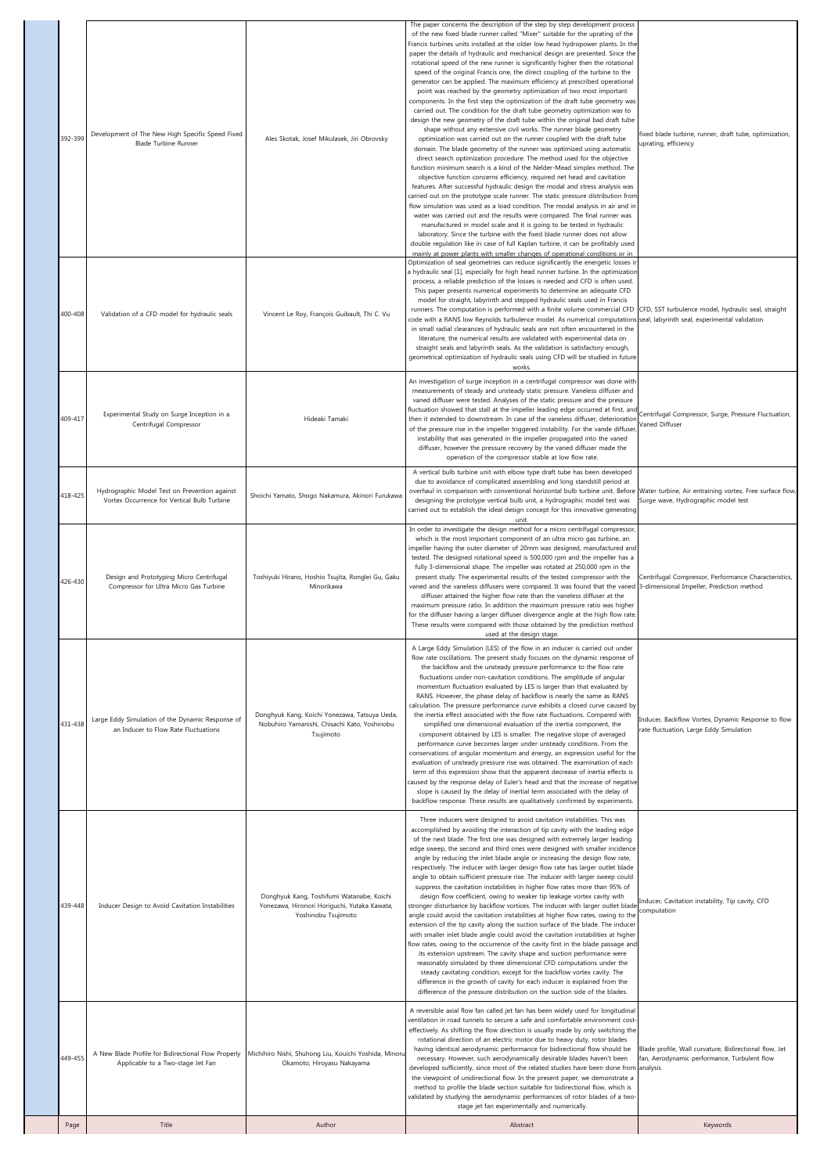| 392-399 | Development of The New High Specific Speed Fixed<br><b>Blade Turbine Runner</b>              | Ales Skotak, Josef Mikulasek, Jiri Obrovsky                                                                      | The paper concerns the description of the step by step development process<br>of the new fixed blade runner called "Mixer" suitable for the uprating of the<br>Francis turbines units installed at the older low head hydropower plants. In the<br>paper the details of hydraulic and mechanical design are presented. Since the<br>rotational speed of the new runner is significantly higher then the rotational<br>speed of the original Francis one, the direct coupling of the turbine to the<br>generator can be applied. The maximum efficiency at prescribed operational<br>point was reached by the geometry optimization of two most important<br>components. In the first step the optimization of the draft tube geometry was<br>carried out. The condition for the draft tube geometry optimization was to<br>design the new geometry of the draft tube within the original bad draft tube<br>shape without any extensive civil works. The runner blade geometry<br>optimization was carried out on the runner coupled with the draft tube<br>domain. The blade geometry of the runner was optimized using automatic<br>direct search optimization procedure. The method used for the objective<br>function minimum search is a kind of the Nelder-Mead simplex method. The<br>objective function concerns efficiency, required net head and cavitation<br>features. After successful hydraulic design the modal and stress analysis was<br>carried out on the prototype scale runner. The static pressure distribution from<br>flow simulation was used as a load condition. The modal analysis in air and in<br>water was carried out and the results were compared. The final runner was<br>manufactured in model scale and it is going to be tested in hydraulic<br>laboratory. Since the turbine with the fixed blade runner does not allow<br>double regulation like in case of full Kaplan turbine, it can be profitably used<br>mainly at power plants with smaller changes of operational conditions or in | fixed blade turbine, runner, draft tube, optimization,<br>uprating, efficiency                                     |
|---------|----------------------------------------------------------------------------------------------|------------------------------------------------------------------------------------------------------------------|----------------------------------------------------------------------------------------------------------------------------------------------------------------------------------------------------------------------------------------------------------------------------------------------------------------------------------------------------------------------------------------------------------------------------------------------------------------------------------------------------------------------------------------------------------------------------------------------------------------------------------------------------------------------------------------------------------------------------------------------------------------------------------------------------------------------------------------------------------------------------------------------------------------------------------------------------------------------------------------------------------------------------------------------------------------------------------------------------------------------------------------------------------------------------------------------------------------------------------------------------------------------------------------------------------------------------------------------------------------------------------------------------------------------------------------------------------------------------------------------------------------------------------------------------------------------------------------------------------------------------------------------------------------------------------------------------------------------------------------------------------------------------------------------------------------------------------------------------------------------------------------------------------------------------------------------------------------------------------------------------------------------------------|--------------------------------------------------------------------------------------------------------------------|
| 400-408 | Validation of a CFD model for hydraulic seals                                                | Vincent Le Roy, François Guibault, Thi C. Vu                                                                     | Optimization of seal geometries can reduce significantly the energetic losses in<br>a hydraulic seal [1], especially for high head runner turbine. In the optimizatior<br>process, a reliable prediction of the losses is needed and CFD is often used.<br>This paper presents numerical experiments to determine an adequate CFD<br>model for straight, labyrinth and stepped hydraulic seals used in Francis<br>runners. The computation is performed with a finite volume commercial CFD<br>code with a RANS low Reynolds turbulence model. As numerical computations seal, labyrinth seal, experimental validation<br>in small radial clearances of hydraulic seals are not often encountered in the<br>literature, the numerical results are validated with experimental data on<br>straight seals and labyrinth seals. As the validation is satisfactory enough,<br>geometrical optimization of hydraulic seals using CFD will be studied in future<br>works.                                                                                                                                                                                                                                                                                                                                                                                                                                                                                                                                                                                                                                                                                                                                                                                                                                                                                                                                                                                                                                                              | CFD, SST turbulence model, hydraulic seal, straight                                                                |
| 409-417 | Experimental Study on Surge Inception in a<br>Centrifugal Compressor                         | Hideaki Tamaki                                                                                                   | An investigation of surge inception in a centrifugal compressor was done with<br>measurements of steady and unsteady static pressure. Vaneless diffuser and<br>vaned diffuser were tested. Analyses of the static pressure and the pressure<br>fluctuation showed that stall at the impeller leading edge occurred at first, and<br>then it extended to downstream. In case of the vaneless diffuser, deterioration<br>of the pressure rise in the impeller triggered instability. For the vande diffuser<br>instability that was generated in the impeller propagated into the vaned<br>diffuser, however the pressure recovery by the vaned diffuser made the<br>operation of the compressor stable at low flow rate.                                                                                                                                                                                                                                                                                                                                                                                                                                                                                                                                                                                                                                                                                                                                                                                                                                                                                                                                                                                                                                                                                                                                                                                                                                                                                                          | Centrifugal Compressor, Surge, Pressure Fluctuation,<br>Vaned Diffuser                                             |
| 418-425 | Hydrographic Model Test on Prevention against<br>Vortex Occurrence for Vertical Bulb Turbine | Shoichi Yamato, Shogo Nakamura, Akinori Furukawa                                                                 | A vertical bulb turbine unit with elbow type draft tube has been developed<br>due to avoidance of complicated assembling and long standstill period at<br>overhaul in comparison with conventional horizontal bulb turbine unit. Before Water turbine, Air entraining vortex, Free surface flow,<br>designing the prototype vertical bulb unit, a hydrographic model test was<br>carried out to establish the ideal design concept for this innovative generating<br>unit.                                                                                                                                                                                                                                                                                                                                                                                                                                                                                                                                                                                                                                                                                                                                                                                                                                                                                                                                                                                                                                                                                                                                                                                                                                                                                                                                                                                                                                                                                                                                                       | Surge wave, Hydrographic model test                                                                                |
| 426-430 | Design and Prototyping Micro Centrifugal<br>Compressor for Ultra Micro Gas Turbine           | Toshiyuki Hirano, Hoshio Tsujita, Ronglei Gu, Gaku<br>Minorikawa                                                 | In order to investigate the design method for a micro centrifugal compressor,<br>which is the most important component of an ultra micro gas turbine, an<br>impeller having the outer diameter of 20mm was designed, manufactured and<br>tested. The designed rotational speed is 500,000 rpm and the impeller has a<br>fully 3-dimensional shape. The impeller was rotated at 250,000 rpm in the<br>present study. The experimental results of the tested compressor with the<br>vaned and the vaneless diffusers were compared. It was found that the vaned 3-dimensional Impeller, Prediction method<br>diffuser attained the higher flow rate than the vaneless diffuser at the<br>maximum pressure ratio. In addition the maximum pressure ratio was higher<br>for the diffuser having a larger diffuser divergence angle at the high flow rate<br>These results were compared with those obtained by the prediction method<br>used at the design stage.                                                                                                                                                                                                                                                                                                                                                                                                                                                                                                                                                                                                                                                                                                                                                                                                                                                                                                                                                                                                                                                                    | Centrifugal Compressor, Performance Characteristics,                                                               |
| 431-438 | Large Eddy Simulation of the Dynamic Response of<br>an Inducer to Flow Rate Fluctuations     | Donghyuk Kang, Koichi Yonezawa, Tatsuya Ueda,<br>Nobuhiro Yamanishi, Chisachi Kato, Yoshinobu<br>Tsujimoto       | A Large Eddy Simulation (LES) of the flow in an inducer is carried out under<br>flow rate oscillations. The present study focuses on the dynamic response of<br>the backflow and the unsteady pressure performance to the flow rate<br>fluctuations under non-cavitation conditions. The amplitude of angular<br>momentum fluctuation evaluated by LES is larger than that evaluated by<br>RANS. However, the phase delay of backflow is nearly the same as RANS<br>calculation. The pressure performance curve exhibits a closed curve caused by<br>the inertia effect associated with the flow rate fluctuations. Compared with<br>simplified one dimensional evaluation of the inertia component, the<br>component obtained by LES is smaller. The negative slope of averaged<br>performance curve becomes larger under unsteady conditions. From the<br>conservations of angular momentum and energy, an expression useful for the<br>evaluation of unsteady pressure rise was obtained. The examination of each<br>term of this expression show that the apparent decrease of inertia effects is<br>caused by the response delay of Euler's head and that the increase of negative<br>slope is caused by the delay of inertial term associated with the delay of<br>backflow response. These results are qualitatively confirmed by experiments.                                                                                                                                                                                                                                                                                                                                                                                                                                                                                                                                                                                                                                                                            | Inducer, Backflow Vortex, Dynamic Response to flow<br>rate fluctuation, Large Eddy Simulation                      |
| 439-448 | Inducer Design to Avoid Cavitation Instabilities                                             | Donghyuk Kang, Toshifumi Watanabe, Koichi<br>Yonezawa, Hironori Horiguchi, Yutaka Kawata,<br>Yoshinobu Tsujimoto | Three inducers were designed to avoid cavitation instabilities. This was<br>accomplished by avoiding the interaction of tip cavity with the leading edge<br>of the next blade. The first one was designed with extremely larger leading<br>edge sweep, the second and third ones were designed with smaller incidence<br>angle by reducing the inlet blade angle or increasing the design flow rate,<br>respectively. The inducer with larger design flow rate has larger outlet blade<br>angle to obtain sufficient pressure rise. The inducer with larger sweep could<br>suppress the cavitation instabilities in higher flow rates more than 95% of<br>design flow coefficient, owing to weaker tip leakage vortex cavity with<br>stronger disturbance by backflow vortices. The inducer with larger outlet blade<br>angle could avoid the cavitation instabilities at higher flow rates, owing to the<br>extension of the tip cavity along the suction surface of the blade. The inducer<br>with smaller inlet blade angle could avoid the cavitation instabilities at higher<br>flow rates, owing to the occurrence of the cavity first in the blade passage and<br>its extension upstream. The cavity shape and suction performance were<br>reasonably simulated by three dimensional CFD computations under the<br>steady cavitating condition, except for the backflow vortex cavity. The<br>difference in the growth of cavity for each inducer is explained from the<br>difference of the pressure distribution on the suction side of the blades.                                                                                                                                                                                                                                                                                                                                                                                                                                                                     | Inducer, Cavitation instability, Tip cavity, CFD<br>computation                                                    |
| 449-455 | A New Blade Profile for Bidirectional Flow Properly<br>Applicable to a Two-stage Jet Fan     | Michihiro Nishi, Shuhong Liu, Kouichi Yoshida, Minoru<br>Okamoto, Hiroyasu Nakayama                              | A reversible axial flow fan called jet fan has been widely used for longitudinal<br>ventilation in road tunnels to secure a safe and comfortable environment cost-<br>effectively. As shifting the flow direction is usually made by only switching the<br>rotational direction of an electric motor due to heavy duty, rotor blades<br>having identical aerodynamic performance for bidirectional flow should be<br>necessary. However, such aerodynamically desirable blades haven't been<br>developed sufficiently, since most of the related studies have been done from<br>the viewpoint of unidirectional flow. In the present paper, we demonstrate a<br>method to profile the blade section suitable for bidirectional flow, which is<br>validated by studying the aerodynamic performances of rotor blades of a two-<br>stage jet fan experimentally and numerically.                                                                                                                                                                                                                                                                                                                                                                                                                                                                                                                                                                                                                                                                                                                                                                                                                                                                                                                                                                                                                                                                                                                                                   | Blade profile, Wall curvature, Bidirectional flow, Jet<br>fan, Aerodynamic performance, Turbulent flow<br>analysis |
|         |                                                                                              |                                                                                                                  |                                                                                                                                                                                                                                                                                                                                                                                                                                                                                                                                                                                                                                                                                                                                                                                                                                                                                                                                                                                                                                                                                                                                                                                                                                                                                                                                                                                                                                                                                                                                                                                                                                                                                                                                                                                                                                                                                                                                                                                                                                  |                                                                                                                    |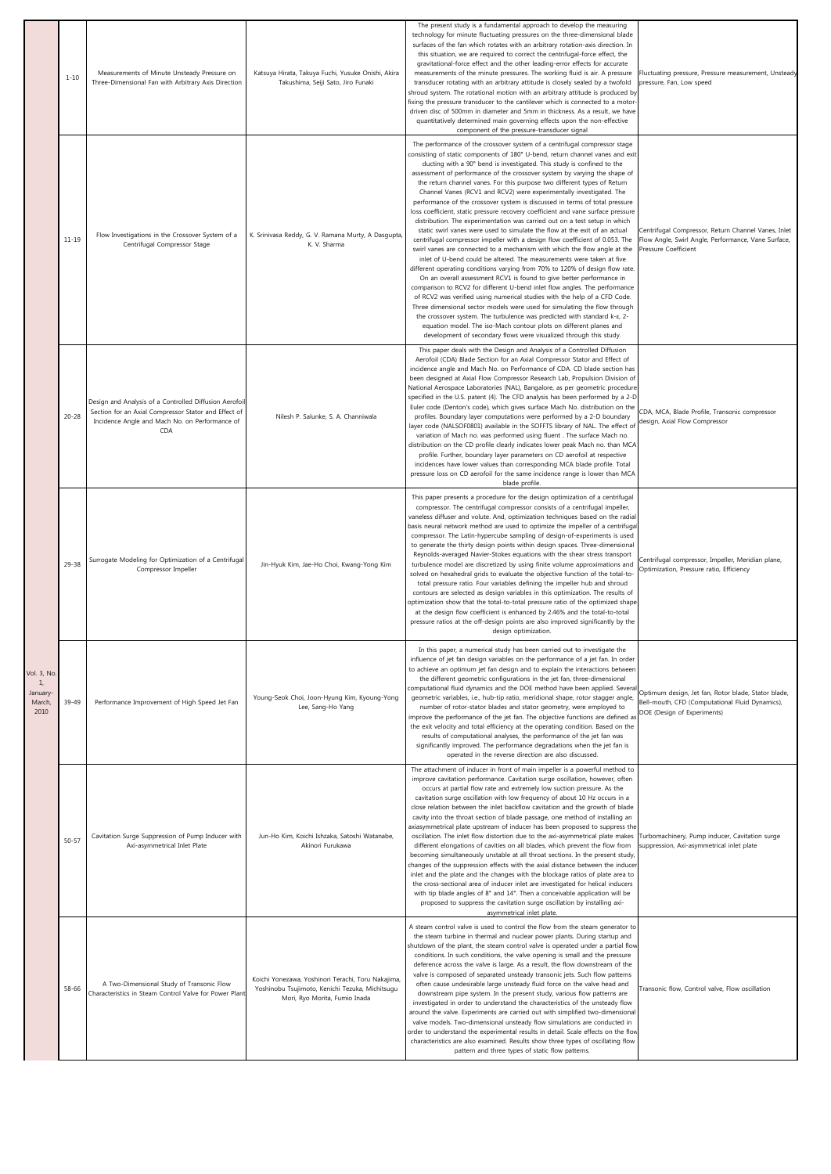|                                                          | $1 - 10$  | Measurements of Minute Unsteady Pressure on<br>Three-Dimensional Fan with Arbitrary Axis Direction                                                                      | Katsuya Hirata, Takuya Fuchi, Yusuke Onishi, Akira<br>Takushima, Seiji Sato, Jiro Funaki                                               | The present study is a fundamental approach to develop the measuring<br>technology for minute fluctuating pressures on the three-dimensional blade<br>surfaces of the fan which rotates with an arbitrary rotation-axis direction. In<br>this situation, we are required to correct the centrifugal-force effect, the<br>gravitational-force effect and the other leading-error effects for accurate<br>measurements of the minute pressures. The working fluid is air. A pressure<br>transducer rotating with an arbitrary attitude is closely sealed by a twofold<br>shroud system. The rotational motion with an arbitrary attitude is produced by<br>fixing the pressure transducer to the cantilever which is connected to a motor-<br>driven disc of 500mm in diameter and 5mm in thickness. As a result, we have<br>quantitatively determined main governing effects upon the non-effective<br>component of the pressure-transducer signal                                                                                                                                                                                                                                                                                                                                                                                                                                                                                                                                                                                                                                                                                                                 | Fluctuating pressure, Pressure measurement, Unsteady<br>pressure, Fan, Low speed                                                      |
|----------------------------------------------------------|-----------|-------------------------------------------------------------------------------------------------------------------------------------------------------------------------|----------------------------------------------------------------------------------------------------------------------------------------|-------------------------------------------------------------------------------------------------------------------------------------------------------------------------------------------------------------------------------------------------------------------------------------------------------------------------------------------------------------------------------------------------------------------------------------------------------------------------------------------------------------------------------------------------------------------------------------------------------------------------------------------------------------------------------------------------------------------------------------------------------------------------------------------------------------------------------------------------------------------------------------------------------------------------------------------------------------------------------------------------------------------------------------------------------------------------------------------------------------------------------------------------------------------------------------------------------------------------------------------------------------------------------------------------------------------------------------------------------------------------------------------------------------------------------------------------------------------------------------------------------------------------------------------------------------------------------------------------------------------------------------------------------------------|---------------------------------------------------------------------------------------------------------------------------------------|
|                                                          | $11 - 19$ | Flow Investigations in the Crossover System of a<br>Centrifugal Compressor Stage                                                                                        | K. Srinivasa Reddy, G. V. Ramana Murty, A Dasgupta<br>K. V. Sharma                                                                     | The performance of the crossover system of a centrifugal compressor stage<br>consisting of static components of 180° U-bend, return channel vanes and exit<br>ducting with a 90° bend is investigated. This study is confined to the<br>assessment of performance of the crossover system by varying the shape of<br>the return channel vanes. For this purpose two different types of Return<br>Channel Vanes (RCV1 and RCV2) were experimentally investigated. The<br>performance of the crossover system is discussed in terms of total pressure<br>loss coefficient, static pressure recovery coefficient and vane surface pressure<br>distribution. The experimentation was carried out on a test setup in which<br>static swirl vanes were used to simulate the flow at the exit of an actual<br>centrifugal compressor impeller with a design flow coefficient of 0.053. The<br>swirl vanes are connected to a mechanism with which the flow angle at the<br>inlet of U-bend could be altered. The measurements were taken at five<br>different operating conditions varying from 70% to 120% of design flow rate.<br>On an overall assessment RCV1 is found to give better performance in<br>comparison to RCV2 for different U-bend inlet flow angles. The performance<br>of RCV2 was verified using numerical studies with the help of a CFD Code.<br>Three dimensional sector models were used for simulating the flow through<br>the crossover system. The turbulence was predicted with standard k-ε, 2-<br>equation model. The iso-Mach contour plots on different planes and<br>development of secondary flows were visualized through this study. | Centrifugal Compressor, Return Channel Vanes, Inlet<br>Flow Angle, Swirl Angle, Performance, Vane Surface,<br>Pressure Coefficient    |
|                                                          | $20 - 28$ | Design and Analysis of a Controlled Diffusion Aerofoil<br>Section for an Axial Compressor Stator and Effect of<br>Incidence Angle and Mach No. on Performance of<br>CDA | Nilesh P. Salunke, S. A. Channiwala                                                                                                    | This paper deals with the Design and Analysis of a Controlled Diffusion<br>Aerofoil (CDA) Blade Section for an Axial Compressor Stator and Effect of<br>incidence angle and Mach No. on Performance of CDA. CD blade section has<br>been designed at Axial Flow Compressor Research Lab, Propulsion Division of<br>National Aerospace Laboratories (NAL), Bangalore, as per geometric procedure<br>specified in the U.S. patent (4). The CFD analysis has been performed by a 2-D<br>Euler code (Denton's code), which gives surface Mach No. distribution on the<br>profiles. Boundary layer computations were performed by a 2-D boundary<br>layer code (NALSOF0801) available in the SOFFTS library of NAL. The effect of<br>variation of Mach no. was performed using fluent . The surface Mach no.<br>distribution on the CD profile clearly indicates lower peak Mach no. than MCA<br>profile. Further, boundary layer parameters on CD aerofoil at respective<br>incidences have lower values than corresponding MCA blade profile. Total<br>pressure loss on CD aerofoil for the same incidence range is lower than MCA<br>blade profile.                                                                                                                                                                                                                                                                                                                                                                                                                                                                                                                 | CDA, MCA, Blade Profile, Transonic compressor<br>design, Axial Flow Compressor                                                        |
|                                                          | 29-38     | Surrogate Modeling for Optimization of a Centrifugal<br>Compressor Impeller                                                                                             | Jin-Hyuk Kim, Jae-Ho Choi, Kwang-Yong Kim                                                                                              | This paper presents a procedure for the design optimization of a centrifugal<br>compressor. The centrifugal compressor consists of a centrifugal impeller,<br>vaneless diffuser and volute. And, optimization techniques based on the radial<br>basis neural network method are used to optimize the impeller of a centrifugal<br>compressor. The Latin-hypercube sampling of design-of-experiments is used<br>to generate the thirty design points within design spaces. Three-dimensional<br>Reynolds-averaged Navier-Stokes equations with the shear stress transport<br>turbulence model are discretized by using finite volume approximations and<br>solved on hexahedral grids to evaluate the objective function of the total-to-<br>total pressure ratio. Four variables defining the impeller hub and shroud<br>contours are selected as design variables in this optimization. The results of<br>optimization show that the total-to-total pressure ratio of the optimized shape<br>at the design flow coefficient is enhanced by 2.46% and the total-to-total<br>pressure ratios at the off-design points are also improved significantly by the<br>design optimization.                                                                                                                                                                                                                                                                                                                                                                                                                                                                               | Centrifugal compressor, Impeller, Meridian plane,<br>Optimization, Pressure ratio, Efficiency                                         |
| Vol. 3, No<br>$\mathbf{1}$<br>January-<br>March,<br>2010 | 39-49     | Performance Improvement of High Speed Jet Fan                                                                                                                           | Young-Seok Choi, Joon-Hyung Kim, Kyoung-Yong<br>Lee, Sang-Ho Yang                                                                      | In this paper, a numerical study has been carried out to investigate the<br>influence of jet fan design variables on the performance of a jet fan. In order<br>to achieve an optimum jet fan design and to explain the interactions between<br>the different geometric configurations in the jet fan, three-dimensional<br>computational fluid dynamics and the DOE method have been applied. Severa<br>geometric variables, i.e., hub-tip ratio, meridional shape, rotor stagger angle,<br>number of rotor-stator blades and stator geometry, were employed to<br>improve the performance of the jet fan. The objective functions are defined as<br>the exit velocity and total efficiency at the operating condition. Based on the<br>results of computational analyses, the performance of the jet fan was<br>significantly improved. The performance degradations when the jet fan is<br>operated in the reverse direction are also discussed.                                                                                                                                                                                                                                                                                                                                                                                                                                                                                                                                                                                                                                                                                                                | Optimum design, Jet fan, Rotor blade, Stator blade,<br>Bell-mouth, CFD (Computational Fluid Dynamics),<br>DOE (Design of Experiments) |
|                                                          | $50 - 57$ | Cavitation Surge Suppression of Pump Inducer with<br>Axi-asymmetrical Inlet Plate                                                                                       | Jun-Ho Kim, Koichi Ishzaka, Satoshi Watanabe,<br>Akinori Furukawa                                                                      | The attachment of inducer in front of main impeller is a powerful method to<br>improve cavitation performance. Cavitation surge oscillation, however, often<br>occurs at partial flow rate and extremely low suction pressure. As the<br>cavitation surge oscillation with low frequency of about 10 Hz occurs in a<br>close relation between the inlet backflow cavitation and the growth of blade<br>cavity into the throat section of blade passage, one method of installing an<br>axiasymmetrical plate upstream of inducer has been proposed to suppress the<br>oscillation. The inlet flow distortion due to the axi-asymmetrical plate makes<br>different elongations of cavities on all blades, which prevent the flow from<br>becoming simultaneously unstable at all throat sections. In the present study,<br>changes of the suppression effects with the axial distance between the inducer<br>inlet and the plate and the changes with the blockage ratios of plate area to<br>the cross-sectional area of inducer inlet are investigated for helical inducers<br>with tip blade angles of 8° and 14°. Then a conceivable application will be<br>proposed to suppress the cavitation surge oscillation by installing axi-<br>asymmetrical inlet plate.                                                                                                                                                                                                                                                                                                                                                                                              | Turbomachinery, Pump inducer, Cavitation surge<br>suppression, Axi-asymmetrical inlet plate                                           |
|                                                          | 58-66     | A Two-Dimensional Study of Transonic Flow<br>Characteristics in Steam Control Valve for Power Plant                                                                     | Koichi Yonezawa, Yoshinori Terachi, Toru Nakajima,<br>Yoshinobu Tsujimoto, Kenichi Tezuka, Michitsugu<br>Mori, Ryo Morita, Fumio Inada | A steam control valve is used to control the flow from the steam generator to<br>the steam turbine in thermal and nuclear power plants. During startup and<br>shutdown of the plant, the steam control valve is operated under a partial flow<br>conditions. In such conditions, the valve opening is small and the pressure<br>deference across the valve is large. As a result, the flow downstream of the<br>valve is composed of separated unsteady transonic jets. Such flow patterns<br>often cause undesirable large unsteady fluid force on the valve head and<br>downstream pipe system. In the present study, various flow patterns are<br>investigated in order to understand the characteristics of the unsteady flow<br>around the valve. Experiments are carried out with simplified two-dimensional<br>valve models. Two-dimensional unsteady flow simulations are conducted in<br>order to understand the experimental results in detail. Scale effects on the flov<br>characteristics are also examined. Results show three types of oscillating flow<br>pattern and three types of static flow patterns.                                                                                                                                                                                                                                                                                                                                                                                                                                                                                                                                        | Transonic flow, Control valve, Flow oscillation                                                                                       |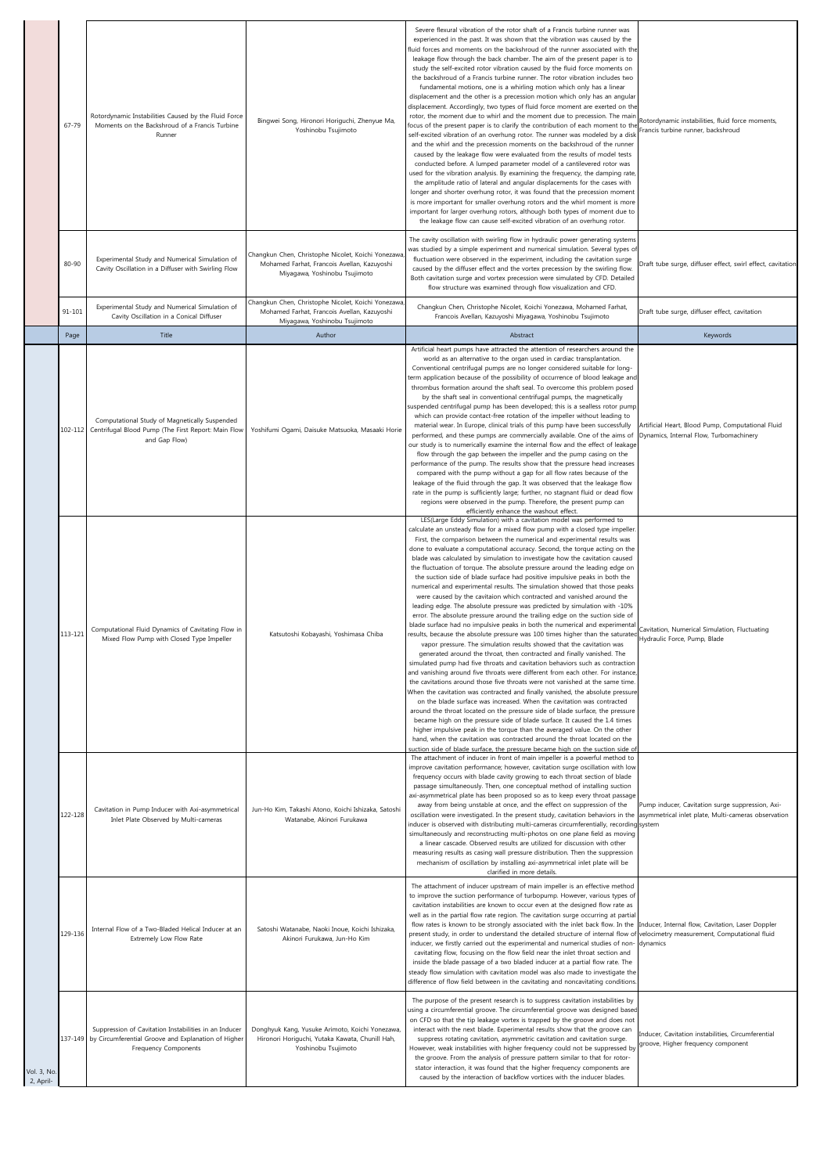|                          | 67-79      | Rotordynamic Instabilities Caused by the Fluid Force<br>Moments on the Backshroud of a Francis Turbine<br>Runner                             | Bingwei Song, Hironori Horiguchi, Zhenyue Ma,<br>Yoshinobu Tsujimoto                                                                                                                     | Severe flexural vibration of the rotor shaft of a Francis turbine runner was<br>experienced in the past. It was shown that the vibration was caused by the<br>fluid forces and moments on the backshroud of the runner associated with the<br>leakage flow through the back chamber. The aim of the present paper is to<br>study the self-excited rotor vibration caused by the fluid force moments on<br>the backshroud of a Francis turbine runner. The rotor vibration includes two<br>fundamental motions, one is a whirling motion which only has a linear<br>displacement and the other is a precession motion which only has an angular<br>displacement. Accordingly, two types of fluid force moment are exerted on the<br>rotor, the moment due to whirl and the moment due to precession. The main<br>focus of the present paper is to clarify the contribution of each moment to th<br>self-excited vibration of an overhung rotor. The runner was modeled by a disk<br>and the whirl and the precession moments on the backshroud of the runner<br>caused by the leakage flow were evaluated from the results of model tests<br>conducted before. A lumped parameter model of a cantilevered rotor was<br>used for the vibration analysis. By examining the frequency, the damping rate,<br>the amplitude ratio of lateral and angular displacements for the cases with<br>longer and shorter overhung rotor, it was found that the precession moment<br>is more important for smaller overhung rotors and the whirl moment is more<br>important for larger overhung rotors, although both types of moment due to<br>the leakage flow can cause self-excited vibration of an overhung rotor.                                                                                                                                                                                                                                                                                                                      | Rotordynamic instabilities, fluid force moments,<br>Francis turbine runner, backshroud   |
|--------------------------|------------|----------------------------------------------------------------------------------------------------------------------------------------------|------------------------------------------------------------------------------------------------------------------------------------------------------------------------------------------|-------------------------------------------------------------------------------------------------------------------------------------------------------------------------------------------------------------------------------------------------------------------------------------------------------------------------------------------------------------------------------------------------------------------------------------------------------------------------------------------------------------------------------------------------------------------------------------------------------------------------------------------------------------------------------------------------------------------------------------------------------------------------------------------------------------------------------------------------------------------------------------------------------------------------------------------------------------------------------------------------------------------------------------------------------------------------------------------------------------------------------------------------------------------------------------------------------------------------------------------------------------------------------------------------------------------------------------------------------------------------------------------------------------------------------------------------------------------------------------------------------------------------------------------------------------------------------------------------------------------------------------------------------------------------------------------------------------------------------------------------------------------------------------------------------------------------------------------------------------------------------------------------------------------------------------------------------------------------------------------------------------------------------|------------------------------------------------------------------------------------------|
|                          | 80-90      | Experimental Study and Numerical Simulation of<br>Cavity Oscillation in a Diffuser with Swirling Flow                                        | Changkun Chen, Christophe Nicolet, Koichi Yonezawa<br>Mohamed Farhat, Francois Avellan, Kazuyoshi<br>Miyagawa, Yoshinobu Tsujimoto<br>Changkun Chen, Christophe Nicolet, Koichi Yonezawa | The cavity oscillation with swirling flow in hydraulic power generating systems<br>was studied by a simple experiment and numerical simulation. Several types of<br>fluctuation were observed in the experiment, including the cavitation surge<br>caused by the diffuser effect and the vortex precession by the swirling flow.<br>Both cavitation surge and vortex precession were simulated by CFD. Detailed<br>flow structure was examined through flow visualization and CFD.                                                                                                                                                                                                                                                                                                                                                                                                                                                                                                                                                                                                                                                                                                                                                                                                                                                                                                                                                                                                                                                                                                                                                                                                                                                                                                                                                                                                                                                                                                                                            | Draft tube surge, diffuser effect, swirl effect, cavitation                              |
|                          | $91 - 101$ | Experimental Study and Numerical Simulation of<br>Cavity Oscillation in a Conical Diffuser                                                   | Mohamed Farhat, Francois Avellan, Kazuyoshi<br>Miyagawa, Yoshinobu Tsujimoto                                                                                                             | Changkun Chen, Christophe Nicolet, Koichi Yonezawa, Mohamed Farhat,<br>Francois Avellan, Kazuyoshi Miyagawa, Yoshinobu Tsujimoto                                                                                                                                                                                                                                                                                                                                                                                                                                                                                                                                                                                                                                                                                                                                                                                                                                                                                                                                                                                                                                                                                                                                                                                                                                                                                                                                                                                                                                                                                                                                                                                                                                                                                                                                                                                                                                                                                              | Draft tube surge, diffuser effect, cavitation                                            |
|                          | Page       | Title                                                                                                                                        | Author                                                                                                                                                                                   | Abstract                                                                                                                                                                                                                                                                                                                                                                                                                                                                                                                                                                                                                                                                                                                                                                                                                                                                                                                                                                                                                                                                                                                                                                                                                                                                                                                                                                                                                                                                                                                                                                                                                                                                                                                                                                                                                                                                                                                                                                                                                      | Keywords                                                                                 |
|                          | 102-112    | Computational Study of Magnetically Suspended<br>Centrifugal Blood Pump (The First Report: Main Flow<br>and Gap Flow)                        | Yoshifumi Ogami, Daisuke Matsuoka, Masaaki Horie                                                                                                                                         | Artificial heart pumps have attracted the attention of researchers around the<br>world as an alternative to the organ used in cardiac transplantation.<br>Conventional centrifugal pumps are no longer considered suitable for long-<br>term application because of the possibility of occurrence of blood leakage and<br>thrombus formation around the shaft seal. To overcome this problem posed<br>by the shaft seal in conventional centrifugal pumps, the magnetically<br>suspended centrifugal pump has been developed; this is a sealless rotor pump,<br>which can provide contact-free rotation of the impeller without leading to<br>material wear. In Europe, clinical trials of this pump have been successfully<br>performed, and these pumps are commercially available. One of the aims of Dynamics, Internal Flow, Turbomachinery<br>our study is to numerically examine the internal flow and the effect of leakage<br>flow through the gap between the impeller and the pump casing on the<br>performance of the pump. The results show that the pressure head increases<br>compared with the pump without a gap for all flow rates because of the<br>leakage of the fluid through the gap. It was observed that the leakage flow<br>rate in the pump is sufficiently large; further, no stagnant fluid or dead flow<br>regions were observed in the pump. Therefore, the present pump can<br>efficiently enhance the washout effect.                                                                                                                                                                                                                                                                                                                                                                                                                                                                                                                                                                        | Artificial Heart, Blood Pump, Computational Fluid                                        |
|                          | 113-121    | Computational Fluid Dynamics of Cavitating Flow in<br>Mixed Flow Pump with Closed Type Impeller                                              | Katsutoshi Kobayashi, Yoshimasa Chiba                                                                                                                                                    | LES(Large Eddy Simulation) with a cavitation model was performed to<br>calculate an unsteady flow for a mixed flow pump with a closed type impeller.<br>First, the comparison between the numerical and experimental results was<br>done to evaluate a computational accuracy. Second, the torque acting on the<br>blade was calculated by simulation to investigate how the cavitation caused<br>the fluctuation of torque. The absolute pressure around the leading edge on<br>the suction side of blade surface had positive impulsive peaks in both the<br>numerical and experimental results. The simulation showed that those peaks<br>were caused by the cavitaion which contracted and vanished around the<br>leading edge. The absolute pressure was predicted by simulation with -10%<br>error. The absolute pressure around the trailing edge on the suction side of<br>blade surface had no impulsive peaks in both the numerical and experimental<br>results, because the absolute pressure was 100 times higher than the saturated<br>vapor pressure. The simulation results showed that the cavitation was<br>generated around the throat, then contracted and finally vanished. The<br>simulated pump had five throats and cavitation behaviors such as contraction<br>and vanishing around five throats were different from each other. For instance,<br>the cavitations around those five throats were not vanished at the same time.<br>When the cavitation was contracted and finally vanished, the absolute pressure<br>on the blade surface was increased. When the cavitation was contracted<br>around the throat located on the pressure side of blade surface, the pressure<br>became high on the pressure side of blade surface. It caused the 1.4 times<br>higher impulsive peak in the torque than the averaged value. On the other<br>hand, when the cavitation was contracted around the throat located on the<br>suction side of blade surface, the pressure became high on the suction side o | Cavitation, Numerical Simulation, Fluctuating<br>Hydraulic Force, Pump, Blade            |
|                          | 122-128    | Cavitation in Pump Inducer with Axi-asymmetrical<br>Inlet Plate Observed by Multi-cameras                                                    | Jun-Ho Kim, Takashi Atono, Koichi Ishizaka, Satoshi<br>Watanabe, Akinori Furukawa                                                                                                        | The attachment of inducer in front of main impeller is a powerful method to<br>improve cavitation performance; however, cavitation surge oscillation with low<br>frequency occurs with blade cavity growing to each throat section of blade<br>passage simultaneously. Then, one conceptual method of installing suction<br>axi-asymmetrical plate has been proposed so as to keep every throat passage<br>away from being unstable at once, and the effect on suppression of the<br>oscillation were investigated. In the present study, cavitation behaviors in the asymmetrical inlet plate, Multi-cameras observation<br>inducer is observed with distributing multi-cameras circumferentially, recording system<br>simultaneously and reconstructing multi-photos on one plane field as moving<br>a linear cascade. Observed results are utilized for discussion with other<br>measuring results as casing wall pressure distribution. Then the suppression<br>mechanism of oscillation by installing axi-asymmetrical inlet plate will be<br>clarified in more details.                                                                                                                                                                                                                                                                                                                                                                                                                                                                                                                                                                                                                                                                                                                                                                                                                                                                                                                                                 | Pump inducer, Cavitation surge suppression, Axi-                                         |
|                          | 129-136    | Internal Flow of a Two-Bladed Helical Inducer at an<br>Extremely Low Flow Rate                                                               | Satoshi Watanabe, Naoki Inoue, Koichi Ishizaka,<br>Akinori Furukawa, Jun-Ho Kim                                                                                                          | The attachment of inducer upstream of main impeller is an effective method<br>to improve the suction performance of turbopump. However, various types of<br>cavitation instabilities are known to occur even at the designed flow rate as<br>well as in the partial flow rate region. The cavitation surge occurring at partial<br>flow rates is known to be strongly associated with the inlet back flow. In the Inducer, Internal flow, Cavitation, Laser Doppler<br>present study, in order to understand the detailed structure of internal flow of velocimetry measurement, Computational fluid<br>inducer, we firstly carried out the experimental and numerical studies of non- dynamics<br>cavitating flow, focusing on the flow field near the inlet throat section and<br>inside the blade passage of a two bladed inducer at a partial flow rate. The<br>steady flow simulation with cavitation model was also made to investigate the<br>difference of flow field between in the cavitating and noncavitating conditions.                                                                                                                                                                                                                                                                                                                                                                                                                                                                                                                                                                                                                                                                                                                                                                                                                                                                                                                                                                                         |                                                                                          |
| Vol. 3, No.<br>2, April- |            | Suppression of Cavitation Instabilities in an Inducer<br>137-149 by Circumferential Groove and Explanation of Higher<br>Frequency Components | Donghyuk Kang, Yusuke Arimoto, Koichi Yonezawa,<br>Hironori Horiguchi, Yutaka Kawata, Chunill Hah,<br>Yoshinobu Tsujimoto                                                                | The purpose of the present research is to suppress cavitation instabilities by<br>using a circumferential groove. The circumferential groove was designed based<br>on CFD so that the tip leakage vortex is trapped by the groove and does not<br>interact with the next blade. Experimental results show that the groove can<br>suppress rotating cavitation, asymmetric cavitation and cavitation surge.<br>However, weak instabilities with higher frequency could not be suppressed by<br>the groove. From the analysis of pressure pattern similar to that for rotor-<br>stator interaction, it was found that the higher frequency components are<br>caused by the interaction of backflow vortices with the inducer blades.                                                                                                                                                                                                                                                                                                                                                                                                                                                                                                                                                                                                                                                                                                                                                                                                                                                                                                                                                                                                                                                                                                                                                                                                                                                                                            | Inducer, Cavitation instabilities, Circumferential<br>groove, Higher frequency component |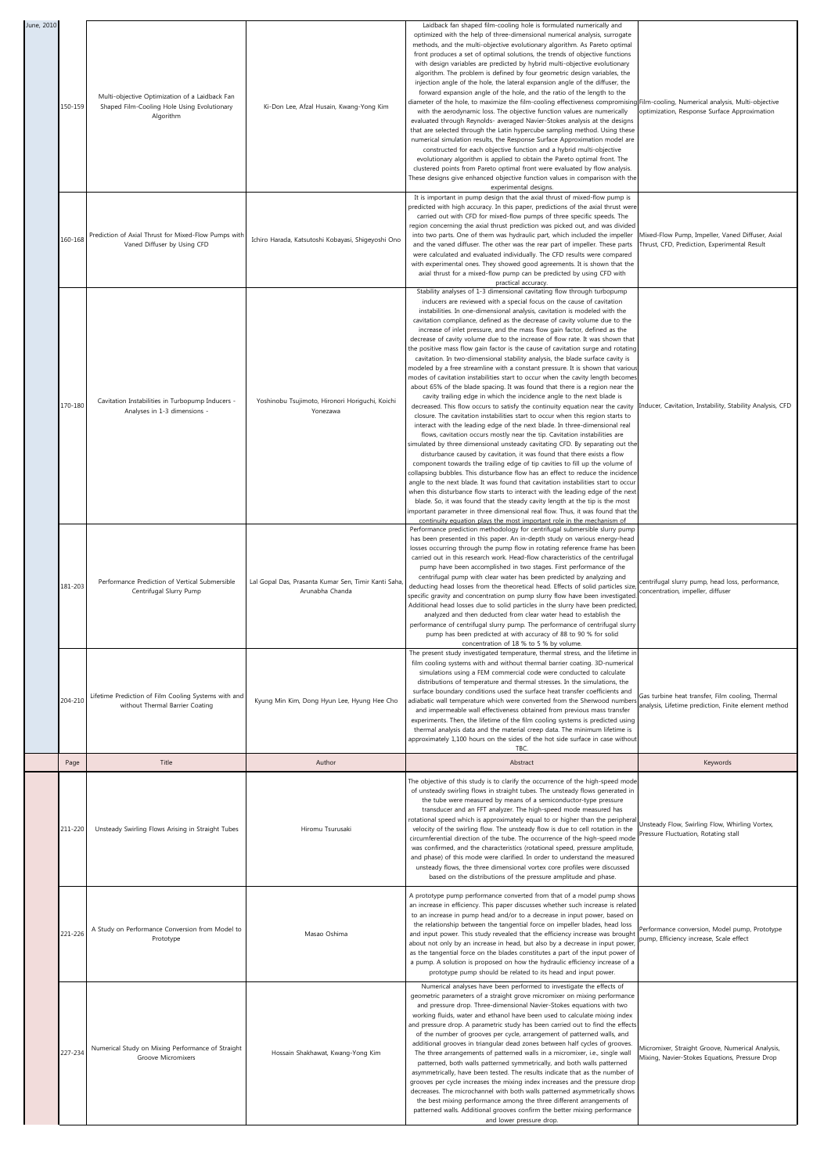| June, 2010 |         |                                                                                                            |                                                                         | Laidback fan shaped film-cooling hole is formulated numerically and                                                                                                                                                                                                                                                                                                                                                                                                                                                                                                                                                                                                                                                                                                                                                                                                                                                                                                                                                                                                                                                                                                                                                                                                                                                                                                                                                                                                                                                                                                                                                                                                                                                                                                                                                                                                                                                                                                                                                                                                                                                                                 |                                                                                                          |
|------------|---------|------------------------------------------------------------------------------------------------------------|-------------------------------------------------------------------------|-----------------------------------------------------------------------------------------------------------------------------------------------------------------------------------------------------------------------------------------------------------------------------------------------------------------------------------------------------------------------------------------------------------------------------------------------------------------------------------------------------------------------------------------------------------------------------------------------------------------------------------------------------------------------------------------------------------------------------------------------------------------------------------------------------------------------------------------------------------------------------------------------------------------------------------------------------------------------------------------------------------------------------------------------------------------------------------------------------------------------------------------------------------------------------------------------------------------------------------------------------------------------------------------------------------------------------------------------------------------------------------------------------------------------------------------------------------------------------------------------------------------------------------------------------------------------------------------------------------------------------------------------------------------------------------------------------------------------------------------------------------------------------------------------------------------------------------------------------------------------------------------------------------------------------------------------------------------------------------------------------------------------------------------------------------------------------------------------------------------------------------------------------|----------------------------------------------------------------------------------------------------------|
|            | 150-159 | Multi-objective Optimization of a Laidback Fan<br>Shaped Film-Cooling Hole Using Evolutionary<br>Algorithm | Ki-Don Lee, Afzal Husain, Kwang-Yong Kim                                | optimized with the help of three-dimensional numerical analysis, surrogate<br>methods, and the multi-objective evolutionary algorithm. As Pareto optimal<br>front produces a set of optimal solutions, the trends of objective functions<br>with design variables are predicted by hybrid multi-objective evolutionary<br>algorithm. The problem is defined by four geometric design variables, the<br>injection angle of the hole, the lateral expansion angle of the diffuser, the<br>forward expansion angle of the hole, and the ratio of the length to the<br>diameter of the hole, to maximize the film-cooling effectiveness compromising Film-cooling, Numerical analysis, Multi-objective<br>with the aerodynamic loss. The objective function values are numerically<br>evaluated through Reynolds- averaged Navier-Stokes analysis at the designs<br>that are selected through the Latin hypercube sampling method. Using these<br>numerical simulation results, the Response Surface Approximation model are<br>constructed for each objective function and a hybrid multi-objective<br>evolutionary algorithm is applied to obtain the Pareto optimal front. The<br>clustered points from Pareto optimal front were evaluated by flow analysis.<br>These designs give enhanced objective function values in comparison with the<br>experimental designs.                                                                                                                                                                                                                                                                                                                                                                                                                                                                                                                                                                                                                                                                                                                                                                               | optimization, Response Surface Approximation                                                             |
|            | 160-168 | Prediction of Axial Thrust for Mixed-Flow Pumps with<br>Vaned Diffuser by Using CFD                        | Ichiro Harada, Katsutoshi Kobayasi, Shigeyoshi Ono                      | It is important in pump design that the axial thrust of mixed-flow pump is<br>predicted with high accuracy. In this paper, predictions of the axial thrust were<br>carried out with CFD for mixed-flow pumps of three specific speeds. The<br>region concerning the axial thrust prediction was picked out, and was divided<br>into two parts. One of them was hydraulic part, which included the impeller<br>and the vaned diffuser. The other was the rear part of impeller. These parts<br>were calculated and evaluated individually. The CFD results were compared<br>with experimental ones. They showed good agreements. It is shown that the<br>axial thrust for a mixed-flow pump can be predicted by using CFD with<br>practical accuracy.                                                                                                                                                                                                                                                                                                                                                                                                                                                                                                                                                                                                                                                                                                                                                                                                                                                                                                                                                                                                                                                                                                                                                                                                                                                                                                                                                                                                | Mixed-Flow Pump, Impeller, Vaned Diffuser, Axial<br>Thrust, CFD, Prediction, Experimental Result         |
|            | 170-180 | Cavitation Instabilities in Turbopump Inducers -<br>Analyses in 1-3 dimensions -                           | Yoshinobu Tsujimoto, Hironori Horiguchi, Koichi<br>Yonezawa             | Stability analyses of 1-3 dimensional cavitating flow through turbopump<br>inducers are reviewed with a special focus on the cause of cavitation<br>instabilities. In one-dimensional analysis, cavitation is modeled with the<br>cavitation compliance, defined as the decrease of cavity volume due to the<br>increase of inlet pressure, and the mass flow gain factor, defined as the<br>decrease of cavity volume due to the increase of flow rate. It was shown that<br>the positive mass flow gain factor is the cause of cavitation surge and rotating<br>cavitation. In two-dimensional stability analysis, the blade surface cavity is<br>modeled by a free streamline with a constant pressure. It is shown that variou<br>modes of cavitation instabilities start to occur when the cavity length becomes<br>about 65% of the blade spacing. It was found that there is a region near the<br>cavity trailing edge in which the incidence angle to the next blade is<br>decreased. This flow occurs to satisfy the continuity equation near the cavity<br>closure. The cavitation instabilities start to occur when this region starts to<br>interact with the leading edge of the next blade. In three-dimensional real<br>flows, cavitation occurs mostly near the tip. Cavitation instabilities are<br>simulated by three dimensional unsteady cavitating CFD. By separating out the<br>disturbance caused by cavitation, it was found that there exists a flow<br>component towards the trailing edge of tip cavities to fill up the volume of<br>collapsing bubbles. This disturbance flow has an effect to reduce the incidence<br>angle to the next blade. It was found that cavitation instabilities start to occur<br>when this disturbance flow starts to interact with the leading edge of the next<br>blade. So, it was found that the steady cavity length at the tip is the most<br>important parameter in three dimensional real flow. Thus, it was found that the<br>continuity equation plays the most important role in the mechanism of<br>Performance prediction methodology for centrifugal submersible slurry pump | Inducer, Cavitation, Instability, Stability Analysis, CFD                                                |
|            | 181-203 | Performance Prediction of Vertical Submersible<br>Centrifugal Slurry Pump                                  | Lal Gopal Das, Prasanta Kumar Sen, Timir Kanti Saha,<br>Arunabha Chanda | has been presented in this paper. An in-depth study on various energy-head<br>losses occurring through the pump flow in rotating reference frame has beer<br>carried out in this research work. Head-flow characteristics of the centrifugal<br>pump have been accomplished in two stages. First performance of the<br>centrifugal pump with clear water has been predicted by analyzing and<br>deducting head losses from the theoretical head. Effects of solid particles size<br>specific gravity and concentration on pump slurry flow have been investigated.<br>Additional head losses due to solid particles in the slurry have been predicted,<br>analyzed and then deducted from clear water head to establish the<br>performance of centrifugal slurry pump. The performance of centrifugal slurry<br>pump has been predicted at with accuracy of 88 to 90 % for solid<br>concentration of 18 % to 5 % by volume                                                                                                                                                                                                                                                                                                                                                                                                                                                                                                                                                                                                                                                                                                                                                                                                                                                                                                                                                                                                                                                                                                                                                                                                                          | centrifugal slurry pump, head loss, performance,<br>concentration, impeller, diffuser                    |
|            | 204-210 | Lifetime Prediction of Film Cooling Systems with and<br>without Thermal Barrier Coating                    | Kyung Min Kim, Dong Hyun Lee, Hyung Hee Cho                             | The present study investigated temperature, thermal stress, and the lifetime in<br>film cooling systems with and without thermal barrier coating. 3D-numerical<br>simulations using a FEM commercial code were conducted to calculate<br>distributions of temperature and thermal stresses. In the simulations, the<br>surface boundary conditions used the surface heat transfer coefficients and<br>adiabatic wall temperature which were converted from the Sherwood numbers<br>and impermeable wall effectiveness obtained from previous mass transfer<br>experiments. Then, the lifetime of the film cooling systems is predicted using<br>thermal analysis data and the material creep data. The minimum lifetime is<br>approximately 1,100 hours on the sides of the hot side surface in case withou<br>TBC.                                                                                                                                                                                                                                                                                                                                                                                                                                                                                                                                                                                                                                                                                                                                                                                                                                                                                                                                                                                                                                                                                                                                                                                                                                                                                                                                 | Gas turbine heat transfer, Film cooling, Thermal<br>analysis, Lifetime prediction, Finite element method |
|            | Page    | Title                                                                                                      | Author                                                                  | Abstract                                                                                                                                                                                                                                                                                                                                                                                                                                                                                                                                                                                                                                                                                                                                                                                                                                                                                                                                                                                                                                                                                                                                                                                                                                                                                                                                                                                                                                                                                                                                                                                                                                                                                                                                                                                                                                                                                                                                                                                                                                                                                                                                            | Keywords                                                                                                 |
|            | 211-220 | Unsteady Swirling Flows Arising in Straight Tubes                                                          | Hiromu Tsurusaki                                                        | The objective of this study is to clarify the occurrence of the high-speed mode<br>of unsteady swirling flows in straight tubes. The unsteady flows generated in<br>the tube were measured by means of a semiconductor-type pressure<br>transducer and an FFT analyzer. The high-speed mode measured has<br>rotational speed which is approximately equal to or higher than the peripheral<br>velocity of the swirling flow. The unsteady flow is due to cell rotation in the<br>circumferential direction of the tube. The occurrence of the high-speed mode<br>was confirmed, and the characteristics (rotational speed, pressure amplitude,<br>and phase) of this mode were clarified. In order to understand the measured<br>unsteady flows, the three dimensional vortex core profiles were discussed<br>based on the distributions of the pressure amplitude and phase.                                                                                                                                                                                                                                                                                                                                                                                                                                                                                                                                                                                                                                                                                                                                                                                                                                                                                                                                                                                                                                                                                                                                                                                                                                                                       | Unsteady Flow, Swirling Flow, Whirling Vortex,<br>Pressure Fluctuation, Rotating stall                   |
|            | 221-226 | A Study on Performance Conversion from Model to<br>Prototype                                               | Masao Oshima                                                            | A prototype pump performance converted from that of a model pump shows<br>an increase in efficiency. This paper discusses whether such increase is related<br>to an increase in pump head and/or to a decrease in input power, based on<br>the relationship between the tangential force on impeller blades, head loss<br>and input power. This study revealed that the efficiency increase was brought<br>about not only by an increase in head, but also by a decrease in input power,<br>as the tangential force on the blades constitutes a part of the input power of<br>a pump. A solution is proposed on how the hydraulic efficiency increase of a<br>prototype pump should be related to its head and input power.                                                                                                                                                                                                                                                                                                                                                                                                                                                                                                                                                                                                                                                                                                                                                                                                                                                                                                                                                                                                                                                                                                                                                                                                                                                                                                                                                                                                                         | Performance conversion, Model pump, Prototype<br>pump, Efficiency increase, Scale effect                 |
|            | 227-234 | Numerical Study on Mixing Performance of Straight<br>Groove Micromixers                                    | Hossain Shakhawat, Kwang-Yong Kim                                       | Numerical analyses have been performed to investigate the effects of<br>geometric parameters of a straight grove micromixer on mixing performance<br>and pressure drop. Three-dimensional Navier-Stokes equations with two<br>working fluids, water and ethanol have been used to calculate mixing index<br>and pressure drop. A parametric study has been carried out to find the effects<br>of the number of grooves per cycle, arrangement of patterned walls, and<br>additional grooves in triangular dead zones between half cycles of grooves.<br>The three arrangements of patterned walls in a micromixer, i.e., single wall<br>patterned, both walls patterned symmetrically, and both walls patterned<br>asymmetrically, have been tested. The results indicate that as the number of<br>grooves per cycle increases the mixing index increases and the pressure drop<br>decreases. The microchannel with both walls patterned asymmetrically shows<br>the best mixing performance among the three different arrangements of<br>patterned walls. Additional grooves confirm the better mixing performance<br>and lower pressure drop.                                                                                                                                                                                                                                                                                                                                                                                                                                                                                                                                                                                                                                                                                                                                                                                                                                                                                                                                                                                                     | Micromixer, Straight Groove, Numerical Analysis,<br>Mixing, Navier-Stokes Equations, Pressure Drop       |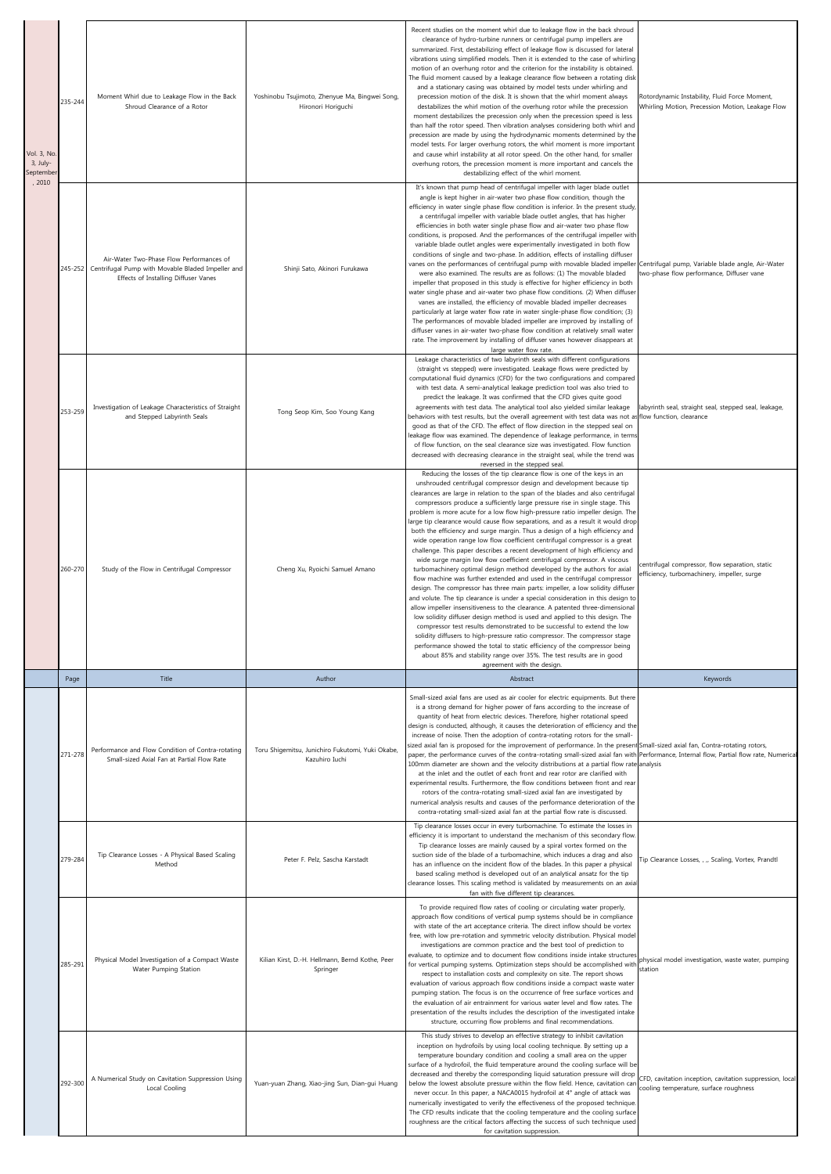| Vol. 3, No<br>3, July-<br>Septembe | 235-244 | Moment Whirl due to Leakage Flow in the Back<br>Shroud Clearance of a Rotor                                                           | Yoshinobu Tsujimoto, Zhenyue Ma, Bingwei Song,<br>Hironori Horiguchi | Recent studies on the moment whirl due to leakage flow in the back shroud<br>clearance of hydro-turbine runners or centrifugal pump impellers are<br>summarized. First, destabilizing effect of leakage flow is discussed for lateral<br>vibrations using simplified models. Then it is extended to the case of whirling<br>motion of an overhung rotor and the criterion for the instability is obtained.<br>The fluid moment caused by a leakage clearance flow between a rotating disk<br>and a stationary casing was obtained by model tests under whirling and<br>precession motion of the disk. It is shown that the whirl moment always<br>destabilizes the whirl motion of the overhung rotor while the precession<br>moment destabilizes the precession only when the precession speed is less<br>than half the rotor speed. Then vibration analyses considering both whirl and<br>precession are made by using the hydrodynamic moments determined by the<br>model tests. For larger overhung rotors, the whirl moment is more important<br>and cause whirl instability at all rotor speed. On the other hand, for smaller<br>overhung rotors, the precession moment is more important and cancels the<br>destabilizing effect of the whirl moment.                                                                                                                                                                                                                                                                                                                                                                                            | Rotordynamic Instability, Fluid Force Moment,<br>Whirling Motion, Precession Motion, Leakage Flow  |
|------------------------------------|---------|---------------------------------------------------------------------------------------------------------------------------------------|----------------------------------------------------------------------|----------------------------------------------------------------------------------------------------------------------------------------------------------------------------------------------------------------------------------------------------------------------------------------------------------------------------------------------------------------------------------------------------------------------------------------------------------------------------------------------------------------------------------------------------------------------------------------------------------------------------------------------------------------------------------------------------------------------------------------------------------------------------------------------------------------------------------------------------------------------------------------------------------------------------------------------------------------------------------------------------------------------------------------------------------------------------------------------------------------------------------------------------------------------------------------------------------------------------------------------------------------------------------------------------------------------------------------------------------------------------------------------------------------------------------------------------------------------------------------------------------------------------------------------------------------------------------------------------------------------------------------------------------|----------------------------------------------------------------------------------------------------|
| , 2010                             | 245-252 | Air-Water Two-Phase Flow Performances of<br>Centrifugal Pump with Movable Bladed Impeller and<br>Effects of Installing Diffuser Vanes | Shinji Sato, Akinori Furukawa                                        | It's known that pump head of centrifugal impeller with lager blade outlet<br>angle is kept higher in air-water two phase flow condition, though the<br>efficiency in water single phase flow condition is inferior. In the present study,<br>a centrifugal impeller with variable blade outlet angles, that has higher<br>efficiencies in both water single phase flow and air-water two phase flow<br>conditions, is proposed. And the performances of the centrifugal impeller with<br>variable blade outlet angles were experimentally investigated in both flow<br>conditions of single and two-phase. In addition, effects of installing diffuser<br>vanes on the performances of centrifugal pump with movable bladed impeller Centrifugal pump, Variable blade angle, Air-Water<br>were also examined. The results are as follows: (1) The movable bladed<br>impeller that proposed in this study is effective for higher efficiency in both<br>water single phase and air-water two phase flow conditions. (2) When diffuser<br>vanes are installed, the efficiency of movable bladed impeller decreases<br>particularly at large water flow rate in water single-phase flow condition; (3)<br>The performances of movable bladed impeller are improved by installing of<br>diffuser vanes in air-water two-phase flow condition at relatively small water<br>rate. The improvement by installing of diffuser vanes however disappears at<br>large water flow rate.                                                                                                                                                                              | two-phase flow performance, Diffuser vane                                                          |
|                                    | 253-259 | Investigation of Leakage Characteristics of Straight<br>and Stepped Labyrinth Seals                                                   | Tong Seop Kim, Soo Young Kang                                        | Leakage characteristics of two labyrinth seals with different configurations<br>(straight vs stepped) were investigated. Leakage flows were predicted by<br>computational fluid dynamics (CFD) for the two configurations and compared<br>with test data. A semi-analytical leakage prediction tool was also tried to<br>predict the leakage. It was confirmed that the CFD gives quite good<br>agreements with test data. The analytical tool also yielded similar leakage<br>behaviors with test results, but the overall agreement with test data was not as flow function, clearance<br>good as that of the CFD. The effect of flow direction in the stepped seal on<br>leakage flow was examined. The dependence of leakage performance, in terms<br>of flow function, on the seal clearance size was investigated. Flow function<br>decreased with decreasing clearance in the straight seal, while the trend was<br>reversed in the stepped seal.                                                                                                                                                                                                                                                                                                                                                                                                                                                                                                                                                                                                                                                                                                 | labyrinth seal, straight seal, stepped seal, leakage,                                              |
|                                    | 260-270 | Study of the Flow in Centrifugal Compressor                                                                                           | Cheng Xu, Ryoichi Samuel Amano                                       | Reducing the losses of the tip clearance flow is one of the keys in an<br>unshrouded centrifugal compressor design and development because tip<br>clearances are large in relation to the span of the blades and also centrifugal<br>compressors produce a sufficiently large pressure rise in single stage. This<br>problem is more acute for a low flow high-pressure ratio impeller design. The<br>large tip clearance would cause flow separations, and as a result it would drop<br>both the efficiency and surge margin. Thus a design of a high efficiency and<br>wide operation range low flow coefficient centrifugal compressor is a great<br>challenge. This paper describes a recent development of high efficiency and<br>wide surge margin low flow coefficient centrifugal compressor. A viscous<br>turbomachinery optimal design method developed by the authors for axial<br>flow machine was further extended and used in the centrifugal compressor<br>design. The compressor has three main parts: impeller, a low solidity diffuser<br>and volute. The tip clearance is under a special consideration in this design to<br>allow impeller insensitiveness to the clearance. A patented three-dimensional<br>low solidity diffuser design method is used and applied to this design. The<br>compressor test results demonstrated to be successful to extend the low<br>solidity diffusers to high-pressure ratio compressor. The compressor stage<br>performance showed the total to static efficiency of the compressor being<br>about 85% and stability range over 35%. The test results are in good<br>agreement with the design. | centrifugal compressor, flow separation, static<br>efficiency, turbomachinery, impeller, surge     |
|                                    | Page    | Title                                                                                                                                 | Author                                                               | Abstract                                                                                                                                                                                                                                                                                                                                                                                                                                                                                                                                                                                                                                                                                                                                                                                                                                                                                                                                                                                                                                                                                                                                                                                                                                                                                                                                                                                                                                                                                                                                                                                                                                                 | Keywords                                                                                           |
|                                    | 271-278 | Performance and Flow Condition of Contra-rotating<br>Small-sized Axial Fan at Partial Flow Rate                                       | Toru Shigemitsu, Junichiro Fukutomi, Yuki Okabe,<br>Kazuhiro Iuchi   | Small-sized axial fans are used as air cooler for electric equipments. But there<br>is a strong demand for higher power of fans according to the increase of<br>quantity of heat from electric devices. Therefore, higher rotational speed<br>design is conducted, although, it causes the deterioration of efficiency and the<br>increase of noise. Then the adoption of contra-rotating rotors for the small-<br>sized axial fan is proposed for the improvement of performance. In the present Small-sized axial fan, Contra-rotating rotors,<br>paper, the performance curves of the contra-rotating small-sized axial fan with Performance, Internal flow, Partial flow rate, Numerical<br>100mm diameter are shown and the velocity distributions at a partial flow rate analysis<br>at the inlet and the outlet of each front and rear rotor are clarified with<br>experimental results. Furthermore, the flow conditions between front and rear<br>rotors of the contra-rotating small-sized axial fan are investigated by<br>numerical analysis results and causes of the performance deterioration of the<br>contra-rotating small-sized axial fan at the partial flow rate is discussed.                                                                                                                                                                                                                                                                                                                                                                                                                                                      |                                                                                                    |
|                                    | 279-284 | Tip Clearance Losses - A Physical Based Scaling<br>Method                                                                             | Peter F. Pelz, Sascha Karstadt                                       | Tip clearance losses occur in every turbomachine. To estimate the losses in<br>efficiency it is important to understand the mechanism of this secondary flow.<br>Tip clearance losses are mainly caused by a spiral vortex formed on the<br>suction side of the blade of a turbomachine, which induces a drag and also<br>has an influence on the incident flow of the blades. In this paper a physical<br>based scaling method is developed out of an analytical ansatz for the tip<br>clearance losses. This scaling method is validated by measurements on an axial<br>fan with five different tip clearances.                                                                                                                                                                                                                                                                                                                                                                                                                                                                                                                                                                                                                                                                                                                                                                                                                                                                                                                                                                                                                                        | Tip Clearance Losses, , ,, Scaling, Vortex, Prandtl                                                |
|                                    | 285-291 | Physical Model Investigation of a Compact Waste<br>Water Pumping Station                                                              | Kilian Kirst, D.-H. Hellmann, Bernd Kothe, Peer<br>Springer          | To provide required flow rates of cooling or circulating water properly,<br>approach flow conditions of vertical pump systems should be in compliance<br>with state of the art acceptance criteria. The direct inflow should be vortex<br>free, with low pre-rotation and symmetric velocity distribution. Physical model<br>investigations are common practice and the best tool of prediction to<br>evaluate, to optimize and to document flow conditions inside intake structures<br>for vertical pumping systems. Optimization steps should be accomplished with substitution physical model investigation, waste water, pumping<br>respect to installation costs and complexity on site. The report shows<br>evaluation of various approach flow conditions inside a compact waste water<br>pumping station. The focus is on the occurrence of free surface vortices and<br>the evaluation of air entrainment for various water level and flow rates. The<br>presentation of the results includes the description of the investigated intake<br>structure, occurring flow problems and final recommendations.                                                                                                                                                                                                                                                                                                                                                                                                                                                                                                                                       |                                                                                                    |
|                                    | 292-300 | A Numerical Study on Cavitation Suppression Using<br>Local Cooling                                                                    | Yuan-yuan Zhang, Xiao-jing Sun, Dian-gui Huang                       | This study strives to develop an effective strategy to inhibit cavitation<br>inception on hydrofoils by using local cooling technique. By setting up a<br>temperature boundary condition and cooling a small area on the upper<br>surface of a hydrofoil, the fluid temperature around the cooling surface will be<br>decreased and thereby the corresponding liquid saturation pressure will drop<br>below the lowest absolute pressure within the flow field. Hence, cavitation car<br>never occur. In this paper, a NACA0015 hydrofoil at 4° angle of attack was<br>numerically investigated to verify the effectiveness of the proposed technique<br>The CFD results indicate that the cooling temperature and the cooling surface<br>roughness are the critical factors affecting the success of such technique used                                                                                                                                                                                                                                                                                                                                                                                                                                                                                                                                                                                                                                                                                                                                                                                                                                | CFD, cavitation inception, cavitation suppression, local<br>cooling temperature, surface roughness |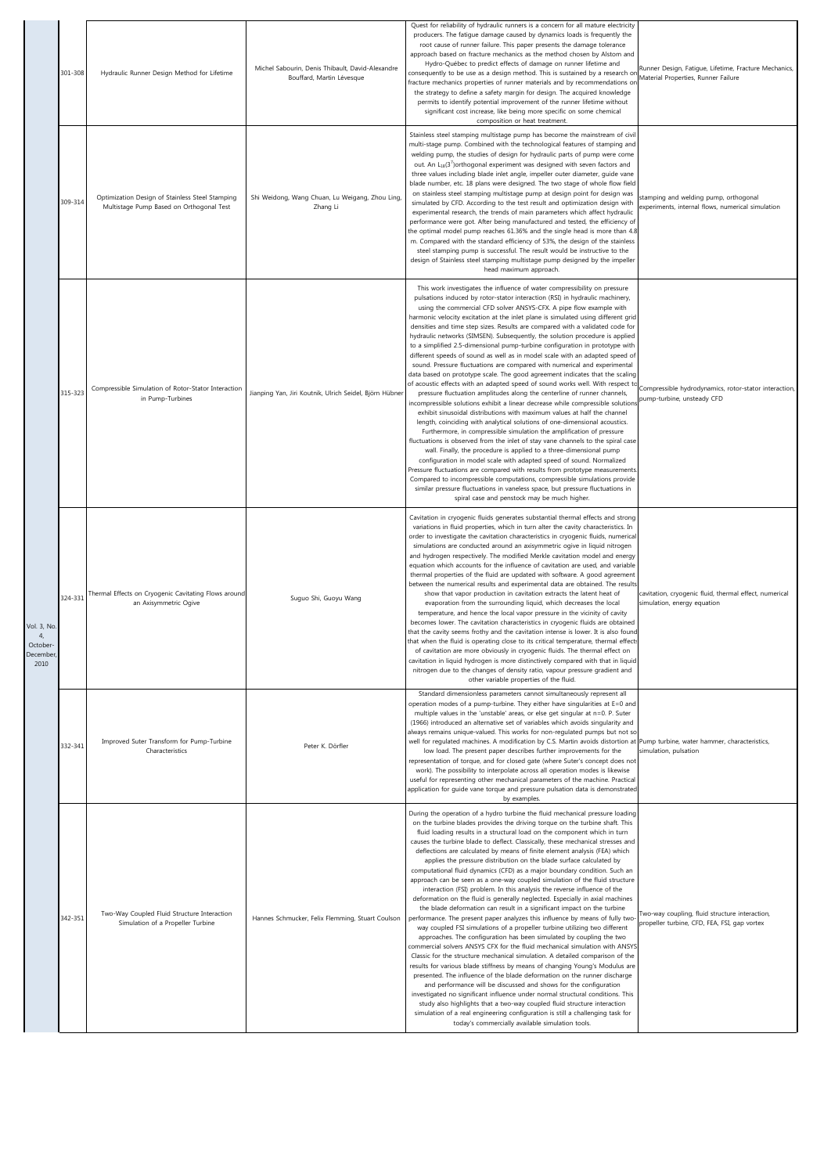|                                            | 301-308 | Hydraulic Runner Design Method for Lifetime                                                 | Michel Sabourin, Denis Thibault, David-Alexandre<br>Bouffard, Martin Lévesque | Quest for reliability of hydraulic runners is a concern for all mature electricity<br>producers. The fatigue damage caused by dynamics loads is frequently the<br>root cause of runner failure. This paper presents the damage tolerance<br>approach based on fracture mechanics as the method chosen by Alstom and<br>Hydro-Québec to predict effects of damage on runner lifetime and<br>consequently to be use as a design method. This is sustained by a research or<br>fracture mechanics properties of runner materials and by recommendations on<br>the strategy to define a safety margin for design. The acquired knowledge<br>permits to identify potential improvement of the runner lifetime without<br>significant cost increase, like being more specific on some chemical<br>composition or heat treatment.                                                                                                                                                                                                                                                                                                                                                                                                                                                                                                                                                                                                                                                                                                                                                                                                                                                                                                                                                                                                              | Runner Design, Fatigue, Lifetime, Fracture Mechanics<br>Material Properties, Runner Failure    |
|--------------------------------------------|---------|---------------------------------------------------------------------------------------------|-------------------------------------------------------------------------------|-----------------------------------------------------------------------------------------------------------------------------------------------------------------------------------------------------------------------------------------------------------------------------------------------------------------------------------------------------------------------------------------------------------------------------------------------------------------------------------------------------------------------------------------------------------------------------------------------------------------------------------------------------------------------------------------------------------------------------------------------------------------------------------------------------------------------------------------------------------------------------------------------------------------------------------------------------------------------------------------------------------------------------------------------------------------------------------------------------------------------------------------------------------------------------------------------------------------------------------------------------------------------------------------------------------------------------------------------------------------------------------------------------------------------------------------------------------------------------------------------------------------------------------------------------------------------------------------------------------------------------------------------------------------------------------------------------------------------------------------------------------------------------------------------------------------------------------------|------------------------------------------------------------------------------------------------|
|                                            | 309-314 | Optimization Design of Stainless Steel Stamping<br>Multistage Pump Based on Orthogonal Test | Shi Weidong, Wang Chuan, Lu Weigang, Zhou Ling,<br>Zhang Li                   | Stainless steel stamping multistage pump has become the mainstream of civil<br>multi-stage pump. Combined with the technological features of stamping and<br>welding pump, the studies of design for hydraulic parts of pump were come<br>out. An $L_{18}(3')$ orthogonal experiment was designed with seven factors and<br>three values including blade inlet angle, impeller outer diameter, guide vane<br>blade number, etc. 18 plans were designed. The two stage of whole flow field<br>on stainless steel stamping multistage pump at design point for design was<br>simulated by CFD. According to the test result and optimization design with<br>experimental research, the trends of main parameters which affect hydraulic<br>performance were got. After being manufactured and tested, the efficiency of<br>the optimal model pump reaches 61.36% and the single head is more than 4.8<br>m. Compared with the standard efficiency of 53%, the design of the stainless<br>steel stamping pump is successful. The result would be instructive to the<br>design of Stainless steel stamping multistage pump designed by the impeller<br>head maximum approach.                                                                                                                                                                                                                                                                                                                                                                                                                                                                                                                                                                                                                                                               | stamping and welding pump, orthogonal<br>experiments, internal flows, numerical simulation     |
|                                            | 315-323 | Compressible Simulation of Rotor-Stator Interaction<br>in Pump-Turbines                     | Jianping Yan, Jiri Koutnik, Ulrich Seidel, Björn Hübner                       | This work investigates the influence of water compressibility on pressure<br>pulsations induced by rotor-stator interaction (RSI) in hydraulic machinery,<br>using the commercial CFD solver ANSYS-CFX. A pipe flow example with<br>harmonic velocity excitation at the inlet plane is simulated using different grid<br>densities and time step sizes. Results are compared with a validated code for<br>hydraulic networks (SIMSEN). Subsequently, the solution procedure is applied<br>to a simplified 2.5-dimensional pump-turbine configuration in prototype with<br>different speeds of sound as well as in model scale with an adapted speed of<br>sound. Pressure fluctuations are compared with numerical and experimental<br>data based on prototype scale. The good agreement indicates that the scaling<br>of acoustic effects with an adapted speed of sound works well. With respect to<br>pressure fluctuation amplitudes along the centerline of runner channels,<br>incompressible solutions exhibit a linear decrease while compressible solutions<br>exhibit sinusoidal distributions with maximum values at half the channel<br>length, coinciding with analytical solutions of one-dimensional acoustics.<br>Furthermore, in compressible simulation the amplification of pressure<br>fluctuations is observed from the inlet of stay vane channels to the spiral case<br>wall. Finally, the procedure is applied to a three-dimensional pump<br>configuration in model scale with adapted speed of sound. Normalized<br>Pressure fluctuations are compared with results from prototype measurements<br>Compared to incompressible computations, compressible simulations provide<br>similar pressure fluctuations in vaneless space, but pressure fluctuations in<br>spiral case and penstock may be much higher. | Compressible hydrodynamics, rotor-stator interaction,<br>pump-turbine, unsteady CFD            |
| Vol. 3, No.<br>October<br>December<br>2010 | 324-331 | Thermal Effects on Cryogenic Cavitating Flows around<br>an Axisymmetric Ogive               | Suguo Shi, Guoyu Wang                                                         | Cavitation in cryogenic fluids generates substantial thermal effects and strong<br>variations in fluid properties, which in turn alter the cavity characteristics. In<br>order to investigate the cavitation characteristics in cryogenic fluids, numerical<br>simulations are conducted around an axisymmetric ogive in liquid nitrogen<br>and hydrogen respectively. The modified Merkle cavitation model and energy<br>equation which accounts for the influence of cavitation are used, and variable<br>thermal properties of the fluid are updated with software. A good agreement<br>between the numerical results and experimental data are obtained. The results<br>show that vapor production in cavitation extracts the latent heat of<br>evaporation from the surrounding liquid, which decreases the local<br>temperature, and hence the local vapor pressure in the vicinity of cavity<br>becomes lower. The cavitation characteristics in cryogenic fluids are obtained<br>that the cavity seems frothy and the cavitation intense is lower. It is also found<br>that when the fluid is operating close to its critical temperature, thermal effec<br>of cavitation are more obviously in cryogenic fluids. The thermal effect on<br>cavitation in liquid hydrogen is more distinctively compared with that in liquid<br>nitrogen due to the changes of density ratio, vapour pressure gradient and<br>other variable properties of the fluid.                                                                                                                                                                                                                                                                                                                                                                            | cavitation, cryogenic fluid, thermal effect, numerical<br>simulation, energy equation          |
|                                            | 332-341 | Improved Suter Transform for Pump-Turbine<br>Characteristics                                | Peter K. Dörfler                                                              | Standard dimensionless parameters cannot simultaneously represent all<br>operation modes of a pump-turbine. They either have singularities at E=0 and<br>multiple values in the 'unstable' areas, or else get singular at n=0. P. Suter<br>(1966) introduced an alternative set of variables which avoids singularity and<br>always remains unique-valued. This works for non-regulated pumps but not so<br>well for requlated machines. A modification by C.S. Martin avoids distortion at Pump turbine, water hammer, characteristics,<br>low load. The present paper describes further improvements for the<br>representation of torque, and for closed gate (where Suter's concept does not<br>work). The possibility to interpolate across all operation modes is likewise<br>useful for representing other mechanical parameters of the machine. Practical<br>application for guide vane torque and pressure pulsation data is demonstrated<br>by examples.                                                                                                                                                                                                                                                                                                                                                                                                                                                                                                                                                                                                                                                                                                                                                                                                                                                                       | simulation, pulsation                                                                          |
|                                            | 342-351 | Two-Way Coupled Fluid Structure Interaction<br>Simulation of a Propeller Turbine            | Hannes Schmucker, Felix Flemming, Stuart Coulson                              | During the operation of a hydro turbine the fluid mechanical pressure loading<br>on the turbine blades provides the driving torque on the turbine shaft. This<br>fluid loading results in a structural load on the component which in turn<br>causes the turbine blade to deflect. Classically, these mechanical stresses and<br>deflections are calculated by means of finite element analysis (FEA) which<br>applies the pressure distribution on the blade surface calculated by<br>computational fluid dynamics (CFD) as a major boundary condition. Such an<br>approach can be seen as a one-way coupled simulation of the fluid structure<br>interaction (FSI) problem. In this analysis the reverse influence of the<br>deformation on the fluid is generally neglected. Especially in axial machines<br>the blade deformation can result in a significant impact on the turbine<br>performance. The present paper analyzes this influence by means of fully two-<br>way coupled FSI simulations of a propeller turbine utilizing two different<br>approaches. The configuration has been simulated by coupling the two<br>commercial solvers ANSYS CFX for the fluid mechanical simulation with ANSYS<br>Classic for the structure mechanical simulation. A detailed comparison of the<br>results for various blade stiffness by means of changing Young's Modulus are<br>presented. The influence of the blade deformation on the runner discharge<br>and performance will be discussed and shows for the configuration<br>investigated no significant influence under normal structural conditions. This<br>study also highlights that a two-way coupled fluid structure interaction<br>simulation of a real engineering configuration is still a challenging task for<br>today's commercially available simulation tools.    | Two-way coupling, fluid structure interaction,<br>propeller turbine, CFD, FEA, FSI, gap vortex |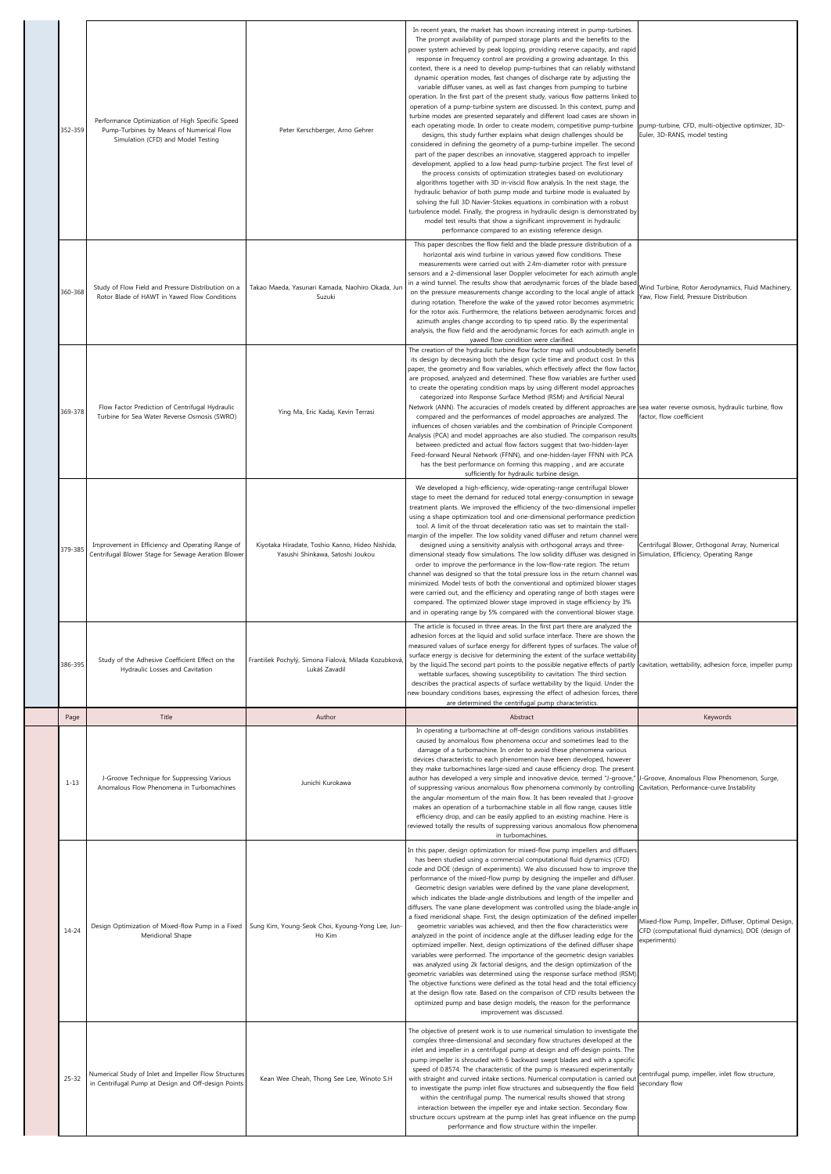| 352-359   | Performance Optimization of High Specific Speed<br>Pump-Turbines by Means of Numerical Flow<br>Simulation (CFD) and Model Testing | Peter Kerschberger, Arno Gehrer                                                                                | In recent years, the market has shown increasing interest in pump-turbines.<br>The prompt availability of pumped storage plants and the benefits to the<br>power system achieved by peak lopping, providing reserve capacity, and rapid<br>response in frequency control are providing a growing advantage. In this<br>context, there is a need to develop pump-turbines that can reliably withstand<br>dynamic operation modes, fast changes of discharge rate by adjusting the<br>variable diffuser vanes, as well as fast changes from pumping to turbine<br>operation. In the first part of the present study, various flow patterns linked to<br>operation of a pump-turbine system are discussed. In this context, pump and<br>turbine modes are presented separately and different load cases are shown in<br>each operating mode. In order to create modern, competitive pump-turbine<br>designs, this study further explains what design challenges should be<br>considered in defining the geometry of a pump-turbine impeller. The second<br>part of the paper describes an innovative, staggered approach to impeller<br>development, applied to a low head pump-turbine project. The first level of<br>the process consists of optimization strategies based on evolutionary<br>algorithms together with 3D in-viscid flow analysis. In the next stage, the<br>hydraulic behavior of both pump mode and turbine mode is evaluated by<br>solving the full 3D Navier-Stokes equations in combination with a robust<br>turbulence model. Finally, the progress in hydraulic design is demonstrated by<br>model test results that show a significant improvement in hydraulic<br>performance compared to an existing reference design. | pump-turbine, CFD, multi-objective optimizer, 3D-<br>Euler, 3D-RANS, model testing                                         |
|-----------|-----------------------------------------------------------------------------------------------------------------------------------|----------------------------------------------------------------------------------------------------------------|-------------------------------------------------------------------------------------------------------------------------------------------------------------------------------------------------------------------------------------------------------------------------------------------------------------------------------------------------------------------------------------------------------------------------------------------------------------------------------------------------------------------------------------------------------------------------------------------------------------------------------------------------------------------------------------------------------------------------------------------------------------------------------------------------------------------------------------------------------------------------------------------------------------------------------------------------------------------------------------------------------------------------------------------------------------------------------------------------------------------------------------------------------------------------------------------------------------------------------------------------------------------------------------------------------------------------------------------------------------------------------------------------------------------------------------------------------------------------------------------------------------------------------------------------------------------------------------------------------------------------------------------------------------------------------------------------------------------------------------------------|----------------------------------------------------------------------------------------------------------------------------|
| 360-368   | Study of Flow Field and Pressure Distribution on a<br>Rotor Blade of HAWT in Yawed Flow Conditions                                | Takao Maeda, Yasunari Kamada, Naohiro Okada, Jun<br>Suzuki                                                     | This paper describes the flow field and the blade pressure distribution of a<br>horizontal axis wind turbine in various yawed flow conditions. These<br>measurements were carried out with 2.4m-diameter rotor with pressure<br>sensors and a 2-dimensional laser Doppler velocimeter for each azimuth angle<br>in a wind tunnel. The results show that aerodynamic forces of the blade based<br>on the pressure measurements change according to the local angle of attack<br>during rotation. Therefore the wake of the yawed rotor becomes asymmetric<br>for the rotor axis. Furthermore, the relations between aerodynamic forces and<br>azimuth angles change according to tip speed ratio. By the experimental<br>analysis, the flow field and the aerodynamic forces for each azimuth angle in                                                                                                                                                                                                                                                                                                                                                                                                                                                                                                                                                                                                                                                                                                                                                                                                                                                                                                                                           | Wind Turbine, Rotor Aerodynamics, Fluid Machinery,<br>Yaw, Flow Field, Pressure Distribution                               |
| 369-378   | Flow Factor Prediction of Centrifugal Hydraulic<br>Turbine for Sea Water Reverse Osmosis (SWRO)                                   | Ying Ma, Eric Kadaj, Kevin Terrasi                                                                             | yawed flow condition were clarified.<br>The creation of the hydraulic turbine flow factor map will undoubtedly benefit<br>its design by decreasing both the design cycle time and product cost. In this<br>paper, the geometry and flow variables, which effectively affect the flow factor<br>are proposed, analyzed and determined. These flow variables are further used<br>to create the operating condition maps by using different model approaches<br>categorized into Response Surface Method (RSM) and Artificial Neural<br>Network (ANN). The accuracies of models created by different approaches are sea water reverse osmosis, hydraulic turbine, flow<br>compared and the performances of model approaches are analyzed. The<br>influences of chosen variables and the combination of Principle Component<br>Analysis (PCA) and model approaches are also studied. The comparison results<br>between predicted and actual flow factors suggest that two-hidden-layer<br>Feed-forward Neural Network (FFNN), and one-hidden-layer FFNN with PCA<br>has the best performance on forming this mapping, and are accurate<br>sufficiently for hydraulic turbine design.                                                                                                                                                                                                                                                                                                                                                                                                                                                                                                                                                                | factor, flow coefficient                                                                                                   |
| 379-385   | Improvement in Efficiency and Operating Range of<br>Centrifugal Blower Stage for Sewage Aeration Blower                           | Kiyotaka Hiradate, Toshio Kanno, Hideo Nishida,<br>Yasushi Shinkawa, Satoshi Joukou                            | We developed a high-efficiency, wide-operating-range centrifugal blower<br>stage to meet the demand for reduced total energy-consumption in sewage<br>treatment plants. We improved the efficiency of the two-dimensional impeller<br>using a shape optimization tool and one-dimensional performance prediction<br>tool. A limit of the throat deceleration ratio was set to maintain the stall-<br>margin of the impeller. The low solidity vaned diffuser and return channel wer<br>designed using a sensitivity analysis with orthogonal arrays and three-<br>dimensional steady flow simulations. The low solidity diffuser was designed in<br>order to improve the performance in the low-flow-rate region. The return<br>channel was designed so that the total pressure loss in the return channel was<br>minimized. Model tests of both the conventional and optimized blower stages<br>were carried out, and the efficiency and operating range of both stages were<br>compared. The optimized blower stage improved in stage efficiency by 3%<br>and in operating range by 5% compared with the conventional blower stage                                                                                                                                                                                                                                                                                                                                                                                                                                                                                                                                                                                                            | Centrifugal Blower, Orthogonal Array, Numerical<br>Simulation, Efficiency, Operating Range                                 |
| 386-395   | Study of the Adhesive Coefficient Effect on the<br>Hydraulic Losses and Cavitation                                                | František Pochylý, Simona Fialová, Milada Kozubková,<br>Lukáš Zavadil                                          | The article is focused in three areas. In the first part there are analyzed the<br>adhesion forces at the liquid and solid surface interface. There are shown the<br>measured values of surface energy for different types of surfaces. The value of<br>surface energy is decisive for determining the extent of the surface wettability<br>by the liquid. The second part points to the possible negative effects of partly<br>wettable surfaces, showing susceptibility to cavitation. The third section<br>describes the practical aspects of surface wettability by the liquid. Under the<br>new boundary conditions bases, expressing the effect of adhesion forces, there                                                                                                                                                                                                                                                                                                                                                                                                                                                                                                                                                                                                                                                                                                                                                                                                                                                                                                                                                                                                                                                                 | cavitation, wettability, adhesion force, impeller pump                                                                     |
| Page      | Title                                                                                                                             | Author                                                                                                         | are determined the centrifugal pump characteristics.<br>Abstract                                                                                                                                                                                                                                                                                                                                                                                                                                                                                                                                                                                                                                                                                                                                                                                                                                                                                                                                                                                                                                                                                                                                                                                                                                                                                                                                                                                                                                                                                                                                                                                                                                                                                | Keywords                                                                                                                   |
| $1 - 13$  | J-Groove Technique for Suppressing Various<br>Anomalous Flow Phenomena in Turbomachines                                           | Junichi Kurokawa                                                                                               | In operating a turbomachine at off-design conditions various instabilities<br>caused by anomalous flow phenomena occur and sometimes lead to the<br>damage of a turbomachine. In order to avoid these phenomena various<br>devices characteristic to each phenomenon have been developed, however<br>they make turbomachines large-sized and cause efficiency drop. The present<br>author has developed a very simple and innovative device, termed "J-groove,<br>of suppressing various anomalous flow phenomena commonly by controlling<br>the angular momentum of the main flow. It has been revealed that J-groove<br>makes an operation of a turbomachine stable in all flow range, causes little<br>efficiency drop, and can be easily applied to an existing machine. Here is<br>reviewed totally the results of suppressing various anomalous flow phenomena<br>in turbomachines.                                                                                                                                                                                                                                                                                                                                                                                                                                                                                                                                                                                                                                                                                                                                                                                                                                                       | Groove, Anomalous Flow Phenomenon, Surge,<br>Cavitation, Performance-curve Instability                                     |
| $14 - 24$ | Meridional Shape                                                                                                                  | Design Optimization of Mixed-flow Pump in a Fixed   Sung Kim, Young-Seok Choi, Kyoung-Yong Lee, Jun-<br>Ho Kim | In this paper, design optimization for mixed-flow pump impellers and diffusers<br>has been studied using a commercial computational fluid dynamics (CFD)<br>code and DOE (design of experiments). We also discussed how to improve the<br>performance of the mixed-flow pump by designing the impeller and diffuser<br>Geometric design variables were defined by the vane plane development,<br>which indicates the blade-angle distributions and length of the impeller and<br>diffusers. The vane plane development was controlled using the blade-angle in<br>a fixed meridional shape. First, the design optimization of the defined impeller<br>geometric variables was achieved, and then the flow characteristics were<br>analyzed in the point of incidence angle at the diffuser leading edge for the<br>optimized impeller. Next, design optimizations of the defined diffuser shape<br>variables were performed. The importance of the geometric design variables<br>was analyzed using 2k factorial designs, and the design optimization of the<br>geometric variables was determined using the response surface method (RSM)<br>The objective functions were defined as the total head and the total efficiency<br>at the design flow rate. Based on the comparison of CFD results between the<br>optimized pump and base design models, the reason for the performance<br>improvement was discussed.                                                                                                                                                                                                                                                                                                                             | Mixed-flow Pump, Impeller, Diffuser, Optimal Design,<br>CFD (computational fluid dynamics), DOE (design of<br>experiments) |
| $25 - 32$ | Numerical Study of Inlet and Impeller Flow Structures<br>in Centrifugal Pump at Design and Off-design Points                      | Kean Wee Cheah, Thong See Lee, Winoto S.H                                                                      | The objective of present work is to use numerical simulation to investigate the<br>complex three-dimensional and secondary flow structures developed at the<br>inlet and impeller in a centrifugal pump at design and off-design points. The<br>pump impeller is shrouded with 6 backward swept blades and with a specific<br>speed of 0.8574. The characteristic of the pump is measured experimentally<br>with straight and curved intake sections. Numerical computation is carried ou<br>to investigate the pump inlet flow structures and subsequently the flow field<br>within the centrifugal pump. The numerical results showed that strong<br>interaction between the impeller eye and intake section. Secondary flow<br>structure occurs upstream at the pump inlet has great influence on the pump<br>performance and flow structure within the impeller.                                                                                                                                                                                                                                                                                                                                                                                                                                                                                                                                                                                                                                                                                                                                                                                                                                                                            | centrifugal pump, impeller, inlet flow structure,<br>secondary flow                                                        |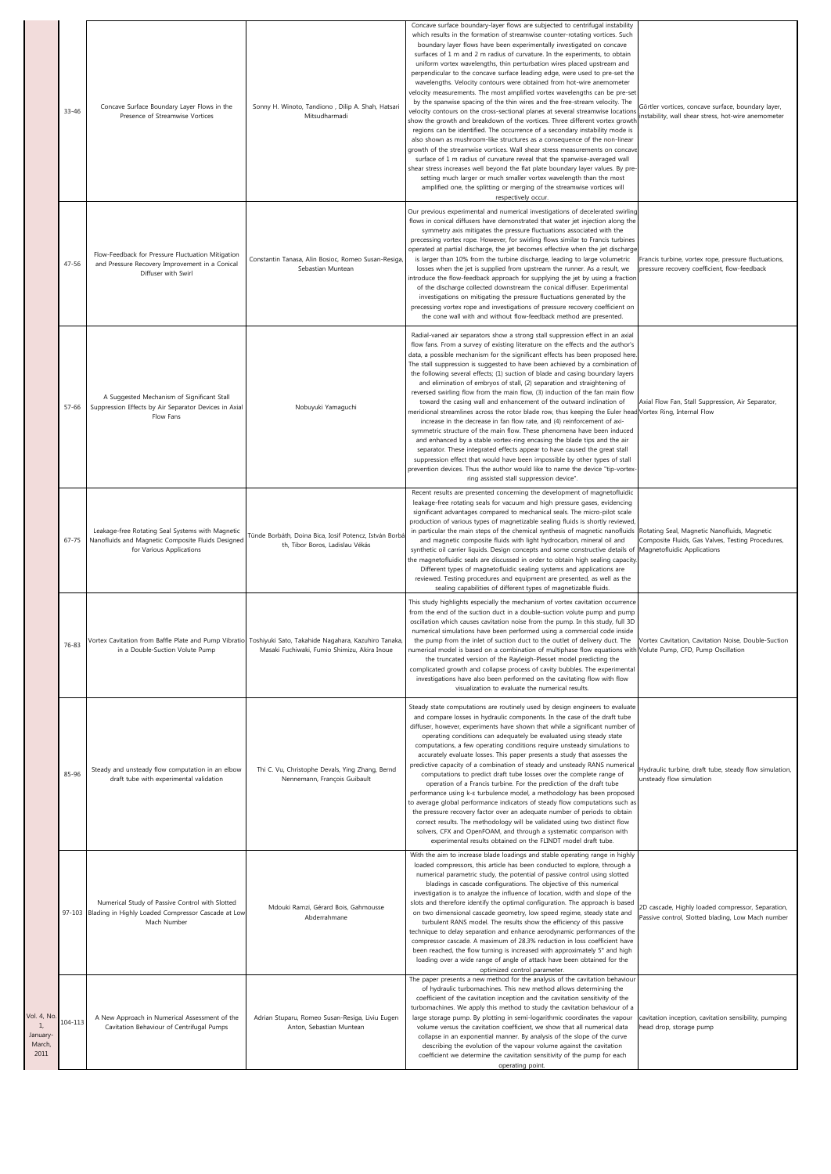|                                                | 33-46     | Concave Surface Boundary Layer Flows in the<br>Presence of Streamwise Vortices                                                    | Sonny H. Winoto, Tandiono, Dilip A. Shah, Hatsari<br>Mitsudharmadi                                                                                        | Concave surface boundary-layer flows are subjected to centrifugal instability<br>which results in the formation of streamwise counter-rotating vortices. Such<br>boundary layer flows have been experimentally investigated on concave<br>surfaces of 1 m and 2 m radius of curvature. In the experiments, to obtain<br>uniform vortex wavelengths, thin perturbation wires placed upstream and<br>perpendicular to the concave surface leading edge, were used to pre-set the<br>wavelengths. Velocity contours were obtained from hot-wire anemometer<br>velocity measurements. The most amplified vortex wavelengths can be pre-set<br>by the spanwise spacing of the thin wires and the free-stream velocity. The<br>velocity contours on the cross-sectional planes at several streamwise locations<br>show the growth and breakdown of the vortices. Three different vortex growth<br>regions can be identified. The occurrence of a secondary instability mode is<br>also shown as mushroom-like structures as a consequence of the non-linear<br>growth of the streamwise vortices. Wall shear stress measurements on concave<br>surface of 1 m radius of curvature reveal that the spanwise-averaged wall<br>shear stress increases well beyond the flat plate boundary layer values. By pre<br>setting much larger or much smaller vortex wavelength than the most<br>amplified one, the splitting or merging of the streamwise vortices will<br>respectively occur. | Görtler vortices, concave surface, boundary layer,<br>nstability, wall shear stress, hot-wire anemometer |
|------------------------------------------------|-----------|-----------------------------------------------------------------------------------------------------------------------------------|-----------------------------------------------------------------------------------------------------------------------------------------------------------|--------------------------------------------------------------------------------------------------------------------------------------------------------------------------------------------------------------------------------------------------------------------------------------------------------------------------------------------------------------------------------------------------------------------------------------------------------------------------------------------------------------------------------------------------------------------------------------------------------------------------------------------------------------------------------------------------------------------------------------------------------------------------------------------------------------------------------------------------------------------------------------------------------------------------------------------------------------------------------------------------------------------------------------------------------------------------------------------------------------------------------------------------------------------------------------------------------------------------------------------------------------------------------------------------------------------------------------------------------------------------------------------------------------------------------------------------------------------------------|----------------------------------------------------------------------------------------------------------|
|                                                | $47 - 56$ | Flow-Feedback for Pressure Fluctuation Mitigation<br>and Pressure Recovery Improvement in a Conical<br>Diffuser with Swirl        | Constantin Tanasa, Alin Bosioc, Romeo Susan-Resiga,<br>Sebastian Muntean                                                                                  | Our previous experimental and numerical investigations of decelerated swirling<br>flows in conical diffusers have demonstrated that water jet injection along the<br>symmetry axis mitigates the pressure fluctuations associated with the<br>precessing vortex rope. However, for swirling flows similar to Francis turbines<br>operated at partial discharge, the jet becomes effective when the jet discharge<br>is larger than 10% from the turbine discharge, leading to large volumetric<br>losses when the jet is supplied from upstream the runner. As a result, we<br>introduce the flow-feedback approach for supplying the jet by using a fraction<br>of the discharge collected downstream the conical diffuser. Experimental<br>investigations on mitigating the pressure fluctuations generated by the<br>precessing vortex rope and investigations of pressure recovery coefficient on<br>the cone wall with and without flow-feedback method are presented.                                                                                                                                                                                                                                                                                                                                                                                                                                                                                                    | Francis turbine, vortex rope, pressure fluctuations,<br>pressure recovery coefficient, flow-feedback     |
|                                                | 57-66     | A Suggested Mechanism of Significant Stall<br>Suppression Effects by Air Separator Devices in Axial<br>Flow Fans                  | Nobuyuki Yamaguchi                                                                                                                                        | Radial-vaned air separators show a strong stall suppression effect in an axial<br>flow fans. From a survey of existing literature on the effects and the author's<br>data, a possible mechanism for the significant effects has been proposed here<br>The stall suppression is suggested to have been achieved by a combination of<br>the following several effects; (1) suction of blade and casing boundary layers<br>and elimination of embryos of stall, (2) separation and straightening of<br>reversed swirling flow from the main flow, (3) induction of the fan main flow<br>toward the casing wall and enhancement of the outward inclination of<br>meridional streamlines across the rotor blade row, thus keeping the Euler head Vortex Ring, Internal Flow<br>increase in the decrease in fan flow rate, and (4) reinforcement of axi-<br>symmetric structure of the main flow. These phenomena have been induced<br>and enhanced by a stable vortex-ring encasing the blade tips and the air<br>separator. These integrated effects appear to have caused the great stall<br>suppression effect that would have been impossible by other types of stall<br>prevention devices. Thus the author would like to name the device "tip-vortex<br>ring assisted stall suppression device".                                                                                                                                                                              | Axial Flow Fan, Stall Suppression, Air Separator,                                                        |
|                                                | $67 - 75$ | Leakage-free Rotating Seal Systems with Magnetic<br>Nanofluids and Magnetic Composite Fluids Designed<br>for Various Applications | Tünde Borbáth, Doina Bica, Iosif Potencz, István Borbá<br>th, Tibor Boros, Ladislau Vékás                                                                 | Recent results are presented concerning the development of magnetofluidic<br>leakage-free rotating seals for vacuum and high pressure gases, evidencing<br>significant advantages compared to mechanical seals. The micro-pilot scale<br>production of various types of magnetizable sealing fluids is shortly reviewed,<br>in particular the main steps of the chemical synthesis of magnetic nanofluids<br>and magnetic composite fluids with light hydrocarbon, mineral oil and<br>synthetic oil carrier liquids. Design concepts and some constructive details of Magnetofluidic Applications<br>the magnetofluidic seals are discussed in order to obtain high sealing capacity<br>Different types of magnetofluidic sealing systems and applications are<br>reviewed. Testing procedures and equipment are presented, as well as the<br>sealing capabilities of different types of magnetizable fluids.                                                                                                                                                                                                                                                                                                                                                                                                                                                                                                                                                                  | Rotating Seal, Magnetic Nanofluids, Magnetic<br>Composite Fluids, Gas Valves, Testing Procedures,        |
|                                                | 76-83     | in a Double-Suction Volute Pump                                                                                                   | Vortex Cavitation from Baffle Plate and Pump Vibratio Toshiyuki Sato, Takahide Nagahara, Kazuhiro Tanaka,<br>Masaki Fuchiwaki, Fumio Shimizu, Akira Inoue | This study highlights especially the mechanism of vortex cavitation occurrence<br>from the end of the suction duct in a double-suction volute pump and pump<br>oscillation which causes cavitation noise from the pump. In this study, full 3D<br>numerical simulations have been performed using a commercial code inside<br>the pump from the inlet of suction duct to the outlet of delivery duct. The Vortex Cavitation, Cavitation Noise, Double-Suction<br>numerical model is based on a combination of multiphase flow equations with Volute Pump, CFD, Pump Oscillation<br>the truncated version of the Rayleigh-Plesset model predicting the<br>complicated growth and collapse process of cavity bubbles. The experimental<br>investigations have also been performed on the cavitating flow with flow<br>visualization to evaluate the numerical results.                                                                                                                                                                                                                                                                                                                                                                                                                                                                                                                                                                                                           |                                                                                                          |
|                                                | 85-96     | Steady and unsteady flow computation in an elbow<br>draft tube with experimental validation                                       | Thi C. Vu, Christophe Devals, Ying Zhang, Bernd<br>Nennemann, François Guibault                                                                           | Steady state computations are routinely used by design engineers to evaluate<br>and compare losses in hydraulic components. In the case of the draft tube<br>diffuser, however, experiments have shown that while a significant number of<br>operating conditions can adequately be evaluated using steady state<br>computations, a few operating conditions require unsteady simulations to<br>accurately evaluate losses. This paper presents a study that assesses the<br>predictive capacity of a combination of steady and unsteady RANS numerical<br>computations to predict draft tube losses over the complete range of<br>operation of a Francis turbine. For the prediction of the draft tube<br>performance using k-ε turbulence model, a methodology has been proposed<br>to average global performance indicators of steady flow computations such as<br>the pressure recovery factor over an adequate number of periods to obtain<br>correct results. The methodology will be validated using two distinct flow<br>solvers, CFX and OpenFOAM, and through a systematic comparison with<br>experimental results obtained on the FLINDT model draft tube.                                                                                                                                                                                                                                                                                                          | Hydraulic turbine, draft tube, steady flow simulation,<br>unsteady flow simulation                       |
|                                                |           | Numerical Study of Passive Control with Slotted<br>97-103 Blading in Highly Loaded Compressor Cascade at Low<br>Mach Number       | Mdouki Ramzi, Gérard Bois, Gahmousse<br>Abderrahmane                                                                                                      | With the aim to increase blade loadings and stable operating range in highly<br>loaded compressors, this article has been conducted to explore, through a<br>numerical parametric study, the potential of passive control using slotted<br>bladings in cascade configurations. The objective of this numerical<br>investigation is to analyze the influence of location, width and slope of the<br>slots and therefore identify the optimal configuration. The approach is based<br>on two dimensional cascade geometry, low speed regime, steady state and<br>turbulent RANS model. The results show the efficiency of this passive<br>technique to delay separation and enhance aerodynamic performances of the<br>compressor cascade. A maximum of 28.3% reduction in loss coefficient have<br>been reached, the flow turning is increased with approximately 5° and high<br>loading over a wide range of angle of attack have been obtained for the<br>optimized control parameter.                                                                                                                                                                                                                                                                                                                                                                                                                                                                                        | 2D cascade, Highly loaded compressor, Separation,<br>Passive control, Slotted blading, Low Mach number   |
| Vol. 4, No<br>1,<br>January-<br>March,<br>2011 | 104-113   | A New Approach in Numerical Assessment of the<br>Cavitation Behaviour of Centrifugal Pumps                                        | Adrian Stuparu, Romeo Susan-Resiga, Liviu Eugen<br>Anton, Sebastian Muntean                                                                               | The paper presents a new method for the analysis of the cavitation behaviour<br>of hydraulic turbomachines. This new method allows determining the<br>coefficient of the cavitation inception and the cavitation sensitivity of the<br>turbomachines. We apply this method to study the cavitation behaviour of a<br>large storage pump. By plotting in semi-logarithmic coordinates the vapour<br>volume versus the cavitation coefficient, we show that all numerical data<br>collapse in an exponential manner. By analysis of the slope of the curve<br>describing the evolution of the vapour volume against the cavitation<br>coefficient we determine the cavitation sensitivity of the pump for each<br>operating point.                                                                                                                                                                                                                                                                                                                                                                                                                                                                                                                                                                                                                                                                                                                                               | cavitation inception, cavitation sensibility, pumping<br>head drop, storage pump                         |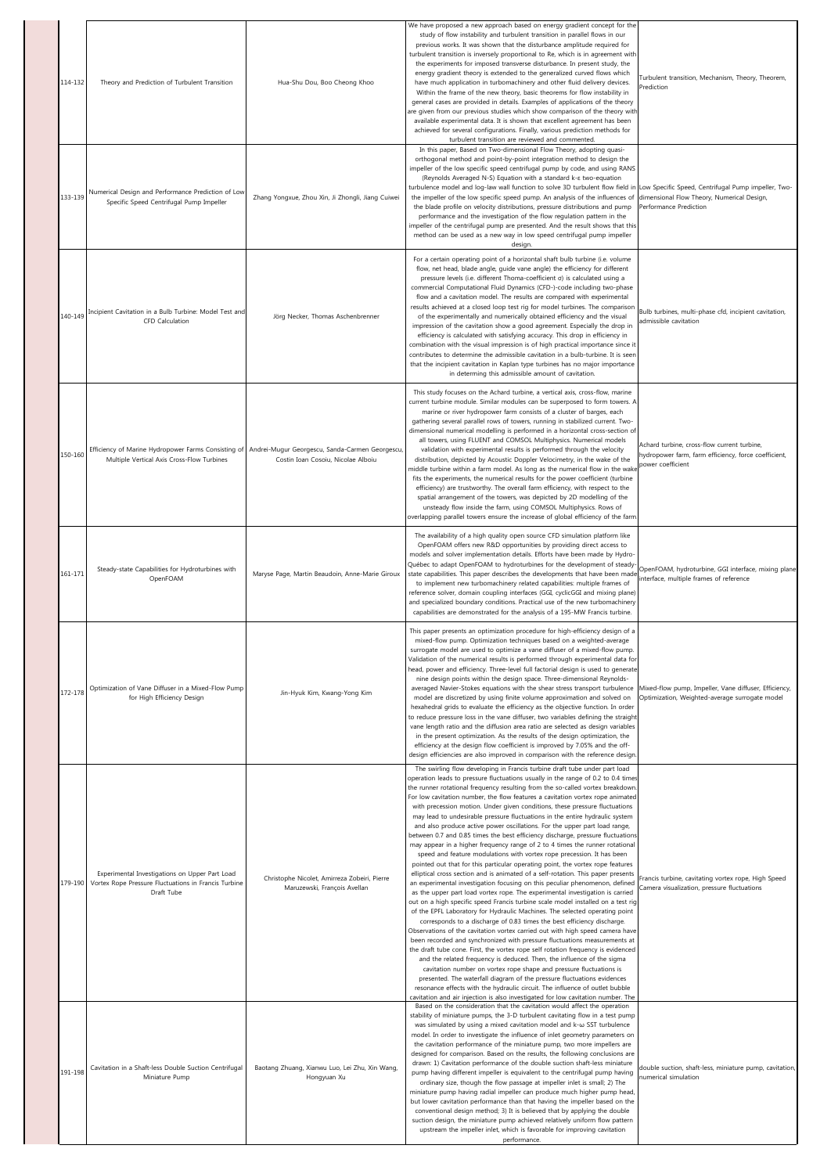| 114-132 | Theory and Prediction of Turbulent Transition<br>Numerical Design and Performance Prediction of Low                          | Hua-Shu Dou, Boo Cheong Khoo                                                         | We have proposed a new approach based on energy gradient concept for the<br>study of flow instability and turbulent transition in parallel flows in our<br>previous works. It was shown that the disturbance amplitude required for<br>turbulent transition is inversely proportional to Re, which is in agreement with<br>the experiments for imposed transverse disturbance. In present study, the<br>energy gradient theory is extended to the generalized curved flows which<br>have much application in turbomachinery and other fluid delivery devices.<br>Within the frame of the new theory, basic theorems for flow instability in<br>general cases are provided in details. Examples of applications of the theory<br>are given from our previous studies which show comparison of the theory with<br>available experimental data. It is shown that excellent agreement has been<br>achieved for several configurations. Finally, various prediction methods for<br>turbulent transition are reviewed and commented.<br>In this paper, Based on Two-dimensional Flow Theory, adopting quasi-<br>orthogonal method and point-by-point integration method to design the<br>impeller of the low specific speed centrifugal pump by code, and using RANS<br>(Reynolds Averaged N-S) Equation with a standard k-& two-equation<br>turbulence model and log-law wall function to solve 3D turbulent flow field in Low Specific Speed, Centrifugal Pump impeller, Two-                                                                                                                                                                                                                                                                                                                                                                                                                                                                                                            | Turbulent transition, Mechanism, Theory, Theorem,<br>Prediction                                                          |
|---------|------------------------------------------------------------------------------------------------------------------------------|--------------------------------------------------------------------------------------|--------------------------------------------------------------------------------------------------------------------------------------------------------------------------------------------------------------------------------------------------------------------------------------------------------------------------------------------------------------------------------------------------------------------------------------------------------------------------------------------------------------------------------------------------------------------------------------------------------------------------------------------------------------------------------------------------------------------------------------------------------------------------------------------------------------------------------------------------------------------------------------------------------------------------------------------------------------------------------------------------------------------------------------------------------------------------------------------------------------------------------------------------------------------------------------------------------------------------------------------------------------------------------------------------------------------------------------------------------------------------------------------------------------------------------------------------------------------------------------------------------------------------------------------------------------------------------------------------------------------------------------------------------------------------------------------------------------------------------------------------------------------------------------------------------------------------------------------------------------------------------------------------------------------------------------------------------------------------------------|--------------------------------------------------------------------------------------------------------------------------|
| 133-139 | Specific Speed Centrifugal Pump Impeller                                                                                     | Zhang Yongxue, Zhou Xin, Ji Zhongli, Jiang Cuiwei                                    | the impeller of the low specific speed pump. An analysis of the influences of<br>the blade profile on velocity distributions, pressure distributions and pump<br>performance and the investigation of the flow regulation pattern in the<br>impeller of the centrifugal pump are presented. And the result shows that this<br>method can be used as a new way in low speed centrifugal pump impeller<br>design.                                                                                                                                                                                                                                                                                                                                                                                                                                                                                                                                                                                                                                                                                                                                                                                                                                                                                                                                                                                                                                                                                                                                                                                                                                                                                                                                                                                                                                                                                                                                                                      | dimensional Flow Theory, Numerical Design,<br>Performance Prediction                                                     |
| 140-149 | Incipient Cavitation in a Bulb Turbine: Model Test and<br><b>CFD</b> Calculation                                             | Jörg Necker, Thomas Aschenbrenner                                                    | For a certain operating point of a horizontal shaft bulb turbine (i.e. volume<br>flow, net head, blade angle, guide vane angle) the efficiency for different<br>pressure levels (i.e. different Thoma-coefficient o) is calculated using a<br>commercial Computational Fluid Dynamics (CFD-)-code including two-phase<br>flow and a cavitation model. The results are compared with experimental<br>results achieved at a closed loop test rig for model turbines. The comparison<br>of the experimentally and numerically obtained efficiency and the visual<br>impression of the cavitation show a good agreement. Especially the drop in<br>efficiency is calculated with satisfying accuracy. This drop in efficiency in<br>combination with the visual impression is of high practical importance since it<br>contributes to determine the admissible cavitation in a bulb-turbine. It is seen<br>that the incipient cavitation in Kaplan type turbines has no major importance<br>in determing this admissible amount of cavitation.                                                                                                                                                                                                                                                                                                                                                                                                                                                                                                                                                                                                                                                                                                                                                                                                                                                                                                                                           | Bulb turbines, multi-phase cfd, incipient cavitation,<br>admissible cavitation                                           |
| 150-160 | Efficiency of Marine Hydropower Farms Consisting of<br>Multiple Vertical Axis Cross-Flow Turbines                            | Andrei-Mugur Georgescu, Sanda-Carmen Georgescu<br>Costin Ioan Cosoiu, Nicolae Alboiu | This study focuses on the Achard turbine, a vertical axis, cross-flow, marine<br>current turbine module. Similar modules can be superposed to form towers. A<br>marine or river hydropower farm consists of a cluster of barges, each<br>gathering several parallel rows of towers, running in stabilized current. Two-<br>dimensional numerical modelling is performed in a horizontal cross-section of<br>all towers, using FLUENT and COMSOL Multiphysics. Numerical models<br>validation with experimental results is performed through the velocity<br>distribution, depicted by Acoustic Doppler Velocimetry, in the wake of the<br>middle turbine within a farm model. As long as the numerical flow in the wake<br>fits the experiments, the numerical results for the power coefficient (turbine<br>efficiency) are trustworthy. The overall farm efficiency, with respect to the<br>spatial arrangement of the towers, was depicted by 2D modelling of the<br>unsteady flow inside the farm, using COMSOL Multiphysics. Rows of<br>overlapping parallel towers ensure the increase of global efficiency of the farm                                                                                                                                                                                                                                                                                                                                                                                                                                                                                                                                                                                                                                                                                                                                                                                                                                                        | Achard turbine, cross-flow current turbine,<br>hydropower farm, farm efficiency, force coefficient,<br>power coefficient |
| 161-171 | Steady-state Capabilities for Hydroturbines with<br>OpenFOAM                                                                 | Maryse Page, Martin Beaudoin, Anne-Marie Giroux                                      | The availability of a high quality open source CFD simulation platform like<br>OpenFOAM offers new R&D opportunities by providing direct access to<br>models and solver implementation details. Efforts have been made by Hydro-<br>Québec to adapt OpenFOAM to hydroturbines for the development of steady-<br>state capabilities. This paper describes the developments that have been made<br>to implement new turbomachinery related capabilities: multiple frames of<br>reference solver, domain coupling interfaces (GGI, cyclicGGI and mixing plane)<br>and specialized boundary conditions. Practical use of the new turbomachinery<br>capabilities are demonstrated for the analysis of a 195-MW Francis turbine.                                                                                                                                                                                                                                                                                                                                                                                                                                                                                                                                                                                                                                                                                                                                                                                                                                                                                                                                                                                                                                                                                                                                                                                                                                                           | OpenFOAM, hydroturbine, GGI interface, mixing plane<br>interface, multiple frames of reference                           |
| 172-178 | Optimization of Vane Diffuser in a Mixed-Flow Pump<br>for High Efficiency Design                                             | Jin-Hyuk Kim, Kwang-Yong Kim                                                         | This paper presents an optimization procedure for high-efficiency design of a<br>mixed-flow pump. Optimization techniques based on a weighted-average<br>surrogate model are used to optimize a vane diffuser of a mixed-flow pump.<br>Validation of the numerical results is performed through experimental data for<br>head, power and efficiency. Three-level full factorial design is used to generate<br>nine design points within the design space. Three-dimensional Reynolds-<br>averaged Navier-Stokes equations with the shear stress transport turbulence<br>model are discretized by using finite volume approximation and solved on<br>hexahedral grids to evaluate the efficiency as the objective function. In order<br>to reduce pressure loss in the vane diffuser, two variables defining the straight<br>vane length ratio and the diffusion area ratio are selected as design variables<br>in the present optimization. As the results of the design optimization, the<br>efficiency at the design flow coefficient is improved by 7.05% and the off-<br>design efficiencies are also improved in comparison with the reference design<br>The swirling flow developing in Francis turbine draft tube under part load                                                                                                                                                                                                                                                                                                                                                                                                                                                                                                                                                                                                                                                                                                                                             | Mixed-flow pump, Impeller, Vane diffuser, Efficiency,<br>Optimization, Weighted-average surrogate model                  |
|         | Experimental Investigations on Upper Part Load<br>179-190 Vortex Rope Pressure Fluctuations in Francis Turbine<br>Draft Tube | Christophe Nicolet, Amirreza Zobeiri, Pierre<br>Maruzewski, François Avellan         | operation leads to pressure fluctuations usually in the range of 0.2 to 0.4 times<br>the runner rotational frequency resulting from the so-called vortex breakdown<br>For low cavitation number, the flow features a cavitation vortex rope animated<br>with precession motion. Under given conditions, these pressure fluctuations<br>may lead to undesirable pressure fluctuations in the entire hydraulic system<br>and also produce active power oscillations. For the upper part load range,<br>between 0.7 and 0.85 times the best efficiency discharge, pressure fluctuations<br>may appear in a higher frequency range of 2 to 4 times the runner rotational<br>speed and feature modulations with vortex rope precession. It has been<br>pointed out that for this particular operating point, the vortex rope features<br>elliptical cross section and is animated of a self-rotation. This paper presents<br>an experimental investigation focusing on this peculiar phenomenon, defined<br>as the upper part load vortex rope. The experimental investigation is carried<br>out on a high specific speed Francis turbine scale model installed on a test rig<br>of the EPFL Laboratory for Hydraulic Machines. The selected operating point<br>corresponds to a discharge of 0.83 times the best efficiency discharge.<br>Observations of the cavitation vortex carried out with high speed camera have<br>been recorded and synchronized with pressure fluctuations measurements at<br>the draft tube cone. First, the vortex rope self rotation frequency is evidenced<br>and the related frequency is deduced. Then, the influence of the sigma<br>cavitation number on vortex rope shape and pressure fluctuations is<br>presented. The waterfall diagram of the pressure fluctuations evidences<br>resonance effects with the hydraulic circuit. The influence of outlet bubble<br>cavitation and air injection is also investigated for low cavitation number. The | Francis turbine, cavitating vortex rope, High Speed<br>Camera visualization, pressure fluctuations                       |
| 191-198 | Cavitation in a Shaft-less Double Suction Centrifugal<br>Miniature Pump                                                      | Baotang Zhuang, Xianwu Luo, Lei Zhu, Xin Wang,<br>Hongyuan Xu                        | Based on the consideration that the cavitation would affect the operation<br>stability of miniature pumps, the 3-D turbulent cavitating flow in a test pump<br>was simulated by using a mixed cavitation model and k-w SST turbulence<br>model. In order to investigate the influence of inlet geometry parameters on<br>the cavitation performance of the miniature pump, two more impellers are<br>designed for comparison. Based on the results, the following conclusions are<br>drawn: 1) Cavitation performance of the double suction shaft-less miniature<br>pump having different impeller is equivalent to the centrifugal pump having<br>ordinary size, though the flow passage at impeller inlet is small; 2) The<br>miniature pump having radial impeller can produce much higher pump head,<br>but lower cavitation performance than that having the impeller based on the<br>conventional design method; 3) It is believed that by applying the double<br>suction design, the miniature pump achieved relatively uniform flow pattern<br>upstream the impeller inlet, which is favorable for improving cavitation<br>performance.                                                                                                                                                                                                                                                                                                                                                                                                                                                                                                                                                                                                                                                                                                                                                                                                                                      | double suction, shaft-less, miniature pump, cavitation,<br>numerical simulation                                          |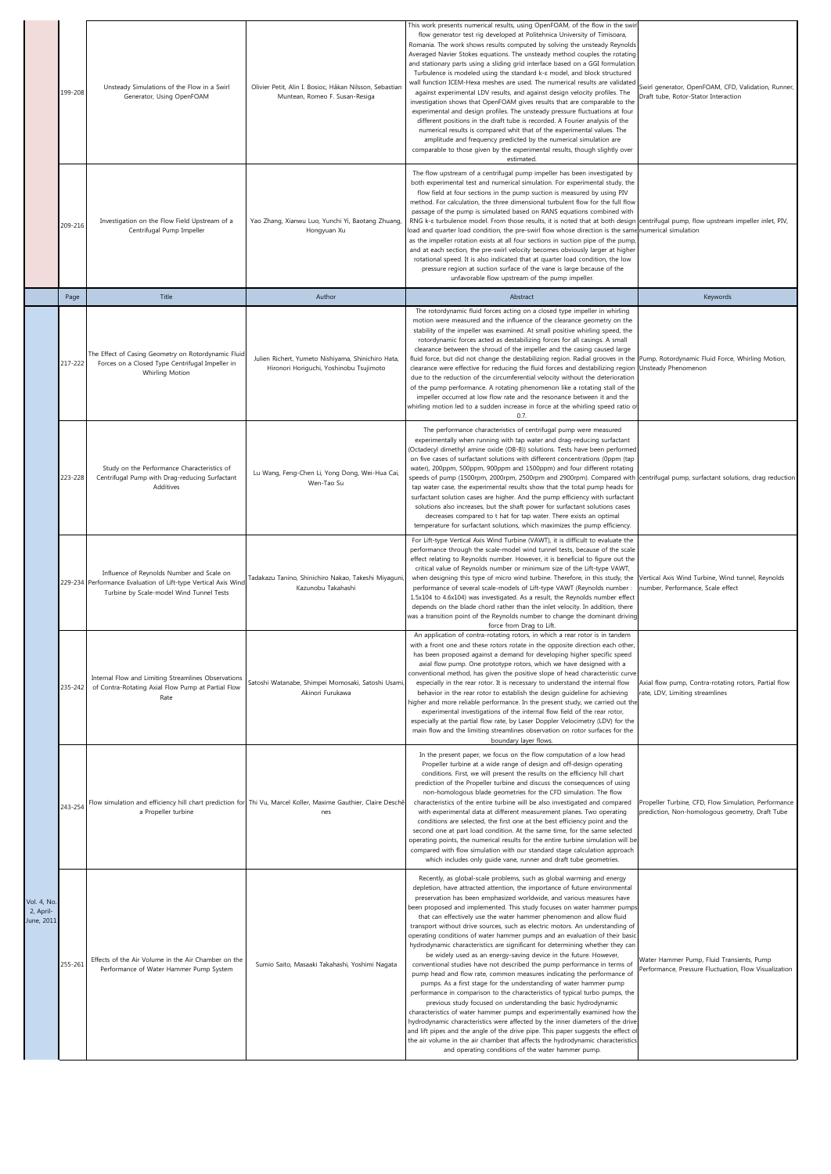|                                        | 199-208 | Unsteady Simulations of the Flow in a Swirl<br>Generator, Using OpenFOAM                                                                                | Olivier Petit, Alin I. Bosioc, Håkan Nilsson, Sebastian<br>Muntean, Romeo F. Susan-Resiga                             | This work presents numerical results, using OpenFOAM, of the flow in the swir<br>flow generator test rig developed at Politehnica University of Timisoara,<br>Romania. The work shows results computed by solving the unsteady Reynolds<br>Averaged Navier Stokes equations. The unsteady method couples the rotating<br>and stationary parts using a sliding grid interface based on a GGI formulation.<br>Turbulence is modeled using the standard k-& model, and block structured<br>wall function ICEM-Hexa meshes are used. The numerical results are validated<br>against experimental LDV results, and against design velocity profiles. The<br>investigation shows that OpenFOAM gives results that are comparable to the<br>experimental and design profiles. The unsteady pressure fluctuations at four<br>different positions in the draft tube is recorded. A Fourier analysis of the<br>numerical results is compared whit that of the experimental values. The<br>amplitude and frequency predicted by the numerical simulation are<br>comparable to those given by the experimental results, though slightly over<br>estimated.                                                                                                                                                                                                                                                                                                                                    | Swirl generator, OpenFOAM, CFD, Validation, Runner,<br>Draft tube, Rotor-Stator Interaction             |
|----------------------------------------|---------|---------------------------------------------------------------------------------------------------------------------------------------------------------|-----------------------------------------------------------------------------------------------------------------------|-----------------------------------------------------------------------------------------------------------------------------------------------------------------------------------------------------------------------------------------------------------------------------------------------------------------------------------------------------------------------------------------------------------------------------------------------------------------------------------------------------------------------------------------------------------------------------------------------------------------------------------------------------------------------------------------------------------------------------------------------------------------------------------------------------------------------------------------------------------------------------------------------------------------------------------------------------------------------------------------------------------------------------------------------------------------------------------------------------------------------------------------------------------------------------------------------------------------------------------------------------------------------------------------------------------------------------------------------------------------------------------------------------------------------------------------------------------------------------------|---------------------------------------------------------------------------------------------------------|
|                                        | 209-216 | Investigation on the Flow Field Upstream of a<br>Centrifugal Pump Impeller                                                                              | Yao Zhang, Xianwu Luo, Yunchi Yi, Baotang Zhuang,<br>Hongyuan Xu                                                      | The flow upstream of a centrifugal pump impeller has been investigated by<br>both experimental test and numerical simulation. For experimental study, the<br>flow field at four sections in the pump suction is measured by using PIV<br>method. For calculation, the three dimensional turbulent flow for the full flow<br>passage of the pump is simulated based on RANS equations combined with<br>RNG k-ε turbulence model. From those results, it is noted that at both design centrifugal pump, flow upstream impeller inlet, PIV,<br>load and quarter load condition, the pre-swirl flow whose direction is the same numerical simulation<br>as the impeller rotation exists at all four sections in suction pipe of the pump<br>and at each section, the pre-swirl velocity becomes obviously larger at higher<br>rotational speed. It is also indicated that at quarter load condition, the low<br>pressure region at suction surface of the vane is large because of the<br>unfavorable flow upstream of the pump impeller.                                                                                                                                                                                                                                                                                                                                                                                                                                             |                                                                                                         |
|                                        | Page    | Title                                                                                                                                                   | Author                                                                                                                | Abstract                                                                                                                                                                                                                                                                                                                                                                                                                                                                                                                                                                                                                                                                                                                                                                                                                                                                                                                                                                                                                                                                                                                                                                                                                                                                                                                                                                                                                                                                          | Keywords                                                                                                |
|                                        | 217-222 | The Effect of Casing Geometry on Rotordynamic Fluid<br>Forces on a Closed Type Centrifugal Impeller in<br>Whirling Motion                               | Julien Richert, Yumeto Nishiyama, Shinichiro Hata,<br>Hironori Horiguchi, Yoshinobu Tsujimoto                         | The rotordynamic fluid forces acting on a closed type impeller in whirling<br>motion were measured and the influence of the clearance geometry on the<br>stability of the impeller was examined. At small positive whirling speed, the<br>rotordynamic forces acted as destabilizing forces for all casings. A small<br>clearance between the shroud of the impeller and the casing caused large<br>fluid force, but did not change the destabilizing region. Radial grooves in the<br>clearance were effective for reducing the fluid forces and destabilizing region<br>due to the reduction of the circumferential velocity without the deterioration<br>of the pump performance. A rotating phenomenon like a rotating stall of the<br>impeller occurred at low flow rate and the resonance between it and the<br>whirling motion led to a sudden increase in force at the whirling speed ratio o<br>0.7.                                                                                                                                                                                                                                                                                                                                                                                                                                                                                                                                                                     | Pump, Rotordynamic Fluid Force, Whirling Motion,<br>Unsteady Phenomenon                                 |
|                                        | 223-228 | Study on the Performance Characteristics of<br>Centrifugal Pump with Drag-reducing Surfactant<br>Additives                                              | Lu Wang, Feng-Chen Li, Yong Dong, Wei-Hua Cai,<br>Wen-Tao Su                                                          | The performance characteristics of centrifugal pump were measured<br>experimentally when running with tap water and drag-reducing surfactant<br>(Octadecyl dimethyl amine oxide (OB-8)) solutions. Tests have been performed<br>on five cases of surfactant solutions with different concentrations (0ppm (tap<br>water), 200ppm, 500ppm, 900ppm and 1500ppm) and four different rotating<br>speeds of pump (1500rpm, 2000rpm, 2500rpm and 2900rpm). Compared with<br>tap water case, the experimental results show that the total pump heads for<br>surfactant solution cases are higher. And the pump efficiency with surfactant<br>solutions also increases, but the shaft power for surfactant solutions cases<br>decreases compared to t hat for tap water. There exists an optimal<br>temperature for surfactant solutions, which maximizes the pump efficiency.                                                                                                                                                                                                                                                                                                                                                                                                                                                                                                                                                                                                            | centrifugal pump, surfactant solutions, drag reduction                                                  |
|                                        |         | Influence of Reynolds Number and Scale on<br>229-234 Performance Evaluation of Lift-type Vertical Axis Wind<br>Turbine by Scale-model Wind Tunnel Tests | Tadakazu Tanino, Shinichiro Nakao, Takeshi Miyaquni<br>Kazunobu Takahashi                                             | For Lift-type Vertical Axis Wind Turbine (VAWT), it is difficult to evaluate the<br>performance through the scale-model wind tunnel tests, because of the scale<br>effect relating to Reynolds number. However, it is beneficial to figure out the<br>critical value of Reynolds number or minimum size of the Lift-type VAWT,<br>when designing this type of micro wind turbine. Therefore, in this study, the<br>performance of several scale-models of Lift-type VAWT (Reynolds number :<br>1.5x104 to 4.6x104) was investigated. As a result, the Reynolds number effect<br>depends on the blade chord rather than the inlet velocity. In addition, there<br>was a transition point of the Reynolds number to change the dominant driving<br>force from Drag to Lift.                                                                                                                                                                                                                                                                                                                                                                                                                                                                                                                                                                                                                                                                                                         | Vertical Axis Wind Turbine, Wind tunnel, Reynolds<br>number, Performance, Scale effect                  |
|                                        | 235-242 | Internal Flow and Limiting Streamlines Observations<br>of Contra-Rotating Axial Flow Pump at Partial Flow<br>Rate                                       | Satoshi Watanabe, Shimpei Momosaki, Satoshi Usami,<br>Akinori Furukawa                                                | An application of contra-rotating rotors, in which a rear rotor is in tandem<br>with a front one and these rotors rotate in the opposite direction each other,<br>has been proposed against a demand for developing higher specific speed<br>axial flow pump. One prototype rotors, which we have designed with a<br>conventional method, has given the positive slope of head characteristic curve<br>especially in the rear rotor. It is necessary to understand the internal flow<br>behavior in the rear rotor to establish the design guideline for achieving<br>higher and more reliable performance. In the present study, we carried out the<br>experimental investigations of the internal flow field of the rear rotor,<br>especially at the partial flow rate, by Laser Doppler Velocimetry (LDV) for the<br>main flow and the limiting streamlines observation on rotor surfaces for the<br>boundary layer flows.                                                                                                                                                                                                                                                                                                                                                                                                                                                                                                                                                     | Axial flow pump, Contra-rotating rotors, Partial flow<br>rate, LDV, Limiting streamlines                |
|                                        | 243-254 | a Propeller turbine                                                                                                                                     | Flow simulation and efficiency hill chart prediction for Thi Vu, Marcel Koller, Maxime Gauthier, Claire Deschê<br>nes | In the present paper, we focus on the flow computation of a low head<br>Propeller turbine at a wide range of design and off-design operating<br>conditions. First, we will present the results on the efficiency hill chart<br>prediction of the Propeller turbine and discuss the consequences of using<br>non-homologous blade geometries for the CFD simulation. The flow<br>characteristics of the entire turbine will be also investigated and compared<br>with experimental data at different measurement planes. Two operating<br>conditions are selected, the first one at the best efficiency point and the<br>second one at part load condition. At the same time, for the same selected<br>operating points, the numerical results for the entire turbine simulation will be<br>compared with flow simulation with our standard stage calculation approach<br>which includes only guide vane, runner and draft tube geometries.                                                                                                                                                                                                                                                                                                                                                                                                                                                                                                                                        | Propeller Turbine, CFD, Flow Simulation, Performance<br>prediction, Non-homologous geometry, Draft Tube |
| Vol. 4, No.<br>2, April-<br>June, 2011 | 255-261 | Effects of the Air Volume in the Air Chamber on the<br>Performance of Water Hammer Pump System                                                          | Sumio Saito, Masaaki Takahashi, Yoshimi Nagata                                                                        | Recently, as global-scale problems, such as global warming and energy<br>depletion, have attracted attention, the importance of future environmental<br>preservation has been emphasized worldwide, and various measures have<br>been proposed and implemented. This study focuses on water hammer pumps<br>that can effectively use the water hammer phenomenon and allow fluid<br>transport without drive sources, such as electric motors. An understanding of<br>operating conditions of water hammer pumps and an evaluation of their basic<br>hydrodynamic characteristics are significant for determining whether they can<br>be widely used as an energy-saving device in the future. However,<br>conventional studies have not described the pump performance in terms of<br>pump head and flow rate, common measures indicating the performance of<br>pumps. As a first stage for the understanding of water hammer pump<br>performance in comparison to the characteristics of typical turbo pumps, the<br>previous study focused on understanding the basic hydrodynamic<br>characteristics of water hammer pumps and experimentally examined how the<br>hydrodynamic characteristics were affected by the inner diameters of the drive<br>and lift pipes and the angle of the drive pipe. This paper suggests the effect of<br>the air volume in the air chamber that affects the hydrodynamic characteristics<br>and operating conditions of the water hammer pump. | Water Hammer Pump, Fluid Transients, Pump<br>Performance, Pressure Fluctuation, Flow Visualization      |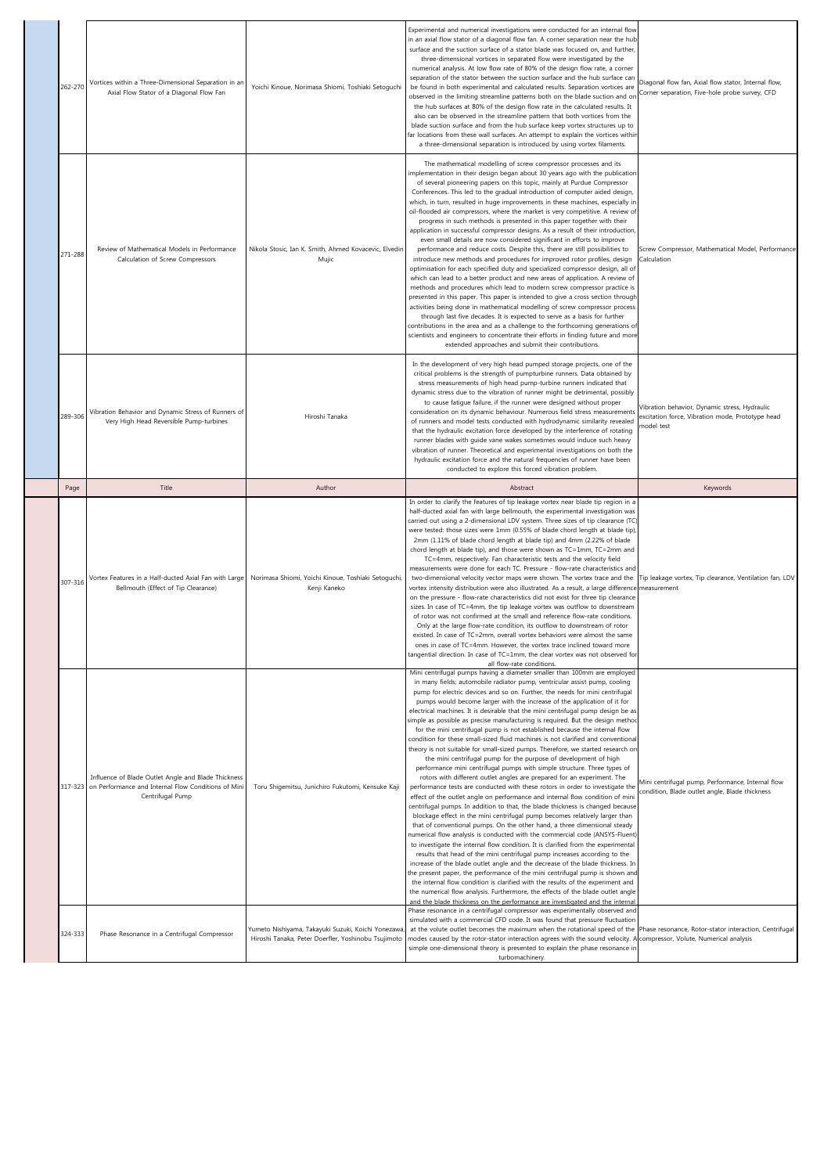| 262-270 | Vortices within a Three-Dimensional Separation in an<br>Axial Flow Stator of a Diagonal Flow Fan                                       | Yoichi Kinoue, Norimasa Shiomi, Toshiaki Setoquchi                  | Experimental and numerical investigations were conducted for an internal flow<br>in an axial flow stator of a diagonal flow fan. A corner separation near the hub<br>surface and the suction surface of a stator blade was focused on, and further<br>three-dimensional vortices in separated flow were investigated by the<br>numerical analysis. At low flow rate of 80% of the design flow rate, a corner<br>separation of the stator between the suction surface and the hub surface can<br>be found in both experimental and calculated results. Separation vortices are<br>observed in the limiting streamline patterns both on the blade suction and or<br>the hub surfaces at 80% of the design flow rate in the calculated results. It<br>also can be observed in the streamline pattern that both vortices from the<br>blade suction surface and from the hub surface keep vortex structures up to<br>far locations from these wall surfaces. An attempt to explain the vortices withir<br>a three-dimensional separation is introduced by using vortex filaments.                                                                                                                                                                                                                                                                                                                                                                                                                                                                                                                                                                                                                                                                                                                                                                                                                                                                                                           | Diagonal flow fan, Axial flow stator, Internal flow,<br>Corner separation, Five-hole probe survey, CFD          |
|---------|----------------------------------------------------------------------------------------------------------------------------------------|---------------------------------------------------------------------|----------------------------------------------------------------------------------------------------------------------------------------------------------------------------------------------------------------------------------------------------------------------------------------------------------------------------------------------------------------------------------------------------------------------------------------------------------------------------------------------------------------------------------------------------------------------------------------------------------------------------------------------------------------------------------------------------------------------------------------------------------------------------------------------------------------------------------------------------------------------------------------------------------------------------------------------------------------------------------------------------------------------------------------------------------------------------------------------------------------------------------------------------------------------------------------------------------------------------------------------------------------------------------------------------------------------------------------------------------------------------------------------------------------------------------------------------------------------------------------------------------------------------------------------------------------------------------------------------------------------------------------------------------------------------------------------------------------------------------------------------------------------------------------------------------------------------------------------------------------------------------------------------------------------------------------------------------------------------------------|-----------------------------------------------------------------------------------------------------------------|
| 271-288 | Review of Mathematical Models in Performance<br>Calculation of Screw Compressors                                                       | Nikola Stosic, Ian K. Smith, Ahmed Kovacevic, Elvedin<br>Mujic      | The mathematical modelling of screw compressor processes and its<br>implementation in their design began about 30 years ago with the publication<br>of several pioneering papers on this topic, mainly at Purdue Compressor<br>Conferences. This led to the gradual introduction of computer aided design,<br>which, in turn, resulted in huge improvements in these machines, especially ir<br>oil-flooded air compressors, where the market is very competitive. A review of<br>progress in such methods is presented in this paper together with their<br>application in successful compressor designs. As a result of their introduction,<br>even small details are now considered significant in efforts to improve<br>performance and reduce costs. Despite this, there are still possibilities to<br>introduce new methods and procedures for improved rotor profiles, design<br>optimisation for each specified duty and specialized compressor design, all of<br>which can lead to a better product and new areas of application. A review of<br>methods and procedures which lead to modern screw compressor practice is<br>presented in this paper. This paper is intended to give a cross section through<br>activities being done in mathematical modelling of screw compressor process<br>through last five decades. It is expected to serve as a basis for further<br>contributions in the area and as a challenge to the forthcoming generations of<br>scientists and engineers to concentrate their efforts in finding future and more<br>extended approaches and submit their contributions.                                                                                                                                                                                                                                                                                                                                                                         | Screw Compressor, Mathematical Model, Performance<br>Calculation                                                |
| 289-306 | Vibration Behavior and Dynamic Stress of Runners of<br>Very High Head Reversible Pump-turbines                                         | Hiroshi Tanaka                                                      | In the development of very high head pumped storage projects, one of the<br>critical problems is the strength of pumpturbine runners. Data obtained by<br>stress measurements of high head pump-turbine runners indicated that<br>dynamic stress due to the vibration of runner might be detrimental, possibly<br>to cause fatigue failure, if the runner were designed without proper<br>consideration on its dynamic behaviour. Numerous field stress measurements<br>of runners and model tests conducted with hydrodynamic similarity revealed<br>that the hydraulic excitation force developed by the interference of rotating<br>runner blades with guide vane wakes sometimes would induce such heavy<br>vibration of runner. Theoretical and experimental investigations on both the<br>hydraulic excitation force and the natural frequencies of runner have been<br>conducted to explore this forced vibration problem.                                                                                                                                                                                                                                                                                                                                                                                                                                                                                                                                                                                                                                                                                                                                                                                                                                                                                                                                                                                                                                                      | Vibration behavior, Dynamic stress, Hydraulic<br>excitation force, Vibration mode, Prototype head<br>model test |
| Page    | Title                                                                                                                                  | Author                                                              | Abstract                                                                                                                                                                                                                                                                                                                                                                                                                                                                                                                                                                                                                                                                                                                                                                                                                                                                                                                                                                                                                                                                                                                                                                                                                                                                                                                                                                                                                                                                                                                                                                                                                                                                                                                                                                                                                                                                                                                                                                               | Keywords                                                                                                        |
| 307-316 | Vortex Features in a Half-ducted Axial Fan with Large<br>Bellmouth (Effect of Tip Clearance)                                           | Norimasa Shiomi, Yoichi Kinoue, Toshiaki Setoguchi,<br>Kenji Kaneko | In order to clarify the features of tip leakage vortex near blade tip region in a<br>half-ducted axial fan with large bellmouth, the experimental investigation was<br>carried out using a 2-dimensional LDV system. Three sizes of tip clearance (TC)<br>were tested: those sizes were 1mm (0.55% of blade chord length at blade tip),<br>2mm (1.11% of blade chord length at blade tip) and 4mm (2.22% of blade<br>chord length at blade tip), and those were shown as TC=1mm, TC=2mm and<br>TC=4mm, respectively. Fan characteristic tests and the velocity field<br>measurements were done for each TC. Pressure - flow-rate characteristics and<br>two-dimensional velocity vector maps were shown. The vortex trace and the  Tip leakage vortex, Tip clearance, Ventilation fan, LDV<br>vortex intensity distribution were also illustrated. As a result, a large difference<br>on the pressure - flow-rate characteristics did not exist for three tip clearance<br>sizes. In case of TC=4mm, the tip leakage vortex was outflow to downstream<br>of rotor was not confirmed at the small and reference flow-rate conditions.<br>Only at the large flow-rate condition, its outflow to downstream of rotor<br>existed. In case of TC=2mm, overall vortex behaviors were almost the same<br>ones in case of TC=4mm. However, the vortex trace inclined toward more<br>tangential direction. In case of TC=1mm, the clear vortex was not observed for<br>all flow-rate conditions.                                                                                                                                                                                                                                                                                                                                                                                                                                                                                                | measurement                                                                                                     |
|         |                                                                                                                                        |                                                                     | Mini centrifugal pumps having a diameter smaller than 100mm are employed                                                                                                                                                                                                                                                                                                                                                                                                                                                                                                                                                                                                                                                                                                                                                                                                                                                                                                                                                                                                                                                                                                                                                                                                                                                                                                                                                                                                                                                                                                                                                                                                                                                                                                                                                                                                                                                                                                               |                                                                                                                 |
|         | Influence of Blade Outlet Angle and Blade Thickness<br>317-323 on Performance and Internal Flow Conditions of Mini<br>Centrifugal Pump | Toru Shigemitsu, Junichiro Fukutomi, Kensuke Kaji                   | in many fields; automobile radiator pump, ventricular assist pump, cooling<br>pump for electric devices and so on. Further, the needs for mini centrifugal<br>pumps would become larger with the increase of the application of it for<br>electrical machines. It is desirable that the mini centrifugal pump design be as<br>simple as possible as precise manufacturing is required. But the design methoc<br>for the mini centrifugal pump is not established because the internal flow<br>condition for these small-sized fluid machines is not clarified and conventional<br>theory is not suitable for small-sized pumps. Therefore, we started research on<br>the mini centrifugal pump for the purpose of development of high<br>performance mini centrifugal pumps with simple structure. Three types of<br>rotors with different outlet angles are prepared for an experiment. The<br>performance tests are conducted with these rotors in order to investigate the<br>effect of the outlet angle on performance and internal flow condition of mini<br>centrifugal pumps. In addition to that, the blade thickness is changed because<br>blockage effect in the mini centrifugal pump becomes relatively larger than<br>that of conventional pumps. On the other hand, a three dimensional steady<br>numerical flow analysis is conducted with the commercial code (ANSYS-Fluent)<br>to investigate the internal flow condition. It is clarified from the experimental<br>results that head of the mini centrifugal pump increases according to the<br>increase of the blade outlet angle and the decrease of the blade thickness. In<br>the present paper, the performance of the mini centrifugal pump is shown and<br>the internal flow condition is clarified with the results of the experiment and<br>the numerical flow analysis. Furthermore, the effects of the blade outlet angle<br>and the blade thickness on the performance are investigated and the internal | Mini centrifugal pump, Performance, Internal flow<br>condition, Blade outlet angle, Blade thickness             |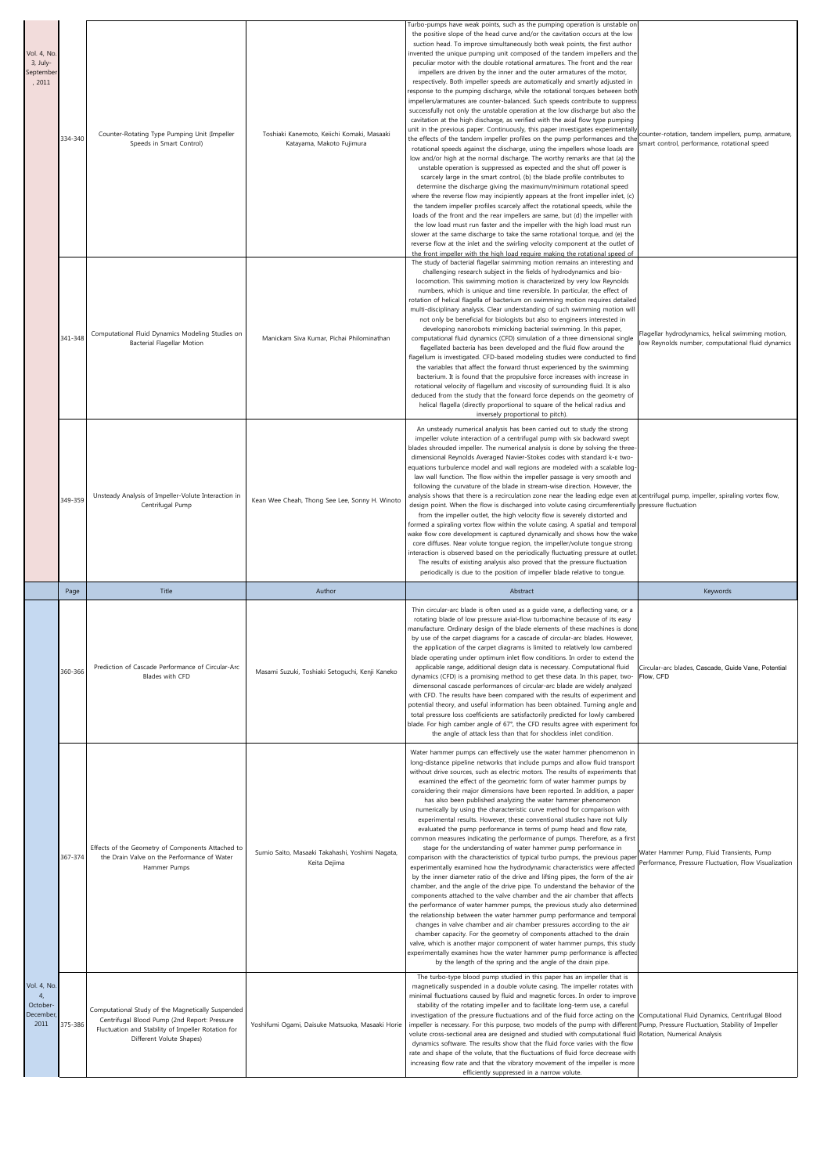| Vol. 4, No.<br>3, July-<br>September<br>, 2011 | 334-340 | Counter-Rotating Type Pumping Unit (Impeller<br>Speeds in Smart Control)                                         | Toshiaki Kanemoto, Keiichi Komaki, Masaaki<br>Katayama, Makoto Fujimura | furbo-pumps have weak points, such as the pumping operation is unstable on<br>the positive slope of the head curve and/or the cavitation occurs at the low<br>suction head. To improve simultaneously both weak points, the first author<br>invented the unique pumping unit composed of the tandem impellers and the<br>peculiar motor with the double rotational armatures. The front and the rear<br>impellers are driven by the inner and the outer armatures of the motor,<br>respectively. Both impeller speeds are automatically and smartly adjusted in<br>response to the pumping discharge, while the rotational torques between both<br>impellers/armatures are counter-balanced. Such speeds contribute to suppress<br>successfully not only the unstable operation at the low discharge but also the<br>cavitation at the high discharge, as verified with the axial flow type pumping<br>unit in the previous paper. Continuously, this paper investigates experimentally<br>the effects of the tandem impeller profiles on the pump performances and the<br>rotational speeds against the discharge, using the impellers whose loads are<br>low and/or high at the normal discharge. The worthy remarks are that (a) the<br>unstable operation is suppressed as expected and the shut off power is<br>scarcely large in the smart control, (b) the blade profile contributes to<br>determine the discharge giving the maximum/minimum rotational speed<br>where the reverse flow may incipiently appears at the front impeller inlet, (c)<br>the tandem impeller profiles scarcely affect the rotational speeds, while the<br>loads of the front and the rear impellers are same, but (d) the impeller with<br>the low load must run faster and the impeller with the high load must run<br>slower at the same discharge to take the same rotational torque, and (e) the<br>reverse flow at the inlet and the swirling velocity component at the outlet of | counter-rotation, tandem impellers, pump, armature,<br>smart control, performance, rotational speed    |
|------------------------------------------------|---------|------------------------------------------------------------------------------------------------------------------|-------------------------------------------------------------------------|---------------------------------------------------------------------------------------------------------------------------------------------------------------------------------------------------------------------------------------------------------------------------------------------------------------------------------------------------------------------------------------------------------------------------------------------------------------------------------------------------------------------------------------------------------------------------------------------------------------------------------------------------------------------------------------------------------------------------------------------------------------------------------------------------------------------------------------------------------------------------------------------------------------------------------------------------------------------------------------------------------------------------------------------------------------------------------------------------------------------------------------------------------------------------------------------------------------------------------------------------------------------------------------------------------------------------------------------------------------------------------------------------------------------------------------------------------------------------------------------------------------------------------------------------------------------------------------------------------------------------------------------------------------------------------------------------------------------------------------------------------------------------------------------------------------------------------------------------------------------------------------------------------------------------------------------------------------------------|--------------------------------------------------------------------------------------------------------|
|                                                | 341-348 | Computational Fluid Dynamics Modeling Studies on<br><b>Bacterial Flagellar Motion</b>                            | Manickam Siva Kumar, Pichai Philominathan                               | the front impeller with the high load require making the rotational speed of<br>The study of bacterial flagellar swimming motion remains an interesting and<br>challenging research subject in the fields of hydrodynamics and bio-<br>locomotion. This swimming motion is characterized by very low Reynolds<br>numbers, which is unique and time reversible. In particular, the effect of<br>rotation of helical flagella of bacterium on swimming motion requires detailed<br>multi-disciplinary analysis. Clear understanding of such swimming motion will<br>not only be beneficial for biologists but also to engineers interested in<br>developing nanorobots mimicking bacterial swimming. In this paper,<br>computational fluid dynamics (CFD) simulation of a three dimensional single<br>flagellated bacteria has been developed and the fluid flow around the<br>flagellum is investigated. CFD-based modeling studies were conducted to find<br>the variables that affect the forward thrust experienced by the swimming<br>bacterium. It is found that the propulsive force increases with increase in<br>rotational velocity of flagellum and viscosity of surrounding fluid. It is also<br>deduced from the study that the forward force depends on the geometry of<br>helical flagella (directly proportional to square of the helical radius and<br>inversely proportional to pitch).                                                                                                                                                                                                                                                                                                                                                                                                                                                                                                                                                                   | Flagellar hydrodynamics, helical swimming motion,<br>low Reynolds number, computational fluid dynamics |
|                                                | 349-359 | Unsteady Analysis of Impeller-Volute Interaction in<br>Centrifugal Pump                                          | Kean Wee Cheah, Thong See Lee, Sonny H. Winoto                          | An unsteady numerical analysis has been carried out to study the strong<br>impeller volute interaction of a centrifugal pump with six backward swept<br>blades shrouded impeller. The numerical analysis is done by solving the three-<br>dimensional Reynolds Averaged Navier-Stokes codes with standard k-& two-<br>equations turbulence model and wall regions are modeled with a scalable log-<br>law wall function. The flow within the impeller passage is very smooth and<br>following the curvature of the blade in stream-wise direction. However, the<br>analysis shows that there is a recirculation zone near the leading edge even at centrifugal pump, impeller, spiraling vortex flow,<br>design point. When the flow is discharged into volute casing circumferentially pressure fluctuation<br>from the impeller outlet, the high velocity flow is severely distorted and<br>formed a spiraling vortex flow within the volute casing. A spatial and temporal<br>wake flow core development is captured dynamically and shows how the wake<br>core diffuses. Near volute tongue region, the impeller/volute tongue strong<br>interaction is observed based on the periodically fluctuating pressure at outlet.<br>The results of existing analysis also proved that the pressure fluctuation<br>periodically is due to the position of impeller blade relative to tongue.                                                                                                                                                                                                                                                                                                                                                                                                                                                                                                                                                                                 |                                                                                                        |
|                                                |         |                                                                                                                  |                                                                         |                                                                                                                                                                                                                                                                                                                                                                                                                                                                                                                                                                                                                                                                                                                                                                                                                                                                                                                                                                                                                                                                                                                                                                                                                                                                                                                                                                                                                                                                                                                                                                                                                                                                                                                                                                                                                                                                                                                                                                           |                                                                                                        |
|                                                | Page    | Title                                                                                                            | Author                                                                  | Abstract                                                                                                                                                                                                                                                                                                                                                                                                                                                                                                                                                                                                                                                                                                                                                                                                                                                                                                                                                                                                                                                                                                                                                                                                                                                                                                                                                                                                                                                                                                                                                                                                                                                                                                                                                                                                                                                                                                                                                                  | Keywords                                                                                               |
|                                                | 360-366 | Prediction of Cascade Performance of Circular-Arc<br>Blades with CFD                                             | Masami Suzuki, Toshiaki Setoguchi, Kenji Kaneko                         | Thin circular-arc blade is often used as a guide vane, a deflecting vane, or a<br>rotating blade of low pressure axial-flow turbomachine because of its easy<br>manufacture. Ordinary design of the blade elements of these machines is done<br>by use of the carpet diagrams for a cascade of circular-arc blades. However,<br>the application of the carpet diagrams is limited to relatively low cambered<br>blade operating under optimum inlet flow conditions. In order to extend the<br>applicable range, additional design data is necessary. Computational fluid<br>dynamics (CFD) is a promising method to get these data. In this paper, two-<br>dimensonal cascade performances of circular-arc blade are widely analyzed<br>with CFD. The results have been compared with the results of experiment and<br>potential theory, and useful information has been obtained. Turning angle and<br>total pressure loss coefficients are satisfactorily predicted for lowly cambered<br>blade. For high camber angle of 67°, the CFD results agree with experiment for<br>the angle of attack less than that for shockless inlet condition.                                                                                                                                                                                                                                                                                                                                                                                                                                                                                                                                                                                                                                                                                                                                                                                                                          | Circular-arc blades, Cascade, Guide Vane, Potential<br>Flow, CFD                                       |
|                                                | 367-374 | Effects of the Geometry of Components Attached to<br>the Drain Valve on the Performance of Water<br>Hammer Pumps | Sumio Saito, Masaaki Takahashi, Yoshimi Nagata,<br>Keita Dejima         | Water hammer pumps can effectively use the water hammer phenomenon in<br>long-distance pipeline networks that include pumps and allow fluid transport<br>without drive sources, such as electric motors. The results of experiments that<br>examined the effect of the geometric form of water hammer pumps by<br>considering their major dimensions have been reported. In addition, a paper<br>has also been published analyzing the water hammer phenomenon<br>numerically by using the characteristic curve method for comparison with<br>experimental results. However, these conventional studies have not fully<br>evaluated the pump performance in terms of pump head and flow rate,<br>common measures indicating the performance of pumps. Therefore, as a first<br>stage for the understanding of water hammer pump performance in<br>comparison with the characteristics of typical turbo pumps, the previous paper<br>experimentally examined how the hydrodynamic characteristics were affected<br>by the inner diameter ratio of the drive and lifting pipes, the form of the air<br>chamber, and the angle of the drive pipe. To understand the behavior of the<br>components attached to the valve chamber and the air chamber that affects<br>the performance of water hammer pumps, the previous study also determined<br>the relationship between the water hammer pump performance and temporal<br>changes in valve chamber and air chamber pressures according to the air<br>chamber capacity. For the geometry of components attached to the drain<br>valve, which is another major component of water hammer pumps, this study<br>experimentally examines how the water hammer pump performance is affected<br>by the length of the spring and the angle of the drain pipe.<br>The turbo-type blood pump studied in this paper has an impeller that is                                                                                           | Water Hammer Pump, Fluid Transients, Pump<br>Performance, Pressure Fluctuation, Flow Visualization     |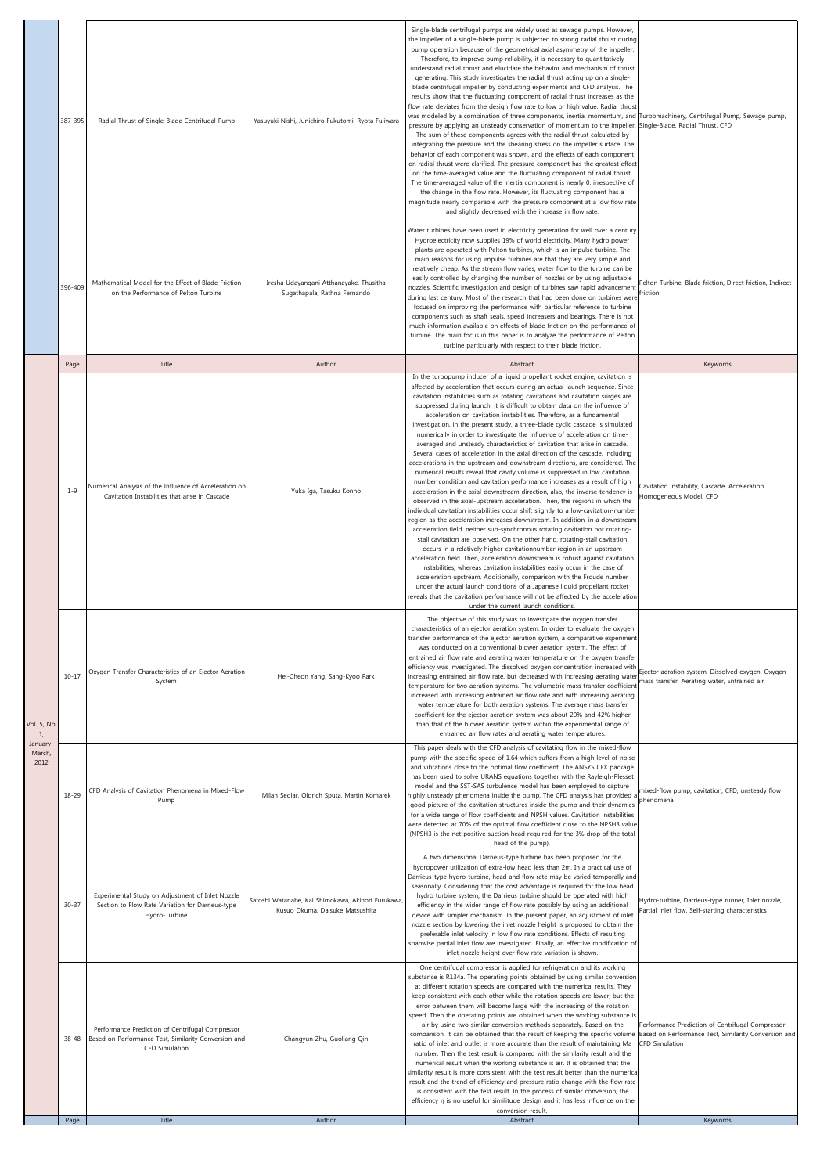|                            | 387-395   | Radial Thrust of Single-Blade Centrifugal Pump                                                                             | Yasuyuki Nishi, Junichiro Fukutomi, Ryota Fujiwara                                    | Single-blade centrifugal pumps are widely used as sewage pumps. However,<br>the impeller of a single-blade pump is subjected to strong radial thrust during<br>pump operation because of the geometrical axial asymmetry of the impeller.<br>Therefore, to improve pump reliability, it is necessary to quantitatively<br>understand radial thrust and elucidate the behavior and mechanism of thrust<br>generating. This study investigates the radial thrust acting up on a single-<br>blade centrifugal impeller by conducting experiments and CFD analysis. The<br>results show that the fluctuating component of radial thrust increases as the<br>flow rate deviates from the design flow rate to low or high value. Radial thrust<br>was modeled by a combination of three components, inertia, momentum, and<br>pressure by applying an unsteady conservation of momentum to the impeller.<br>The sum of these components agrees with the radial thrust calculated by<br>integrating the pressure and the shearing stress on the impeller surface. The<br>behavior of each component was shown, and the effects of each component<br>on radial thrust were clarified. The pressure component has the greatest effect<br>on the time-averaged value and the fluctuating component of radial thrust.<br>The time-averaged value of the inertia component is nearly 0, irrespective of<br>the change in the flow rate. However, its fluctuating component has a<br>magnitude nearly comparable with the pressure component at a low flow rate<br>and slightly decreased with the increase in flow rate.                                                                                                                                                                                                                                                                                                                            | Turbomachinery, Centrifugal Pump, Sewage pump,<br>Single-Blade, Radial Thrust, CFD                                         |
|----------------------------|-----------|----------------------------------------------------------------------------------------------------------------------------|---------------------------------------------------------------------------------------|-----------------------------------------------------------------------------------------------------------------------------------------------------------------------------------------------------------------------------------------------------------------------------------------------------------------------------------------------------------------------------------------------------------------------------------------------------------------------------------------------------------------------------------------------------------------------------------------------------------------------------------------------------------------------------------------------------------------------------------------------------------------------------------------------------------------------------------------------------------------------------------------------------------------------------------------------------------------------------------------------------------------------------------------------------------------------------------------------------------------------------------------------------------------------------------------------------------------------------------------------------------------------------------------------------------------------------------------------------------------------------------------------------------------------------------------------------------------------------------------------------------------------------------------------------------------------------------------------------------------------------------------------------------------------------------------------------------------------------------------------------------------------------------------------------------------------------------------------------------------------------------------------------------------------------------------|----------------------------------------------------------------------------------------------------------------------------|
|                            | 396-409   | Mathematical Model for the Effect of Blade Friction<br>on the Performance of Pelton Turbine                                | Iresha Udayangani Atthanayake, Thusitha<br>Sugathapala, Rathna Fernando               | Water turbines have been used in electricity generation for well over a century.<br>Hydroelectricity now supplies 19% of world electricity. Many hydro power<br>plants are operated with Pelton turbines, which is an impulse turbine. The<br>main reasons for using impulse turbines are that they are very simple and<br>relatively cheap. As the stream flow varies, water flow to the turbine can be<br>easily controlled by changing the number of nozzles or by using adjustable<br>nozzles. Scientific investigation and design of turbines saw rapid advancement<br>during last century. Most of the research that had been done on turbines were<br>focused on improving the performance with particular reference to turbine<br>components such as shaft seals, speed increasers and bearings. There is not<br>much information available on effects of blade friction on the performance of<br>turbine. The main focus in this paper is to analyze the performance of Pelton<br>turbine particularly with respect to their blade friction.                                                                                                                                                                                                                                                                                                                                                                                                                                                                                                                                                                                                                                                                                                                                                                                                                                                                                   | Pelton Turbine, Blade friction, Direct friction, Indirect<br>friction                                                      |
|                            | Page      | Title                                                                                                                      | Author                                                                                | Abstract<br>In the turbopump inducer of a liquid propellant rocket engine, cavitation is                                                                                                                                                                                                                                                                                                                                                                                                                                                                                                                                                                                                                                                                                                                                                                                                                                                                                                                                                                                                                                                                                                                                                                                                                                                                                                                                                                                                                                                                                                                                                                                                                                                                                                                                                                                                                                                | Keywords                                                                                                                   |
|                            | $1 - 9$   | Numerical Analysis of the Influence of Acceleration on<br>Cavitation Instabilities that arise in Cascade                   | Yuka Iga, Tasuku Konno                                                                | affected by acceleration that occurs during an actual launch sequence. Since<br>cavitation instabilities such as rotating cavitations and cavitation surges are<br>suppressed during launch, it is difficult to obtain data on the influence of<br>acceleration on cavitation instabilities. Therefore, as a fundamental<br>investigation, in the present study, a three-blade cyclic cascade is simulated<br>numerically in order to investigate the influence of acceleration on time-<br>averaged and unsteady characteristics of cavitation that arise in cascade.<br>Several cases of acceleration in the axial direction of the cascade, including<br>accelerations in the upstream and downstream directions, are considered. The<br>numerical results reveal that cavity volume is suppressed in low cavitation<br>number condition and cavitation performance increases as a result of high<br>acceleration in the axial-downstream direction, also, the inverse tendency is<br>observed in the axial-upstream acceleration. Then, the regions in which the<br>individual cavitation instabilities occur shift slightly to a low-cavitation-number<br>region as the acceleration increases downstream. In addition, in a downstream<br>acceleration field, neither sub-synchronous rotating cavitation nor rotating-<br>stall cavitation are observed. On the other hand, rotating-stall cavitation<br>occurs in a relatively higher-cavitationnumber region in an upstream<br>acceleration field. Then, acceleration downstream is robust against cavitation<br>instabilities, whereas cavitation instabilities easily occur in the case of<br>acceleration upstream. Additionally, comparison with the Froude number<br>under the actual launch conditions of a Japanese liquid propellant rocket<br>eveals that the cavitation performance will not be affected by the acceleration<br>under the current launch conditions. | Cavitation Instability, Cascade, Acceleration,<br>Homogeneous Model, CFD                                                   |
| /ol. 5, No<br>$\mathbf{1}$ | $10 - 17$ | Oxygen Transfer Characteristics of an Ejector Aeration<br>System                                                           | Hei-Cheon Yang, Sang-Kyoo Park                                                        | The objective of this study was to investigate the oxygen transfer<br>characteristics of an ejector aeration system. In order to evaluate the oxygen<br>transfer performance of the ejector aeration system, a comparative experiment<br>was conducted on a conventional blower aeration system. The effect of<br>entrained air flow rate and aerating water temperature on the oxygen transfer<br>efficiency was investigated. The dissolved oxygen concentration increased with<br>increasing entrained air flow rate, but decreased with increasing aerating wate<br>temperature for two aeration systems. The volumetric mass transfer coefficien<br>increased with increasing entrained air flow rate and with increasing aerating<br>water temperature for both aeration systems. The average mass transfer<br>coefficient for the ejector aeration system was about 20% and 42% higher<br>than that of the blower aeration system within the experimental range of<br>entrained air flow rates and aerating water temperatures.                                                                                                                                                                                                                                                                                                                                                                                                                                                                                                                                                                                                                                                                                                                                                                                                                                                                                                  | Ejector aeration system, Dissolved oxygen, Oxygen<br>mass transfer, Aerating water, Entrained air                          |
| January<br>March,<br>2012  | 18-29     | CFD Analysis of Cavitation Phenomena in Mixed-Flow<br>Pump                                                                 | Milan Sedlar, Oldrich Sputa, Martin Komarek                                           | This paper deals with the CFD analysis of cavitating flow in the mixed-flow<br>pump with the specific speed of 1.64 which suffers from a high level of noise<br>and vibrations close to the optimal flow coefficient. The ANSYS CFX package<br>has been used to solve URANS equations together with the Rayleigh-Plesset<br>model and the SST-SAS turbulence model has been employed to capture<br>highly unsteady phenomena inside the pump. The CFD analysis has provided<br>good picture of the cavitation structures inside the pump and their dynamics<br>for a wide range of flow coefficients and NPSH values. Cavitation instabilities<br>were detected at 70% of the optimal flow coefficient close to the NPSH3 value<br>(NPSH3 is the net positive suction head required for the 3% drop of the total<br>head of the pump).                                                                                                                                                                                                                                                                                                                                                                                                                                                                                                                                                                                                                                                                                                                                                                                                                                                                                                                                                                                                                                                                                                  | mixed-flow pump, cavitation, CFD, unsteady flow<br>phenomena                                                               |
|                            | $30 - 37$ | Experimental Study on Adjustment of Inlet Nozzle<br>Section to Flow Rate Variation for Darrieus-type<br>Hydro-Turbine      | Satoshi Watanabe, Kai Shimokawa, Akinori Furukawa,<br>Kusuo Okuma, Daisuke Matsushita | A two dimensional Darrieus-type turbine has been proposed for the<br>hydropower utilization of extra-low head less than 2m. In a practical use of<br>Darrieus-type hydro-turbine, head and flow rate may be varied temporally and<br>seasonally. Considering that the cost advantage is required for the low head<br>hydro turbine system, the Darrieus turbine should be operated with high<br>efficiency in the wider range of flow rate possibly by using an additional<br>device with simpler mechanism. In the present paper, an adjustment of inlet<br>nozzle section by lowering the inlet nozzle height is proposed to obtain the<br>preferable inlet velocity in low flow rate conditions. Effects of resulting<br>spanwise partial inlet flow are investigated. Finally, an effective modification of<br>inlet nozzle height over flow rate variation is shown.                                                                                                                                                                                                                                                                                                                                                                                                                                                                                                                                                                                                                                                                                                                                                                                                                                                                                                                                                                                                                                                               | Hydro-turbine, Darrieus-type runner, Inlet nozzle,<br>Partial inlet flow, Self-starting characteristics                    |
|                            | 38-48     | Performance Prediction of Centrifugal Compressor<br>Based on Performance Test, Similarity Conversion and<br>CFD Simulation | Changyun Zhu, Guoliang Qin                                                            | One centrifugal compressor is applied for refrigeration and its working<br>substance is R134a. The operating points obtained by using similar conversion<br>at different rotation speeds are compared with the numerical results. They<br>keep consistent with each other while the rotation speeds are lower, but the<br>error between them will become large with the increasing of the rotation<br>speed. Then the operating points are obtained when the working substance is<br>air by using two similar conversion methods separately. Based on the<br>comparison, it can be obtained that the result of keeping the specific volume<br>ratio of inlet and outlet is more accurate than the result of maintaining Ma<br>number. Then the test result is compared with the similarity result and the<br>numerical result when the working substance is air. It is obtained that the<br>similarity result is more consistent with the test result better than the numerica<br>result and the trend of efficiency and pressure ratio change with the flow rate<br>is consistent with the test result. In the process of similar conversion, the<br>efficiency n is no useful for similitude design and it has less influence on the                                                                                                                                                                                                                                                                                                                                                                                                                                                                                                                                                                                                                                                                                                  | Performance Prediction of Centrifugal Compressor<br>Based on Performance Test, Similarity Conversion and<br>CFD Simulation |
|                            | Page      | Title                                                                                                                      | Author                                                                                | conversion result.<br>Abstract                                                                                                                                                                                                                                                                                                                                                                                                                                                                                                                                                                                                                                                                                                                                                                                                                                                                                                                                                                                                                                                                                                                                                                                                                                                                                                                                                                                                                                                                                                                                                                                                                                                                                                                                                                                                                                                                                                          | Keywords                                                                                                                   |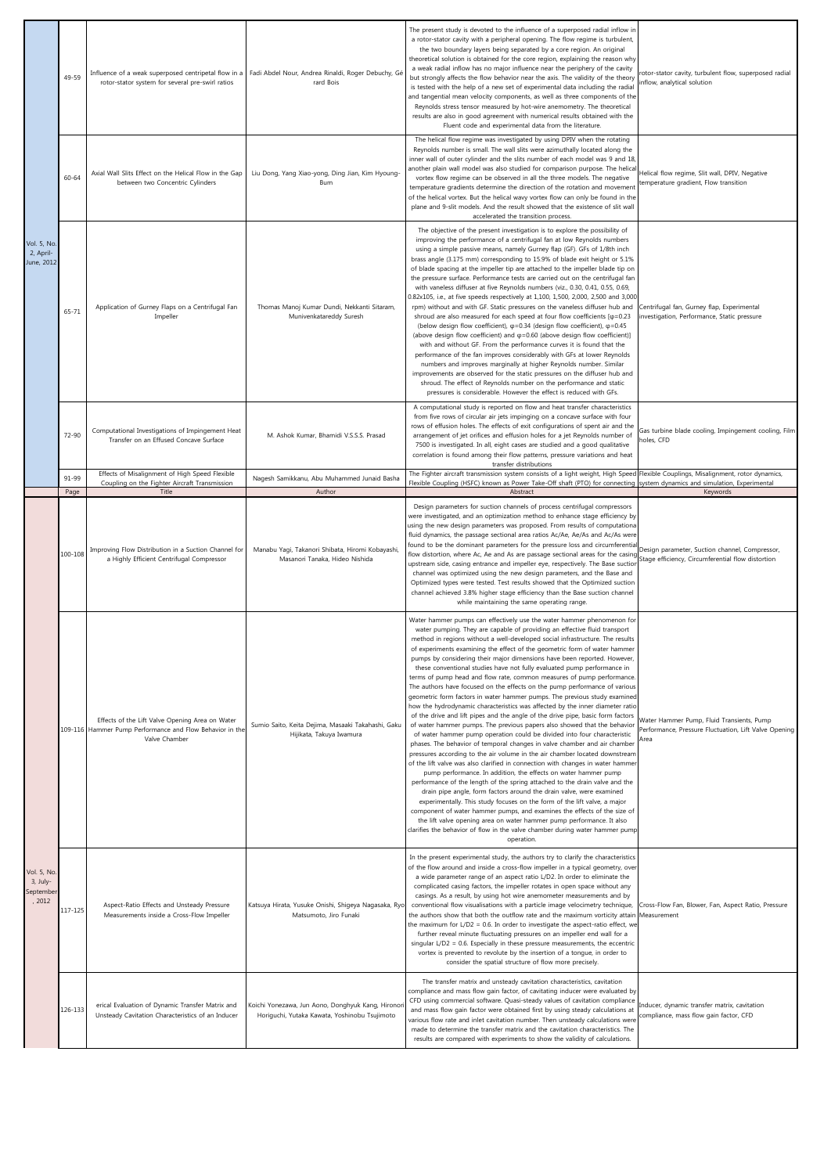| <b>Vol. 5, No</b><br>2, April-<br>June, 2012 | 49-59     | Influence of a weak superposed centripetal flow in a<br>rotor-stator system for several pre-swirl ratios                     | Fadi Abdel Nour, Andrea Rinaldi, Roger Debuchy, Gé<br>rard Bois                    | The present study is devoted to the influence of a superposed radial inflow in<br>a rotor-stator cavity with a peripheral opening. The flow regime is turbulent,<br>the two boundary layers being separated by a core region. An original<br>theoretical solution is obtained for the core region, explaining the reason why<br>a weak radial inflow has no major influence near the periphery of the cavity<br>but strongly affects the flow behavior near the axis. The validity of the theory<br>is tested with the help of a new set of experimental data including the radial<br>and tangential mean velocity components, as well as three components of the<br>Reynolds stress tensor measured by hot-wire anemometry. The theoretical<br>results are also in good agreement with numerical results obtained with the<br>Fluent code and experimental data from the literature.                                                                                                                                                                                                                                                                                                                                                                                                                                                                                                                                                                                                                                                                                                                                                                                                                                                                                                                                                              | rotor-stator cavity, turbulent flow, superposed radial<br>inflow, analytical solution                      |
|----------------------------------------------|-----------|------------------------------------------------------------------------------------------------------------------------------|------------------------------------------------------------------------------------|----------------------------------------------------------------------------------------------------------------------------------------------------------------------------------------------------------------------------------------------------------------------------------------------------------------------------------------------------------------------------------------------------------------------------------------------------------------------------------------------------------------------------------------------------------------------------------------------------------------------------------------------------------------------------------------------------------------------------------------------------------------------------------------------------------------------------------------------------------------------------------------------------------------------------------------------------------------------------------------------------------------------------------------------------------------------------------------------------------------------------------------------------------------------------------------------------------------------------------------------------------------------------------------------------------------------------------------------------------------------------------------------------------------------------------------------------------------------------------------------------------------------------------------------------------------------------------------------------------------------------------------------------------------------------------------------------------------------------------------------------------------------------------------------------------------------------------------------------|------------------------------------------------------------------------------------------------------------|
|                                              | $60 - 64$ | Axial Wall Slits Effect on the Helical Flow in the Gap<br>between two Concentric Cylinders                                   | Liu Dong, Yang Xiao-yong, Ding Jian, Kim Hyoung-<br>Bum                            | The helical flow regime was investigated by using DPIV when the rotating<br>Reynolds number is small. The wall slits were azimuthally located along the<br>inner wall of outer cylinder and the slits number of each model was 9 and 18<br>another plain wall model was also studied for comparison purpose. The helica<br>vortex flow regime can be observed in all the three models. The negative<br>temperature gradients determine the direction of the rotation and movement<br>of the helical vortex. But the helical wavy vortex flow can only be found in the<br>plane and 9-slit models. And the result showed that the existence of slit wall<br>accelerated the transition process.                                                                                                                                                                                                                                                                                                                                                                                                                                                                                                                                                                                                                                                                                                                                                                                                                                                                                                                                                                                                                                                                                                                                                     | Helical flow regime, Slit wall, DPIV, Negative<br>temperature gradient, Flow transition                    |
|                                              | 65-71     | Application of Gurney Flaps on a Centrifugal Fan<br>Impeller                                                                 | Thomas Manoj Kumar Dundi, Nekkanti Sitaram,<br>Munivenkatareddy Suresh             | The objective of the present investigation is to explore the possibility of<br>improving the performance of a centrifugal fan at low Reynolds numbers<br>using a simple passive means, namely Gurney flap (GF). GFs of 1/8th inch<br>brass angle (3.175 mm) corresponding to 15.9% of blade exit height or 5.1%<br>of blade spacing at the impeller tip are attached to the impeller blade tip on<br>the pressure surface. Performance tests are carried out on the centrifugal fan<br>with vaneless diffuser at five Reynolds numbers (viz., 0.30, 0.41, 0.55, 0.69,<br>0.82x105, i.e., at five speeds respectively at 1,100, 1,500, 2,000, 2,500 and 3,000<br>rpm) without and with GF. Static pressures on the vaneless diffuser hub and<br>shroud are also measured for each speed at four flow coefficients $[\varphi=0.23]$<br>(below design flow coefficient), $\varphi$ =0.34 (design flow coefficient), $\varphi$ =0.45<br>(above design flow coefficient) and $\varphi = 0.60$ (above design flow coefficient)]<br>with and without GF. From the performance curves it is found that the<br>performance of the fan improves considerably with GFs at lower Reynolds<br>numbers and improves marginally at higher Reynolds number. Similar<br>improvements are observed for the static pressures on the diffuser hub and<br>shroud. The effect of Reynolds number on the performance and static<br>pressures is considerable. However the effect is reduced with GFs.                                                                                                                                                                                                                                                                                                                                                                     | Centrifugal fan, Gurney flap, Experimental<br>investigation, Performance, Static pressure                  |
|                                              | 72-90     | Computational Investigations of Impingement Heat<br>Transfer on an Effused Concave Surface                                   | M. Ashok Kumar, Bhamidi V.S.S.S. Prasad                                            | A computational study is reported on flow and heat transfer characteristics<br>from five rows of circular air jets impinging on a concave surface with four<br>rows of effusion holes. The effects of exit configurations of spent air and the<br>arrangement of jet orifices and effusion holes for a jet Reynolds number of<br>7500 is investigated. In all, eight cases are studied and a good qualitative<br>correlation is found among their flow patterns, pressure variations and heat<br>transfer distributions                                                                                                                                                                                                                                                                                                                                                                                                                                                                                                                                                                                                                                                                                                                                                                                                                                                                                                                                                                                                                                                                                                                                                                                                                                                                                                                            | Gas turbine blade cooling, Impingement cooling, Film<br>holes, CFD                                         |
|                                              | 91-99     | Effects of Misalignment of High Speed Flexible<br>Coupling on the Fighter Aircraft Transmission                              | Nagesh Samikkanu, Abu Muhammed Junaid Basha                                        | The Fighter aircraft transmission system consists of a light weight, High Speed Flexible Couplings, Misalignment, rotor dynamics,<br>Flexible Coupling (HSFC) known as Power Take-Off shaft (PTO) for connecting system dynamics and simulation, Experimental                                                                                                                                                                                                                                                                                                                                                                                                                                                                                                                                                                                                                                                                                                                                                                                                                                                                                                                                                                                                                                                                                                                                                                                                                                                                                                                                                                                                                                                                                                                                                                                      |                                                                                                            |
|                                              | Page      | Title                                                                                                                        | Author                                                                             | Abstract                                                                                                                                                                                                                                                                                                                                                                                                                                                                                                                                                                                                                                                                                                                                                                                                                                                                                                                                                                                                                                                                                                                                                                                                                                                                                                                                                                                                                                                                                                                                                                                                                                                                                                                                                                                                                                           | Keywords                                                                                                   |
| Vol. 5, No<br>3, July-<br>Septembe<br>, 2012 | 100-108   | Improving Flow Distribution in a Suction Channel for<br>a Highly Efficient Centrifugal Compressor                            | Manabu Yagi, Takanori Shibata, Hiromi Kobayashi,<br>Masanori Tanaka, Hideo Nishida | Design parameters for suction channels of process centrifugal compressors<br>were investigated, and an optimization method to enhance stage efficiency by<br>using the new design parameters was proposed. From results of computational<br>fluid dynamics, the passage sectional area ratios Ac/Ae, Ae/As and Ac/As were<br>found to be the dominant parameters for the pressure loss and circumferentia<br>flow distortion, where Ac, Ae and As are passage sectional areas for the casing<br>upstream side, casing entrance and impeller eye, respectively. The Base suction<br>channel was optimized using the new design parameters, and the Base and<br>Optimized types were tested. Test results showed that the Optimized suction<br>channel achieved 3.8% higher stage efficiency than the Base suction channel<br>while maintaining the same operating range.                                                                                                                                                                                                                                                                                                                                                                                                                                                                                                                                                                                                                                                                                                                                                                                                                                                                                                                                                                            | Design parameter, Suction channel, Compressor,<br>Stage efficiency, Circumferential flow distortion        |
|                                              |           | Effects of the Lift Valve Opening Area on Water<br>109-116 Hammer Pump Performance and Flow Behavior in the<br>Valve Chamber | Sumio Saito, Keita Dejima, Masaaki Takahashi, Gaku<br>Hijikata, Takuya Iwamura     | Water hammer pumps can effectively use the water hammer phenomenon for<br>water pumping. They are capable of providing an effective fluid transport<br>method in regions without a well-developed social infrastructure. The results<br>of experiments examining the effect of the geometric form of water hammer<br>pumps by considering their major dimensions have been reported. However,<br>these conventional studies have not fully evaluated pump performance in<br>terms of pump head and flow rate, common measures of pump performance.<br>The authors have focused on the effects on the pump performance of various<br>geometric form factors in water hammer pumps. The previous study examined<br>how the hydrodynamic characteristics was affected by the inner diameter ratio<br>of the drive and lift pipes and the angle of the drive pipe, basic form factors<br>of water hammer pumps. The previous papers also showed that the behavior<br>of water hammer pump operation could be divided into four characteristic<br>phases. The behavior of temporal changes in valve chamber and air chamber<br>pressures according to the air volume in the air chamber located downstream<br>of the lift valve was also clarified in connection with changes in water hammer<br>pump performance. In addition, the effects on water hammer pump<br>performance of the length of the spring attached to the drain valve and the<br>drain pipe angle, form factors around the drain valve, were examined<br>experimentally. This study focuses on the form of the lift valve, a major<br>component of water hammer pumps, and examines the effects of the size of<br>the lift valve opening area on water hammer pump performance. It also<br>clarifies the behavior of flow in the valve chamber during water hammer pump<br>operation. | Water Hammer Pump, Fluid Transients, Pump<br>Performance, Pressure Fluctuation, Lift Valve Opening<br>Area |
|                                              | 117-125   | Aspect-Ratio Effects and Unsteady Pressure<br>Measurements inside a Cross-Flow Impeller                                      | Katsuya Hirata, Yusuke Onishi, Shigeya Nagasaka, Ryo<br>Matsumoto, Jiro Funaki     | In the present experimental study, the authors try to clarify the characteristics<br>of the flow around and inside a cross-flow impeller in a typical geometry, over<br>a wide parameter range of an aspect ratio L/D2. In order to eliminate the<br>complicated casing factors, the impeller rotates in open space without any<br>casings. As a result, by using hot wire anemometer measurements and by<br>conventional flow visualisations with a particle image velocimetry technique,<br>the authors show that both the outflow rate and the maximum vorticity attain Measurement<br>the maximum for $L/D2 = 0.6$ . In order to investigate the aspect-ratio effect, we<br>further reveal minute fluctuating pressures on an impeller end wall for a                                                                                                                                                                                                                                                                                                                                                                                                                                                                                                                                                                                                                                                                                                                                                                                                                                                                                                                                                                                                                                                                                          | Cross-Flow Fan, Blower, Fan, Aspect Ratio, Pressure                                                        |
|                                              |           |                                                                                                                              |                                                                                    | singular L/D2 = 0.6. Especially in these pressure measurements, the eccentric<br>vortex is prevented to revolute by the insertion of a tongue, in order to<br>consider the spatial structure of flow more precisely.                                                                                                                                                                                                                                                                                                                                                                                                                                                                                                                                                                                                                                                                                                                                                                                                                                                                                                                                                                                                                                                                                                                                                                                                                                                                                                                                                                                                                                                                                                                                                                                                                               |                                                                                                            |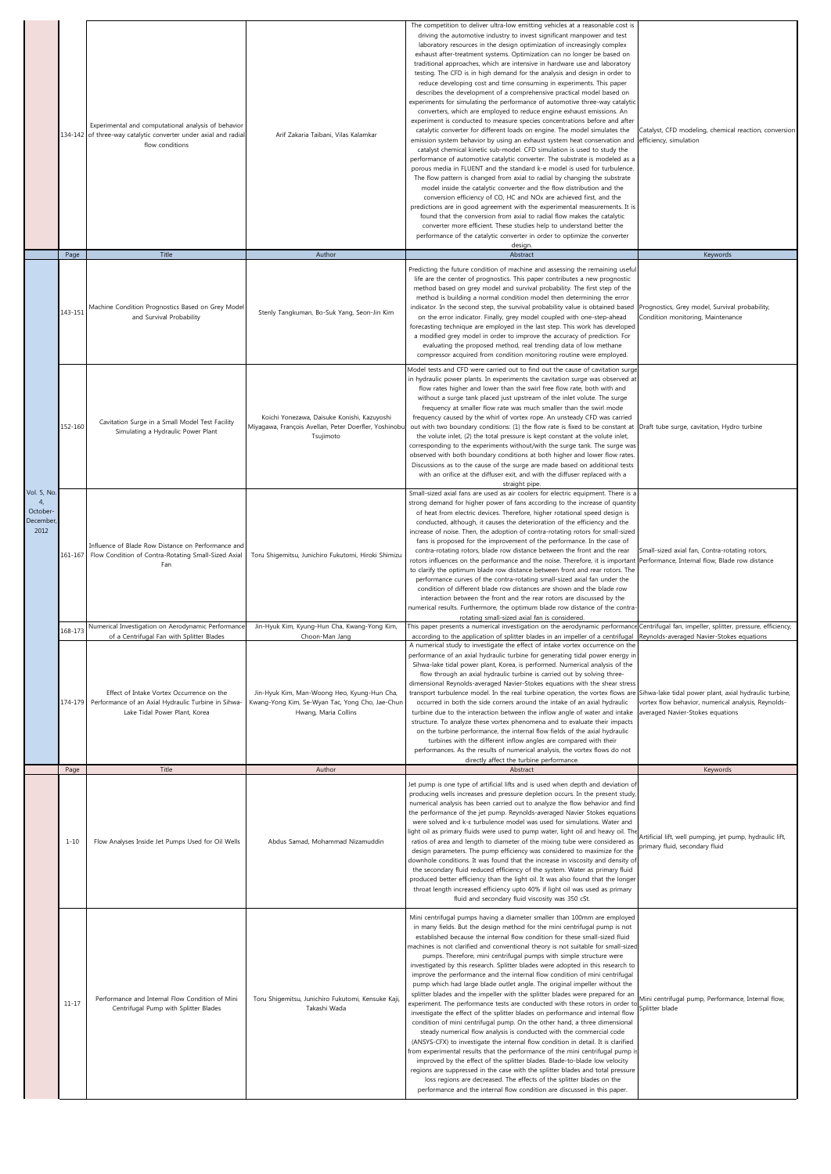|                                                                   | Page      | Experimental and computational analysis of behavior<br>134-142 of three-way catalytic converter under axial and radial<br>flow conditions<br>Title                                     | Arif Zakaria Taibani, Vilas Kalamkar<br>Author                                                                                           | The competition to deliver ultra-low emitting vehicles at a reasonable cost is<br>driving the automotive industry to invest significant manpower and test<br>laboratory resources in the design optimization of increasingly complex<br>exhaust after-treatment systems. Optimization can no longer be based on<br>traditional approaches, which are intensive in hardware use and laboratory<br>testing. The CFD is in high demand for the analysis and design in order to<br>reduce developing cost and time consuming in experiments. This paper<br>describes the development of a comprehensive practical model based on<br>experiments for simulating the performance of automotive three-way catalytic<br>converters, which are employed to reduce engine exhaust emissions. An<br>experiment is conducted to measure species concentrations before and after<br>catalytic converter for different loads on engine. The model simulates the<br>emission system behavior by using an exhaust system heat conservation and<br>catalyst chemical kinetic sub-model. CFD simulation is used to study the<br>performance of automotive catalytic converter. The substrate is modeled as a<br>porous media in FLUENT and the standard k-e model is used for turbulence.<br>The flow pattern is changed from axial to radial by changing the substrate<br>model inside the catalytic converter and the flow distribution and the<br>conversion efficiency of CO, HC and NOx are achieved first, and the<br>predictions are in good agreement with the experimental measurements. It is<br>found that the conversion from axial to radial flow makes the catalytic<br>converter more efficient. These studies help to understand better the<br>performance of the catalytic converter in order to optimize the converter<br>design.<br>Abstract | Catalyst, CFD modeling, chemical reaction, conversion<br>efficiency, simulation<br>Keywords                                          |
|-------------------------------------------------------------------|-----------|----------------------------------------------------------------------------------------------------------------------------------------------------------------------------------------|------------------------------------------------------------------------------------------------------------------------------------------|-----------------------------------------------------------------------------------------------------------------------------------------------------------------------------------------------------------------------------------------------------------------------------------------------------------------------------------------------------------------------------------------------------------------------------------------------------------------------------------------------------------------------------------------------------------------------------------------------------------------------------------------------------------------------------------------------------------------------------------------------------------------------------------------------------------------------------------------------------------------------------------------------------------------------------------------------------------------------------------------------------------------------------------------------------------------------------------------------------------------------------------------------------------------------------------------------------------------------------------------------------------------------------------------------------------------------------------------------------------------------------------------------------------------------------------------------------------------------------------------------------------------------------------------------------------------------------------------------------------------------------------------------------------------------------------------------------------------------------------------------------------------------------------------------------------------------------------------------|--------------------------------------------------------------------------------------------------------------------------------------|
|                                                                   |           |                                                                                                                                                                                        |                                                                                                                                          | Predicting the future condition of machine and assessing the remaining useful                                                                                                                                                                                                                                                                                                                                                                                                                                                                                                                                                                                                                                                                                                                                                                                                                                                                                                                                                                                                                                                                                                                                                                                                                                                                                                                                                                                                                                                                                                                                                                                                                                                                                                                                                                 |                                                                                                                                      |
|                                                                   | 143-151   | Machine Condition Prognostics Based on Grey Model<br>and Survival Probability                                                                                                          | Stenly Tangkuman, Bo-Suk Yang, Seon-Jin Kim                                                                                              | life are the center of prognostics. This paper contributes a new prognostic<br>method based on grey model and survival probability. The first step of the<br>method is building a normal condition model then determining the error<br>indicator. In the second step, the survival probability value is obtained based<br>on the error indicator. Finally, grey model coupled with one-step-ahead<br>forecasting technique are employed in the last step. This work has developed<br>a modified grey model in order to improve the accuracy of prediction. For<br>evaluating the proposed method, real trending data of low methane<br>compressor acquired from condition monitoring routine were employed.                                                                                                                                                                                                                                                                                                                                                                                                                                                                                                                                                                                                                                                                                                                                                                                                                                                                                                                                                                                                                                                                                                                                   | Prognostics, Grey model, Survival probability,<br>Condition monitoring, Maintenance                                                  |
| <b>Vol. 5, No</b><br>$\mathbf{4}$<br>October-<br>December<br>2012 | 152-160   | Cavitation Surge in a Small Model Test Facility<br>Simulating a Hydraulic Power Plant                                                                                                  | Koichi Yonezawa, Daisuke Konishi, Kazuyoshi<br>Miyagawa, François Avellan, Peter Doerfler, Yoshinobu<br>Tsujimoto                        | Model tests and CFD were carried out to find out the cause of cavitation surge<br>in hydraulic power plants. In experiments the cavitation surge was observed at<br>flow rates higher and lower than the swirl free flow rate, both with and<br>without a surge tank placed just upstream of the inlet volute. The surge<br>frequency at smaller flow rate was much smaller than the swirl mode<br>frequency caused by the whirl of vortex rope. An unsteady CFD was carried<br>out with two boundary conditions: (1) the flow rate is fixed to be constant at<br>the volute inlet, (2) the total pressure is kept constant at the volute inlet,<br>corresponding to the experiments without/with the surge tank. The surge was<br>observed with both boundary conditions at both higher and lower flow rates<br>Discussions as to the cause of the surge are made based on additional tests<br>with an orifice at the diffuser exit, and with the diffuser replaced with a<br>straight pipe.                                                                                                                                                                                                                                                                                                                                                                                                                                                                                                                                                                                                                                                                                                                                                                                                                                                 | Draft tube surge, cavitation, Hydro turbine                                                                                          |
|                                                                   | 161-167   | Influence of Blade Row Distance on Performance and<br>Flow Condition of Contra-Rotating Small-Sized Axial<br>Fan                                                                       | Toru Shigemitsu, Junichiro Fukutomi, Hiroki Shimizu                                                                                      | Small-sized axial fans are used as air coolers for electric equipment. There is a<br>strong demand for higher power of fans according to the increase of quantity<br>of heat from electric devices. Therefore, higher rotational speed design is<br>conducted, although, it causes the deterioration of the efficiency and the<br>increase of noise. Then, the adoption of contra-rotating rotors for small-sized<br>fans is proposed for the improvement of the performance. In the case of<br>contra-rotating rotors, blade row distance between the front and the rear<br>rotors influences on the performance and the noise. Therefore, it is important<br>to clarify the optimum blade row distance between front and rear rotors. The<br>performance curves of the contra-rotating small-sized axial fan under the<br>condition of different blade row distances are shown and the blade row<br>interaction between the front and the rear rotors are discussed by the<br>numerical results. Furthermore, the optimum blade row distance of the contra-                                                                                                                                                                                                                                                                                                                                                                                                                                                                                                                                                                                                                                                                                                                                                                                 | Small-sized axial fan, Contra-rotating rotors,<br>Performance, Internal flow, Blade row distance                                     |
|                                                                   | 168-173   | Numerical Investigation on Aerodynamic Performance                                                                                                                                     | Jin-Hyuk Kim, Kyung-Hun Cha, Kwang-Yong Kim,                                                                                             | rotating small-sized axial fan is considered.<br>This paper presents a numerical investigation on the aerodynamic performance Centrifugal fan, impeller, splitter, pressure, efficiency,                                                                                                                                                                                                                                                                                                                                                                                                                                                                                                                                                                                                                                                                                                                                                                                                                                                                                                                                                                                                                                                                                                                                                                                                                                                                                                                                                                                                                                                                                                                                                                                                                                                      |                                                                                                                                      |
|                                                                   |           | of a Centrifugal Fan with Splitter Blades<br>Effect of Intake Vortex Occurrence on the<br>174-179 Performance of an Axial Hydraulic Turbine in Sihwa-<br>Lake Tidal Power Plant, Korea | Choon-Man Jang<br>Jin-Hyuk Kim, Man-Woong Heo, Kyung-Hun Cha,<br>Kwang-Yong Kim, Se-Wyan Tac, Yong Cho, Jae-Chun<br>Hwang, Maria Collins | according to the application of splitter blades in an impeller of a centrifugal<br>A numerical study to investigate the effect of intake vortex occurrence on th<br>performance of an axial hydraulic turbine for generating tidal power energy in<br>Sihwa-lake tidal power plant, Korea, is performed. Numerical analysis of the<br>flow through an axial hydraulic turbine is carried out by solving three-<br>dimensional Reynolds-averaged Navier-Stokes equations with the shear stress<br>transport turbulence model. In the real turbine operation, the vortex flows are Sihwa-lake tidal power plant, axial hydraulic turbine,<br>occurred in both the side corners around the intake of an axial hydraulic<br>turbine due to the interaction between the inflow angle of water and intake<br>structure. To analyze these vortex phenomena and to evaluate their impacts<br>on the turbine performance, the internal flow fields of the axial hydraulic<br>turbines with the different inflow angles are compared with their<br>performances. As the results of numerical analysis, the vortex flows do not<br>directly affect the turbine performance.                                                                                                                                                                                                                                                                                                                                                                                                                                                                                                                                                                                                                                                                              | Reynolds-averaged Navier-Stokes equations<br>vortex flow behavior, numerical analysis, Reynolds-<br>averaged Navier-Stokes equations |
|                                                                   | Page      | Title                                                                                                                                                                                  | Author                                                                                                                                   | Abstract                                                                                                                                                                                                                                                                                                                                                                                                                                                                                                                                                                                                                                                                                                                                                                                                                                                                                                                                                                                                                                                                                                                                                                                                                                                                                                                                                                                                                                                                                                                                                                                                                                                                                                                                                                                                                                      | Keywords                                                                                                                             |
|                                                                   | $1 - 10$  | Flow Analyses Inside Jet Pumps Used for Oil Wells                                                                                                                                      | Abdus Samad, Mohammad Nizamuddin                                                                                                         | Jet pump is one type of artificial lifts and is used when depth and deviation of<br>producing wells increases and pressure depletion occurs. In the present study,<br>numerical analysis has been carried out to analyze the flow behavior and find<br>the performance of the jet pump. Reynolds-averaged Navier Stokes equations<br>were solved and k-& turbulence model was used for simulations. Water and<br>light oil as primary fluids were used to pump water, light oil and heavy oil. The<br>ratios of area and length to diameter of the mixing tube were considered as<br>design parameters. The pump efficiency was considered to maximize for the<br>downhole conditions. It was found that the increase in viscosity and density of<br>the secondary fluid reduced efficiency of the system. Water as primary fluid<br>produced better efficiency than the light oil. It was also found that the longer<br>throat length increased efficiency upto 40% if light oil was used as primary<br>fluid and secondary fluid viscosity was 350 cSt.                                                                                                                                                                                                                                                                                                                                                                                                                                                                                                                                                                                                                                                                                                                                                                                     | Artificial lift, well pumping, jet pump, hydraulic lift,<br>primary fluid, secondary fluid                                           |
|                                                                   | $11 - 17$ | Performance and Internal Flow Condition of Mini<br>Centrifugal Pump with Splitter Blades                                                                                               | Toru Shigemitsu, Junichiro Fukutomi, Kensuke Kaji<br>Takashi Wada                                                                        | Mini centrifugal pumps having a diameter smaller than 100mm are employed<br>in many fields. But the design method for the mini centrifugal pump is not<br>established because the internal flow condition for these small-sized fluid<br>machines is not clarified and conventional theory is not suitable for small-sized<br>pumps. Therefore, mini centrifugal pumps with simple structure were<br>investigated by this research. Splitter blades were adopted in this research to<br>improve the performance and the internal flow condition of mini centrifugal<br>pump which had large blade outlet angle. The original impeller without the<br>splitter blades and the impeller with the splitter blades were prepared for an<br>experiment. The performance tests are conducted with these rotors in order to<br>investigate the effect of the splitter blades on performance and internal flow<br>condition of mini centrifugal pump. On the other hand, a three dimensional<br>steady numerical flow analysis is conducted with the commercial code<br>(ANSYS-CFX) to investigate the internal flow condition in detail. It is clarified<br>from experimental results that the performance of the mini centrifugal pump is<br>improved by the effect of the splitter blades. Blade-to-blade low velocity<br>regions are suppressed in the case with the splitter blades and total pressure<br>loss regions are decreased. The effects of the splitter blades on the<br>performance and the internal flow condition are discussed in this paper.                                                                                                                                                                                                                                                                                      | Mini centrifugal pump, Performance, Internal flow,<br>Splitter blade                                                                 |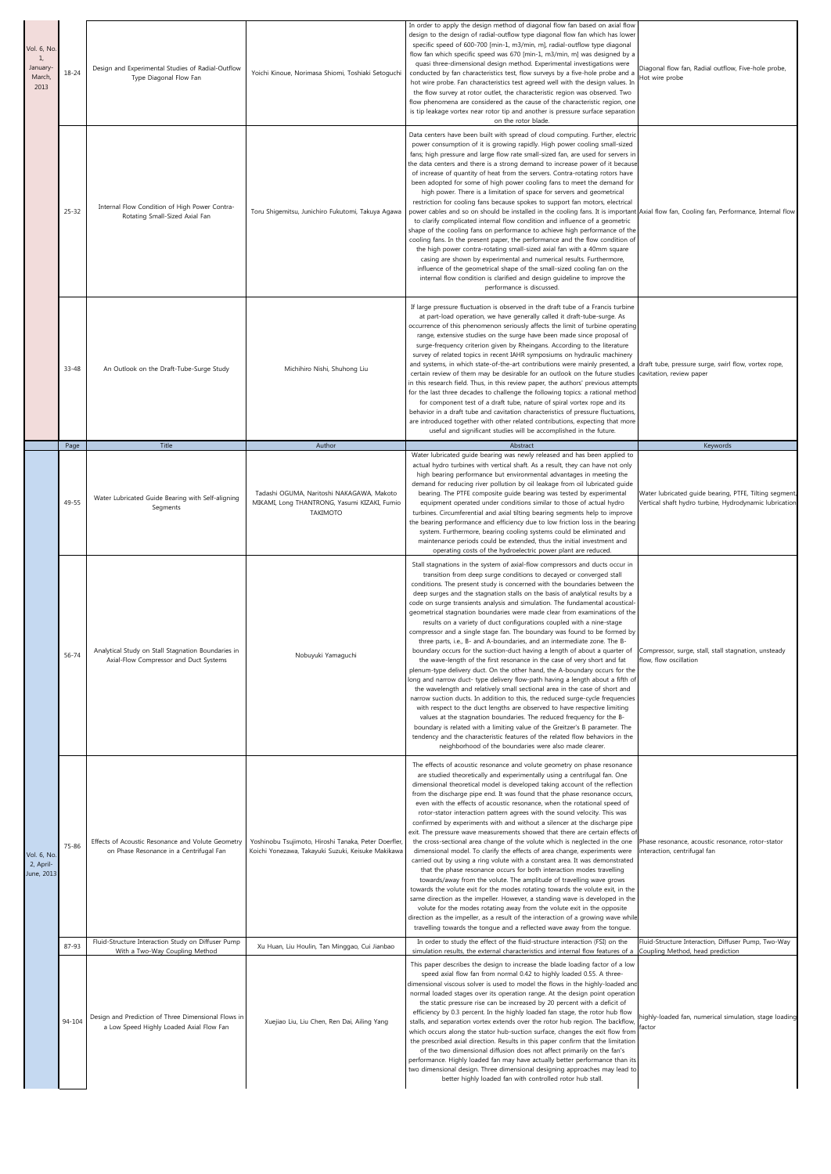| Vol. 6, No.<br>1,<br>January<br>March,<br>2013 | 18-24     | Design and Experimental Studies of Radial-Outflow<br>Type Diagonal Flow Fan                     | Yoichi Kinoue, Norimasa Shiomi, Toshiaki Setoguchi                                                         | In order to apply the design method of diagonal flow fan based on axial flow<br>design to the design of radial-outflow type diagonal flow fan which has lower<br>specific speed of 600-700 [min-1, m3/min, m], radial-outflow type diagonal<br>flow fan which specific speed was 670 [min-1, m3/min, m] was designed by a<br>quasi three-dimensional design method. Experimental investigations were<br>conducted by fan characteristics test, flow surveys by a five-hole probe and a<br>hot wire probe. Fan characteristics test agreed well with the design values. In<br>the flow survey at rotor outlet, the characteristic region was observed. Two<br>flow phenomena are considered as the cause of the characteristic region, one<br>is tip leakage vortex near rotor tip and another is pressure surface separation<br>on the rotor blade.                                                                                                                                                                                                                                                                                                                                                                                                                                                                                                                                                                                                                                                                                                                                              | Diagonal flow fan, Radial outflow, Five-hole probe,<br>Hot wire probe                                            |
|------------------------------------------------|-----------|-------------------------------------------------------------------------------------------------|------------------------------------------------------------------------------------------------------------|--------------------------------------------------------------------------------------------------------------------------------------------------------------------------------------------------------------------------------------------------------------------------------------------------------------------------------------------------------------------------------------------------------------------------------------------------------------------------------------------------------------------------------------------------------------------------------------------------------------------------------------------------------------------------------------------------------------------------------------------------------------------------------------------------------------------------------------------------------------------------------------------------------------------------------------------------------------------------------------------------------------------------------------------------------------------------------------------------------------------------------------------------------------------------------------------------------------------------------------------------------------------------------------------------------------------------------------------------------------------------------------------------------------------------------------------------------------------------------------------------------------------------------------------------------------------------------------------------|------------------------------------------------------------------------------------------------------------------|
|                                                | $25 - 32$ | Internal Flow Condition of High Power Contra-<br>Rotating Small-Sized Axial Fan                 | Toru Shigemitsu, Junichiro Fukutomi, Takuya Agawa                                                          | Data centers have been built with spread of cloud computing. Further, electric<br>power consumption of it is growing rapidly. High power cooling small-sized<br>fans; high pressure and large flow rate small-sized fan, are used for servers in<br>the data centers and there is a strong demand to increase power of it because<br>of increase of quantity of heat from the servers. Contra-rotating rotors have<br>been adopted for some of high power cooling fans to meet the demand for<br>high power. There is a limitation of space for servers and geometrical<br>restriction for cooling fans because spokes to support fan motors, electrical<br>power cables and so on should be installed in the cooling fans. It is important Axial flow fan, Cooling fan, Performance, Internal flow<br>to clarify complicated internal flow condition and influence of a geometric<br>shape of the cooling fans on performance to achieve high performance of the<br>cooling fans. In the present paper, the performance and the flow condition of<br>the high power contra-rotating small-sized axial fan with a 40mm square<br>casing are shown by experimental and numerical results. Furthermore,<br>influence of the geometrical shape of the small-sized cooling fan on the<br>internal flow condition is clarified and design guideline to improve the<br>performance is discussed.                                                                                                                                                                                                       |                                                                                                                  |
|                                                | 33-48     | An Outlook on the Draft-Tube-Surge Study                                                        | Michihiro Nishi, Shuhong Liu                                                                               | If large pressure fluctuation is observed in the draft tube of a Francis turbine<br>at part-load operation, we have generally called it draft-tube-surge. As<br>occurrence of this phenomenon seriously affects the limit of turbine operating<br>range, extensive studies on the surge have been made since proposal of<br>surge-frequency criterion given by Rheingans. According to the literature<br>survey of related topics in recent IAHR symposiums on hydraulic machinery<br>and systems, in which state-of-the-art contributions were mainly presented, a draft tube, pressure surge, swirl flow, vortex rope,<br>certain review of them may be desirable for an outlook on the future studies<br>in this research field. Thus, in this review paper, the authors' previous attempts<br>for the last three decades to challenge the following topics: a rational method<br>for component test of a draft tube, nature of spiral vortex rope and its<br>behavior in a draft tube and cavitation characteristics of pressure fluctuations,<br>are introduced together with other related contributions, expecting that more<br>useful and significant studies will be accomplished in the future.                                                                                                                                                                                                                                                                                                                                                                                        | cavitation, review paper                                                                                         |
|                                                | Page      | Title                                                                                           | Author                                                                                                     | Abstract<br>Water lubricated guide bearing was newly released and has been applied to                                                                                                                                                                                                                                                                                                                                                                                                                                                                                                                                                                                                                                                                                                                                                                                                                                                                                                                                                                                                                                                                                                                                                                                                                                                                                                                                                                                                                                                                                                            | Keywords                                                                                                         |
|                                                | 49-55     | Water Lubricated Guide Bearing with Self-aligning<br>Segments                                   | Tadashi OGUMA, Naritoshi NAKAGAWA, Makoto<br>MIKAMI, Long THANTRONG, Yasumi KIZAKI, Fumio<br>TAKIMOTO      | actual hydro turbines with vertical shaft. As a result, they can have not only<br>high bearing performance but environmental advantages in meeting the<br>demand for reducing river pollution by oil leakage from oil lubricated guide<br>bearing. The PTFE composite guide bearing was tested by experimental<br>equipment operated under conditions similar to those of actual hydro<br>turbines. Circumferential and axial tilting bearing segments help to improve<br>the bearing performance and efficiency due to low friction loss in the bearing<br>system. Furthermore, bearing cooling systems could be eliminated and<br>maintenance periods could be extended, thus the initial investment and<br>operating costs of the hydroelectric power plant are reduced.                                                                                                                                                                                                                                                                                                                                                                                                                                                                                                                                                                                                                                                                                                                                                                                                                      | Water lubricated guide bearing, PTFE, Tilting segment,<br>Vertical shaft hydro turbine, Hydrodynamic lubrication |
|                                                | 56-74     | Analytical Study on Stall Stagnation Boundaries in<br>Axial-Flow Compressor and Duct Systems    | Nobuyuki Yamaguchi                                                                                         | Stall stagnations in the system of axial-flow compressors and ducts occur in<br>transition from deep surge conditions to decayed or converged stall<br>conditions. The present study is concerned with the boundaries between the<br>deep surges and the stagnation stalls on the basis of analytical results by a<br>code on surge transients analysis and simulation. The fundamental acoustical-<br>geometrical stagnation boundaries were made clear from examinations of the<br>results on a variety of duct configurations coupled with a nine-stage<br>compressor and a single stage fan. The boundary was found to be formed by<br>three parts, i.e., B- and A-boundaries, and an intermediate zone. The B-<br>boundary occurs for the suction-duct having a length of about a quarter of<br>the wave-length of the first resonance in the case of very short and fat<br>plenum-type delivery duct. On the other hand, the A-boundary occurs for the<br>long and narrow duct- type delivery flow-path having a length about a fifth of<br>the wavelength and relatively small sectional area in the case of short and<br>narrow suction ducts. In addition to this, the reduced surge-cycle frequencies<br>with respect to the duct lengths are observed to have respective limiting<br>values at the stagnation boundaries. The reduced frequency for the B-<br>boundary is related with a limiting value of the Greitzer's B parameter. The<br>tendency and the characteristic features of the related flow behaviors in the<br>neighborhood of the boundaries were also made clearer. | Compressor, surge, stall, stall stagnation, unsteady<br>flow, flow oscillation                                   |
| Vol. 6, No<br>2, April-<br>June, 2013          | 75-86     | Effects of Acoustic Resonance and Volute Geometry<br>on Phase Resonance in a Centrifugal Fan    | Yoshinobu Tsujimoto, Hiroshi Tanaka, Peter Doerfler,<br>Koichi Yonezawa, Takayuki Suzuki, Keisuke Makikawa | The effects of acoustic resonance and volute geometry on phase resonance<br>are studied theoretically and experimentally using a centrifugal fan. One<br>dimensional theoretical model is developed taking account of the reflection<br>from the discharge pipe end. It was found that the phase resonance occurs,<br>even with the effects of acoustic resonance, when the rotational speed of<br>rotor-stator interaction pattern agrees with the sound velocity. This was<br>confirmed by experiments with and without a silencer at the discharge pipe<br>exit. The pressure wave measurements showed that there are certain effects of<br>the cross-sectional area change of the volute which is neglected in the one<br>dimensional model. To clarify the effects of area change, experiments were<br>carried out by using a ring volute with a constant area. It was demonstrated<br>that the phase resonance occurs for both interaction modes travelling<br>towards/away from the volute. The amplitude of travelling wave grows<br>towards the volute exit for the modes rotating towards the volute exit, in the<br>same direction as the impeller. However, a standing wave is developed in the<br>volute for the modes rotating away from the volute exit in the opposite<br>direction as the impeller, as a result of the interaction of a growing wave while                                                                                                                                                                                                                      | Phase resonance, acoustic resonance, rotor-stator<br>interaction, centrifugal fan                                |
|                                                |           | Fluid-Structure Interaction Study on Diffuser Pump                                              |                                                                                                            | travelling towards the tongue and a reflected wave away from the tongue.<br>In order to study the effect of the fluid-structure interaction (FSI) on the                                                                                                                                                                                                                                                                                                                                                                                                                                                                                                                                                                                                                                                                                                                                                                                                                                                                                                                                                                                                                                                                                                                                                                                                                                                                                                                                                                                                                                         | Fluid-Structure Interaction, Diffuser Pump, Two-Way                                                              |
|                                                | 87-93     | With a Two-Way Coupling Method                                                                  | Xu Huan, Liu Houlin, Tan Minggao, Cui Jianbao                                                              | simulation results, the external characteristics and internal flow features of a                                                                                                                                                                                                                                                                                                                                                                                                                                                                                                                                                                                                                                                                                                                                                                                                                                                                                                                                                                                                                                                                                                                                                                                                                                                                                                                                                                                                                                                                                                                 | Coupling Method, head prediction                                                                                 |
|                                                | 94-104    | Design and Prediction of Three Dimensional Flows in<br>a Low Speed Highly Loaded Axial Flow Fan | Xuejiao Liu, Liu Chen, Ren Dai, Ailing Yang                                                                | This paper describes the design to increase the blade loading factor of a low<br>speed axial flow fan from normal 0.42 to highly loaded 0.55. A three-<br>dimensional viscous solver is used to model the flows in the highly-loaded and<br>normal loaded stages over its operation range. At the design point operation<br>the static pressure rise can be increased by 20 percent with a deficit of<br>efficiency by 0.3 percent. In the highly loaded fan stage, the rotor hub flow<br>stalls, and separation vortex extends over the rotor hub region. The backflow,<br>which occurs along the stator hub-suction surface, changes the exit flow from<br>the prescribed axial direction. Results in this paper confirm that the limitation<br>of the two dimensional diffusion does not affect primarily on the fan's<br>performance. Highly loaded fan may have actually better performance than its<br>two dimensional design. Three dimensional designing approaches may lead to<br>better highly loaded fan with controlled rotor hub stall.                                                                                                                                                                                                                                                                                                                                                                                                                                                                                                                                             | highly-loaded fan, numerical simulation, stage loading<br>factor                                                 |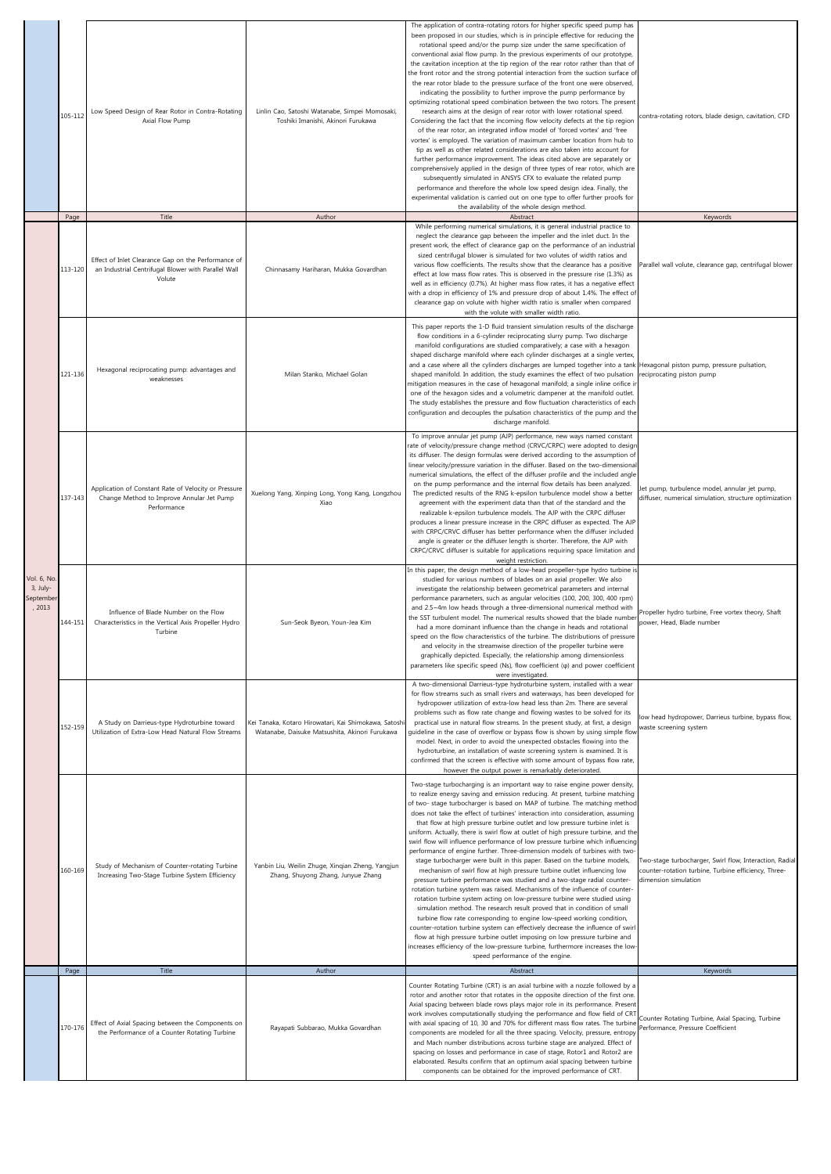|                                              | 105-112<br>Page | Low Speed Design of Rear Rotor in Contra-Rotating<br>Axial Flow Pump<br>Title                                        | Linlin Cao, Satoshi Watanabe, Simpei Momosaki,<br>Toshiki Imanishi, Akinori Furukawa<br>Author          | The application of contra-rotating rotors for higher specific speed pump has<br>been proposed in our studies, which is in principle effective for reducing the<br>rotational speed and/or the pump size under the same specification of<br>conventional axial flow pump. In the previous experiments of our prototype,<br>the cavitation inception at the tip region of the rear rotor rather than that of<br>the front rotor and the strong potential interaction from the suction surface of<br>the rear rotor blade to the pressure surface of the front one were observed,<br>indicating the possibility to further improve the pump performance by<br>optimizing rotational speed combination between the two rotors. The present<br>research aims at the design of rear rotor with lower rotational speed.<br>Considering the fact that the incoming flow velocity defects at the tip region<br>of the rear rotor, an integrated inflow model of 'forced vortex' and 'free<br>vortex' is employed. The variation of maximum camber location from hub to<br>tip as well as other related considerations are also taken into account for<br>further performance improvement. The ideas cited above are separately or<br>comprehensively applied in the design of three types of rear rotor, which are<br>subsequently simulated in ANSYS CFX to evaluate the related pump<br>performance and therefore the whole low speed design idea. Finally, the<br>experimental validation is carried out on one type to offer further proofs for<br>the availability of the whole design method.<br>Abstract<br>While performing numerical simulations, it is general industrial practice to | contra-rotating rotors, blade design, cavitation, CFD<br>Keywords                                                                       |
|----------------------------------------------|-----------------|----------------------------------------------------------------------------------------------------------------------|---------------------------------------------------------------------------------------------------------|----------------------------------------------------------------------------------------------------------------------------------------------------------------------------------------------------------------------------------------------------------------------------------------------------------------------------------------------------------------------------------------------------------------------------------------------------------------------------------------------------------------------------------------------------------------------------------------------------------------------------------------------------------------------------------------------------------------------------------------------------------------------------------------------------------------------------------------------------------------------------------------------------------------------------------------------------------------------------------------------------------------------------------------------------------------------------------------------------------------------------------------------------------------------------------------------------------------------------------------------------------------------------------------------------------------------------------------------------------------------------------------------------------------------------------------------------------------------------------------------------------------------------------------------------------------------------------------------------------------------------------------------------------------------------------------|-----------------------------------------------------------------------------------------------------------------------------------------|
|                                              | 113-120         | Effect of Inlet Clearance Gap on the Performance of<br>an Industrial Centrifugal Blower with Parallel Wall<br>Volute | Chinnasamy Hariharan, Mukka Govardhan                                                                   | neglect the clearance gap between the impeller and the inlet duct. In the<br>present work, the effect of clearance gap on the performance of an industrial<br>sized centrifugal blower is simulated for two volutes of width ratios and<br>various flow coefficients. The results show that the clearance has a positive<br>effect at low mass flow rates. This is observed in the pressure rise (1.3%) as<br>well as in efficiency (0.7%). At higher mass flow rates, it has a negative effect<br>with a drop in efficiency of 1% and pressure drop of about 1.4%. The effect of<br>clearance gap on volute with higher width ratio is smaller when compared<br>with the volute with smaller width ratio.                                                                                                                                                                                                                                                                                                                                                                                                                                                                                                                                                                                                                                                                                                                                                                                                                                                                                                                                                                             | Parallel wall volute, clearance gap, centrifugal blower                                                                                 |
|                                              | 121-136         | Hexagonal reciprocating pump: advantages and<br>weaknesses                                                           | Milan Stanko, Michael Golan                                                                             | This paper reports the 1-D fluid transient simulation results of the discharge<br>flow conditions in a 6-cylinder reciprocating slurry pump. Two discharge<br>manifold configurations are studied comparatively; a case with a hexagon<br>shaped discharge manifold where each cylinder discharges at a single vertex<br>and a case where all the cylinders discharges are lumped together into a tank Hexagonal piston pump, pressure pulsation,<br>shaped manifold. In addition, the study examines the effect of two pulsation<br>mitigation measures in the case of hexagonal manifold; a single inline orifice i<br>one of the hexagon sides and a volumetric dampener at the manifold outlet.<br>The study establishes the pressure and flow fluctuation characteristics of each<br>configuration and decouples the pulsation characteristics of the pump and the<br>discharge manifold.                                                                                                                                                                                                                                                                                                                                                                                                                                                                                                                                                                                                                                                                                                                                                                                         | reciprocating piston pump                                                                                                               |
|                                              | 137-143         | Application of Constant Rate of Velocity or Pressure<br>Change Method to Improve Annular Jet Pump<br>Performance     | Xuelong Yang, Xinping Long, Yong Kang, Longzhou<br>Xiao                                                 | To improve annular jet pump (AJP) performance, new ways named constant<br>rate of velocity/pressure change method (CRVC/CRPC) were adopted to design<br>its diffuser. The design formulas were derived according to the assumption of<br>linear velocity/pressure variation in the diffuser. Based on the two-dimensional<br>numerical simulations, the effect of the diffuser profile and the included angle<br>on the pump performance and the internal flow details has been analyzed.<br>The predicted results of the RNG k-epsilon turbulence model show a better<br>agreement with the experiment data than that of the standard and the<br>realizable k-epsilon turbulence models. The AJP with the CRPC diffuser<br>produces a linear pressure increase in the CRPC diffuser as expected. The AJP<br>with CRPC/CRVC diffuser has better performance when the diffuser included<br>angle is greater or the diffuser length is shorter. Therefore, the AJP with<br>CRPC/CRVC diffuser is suitable for applications requiring space limitation and<br>weight restriction.                                                                                                                                                                                                                                                                                                                                                                                                                                                                                                                                                                                                         | let pump, turbulence model, annular jet pump,<br>diffuser, numerical simulation, structure optimization                                 |
| Vol. 6, No<br>3, July-<br>Septembe<br>, 2013 | 144-151         | Influence of Blade Number on the Flow<br>Characteristics in the Vertical Axis Propeller Hydro<br>Turbine             | Sun-Seok Byeon, Youn-Jea Kim                                                                            | In this paper, the design method of a low-head propeller-type hydro turbine is<br>studied for various numbers of blades on an axial propeller. We also<br>investigate the relationship between geometrical parameters and internal<br>performance parameters, such as angular velocities (100, 200, 300, 400 rpm)<br>and 2.5~4m low heads through a three-dimensional numerical method with<br>the SST turbulent model. The numerical results showed that the blade number<br>had a more dominant influence than the change in heads and rotational<br>speed on the flow characteristics of the turbine. The distributions of pressure<br>and velocity in the streamwise direction of the propeller turbine were<br>graphically depicted. Especially, the relationship among dimensionless<br>parameters like specific speed (Ns), flow coefficient ( $\varphi$ ) and power coefficient<br>were investigated.                                                                                                                                                                                                                                                                                                                                                                                                                                                                                                                                                                                                                                                                                                                                                                          | Propeller hydro turbine, Free vortex theory, Shaft<br>power. Head. Blade number                                                         |
|                                              | 152-159         | A Study on Darrieus-type Hydroturbine toward<br>Utilization of Extra-Low Head Natural Flow Streams                   | Kei Tanaka, Kotaro Hirowatari, Kai Shimokawa, Satoshi<br>Watanabe, Daisuke Matsushita, Akinori Furukawa | A two-dimensional Darrieus-type hydroturbine system, installed with a wear<br>for flow streams such as small rivers and waterways, has been developed for<br>hydropower utilization of extra-low head less than 2m. There are several<br>problems such as flow rate change and flowing wastes to be solved for its<br>practical use in natural flow streams. In the present study, at first, a design<br>quideline in the case of overflow or bypass flow is shown by using simple flow<br>model. Next, in order to avoid the unexpected obstacles flowing into the<br>hydroturbine, an installation of waste screening system is examined. It is<br>confirmed that the screen is effective with some amount of bypass flow rate,<br>however the output power is remarkably deteriorated.                                                                                                                                                                                                                                                                                                                                                                                                                                                                                                                                                                                                                                                                                                                                                                                                                                                                                              | ow head hydropower, Darrieus turbine, bypass flow,<br>waste screening system                                                            |
|                                              | 160-169         | Study of Mechanism of Counter-rotating Turbine<br>Increasing Two-Stage Turbine System Efficiency                     | Yanbin Liu, Weilin Zhuge, Xingian Zheng, Yangjun<br>Zhang, Shuyong Zhang, Junyue Zhang                  | Two-stage turbocharging is an important way to raise engine power density,<br>to realize energy saving and emission reducing. At present, turbine matching<br>of two- stage turbocharger is based on MAP of turbine. The matching method<br>does not take the effect of turbines' interaction into consideration, assuming<br>that flow at high pressure turbine outlet and low pressure turbine inlet is<br>uniform. Actually, there is swirl flow at outlet of high pressure turbine, and the<br>swirl flow will influence performance of low pressure turbine which influencing<br>performance of engine further. Three-dimension models of turbines with two<br>stage turbocharger were built in this paper. Based on the turbine models,<br>mechanism of swirl flow at high pressure turbine outlet influencing low<br>pressure turbine performance was studied and a two-stage radial counter-<br>rotation turbine system was raised. Mechanisms of the influence of counter-<br>rotation turbine system acting on low-pressure turbine were studied using<br>simulation method. The research result proved that in condition of small<br>turbine flow rate corresponding to engine low-speed working condition,<br>counter-rotation turbine system can effectively decrease the influence of swirl<br>flow at high pressure turbine outlet imposing on low pressure turbine and<br>increases efficiency of the low-pressure turbine, furthermore increases the low-<br>speed performance of the engine.                                                                                                                                                                         | Two-stage turbocharger, Swirl flow, Interaction, Radial<br>counter-rotation turbine, Turbine efficiency, Three-<br>dimension simulation |
|                                              | Page            | Title                                                                                                                | Author                                                                                                  | Abstract                                                                                                                                                                                                                                                                                                                                                                                                                                                                                                                                                                                                                                                                                                                                                                                                                                                                                                                                                                                                                                                                                                                                                                                                                                                                                                                                                                                                                                                                                                                                                                                                                                                                               | Keywords                                                                                                                                |
|                                              | 170-176         | Effect of Axial Spacing between the Components on<br>the Performance of a Counter Rotating Turbine                   | Rayapati Subbarao, Mukka Govardhan                                                                      | Counter Rotating Turbine (CRT) is an axial turbine with a nozzle followed by a<br>rotor and another rotor that rotates in the opposite direction of the first one.<br>Axial spacing between blade rows plays major role in its performance. Present<br>work involves computationally studying the performance and flow field of CRT<br>with axial spacing of 10, 30 and 70% for different mass flow rates. The turbine<br>components are modeled for all the three spacing. Velocity, pressure, entropy<br>and Mach number distributions across turbine stage are analyzed. Effect of<br>spacing on losses and performance in case of stage, Rotor1 and Rotor2 are<br>elaborated. Results confirm that an optimum axial spacing between turbine<br>components can be obtained for the improved performance of CRT.                                                                                                                                                                                                                                                                                                                                                                                                                                                                                                                                                                                                                                                                                                                                                                                                                                                                     | Counter Rotating Turbine, Axial Spacing, Turbine<br>Performance, Pressure Coefficient                                                   |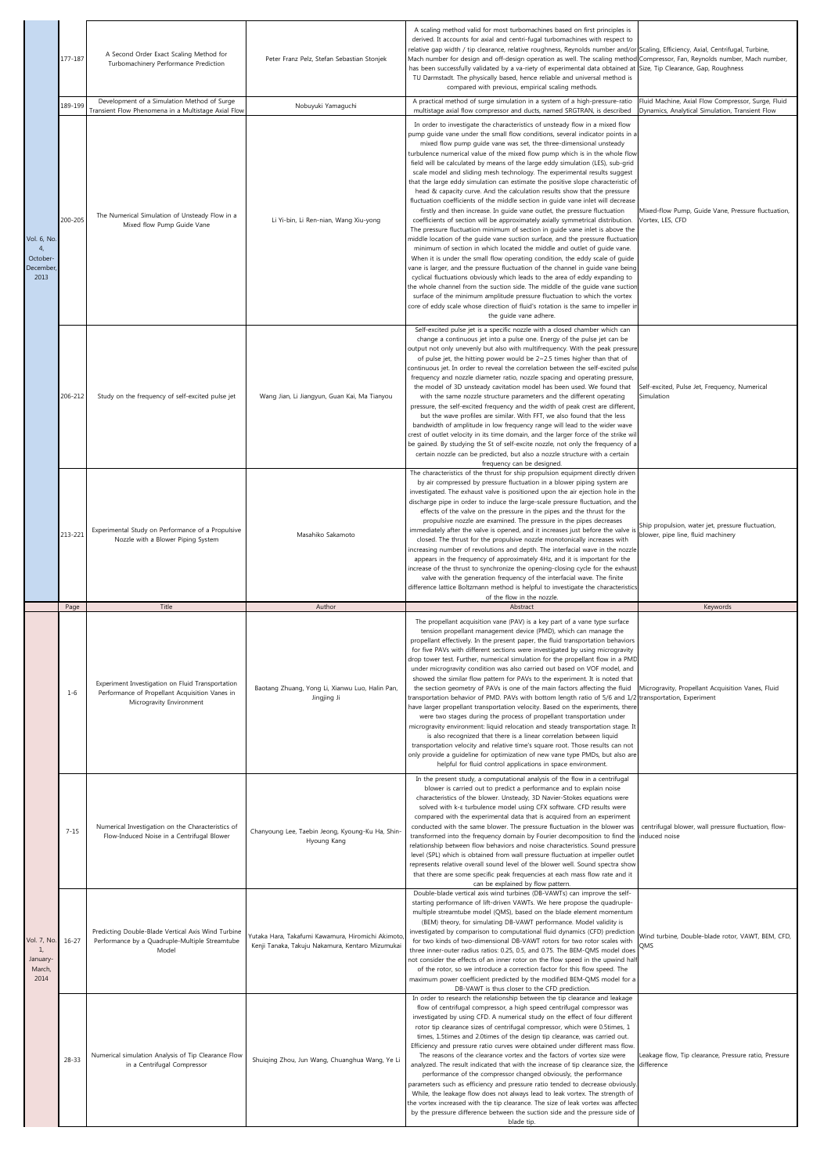|                                                              | 177-187   | A Second Order Exact Scaling Method for<br>Turbomachinery Performance Prediction<br>Development of a Simulation Method of Surge | Peter Franz Pelz, Stefan Sebastian Stonjek                                                            | A scaling method valid for most turbomachines based on first principles is<br>derived. It accounts for axial and centri-fugal turbomachines with respect to<br>relative gap width / tip clearance, relative roughness, Reynolds number and/or Scaling, Efficiency, Axial, Centrifugal, Turbine,<br>Mach number for design and off-design operation as well. The scaling method Compressor, Fan, Reynolds number, Mach number,<br>has been successfully validated by a va-riety of experimental data obtained at Size, Tip Clearance, Gap, Roughness<br>TU Darmstadt. The physically based, hence reliable and universal method is<br>compared with previous, empirical scaling methods.<br>A practical method of surge simulation in a system of a high-pressure-ratio                                                                                                                                                                                                                                                                                                                                                                                                                                                                                                                                                                                                                                                                                                                                                                                                                                                                                                                  | Fluid Machine, Axial Flow Compressor, Surge, Fluid                                      |
|--------------------------------------------------------------|-----------|---------------------------------------------------------------------------------------------------------------------------------|-------------------------------------------------------------------------------------------------------|-----------------------------------------------------------------------------------------------------------------------------------------------------------------------------------------------------------------------------------------------------------------------------------------------------------------------------------------------------------------------------------------------------------------------------------------------------------------------------------------------------------------------------------------------------------------------------------------------------------------------------------------------------------------------------------------------------------------------------------------------------------------------------------------------------------------------------------------------------------------------------------------------------------------------------------------------------------------------------------------------------------------------------------------------------------------------------------------------------------------------------------------------------------------------------------------------------------------------------------------------------------------------------------------------------------------------------------------------------------------------------------------------------------------------------------------------------------------------------------------------------------------------------------------------------------------------------------------------------------------------------------------------------------------------------------------|-----------------------------------------------------------------------------------------|
|                                                              | 189-199   | Transient Flow Phenomena in a Multistage Axial Flow                                                                             | Nobuyuki Yamaguchi                                                                                    | multistage axial flow compressor and ducts, named SRGTRAN, is described                                                                                                                                                                                                                                                                                                                                                                                                                                                                                                                                                                                                                                                                                                                                                                                                                                                                                                                                                                                                                                                                                                                                                                                                                                                                                                                                                                                                                                                                                                                                                                                                                 | Dynamics, Analytical Simulation, Transient Flow                                         |
| Vol. 6, No<br>4 <sub>r</sub><br>October-<br>December<br>2013 | 200-205   | The Numerical Simulation of Unsteady Flow in a<br>Mixed flow Pump Guide Vane                                                    | Li Yi-bin, Li Ren-nian, Wang Xiu-yong                                                                 | In order to investigate the characteristics of unsteady flow in a mixed flow<br>pump guide vane under the small flow conditions, several indicator points in a<br>mixed flow pump guide vane was set, the three-dimensional unsteady<br>turbulence numerical value of the mixed flow pump which is in the whole flow<br>field will be calculated by means of the large eddy simulation (LES), sub-grid<br>scale model and sliding mesh technology. The experimental results suggest<br>that the large eddy simulation can estimate the positive slope characteristic of<br>head & capacity curve. And the calculation results show that the pressure<br>fluctuation coefficients of the middle section in guide vane inlet will decrease<br>firstly and then increase. In guide vane outlet, the pressure fluctuation<br>coefficients of section will be approximately axially symmetrical distribution.<br>The pressure fluctuation minimum of section in guide vane inlet is above the<br>middle location of the guide vane suction surface, and the pressure fluctuation<br>minimum of section in which located the middle and outlet of guide vane.<br>When it is under the small flow operating condition, the eddy scale of guide<br>vane is larger, and the pressure fluctuation of the channel in guide vane being<br>cyclical fluctuations obviously which leads to the area of eddy expanding to<br>the whole channel from the suction side. The middle of the guide vane suction<br>surface of the minimum amplitude pressure fluctuation to which the vortex<br>core of eddy scale whose direction of fluid's rotation is the same to impeller in<br>the guide vane adhere. | Mixed-flow Pump, Guide Vane, Pressure fluctuation,<br>Vortex, LES, CFD                  |
|                                                              | 206-212   | Study on the frequency of self-excited pulse jet                                                                                | Wang Jian, Li Jiangyun, Guan Kai, Ma Tianyou                                                          | Self-excited pulse jet is a specific nozzle with a closed chamber which can<br>change a continuous jet into a pulse one. Energy of the pulse jet can be<br>output not only unevenly but also with multifrequency. With the peak pressure<br>of pulse jet, the hitting power would be 2~2.5 times higher than that of<br>continuous jet. In order to reveal the correlation between the self-excited pulse<br>frequency and nozzle diameter ratio, nozzle spacing and operating pressure,<br>the model of 3D unsteady cavitation model has been used. We found that<br>with the same nozzle structure parameters and the different operating<br>pressure, the self-excited frequency and the width of peak crest are different,<br>but the wave profiles are similar. With FFT, we also found that the less<br>bandwidth of amplitude in low frequency range will lead to the wider wave<br>crest of outlet velocity in its time domain, and the larger force of the strike wi<br>be gained. By studying the St of self-excite nozzle, not only the frequency of a<br>certain nozzle can be predicted, but also a nozzle structure with a certain<br>frequency can be designed.                                                                                                                                                                                                                                                                                                                                                                                                                                                                                                          | Self-excited, Pulse Jet, Frequency, Numerical<br>Simulation                             |
|                                                              | 213-221   | Experimental Study on Performance of a Propulsive<br>Nozzle with a Blower Piping System                                         | Masahiko Sakamoto                                                                                     | The characteristics of the thrust for ship propulsion equipment directly driven<br>by air compressed by pressure fluctuation in a blower piping system are<br>investigated. The exhaust valve is positioned upon the air ejection hole in the<br>discharge pipe in order to induce the large-scale pressure fluctuation, and the<br>effects of the valve on the pressure in the pipes and the thrust for the<br>propulsive nozzle are examined. The pressure in the pipes decreases<br>immediately after the valve is opened, and it increases just before the valve is<br>closed. The thrust for the propulsive nozzle monotonically increases with<br>increasing number of revolutions and depth. The interfacial wave in the nozzle<br>appears in the frequency of approximately 4Hz, and it is important for the<br>increase of the thrust to synchronize the opening-closing cycle for the exhaust                                                                                                                                                                                                                                                                                                                                                                                                                                                                                                                                                                                                                                                                                                                                                                                 | Ship propulsion, water jet, pressure fluctuation,<br>blower, pipe line, fluid machinery |
|                                                              |           |                                                                                                                                 |                                                                                                       | valve with the generation frequency of the interfacial wave. The finite<br>difference lattice Boltzmann method is helpful to investigate the characteristics                                                                                                                                                                                                                                                                                                                                                                                                                                                                                                                                                                                                                                                                                                                                                                                                                                                                                                                                                                                                                                                                                                                                                                                                                                                                                                                                                                                                                                                                                                                            |                                                                                         |
|                                                              | Page      | Title                                                                                                                           | Author                                                                                                | of the flow in the nozzle.<br>Abstract                                                                                                                                                                                                                                                                                                                                                                                                                                                                                                                                                                                                                                                                                                                                                                                                                                                                                                                                                                                                                                                                                                                                                                                                                                                                                                                                                                                                                                                                                                                                                                                                                                                  | Keywords                                                                                |
|                                                              | $1 - 6$   | Experiment Investigation on Fluid Transportation<br>Performance of Propellant Acquisition Vanes in<br>Microgravity Environment  | Baotang Zhuang, Yong Li, Xianwu Luo, Halin Pan,<br>Jingjing Ji                                        | The propellant acquisition vane (PAV) is a key part of a vane type surface<br>tension propellant management device (PMD), which can manage the<br>propellant effectively. In the present paper, the fluid transportation behaviors<br>for five PAVs with different sections were investigated by using microgravity<br>drop tower test. Further, numerical simulation for the propellant flow in a PMD<br>under microgravity condition was also carried out based on VOF model, and<br>showed the similar flow pattern for PAVs to the experiment. It is noted that<br>the section geometry of PAVs is one of the main factors affecting the fluid<br>transportation behavior of PMD. PAVs with bottom length ratio of 5/6 and 1/2 transportation, Experiment<br>have larger propellant transportation velocity. Based on the experiments, there<br>were two stages during the process of propellant transportation under<br>microgravity environment: liquid relocation and steady transportation stage. It<br>is also recognized that there is a linear correlation between liquid<br>transportation velocity and relative time's square root. Those results can not<br>only provide a guideline for optimization of new vane type PMDs, but also are<br>helpful for fluid control applications in space environment.                                                                                                                                                                                                                                                                                                                                                                 | Microgravity, Propellant Acquisition Vanes, Fluid                                       |
|                                                              | $7 - 15$  | Numerical Investigation on the Characteristics of<br>Flow-Induced Noise in a Centrifugal Blower                                 | Chanyoung Lee, Taebin Jeong, Kyoung-Ku Ha, Shin-<br>Hyoung Kang                                       | In the present study, a computational analysis of the flow in a centrifugal<br>blower is carried out to predict a performance and to explain noise<br>characteristics of the blower. Unsteady, 3D Navier-Stokes equations were<br>solved with k-& turbulence model using CFX software. CFD results were<br>compared with the experimental data that is acquired from an experiment<br>conducted with the same blower. The pressure fluctuation in the blower was<br>transformed into the frequency domain by Fourier decomposition to find the<br>relationship between flow behaviors and noise characteristics. Sound pressure<br>level (SPL) which is obtained from wall pressure fluctuation at impeller outlet<br>represents relative overall sound level of the blower well. Sound spectra show<br>that there are some specific peak frequencies at each mass flow rate and it                                                                                                                                                                                                                                                                                                                                                                                                                                                                                                                                                                                                                                                                                                                                                                                                     | centrifugal blower, wall pressure fluctuation, flow-<br>induced noise                   |
| Vol. 7, No<br>1,<br>January-<br>March,<br>2014               | $16 - 27$ | Predicting Double-Blade Vertical Axis Wind Turbine<br>Performance by a Quadruple-Multiple Streamtube<br>Model                   | Yutaka Hara, Takafumi Kawamura, Hiromichi Akimoto<br>Kenji Tanaka, Takuju Nakamura, Kentaro Mizumukai | can be explained by flow pattern.<br>Double-blade vertical axis wind turbines (DB-VAWTs) can improve the self-<br>starting performance of lift-driven VAWTs. We here propose the quadruple-<br>multiple streamtube model (QMS), based on the blade element momentum<br>(BEM) theory, for simulating DB-VAWT performance. Model validity is<br>investigated by comparison to computational fluid dynamics (CFD) prediction<br>for two kinds of two-dimensional DB-VAWT rotors for two rotor scales with<br>three inner-outer radius ratios: 0.25, 0.5, and 0.75. The BEM-QMS model does<br>not consider the effects of an inner rotor on the flow speed in the upwind half<br>of the rotor, so we introduce a correction factor for this flow speed. The<br>maximum power coefficient predicted by the modified BEM-QMS model for a<br>DB-VAWT is thus closer to the CFD prediction.<br>In order to research the relationship between the tip clearance and leakage                                                                                                                                                                                                                                                                                                                                                                                                                                                                                                                                                                                                                                                                                                                      | Wind turbine, Double-blade rotor, VAWT, BEM, CFD,<br>QMS                                |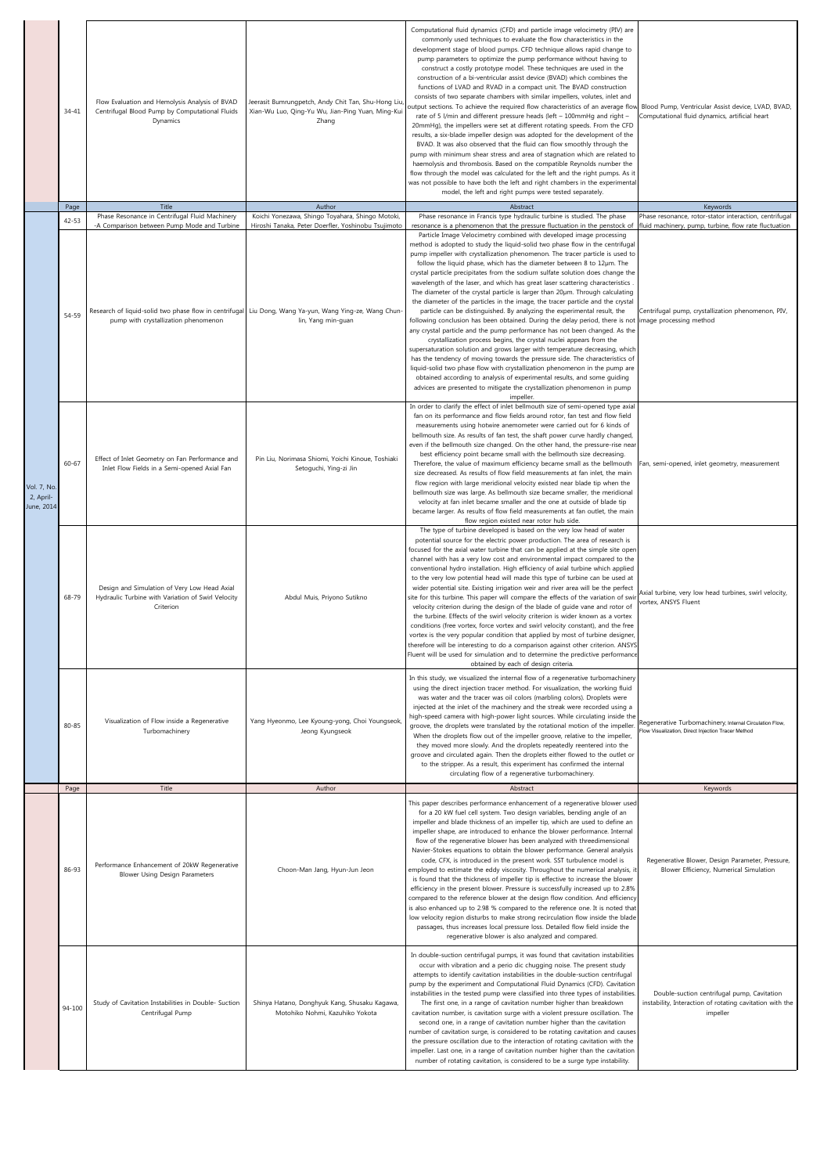|                                        | $34 - 41$         | Flow Evaluation and Hemolysis Analysis of BVAD<br>Centrifugal Blood Pump by Computational Fluids<br>Dynamics    | leerasit Bumrungpetch, Andy Chit Tan, Shu-Hong Liu,<br>Xian-Wu Luo, Qing-Yu Wu, Jian-Ping Yuan, Ming-Kui<br>Zhang                                                                   | Computational fluid dynamics (CFD) and particle image velocimetry (PIV) are<br>commonly used techniques to evaluate the flow characteristics in the<br>development stage of blood pumps. CFD technique allows rapid change to<br>pump parameters to optimize the pump performance without having to<br>construct a costly prototype model. These techniques are used in the<br>construction of a bi-ventricular assist device (BVAD) which combines the<br>functions of LVAD and RVAD in a compact unit. The BVAD construction<br>consists of two separate chambers with similar impellers, volutes, inlet and<br>butput sections. To achieve the required flow characteristics of an average flow<br>rate of 5 l/min and different pressure heads (left - 100mmHg and right -<br>20mmHg), the impellers were set at different rotating speeds. From the CFD<br>results, a six-blade impeller design was adopted for the development of the<br>BVAD. It was also observed that the fluid can flow smoothly through the<br>pump with minimum shear stress and area of stagnation which are related to<br>haemolysis and thrombosis. Based on the compatible Reynolds number the<br>flow through the model was calculated for the left and the right pumps. As it<br>was not possible to have both the left and right chambers in the experimental<br>model, the left and right pumps were tested separately.                                                                                                                                                                            | Blood Pump, Ventricular Assist device, LVAD, BVAD,<br>Computational fluid dynamics, artificial heart                |
|----------------------------------------|-------------------|-----------------------------------------------------------------------------------------------------------------|-------------------------------------------------------------------------------------------------------------------------------------------------------------------------------------|----------------------------------------------------------------------------------------------------------------------------------------------------------------------------------------------------------------------------------------------------------------------------------------------------------------------------------------------------------------------------------------------------------------------------------------------------------------------------------------------------------------------------------------------------------------------------------------------------------------------------------------------------------------------------------------------------------------------------------------------------------------------------------------------------------------------------------------------------------------------------------------------------------------------------------------------------------------------------------------------------------------------------------------------------------------------------------------------------------------------------------------------------------------------------------------------------------------------------------------------------------------------------------------------------------------------------------------------------------------------------------------------------------------------------------------------------------------------------------------------------------------------------------------------------------------------------------------|---------------------------------------------------------------------------------------------------------------------|
|                                        | Page<br>$42 - 53$ | Title<br>Phase Resonance in Centrifugal Fluid Machinery                                                         | Author<br>Koichi Yonezawa, Shingo Toyahara, Shingo Motoki,                                                                                                                          | Abstract<br>Phase resonance in Francis type hydraulic turbine is studied. The phase                                                                                                                                                                                                                                                                                                                                                                                                                                                                                                                                                                                                                                                                                                                                                                                                                                                                                                                                                                                                                                                                                                                                                                                                                                                                                                                                                                                                                                                                                                    | Keywords<br>Phase resonance, rotor-stator interaction, centrifugal                                                  |
|                                        | 54-59             | -A Comparison between Pump Mode and Turbine<br>pump with crystallization phenomenon                             | Hiroshi Tanaka, Peter Doerfler, Yoshinobu Tsujimoto<br>-Research of liquid-solid two phase flow in centrifugal Liu Dong, Wang Ya-yun, Wang Ying-ze, Wang Chun<br>lin, Yang min-guan | resonance is a phenomenon that the pressure fluctuation in the penstock of<br>Particle Image Velocimetry combined with developed image processing<br>method is adopted to study the liquid-solid two phase flow in the centrifugal<br>pump impeller with crystallization phenomenon. The tracer particle is used to<br>follow the liquid phase, which has the diameter between 8 to 12µm. The<br>crystal particle precipitates from the sodium sulfate solution does change the<br>wavelength of the laser, and which has great laser scattering characteristics<br>The diameter of the crystal particle is larger than 20um. Through calculating<br>the diameter of the particles in the image, the tracer particle and the crystal<br>particle can be distinguished. By analyzing the experimental result, the<br>following conclusion has been obtained. During the delay period, there is not image processing method<br>any crystal particle and the pump performance has not been changed. As the<br>crystallization process begins, the crystal nuclei appears from the<br>supersaturation solution and grows larger with temperature decreasing, which<br>has the tendency of moving towards the pressure side. The characteristics of<br>liquid-solid two phase flow with crystallization phenomenon in the pump are<br>obtained according to analysis of experimental results, and some quiding<br>advices are presented to mitigate the crystallization phenomenon in pump<br>impeller.<br>In order to clarify the effect of inlet bellmouth size of semi-opened type axial | fluid machinery, pump, turbine, flow rate fluctuation<br>Centrifugal pump, crystallization phenomenon, PIV,         |
| Vol. 7, No.<br>2, April-<br>June, 2014 | $60 - 67$         | Effect of Inlet Geometry on Fan Performance and<br>Inlet Flow Fields in a Semi-opened Axial Fan                 | Pin Liu, Norimasa Shiomi, Yoichi Kinoue, Toshiaki<br>Setoguchi, Ying-zi Jin                                                                                                         | fan on its performance and flow fields around rotor, fan test and flow field<br>measurements using hotwire anemometer were carried out for 6 kinds of<br>bellmouth size. As results of fan test, the shaft power curve hardly changed,<br>even if the bellmouth size changed. On the other hand, the pressure-rise nea<br>best efficiency point became small with the bellmouth size decreasing.<br>Therefore, the value of maximum efficiency became small as the bellmouth<br>size decreased. As results of flow field measurements at fan inlet, the main<br>flow region with large meridional velocity existed near blade tip when the<br>bellmouth size was large. As bellmouth size became smaller, the meridional<br>velocity at fan inlet became smaller and the one at outside of blade tip<br>became larger. As results of flow field measurements at fan outlet, the main                                                                                                                                                                                                                                                                                                                                                                                                                                                                                                                                                                                                                                                                                                   | Fan, semi-opened, inlet geometry, measurement                                                                       |
|                                        | 68-79             | Design and Simulation of Very Low Head Axial<br>Hydraulic Turbine with Variation of Swirl Velocity<br>Criterion | Abdul Muis, Priyono Sutikno                                                                                                                                                         | flow region existed near rotor hub side.<br>The type of turbine developed is based on the very low head of water<br>potential source for the electric power production. The area of research is<br>focused for the axial water turbine that can be applied at the simple site oper<br>channel with has a very low cost and environmental impact compared to the<br>conventional hydro installation. High efficiency of axial turbine which applied<br>to the very low potential head will made this type of turbine can be used at<br>wider potential site. Existing irrigation weir and river area will be the perfect<br>site for this turbine. This paper will compare the effects of the variation of swi<br>velocity criterion during the design of the blade of guide vane and rotor of<br>the turbine. Effects of the swirl velocity criterion is wider known as a vortex<br>conditions (free vortex, force vortex and swirl velocity constant), and the free<br>vortex is the very popular condition that applied by most of turbine designer<br>therefore will be interesting to do a comparison against other criterion. ANSY<br>Fluent will be used for simulation and to determine the predictive performance<br>obtained by each of design criteria.                                                                                                                                                                                                                                                                                                                      | Axial turbine, very low head turbines, swirl velocity,<br>vortex. ANSYS Fluent                                      |
|                                        | $80 - 85$         | Visualization of Flow inside a Regenerative<br>Turbomachinery<br>Title                                          | Yang Hyeonmo, Lee Kyoung-yong, Choi Youngseok<br>Jeong Kyungseok<br>Author                                                                                                          | In this study, we visualized the internal flow of a regenerative turbomachinery<br>using the direct injection tracer method. For visualization, the working fluid<br>was water and the tracer was oil colors (marbling colors). Droplets were<br>injected at the inlet of the machinery and the streak were recorded using a<br>high-speed camera with high-power light sources. While circulating inside the<br>groove, the droplets were translated by the rotational motion of the impeller<br>When the droplets flow out of the impeller groove, relative to the impeller,<br>they moved more slowly. And the droplets repeatedly reentered into the<br>groove and circulated again. Then the droplets either flowed to the outlet or<br>to the stripper. As a result, this experiment has confirmed the internal<br>circulating flow of a regenerative turbomachinery.                                                                                                                                                                                                                                                                                                                                                                                                                                                                                                                                                                                                                                                                                                            | Regenerative Turbomachinery, Internal Circulation Flow,<br>Flow Visualization, Direct Injection Tracer Method       |
|                                        | Page              |                                                                                                                 |                                                                                                                                                                                     | Abstract                                                                                                                                                                                                                                                                                                                                                                                                                                                                                                                                                                                                                                                                                                                                                                                                                                                                                                                                                                                                                                                                                                                                                                                                                                                                                                                                                                                                                                                                                                                                                                               | Keywords                                                                                                            |
|                                        | 86-93             | Performance Enhancement of 20kW Regenerative<br><b>Blower Using Design Parameters</b>                           | Choon-Man Jang, Hyun-Jun Jeon                                                                                                                                                       | This paper describes performance enhancement of a regenerative blower used<br>for a 20 kW fuel cell system. Two design variables, bending angle of an<br>impeller and blade thickness of an impeller tip, which are used to define an<br>impeller shape, are introduced to enhance the blower performance. Internal<br>flow of the regenerative blower has been analyzed with threedimensional<br>Navier-Stokes equations to obtain the blower performance. General analysis<br>code, CFX, is introduced in the present work. SST turbulence model is<br>employed to estimate the eddy viscosity. Throughout the numerical analysis, i<br>is found that the thickness of impeller tip is effective to increase the blower<br>efficiency in the present blower. Pressure is successfully increased up to 2.8%<br>compared to the reference blower at the design flow condition. And efficiency<br>is also enhanced up to 2.98 % compared to the reference one. It is noted that<br>low velocity region disturbs to make strong recirculation flow inside the blade<br>passages, thus increases local pressure loss. Detailed flow field inside the<br>regenerative blower is also analyzed and compared.                                                                                                                                                                                                                                                                                                                                                                                | Regenerative Blower, Design Parameter, Pressure,<br>Blower Efficiency, Numerical Simulation                         |
|                                        | 94-100            | Study of Cavitation Instabilities in Double- Suction<br>Centrifugal Pump                                        | Shinya Hatano, Donghyuk Kang, Shusaku Kagawa,<br>Motohiko Nohmi, Kazuhiko Yokota                                                                                                    | In double-suction centrifugal pumps, it was found that cavitation instabilities<br>occur with vibration and a perio dic chugging noise. The present study<br>attempts to identify cavitation instabilities in the double-suction centrifugal<br>pump by the experiment and Computational Fluid Dynamics (CFD). Cavitation<br>instabilities in the tested pump were classified into three types of instabilities<br>The first one, in a range of cavitation number higher than breakdown<br>cavitation number, is cavitation surge with a violent pressure oscillation. The<br>second one, in a range of cavitation number higher than the cavitation<br>number of cavitation surge, is considered to be rotating cavitation and causes<br>the pressure oscillation due to the interaction of rotating cavitation with the<br>impeller. Last one, in a range of cavitation number higher than the cavitation<br>number of rotating cavitation, is considered to be a surge type instability.                                                                                                                                                                                                                                                                                                                                                                                                                                                                                                                                                                                            | Double-suction centrifugal pump, Cavitation<br>instability, Interaction of rotating cavitation with the<br>impeller |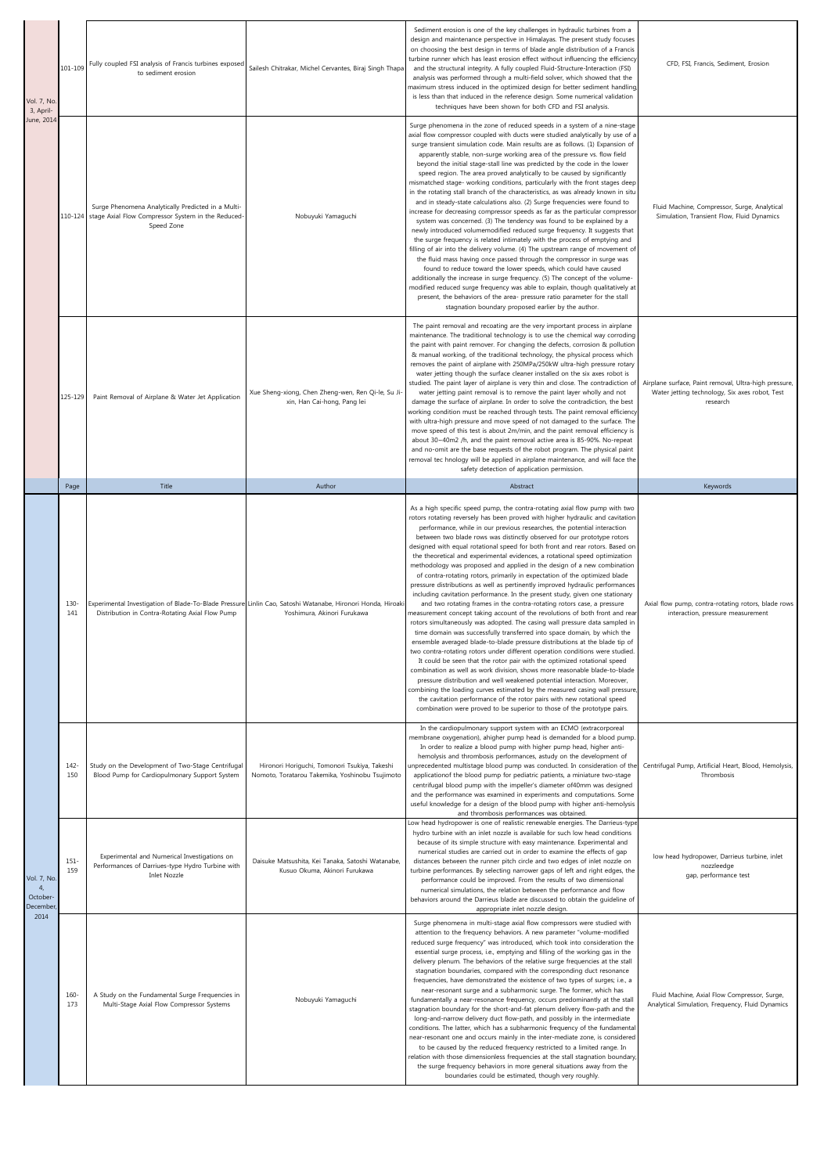| Vol. 7, No<br>3, April-                                   | 101-109        | Fully coupled FSI analysis of Francis turbines exposed<br>to sediment erosion                                                 | Sailesh Chitrakar, Michel Cervantes, Biraj Singh Thapa                                                                                     | Sediment erosion is one of the key challenges in hydraulic turbines from a<br>design and maintenance perspective in Himalayas. The present study focuses<br>on choosing the best design in terms of blade angle distribution of a Francis<br>turbine runner which has least erosion effect without influencing the efficiency<br>and the structural integrity. A fully coupled Fluid-Structure-Interaction (FSI)<br>analysis was performed through a multi-field solver, which showed that the<br>maximum stress induced in the optimized design for better sediment handling<br>is less than that induced in the reference design. Some numerical validation<br>techniques have been shown for both CFD and FSI analysis.                                                                                                                                                                                                                                                                                                                                                                                                                                                                                                                                                                                                                                                                                                                                                                                                                                                                                                                                                                                                                                                    | CFD, FSI, Francis, Sediment, Erosion                                                                                |
|-----------------------------------------------------------|----------------|-------------------------------------------------------------------------------------------------------------------------------|--------------------------------------------------------------------------------------------------------------------------------------------|-------------------------------------------------------------------------------------------------------------------------------------------------------------------------------------------------------------------------------------------------------------------------------------------------------------------------------------------------------------------------------------------------------------------------------------------------------------------------------------------------------------------------------------------------------------------------------------------------------------------------------------------------------------------------------------------------------------------------------------------------------------------------------------------------------------------------------------------------------------------------------------------------------------------------------------------------------------------------------------------------------------------------------------------------------------------------------------------------------------------------------------------------------------------------------------------------------------------------------------------------------------------------------------------------------------------------------------------------------------------------------------------------------------------------------------------------------------------------------------------------------------------------------------------------------------------------------------------------------------------------------------------------------------------------------------------------------------------------------------------------------------------------------|---------------------------------------------------------------------------------------------------------------------|
| June, 2014                                                |                | Surge Phenomena Analytically Predicted in a Multi-<br>110-124 stage Axial Flow Compressor System in the Reduced<br>Speed Zone | Nobuyuki Yamaguchi                                                                                                                         | Surge phenomena in the zone of reduced speeds in a system of a nine-stage<br>axial flow compressor coupled with ducts were studied analytically by use of a<br>surge transient simulation code. Main results are as follows. (1) Expansion of<br>apparently stable, non-surge working area of the pressure vs. flow field<br>beyond the initial stage-stall line was predicted by the code in the lower<br>speed region. The area proved analytically to be caused by significantly<br>mismatched stage- working conditions, particularly with the front stages deep<br>in the rotating stall branch of the characteristics, as was already known in situ<br>and in steady-state calculations also. (2) Surge frequencies were found to<br>increase for decreasing compressor speeds as far as the particular compresso<br>system was concerned. (3) The tendency was found to be explained by a<br>newly introduced volumemodified reduced surge frequency. It suggests that<br>the surge frequency is related intimately with the process of emptying and<br>filling of air into the delivery volume. (4) The upstream range of movement of<br>the fluid mass having once passed through the compressor in surge was<br>found to reduce toward the lower speeds, which could have caused<br>additionally the increase in surge frequency. (5) The concept of the volume-<br>modified reduced surge frequency was able to explain, though qualitatively a<br>present, the behaviors of the area- pressure ratio parameter for the stall<br>stagnation boundary proposed earlier by the author.                                                                                                                                                                               | Fluid Machine, Compressor, Surge, Analytical<br>Simulation, Transient Flow, Fluid Dynamics                          |
|                                                           | 125-129        | Paint Removal of Airplane & Water Jet Application                                                                             | Xue Sheng-xiong, Chen Zheng-wen, Ren Qi-le, Su Ji-<br>xin, Han Cai-hong, Pang lei                                                          | The paint removal and recoating are the very important process in airplane<br>maintenance. The traditional technology is to use the chemical way corroding<br>the paint with paint remover. For changing the defects, corrosion & pollution<br>& manual working, of the traditional technology, the physical process which<br>removes the paint of airplane with 250MPa/250kW ultra-high pressure rotary<br>water jetting though the surface cleaner installed on the six axes robot is<br>studied. The paint layer of airplane is very thin and close. The contradiction of<br>water jetting paint removal is to remove the paint layer wholly and not<br>damage the surface of airplane. In order to solve the contradiction, the best<br>working condition must be reached through tests. The paint removal efficiency<br>with ultra-high pressure and move speed of not damaged to the surface. The<br>move speed of this test is about 2m/min, and the paint removal efficiency is<br>about 30~40m2 /h, and the paint removal active area is 85-90%. No-repeat<br>and no-omit are the base requests of the robot program. The physical paint<br>removal tec hnology will be applied in airplane maintenance, and will face the<br>safety detection of application permission.                                                                                                                                                                                                                                                                                                                                                                                                                                                                                            | Airplane surface, Paint removal, Ultra-high pressure,<br>Water jetting technology, Six axes robot, Test<br>research |
|                                                           | Page           | Title                                                                                                                         | Author                                                                                                                                     | Abstract                                                                                                                                                                                                                                                                                                                                                                                                                                                                                                                                                                                                                                                                                                                                                                                                                                                                                                                                                                                                                                                                                                                                                                                                                                                                                                                                                                                                                                                                                                                                                                                                                                                                                                                                                                      | Keywords                                                                                                            |
|                                                           | 130<br>141     | Distribution in Contra-Rotating Axial Flow Pump                                                                               | Experimental Investigation of Blade-To-Blade Pressure Linlin Cao, Satoshi Watanabe, Hironori Honda, Hiroaki<br>Yoshimura, Akinori Furukawa | As a high specific speed pump, the contra-rotating axial flow pump with two<br>rotors rotating reversely has been proved with higher hydraulic and cavitation<br>performance, while in our previous researches, the potential interaction<br>between two blade rows was distinctly observed for our prototype rotors<br>designed with equal rotational speed for both front and rear rotors. Based or<br>the theoretical and experimental evidences, a rotational speed optimization<br>methodology was proposed and applied in the design of a new combination<br>of contra-rotating rotors, primarily in expectation of the optimized blade<br>pressure distributions as well as pertinently improved hydraulic performances<br>including cavitation performance. In the present study, given one stationary<br>and two rotating frames in the contra-rotating rotors case, a pressure<br>measurement concept taking account of the revolutions of both front and rea<br>rotors simultaneously was adopted. The casing wall pressure data sampled in<br>time domain was successfully transferred into space domain, by which the<br>ensemble averaged blade-to-blade pressure distributions at the blade tip of<br>two contra-rotating rotors under different operation conditions were studied.<br>It could be seen that the rotor pair with the optimized rotational speed<br>combination as well as work division, shows more reasonable blade-to-blade<br>pressure distribution and well weakened potential interaction. Moreover,<br>combining the loading curves estimated by the measured casing wall pressure<br>the cavitation performance of the rotor pairs with new rotational speed<br>combination were proved to be superior to those of the prototype pairs. | Axial flow pump, contra-rotating rotors, blade rows<br>interaction, pressure measurement                            |
|                                                           | $142 -$<br>150 | Study on the Development of Two-Stage Centrifugal<br>Blood Pump for Cardiopulmonary Support System                            | Hironori Horiguchi, Tomonori Tsukiya, Takeshi<br>Nomoto, Toratarou Takemika, Yoshinobu Tsujimoto                                           | In the cardiopulmonary support system with an ECMO (extracorporeal<br>membrane oxygenation), ahigher pump head is demanded for a blood pump<br>In order to realize a blood pump with higher pump head, higher anti-<br>hemolysis and thrombosis performances, astudy on the development of<br>unprecedented multistage blood pump was conducted. In consideration of the<br>applicationof the blood pump for pediatric patients, a miniature two-stage<br>centrifugal blood pump with the impeller's diameter of40mm was designed<br>and the performance was examined in experiments and computations. Some<br>useful knowledge for a design of the blood pump with higher anti-hemolysis<br>and thrombosis performances was obtained.                                                                                                                                                                                                                                                                                                                                                                                                                                                                                                                                                                                                                                                                                                                                                                                                                                                                                                                                                                                                                                        | Centrifugal Pump, Artificial Heart, Blood, Hemolysis,<br>Thrombosis                                                 |
| <b>Vol. 7, No</b><br>$\overline{4}$<br>October<br>Decembe | 151<br>159     | Experimental and Numerical Investigations on<br>Performances of Darriues-type Hydro Turbine with<br>Inlet Nozzle              | Daisuke Matsushita, Kei Tanaka, Satoshi Watanabe,<br>Kusuo Okuma, Akinori Furukawa                                                         | Low head hydropower is one of realistic renewable energies. The Darrieus-typ<br>hydro turbine with an inlet nozzle is available for such low head conditions<br>because of its simple structure with easy maintenance. Experimental and<br>numerical studies are carried out in order to examine the effects of gap<br>distances between the runner pitch circle and two edges of inlet nozzle on<br>turbine performances. By selecting narrower gaps of left and right edges, the<br>performance could be improved. From the results of two dimensional<br>numerical simulations, the relation between the performance and flow<br>behaviors around the Darrieus blade are discussed to obtain the guideline of<br>appropriate inlet nozzle design.                                                                                                                                                                                                                                                                                                                                                                                                                                                                                                                                                                                                                                                                                                                                                                                                                                                                                                                                                                                                                          | low head hydropower, Darrieus turbine, inlet<br>nozzleedge<br>gap, performance test                                 |
| 2014                                                      | 160<br>173     | A Study on the Fundamental Surge Frequencies in<br>Multi-Stage Axial Flow Compressor Systems                                  | Nobuyuki Yamaguchi                                                                                                                         | Surge phenomena in multi-stage axial flow compressors were studied with<br>attention to the frequency behaviors. A new parameter "volume-modified<br>reduced surge frequency" was introduced, which took into consideration the<br>essential surge process, i.e., emptying and filling of the working gas in the<br>delivery plenum. The behaviors of the relative surge frequencies at the stall<br>stagnation boundaries, compared with the corresponding duct resonance<br>frequencies, have demonstrated the existence of two types of surges; i.e., a<br>near-resonant surge and a subharmonic surge. The former, which has<br>fundamentally a near-resonance frequency, occurs predominantly at the stall<br>stagnation boundary for the short-and-fat plenum delivery flow-path and the<br>long-and-narrow delivery duct flow-path, and possibly in the intermediate                                                                                                                                                                                                                                                                                                                                                                                                                                                                                                                                                                                                                                                                                                                                                                                                                                                                                                   | Fluid Machine, Axial Flow Compressor, Surge,<br>Analytical Simulation, Frequency, Fluid Dynamics                    |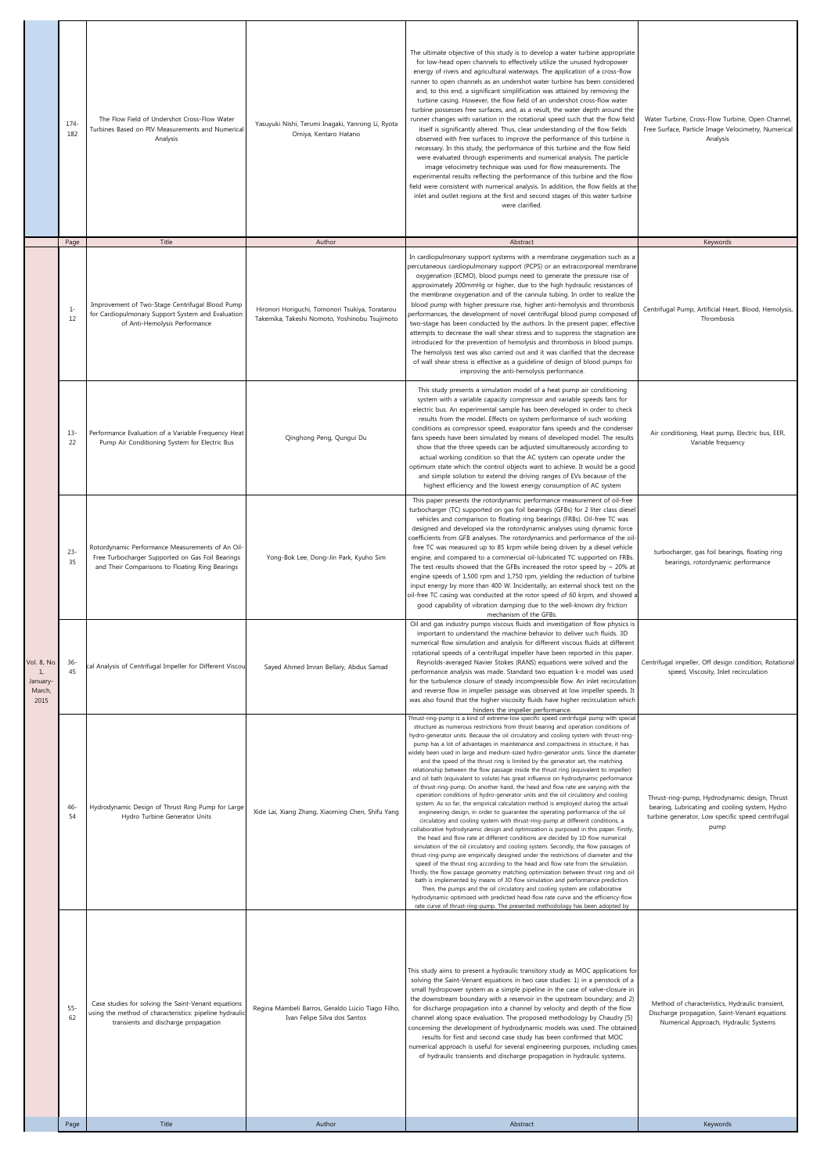|                                                | $174 -$<br>182 | The Flow Field of Undershot Cross-Flow Water<br>Turbines Based on PIV Measurements and Numerical<br>Analysis                                            | Yasuyuki Nishi, Terumi Inagaki, Yanrong Li, Ryota<br>Omiya, Kentaro Hatano                       | The ultimate objective of this study is to develop a water turbine appropriate<br>for low-head open channels to effectively utilize the unused hydropower<br>energy of rivers and agricultural waterways. The application of a cross-flow<br>runner to open channels as an undershot water turbine has been considered<br>and, to this end, a significant simplification was attained by removing the<br>turbine casing. However, the flow field of an undershot cross-flow water<br>turbine possesses free surfaces, and, as a result, the water depth around the<br>runner changes with variation in the rotational speed such that the flow field<br>itself is significantly altered. Thus, clear understanding of the flow fields<br>observed with free surfaces to improve the performance of this turbine is<br>necessary. In this study, the performance of this turbine and the flow field<br>were evaluated through experiments and numerical analysis. The particle<br>image velocimetry technique was used for flow measurements. The<br>experimental results reflecting the performance of this turbine and the flow<br>field were consistent with numerical analysis. In addition, the flow fields at the<br>inlet and outlet regions at the first and second stages of this water turbine<br>were clarified.                                                                                                                                                                                                                                                                                                                                                                                                                                                                                                                                                                                                                                                                                                                  | Water Turbine, Cross-Flow Turbine, Open Channel,<br>Free Surface, Particle Image Velocimetry, Numerical<br>Analysis                                          |
|------------------------------------------------|----------------|---------------------------------------------------------------------------------------------------------------------------------------------------------|--------------------------------------------------------------------------------------------------|---------------------------------------------------------------------------------------------------------------------------------------------------------------------------------------------------------------------------------------------------------------------------------------------------------------------------------------------------------------------------------------------------------------------------------------------------------------------------------------------------------------------------------------------------------------------------------------------------------------------------------------------------------------------------------------------------------------------------------------------------------------------------------------------------------------------------------------------------------------------------------------------------------------------------------------------------------------------------------------------------------------------------------------------------------------------------------------------------------------------------------------------------------------------------------------------------------------------------------------------------------------------------------------------------------------------------------------------------------------------------------------------------------------------------------------------------------------------------------------------------------------------------------------------------------------------------------------------------------------------------------------------------------------------------------------------------------------------------------------------------------------------------------------------------------------------------------------------------------------------------------------------------------------------------------------------------------------------------------------------------------------------------------------------|--------------------------------------------------------------------------------------------------------------------------------------------------------------|
|                                                | Page           | Title                                                                                                                                                   | Author                                                                                           | Abstract                                                                                                                                                                                                                                                                                                                                                                                                                                                                                                                                                                                                                                                                                                                                                                                                                                                                                                                                                                                                                                                                                                                                                                                                                                                                                                                                                                                                                                                                                                                                                                                                                                                                                                                                                                                                                                                                                                                                                                                                                                    | Keywords                                                                                                                                                     |
|                                                | $1-$<br>12     | Improvement of Two-Stage Centrifugal Blood Pump<br>for Cardiopulmonary Support System and Evaluation<br>of Anti-Hemolysis Performance                   | Hironori Horiguchi, Tomonori Tsukiya, Toratarou<br>Takemika, Takeshi Nomoto, Yoshinobu Tsujimoto | In cardiopulmonary support systems with a membrane oxygenation such as a<br>percutaneous cardiopulmonary support (PCPS) or an extracorporeal membrane<br>oxygenation (ECMO), blood pumps need to generate the pressure rise of<br>approximately 200mmHg or higher, due to the high hydraulic resistances of<br>the membrane oxygenation and of the cannula tubing. In order to realize the<br>blood pump with higher pressure rise, higher anti-hemolysis and thrombosis<br>performances, the development of novel centrifugal blood pump composed of<br>two-stage has been conducted by the authors. In the present paper, effective<br>attempts to decrease the wall shear stress and to suppress the stagnation are<br>introduced for the prevention of hemolysis and thrombosis in blood pumps.<br>The hemolysis test was also carried out and it was clarified that the decrease<br>of wall shear stress is effective as a guideline of design of blood pumps for<br>improving the anti-hemolysis performance.                                                                                                                                                                                                                                                                                                                                                                                                                                                                                                                                                                                                                                                                                                                                                                                                                                                                                                                                                                                                                         | Centrifugal Pump, Artificial Heart, Blood, Hemolysis,<br>Thrombosis                                                                                          |
|                                                | $13-$<br>22    | Performance Evaluation of a Variable Frequency Heat<br>Pump Air Conditioning System for Electric Bus                                                    | Qinghong Peng, Qungui Du                                                                         | This study presents a simulation model of a heat pump air conditioning<br>system with a variable capacity compressor and variable speeds fans for<br>electric bus. An experimental sample has been developed in order to check<br>results from the model. Effects on system performance of such working<br>conditions as compressor speed, evaporator fans speeds and the condenser<br>fans speeds have been simulated by means of developed model. The results<br>show that the three speeds can be adjusted simultaneously according to<br>actual working condition so that the AC system can operate under the<br>optimum state which the control objects want to achieve. It would be a good<br>and simple solution to extend the driving ranges of EVs because of the<br>highest efficiency and the lowest energy consumption of AC system                                                                                                                                                                                                                                                                                                                                                                                                                                                                                                                                                                                                                                                                                                                                                                                                                                                                                                                                                                                                                                                                                                                                                                                             | Air conditioning, Heat pump, Electric bus, EER,<br>Variable frequency                                                                                        |
|                                                | $23-$<br>35    | Rotordynamic Performance Measurements of An Oil-<br>Free Turbocharger Supported on Gas Foil Bearings<br>and Their Comparisons to Floating Ring Bearings | Yong-Bok Lee, Dong-Jin Park, Kyuho Sim                                                           | This paper presents the rotordynamic performance measurement of oil-free<br>turbocharger (TC) supported on gas foil bearings (GFBs) for 2 liter class diesel<br>vehicles and comparison to floating ring bearings (FRBs). Oil-free TC was<br>designed and developed via the rotordynamic analyses using dynamic force<br>coefficients from GFB analyses. The rotordynamics and performance of the oil<br>free TC was measured up to 85 krpm while being driven by a diesel vehicle<br>engine, and compared to a commercial oil-lubricated TC supported on FRBs.<br>The test results showed that the GFBs increased the rotor speed by $\sim$ 20% at<br>engine speeds of 1,500 rpm and 1,750 rpm, yielding the reduction of turbine<br>input energy by more than 400 W. Incidentally, an external shock test on the<br>oil-free TC casing was conducted at the rotor speed of 60 krpm, and showed a<br>good capability of vibration damping due to the well-known dry friction<br>mechanism of the GFBs.                                                                                                                                                                                                                                                                                                                                                                                                                                                                                                                                                                                                                                                                                                                                                                                                                                                                                                                                                                                                                                     | turbocharger, gas foil bearings, floating ring<br>bearings, rotordynamic performance                                                                         |
| Vol. 8, No.<br>1,<br>January<br>March,<br>2015 | $36 -$<br>45   | cal Analysis of Centrifugal Impeller for Different Viscou                                                                                               | Sayed Ahmed Imran Bellary, Abdus Samad                                                           | Oil and gas industry pumps viscous fluids and investigation of flow physics is<br>important to understand the machine behavior to deliver such fluids. 3D<br>numerical flow simulation and analysis for different viscous fluids at different<br>rotational speeds of a centrifugal impeller have been reported in this paper.<br>Reynolds-averaged Navier Stokes (RANS) equations were solved and the<br>performance analysis was made. Standard two equation k-E model was used<br>for the turbulence closure of steady incompressible flow. An inlet recirculation<br>and reverse flow in impeller passage was observed at low impeller speeds. It<br>was also found that the higher viscosity fluids have higher recirculation which<br>hinders the impeller performance.                                                                                                                                                                                                                                                                                                                                                                                                                                                                                                                                                                                                                                                                                                                                                                                                                                                                                                                                                                                                                                                                                                                                                                                                                                                               | Centrifugal impeller, Off design condition, Rotational<br>speed, Viscosity, Inlet recirculation                                                              |
|                                                | 46<br>54       | Hydrodynamic Design of Thrust Ring Pump for Large<br>Hydro Turbine Generator Units                                                                      | Xide Lai, Xiang Zhang, Xiaoming Chen, Shifu Yang                                                 | Thrust-ring-pump is a kind of extreme-low specific speed centrifugal pump with special<br>structure as numerous restrictions from thrust bearing and operation conditions of<br>hydro-generator units. Because the oil circulatory and cooling system with thrust-ring<br>pump has a lot of advantages in maintenance and compactness in structure, it has<br>widely been used in large and medium-sized hydro-generator units. Since the diameter<br>and the speed of the thrust ring is limited by the generator set, the matching<br>relationship between the flow passage inside the thrust ring (equivalent to impeller)<br>and oil bath (equivalent to volute) has great influence on hydrodynamic performance<br>of thrust-ring-pump. On another hand, the head and flow rate are varying with the<br>operation conditions of hydro-generator units and the oil circulatory and cooling<br>system. As so far, the empirical calculation method is employed during the actual<br>engineering design, in order to guarantee the operating performance of the oil<br>circulatory and cooling system with thrust-ring-pump at different conditions, a<br>collaborative hydrodynamic design and optimization is purposed in this paper. Firstly,<br>the head and flow rate at different conditions are decided by 1D flow numerical<br>simulation of the oil circulatory and cooling system. Secondly, the flow passages of<br>thrust-ring-pump are empirically designed under the restrictions of diameter and the<br>speed of the thrust ring according to the head and flow rate from the simulation.<br>Thirdly, the flow passage geometry matching optimization between thrust ring and oil<br>bath is implemented by means of 3D flow simulation and performance prediction.<br>Then, the pumps and the oil circulatory and cooling system are collaborative<br>hydrodynamic optimized with predicted head-flow rate curve and the efficiency-flow<br>rate curve of thrust-ring-pump. The presented methodology has been adopted by | Thrust-ring-pump, Hydrodynamic design, Thrust<br>bearing, Lubricating and cooling system, Hydro<br>turbine generator, Low specific speed centrifugal<br>pump |
|                                                | 55-<br>62      | Case studies for solving the Saint-Venant equations<br>using the method of characteristics: pipeline hydraulic<br>transients and discharge propagation  | Regina Mambeli Barros, Geraldo Lúcio Tiago Filho,<br>Ivan Felipe Silva dos Santos                | This study aims to present a hydraulic transitory study as MOC applications for<br>solving the Saint-Venant equations in two case studies: 1) in a penstock of a<br>small hydropower system as a simple pipeline in the case of valve-closure in<br>the downstream boundary with a reservoir in the upstream boundary; and 2)<br>for discharge propagation into a channel by velocity and depth of the flow<br>channel along space evaluation. The proposed methodology by Chaudry [5]<br>concerning the development of hydrodynamic models was used. The obtained<br>results for first and second case study has been confirmed that MOC<br>numerical approach is useful for several engineering purposes, including cases<br>of hydraulic transients and discharge propagation in hydraulic systems.                                                                                                                                                                                                                                                                                                                                                                                                                                                                                                                                                                                                                                                                                                                                                                                                                                                                                                                                                                                                                                                                                                                                                                                                                                      | Method of characteristics, Hydraulic transient,<br>Discharge propagation, Saint-Venant equations<br>Numerical Approach, Hydraulic Systems                    |
|                                                | Page           | Title                                                                                                                                                   | Author                                                                                           | Abstract                                                                                                                                                                                                                                                                                                                                                                                                                                                                                                                                                                                                                                                                                                                                                                                                                                                                                                                                                                                                                                                                                                                                                                                                                                                                                                                                                                                                                                                                                                                                                                                                                                                                                                                                                                                                                                                                                                                                                                                                                                    | Keywords                                                                                                                                                     |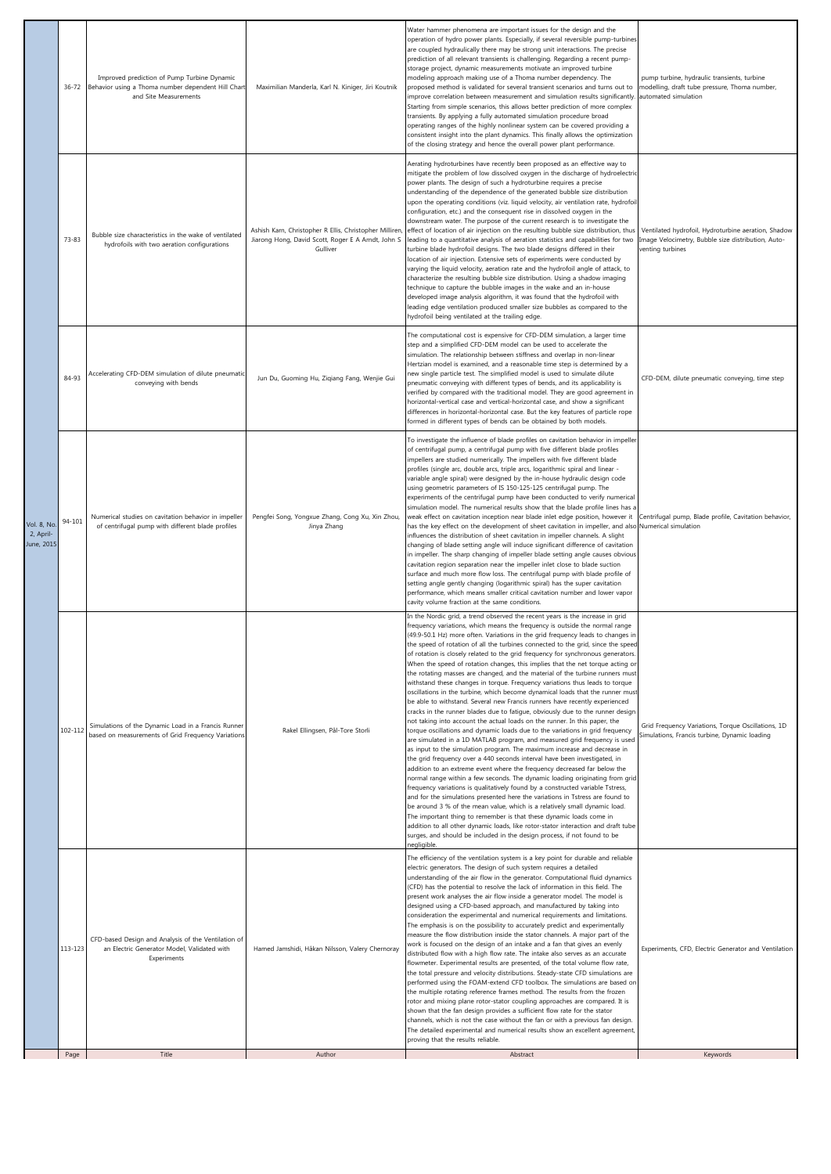|                                        | $36 - 72$ | Improved prediction of Pump Turbine Dynamic<br>Behavior using a Thoma number dependent Hill Chart<br>and Site Measurements | Maximilian Manderla, Karl N. Kiniger, Jiri Koutnik                                                                        | Water hammer phenomena are important issues for the design and the<br>operation of hydro power plants. Especially, if several reversible pump-turbines<br>are coupled hydraulically there may be strong unit interactions. The precise<br>prediction of all relevant transients is challenging. Regarding a recent pump-<br>storage project, dynamic measurements motivate an improved turbine<br>modeling approach making use of a Thoma number dependency. The<br>proposed method is validated for several transient scenarios and turns out to<br>improve correlation between measurement and simulation results significantly.<br>Starting from simple scenarios, this allows better prediction of more complex<br>transients. By applying a fully automated simulation procedure broad<br>operating ranges of the highly nonlinear system can be covered providing a<br>consistent insight into the plant dynamics. This finally allows the optimization<br>of the closing strategy and hence the overall power plant performance.                                                                                                                                                                                                                                                                                                                                                                                                                                                                                                                                                                                                                                                                                                                                                                                                                                                                                                                                                              | pump turbine, hydraulic transients, turbine<br>nodelling, draft tube pressure, Thoma number,<br>automated simulation          |
|----------------------------------------|-----------|----------------------------------------------------------------------------------------------------------------------------|---------------------------------------------------------------------------------------------------------------------------|------------------------------------------------------------------------------------------------------------------------------------------------------------------------------------------------------------------------------------------------------------------------------------------------------------------------------------------------------------------------------------------------------------------------------------------------------------------------------------------------------------------------------------------------------------------------------------------------------------------------------------------------------------------------------------------------------------------------------------------------------------------------------------------------------------------------------------------------------------------------------------------------------------------------------------------------------------------------------------------------------------------------------------------------------------------------------------------------------------------------------------------------------------------------------------------------------------------------------------------------------------------------------------------------------------------------------------------------------------------------------------------------------------------------------------------------------------------------------------------------------------------------------------------------------------------------------------------------------------------------------------------------------------------------------------------------------------------------------------------------------------------------------------------------------------------------------------------------------------------------------------------------------------------------------------------------------------------------------------------------------|-------------------------------------------------------------------------------------------------------------------------------|
|                                        | 73-83     | Bubble size characteristics in the wake of ventilated<br>hydrofoils with two aeration configurations                       | Ashish Karn, Christopher R Ellis, Christopher Milliren,<br>Jiarong Hong, David Scott, Roger E A Arndt, John S<br>Gulliver | Aerating hydroturbines have recently been proposed as an effective way to<br>mitigate the problem of low dissolved oxygen in the discharge of hydroelectric<br>power plants. The design of such a hydroturbine requires a precise<br>understanding of the dependence of the generated bubble size distribution<br>upon the operating conditions (viz. liquid velocity, air ventilation rate, hydrofoil<br>configuration, etc.) and the consequent rise in dissolved oxygen in the<br>downstream water. The purpose of the current research is to investigate the<br>effect of location of air injection on the resulting bubble size distribution, thus<br>leading to a quantitative analysis of aeration statistics and capabilities for two<br>turbine blade hydrofoil designs. The two blade designs differed in their<br>location of air injection. Extensive sets of experiments were conducted by<br>varying the liquid velocity, aeration rate and the hydrofoil angle of attack, to<br>characterize the resulting bubble size distribution. Using a shadow imaging<br>technique to capture the bubble images in the wake and an in-house<br>developed image analysis algorithm, it was found that the hydrofoil with<br>leading edge ventilation produced smaller size bubbles as compared to the<br>hydrofoil being ventilated at the trailing edge.                                                                                                                                                                                                                                                                                                                                                                                                                                                                                                                                                                                                                                        | Ventilated hydrofoil, Hydroturbine aeration, Shadow<br>Image Velocimetry, Bubble size distribution, Auto-<br>venting turbines |
|                                        | 84-93     | Accelerating CFD-DEM simulation of dilute pneumatic<br>conveying with bends                                                | Jun Du, Guoming Hu, Ziqiang Fang, Wenjie Gui                                                                              | The computational cost is expensive for CFD-DEM simulation, a larger time<br>step and a simplified CFD-DEM model can be used to accelerate the<br>simulation. The relationship between stiffness and overlap in non-linear<br>Hertzian model is examined, and a reasonable time step is determined by a<br>new single particle test. The simplified model is used to simulate dilute<br>pneumatic conveying with different types of bends, and its applicability is<br>verified by compared with the traditional model. They are good agreement in<br>horizontal-vertical case and vertical-horizontal case, and show a significant<br>differences in horizontal-horizontal case. But the key features of particle rope<br>formed in different types of bends can be obtained by both models.                                                                                                                                                                                                                                                                                                                                                                                                                                                                                                                                                                                                                                                                                                                                                                                                                                                                                                                                                                                                                                                                                                                                                                                                        | CFD-DEM, dilute pneumatic conveying, time step                                                                                |
| Vol. 8, No.<br>2, April-<br>June, 2015 | 94-101    | Numerical studies on cavitation behavior in impeller<br>of centrifugal pump with different blade profiles                  | Pengfei Song, Yongxue Zhang, Cong Xu, Xin Zhou,<br>Jinya Zhang                                                            | To investigate the influence of blade profiles on cavitation behavior in impeller<br>of centrifugal pump, a centrifugal pump with five different blade profiles<br>impellers are studied numerically. The impellers with five different blade<br>profiles (single arc, double arcs, triple arcs, logarithmic spiral and linear -<br>variable angle spiral) were designed by the in-house hydraulic design code<br>using geometric parameters of IS 150-125-125 centrifugal pump. The<br>experiments of the centrifugal pump have been conducted to verify numerical<br>simulation model. The numerical results show that the blade profile lines has a<br>weak effect on cavitation inception near blade inlet edge position, however it<br>has the key effect on the development of sheet cavitation in impeller, and also Numerical simulation<br>influences the distribution of sheet cavitation in impeller channels. A slight<br>changing of blade setting angle will induce significant difference of cavitation<br>in impeller. The sharp changing of impeller blade setting angle causes obvious<br>cavitation region separation near the impeller inlet close to blade suction<br>surface and much more flow loss. The centrifugal pump with blade profile of<br>setting angle gently changing (logarithmic spiral) has the super cavitation<br>performance, which means smaller critical cavitation number and lower vapor<br>cavity volume fraction at the same conditions.                                                                                                                                                                                                                                                                                                                                                                                                                                                                                                               | Centrifugal pump, Blade profile, Cavitation behavior,                                                                         |
|                                        | 102-112   | Simulations of the Dynamic Load in a Francis Runner<br>based on measurements of Grid Frequency Variations                  | Rakel Ellingsen, Pål-Tore Storli                                                                                          | In the Nordic grid, a trend observed the recent years is the increase in grid<br>requency variations, which means the frequency is outside the normal range<br>(49.9-50.1 Hz) more often. Variations in the grid frequency leads to changes in<br>the speed of rotation of all the turbines connected to the grid, since the speed<br>of rotation is closely related to the grid frequency for synchronous generators.<br>When the speed of rotation changes, this implies that the net torque acting or<br>the rotating masses are changed, and the material of the turbine runners must<br>withstand these changes in torque. Frequency variations thus leads to torque<br>oscillations in the turbine, which become dynamical loads that the runner mus<br>be able to withstand. Several new Francis runners have recently experienced<br>cracks in the runner blades due to fatigue, obviously due to the runner design<br>not taking into account the actual loads on the runner. In this paper, the<br>torque oscillations and dynamic loads due to the variations in grid frequency<br>are simulated in a 1D MATLAB program, and measured grid frequency is used<br>as input to the simulation program. The maximum increase and decrease in<br>the grid frequency over a 440 seconds interval have been investigated, in<br>addition to an extreme event where the frequency decreased far below the<br>normal range within a few seconds. The dynamic loading originating from grid<br>frequency variations is qualitatively found by a constructed variable Tstress,<br>and for the simulations presented here the variations in Tstress are found to<br>be around 3 % of the mean value, which is a relatively small dynamic load.<br>The important thing to remember is that these dynamic loads come in<br>addition to all other dynamic loads, like rotor-stator interaction and draft tube<br>surges, and should be included in the design process, if not found to be<br>negligible. | Grid Frequency Variations, Torque Oscillations, 1D<br>Simulations, Francis turbine, Dynamic loading                           |
|                                        | 113-123   | CFD-based Design and Analysis of the Ventilation of<br>an Electric Generator Model, Validated with<br>Experiments          | Hamed Jamshidi, Håkan Nilsson, Valery Chernoray                                                                           | The efficiency of the ventilation system is a key point for durable and reliable<br>electric generators. The design of such system requires a detailed<br>understanding of the air flow in the generator. Computational fluid dynamics<br>(CFD) has the potential to resolve the lack of information in this field. The<br>present work analyses the air flow inside a generator model. The model is<br>designed using a CFD-based approach, and manufactured by taking into<br>consideration the experimental and numerical requirements and limitations.<br>The emphasis is on the possibility to accurately predict and experimentally<br>measure the flow distribution inside the stator channels. A major part of the<br>work is focused on the design of an intake and a fan that gives an evenly<br>distributed flow with a high flow rate. The intake also serves as an accurate<br>flowmeter. Experimental results are presented, of the total volume flow rate,<br>the total pressure and velocity distributions. Steady-state CFD simulations are<br>performed using the FOAM-extend CFD toolbox. The simulations are based on<br>the multiple rotating reference frames method. The results from the frozen<br>rotor and mixing plane rotor-stator coupling approaches are compared. It is<br>shown that the fan design provides a sufficient flow rate for the stator<br>channels, which is not the case without the fan or with a previous fan design.<br>The detailed experimental and numerical results show an excellent agreement,<br>proving that the results reliable.                                                                                                                                                                                                                                                                                                                                                                                                           | Experiments, CFD, Electric Generator and Ventilation                                                                          |
|                                        | Page      | Title                                                                                                                      | Author                                                                                                                    | Abstract                                                                                                                                                                                                                                                                                                                                                                                                                                                                                                                                                                                                                                                                                                                                                                                                                                                                                                                                                                                                                                                                                                                                                                                                                                                                                                                                                                                                                                                                                                                                                                                                                                                                                                                                                                                                                                                                                                                                                                                             | Keywords                                                                                                                      |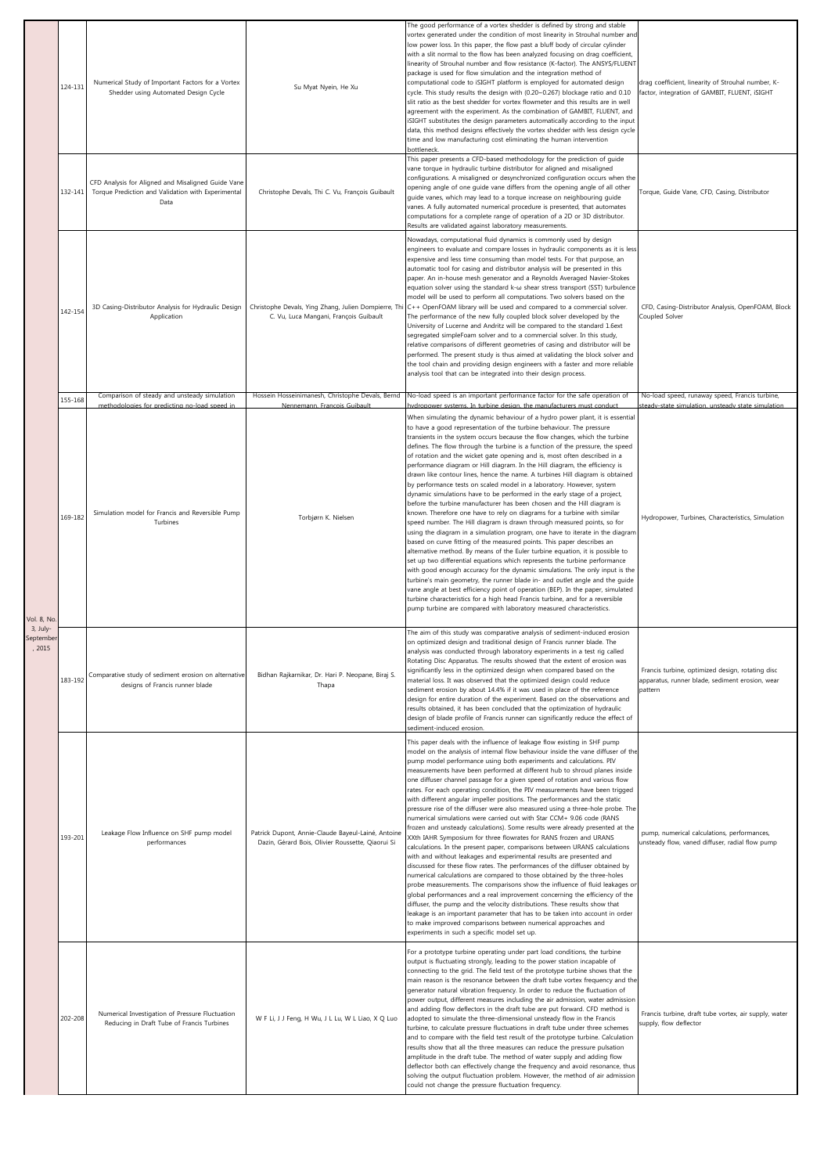|                                 | 124-131 | Numerical Study of Important Factors for a Vortex<br>Shedder using Automated Design Cycle                        | Su Myat Nyein, He Xu                                                                                    | The good performance of a vortex shedder is defined by strong and stable<br>vortex generated under the condition of most linearity in Strouhal number and<br>low power loss. In this paper, the flow past a bluff body of circular cylinder<br>with a slit normal to the flow has been analyzed focusing on drag coefficient,<br>linearity of Strouhal number and flow resistance (K-factor). The ANSYS/FLUENT<br>package is used for flow simulation and the integration method of<br>computational code to iSIGHT platform is employed for automated design<br>cycle. This study results the design with (0.20~0.267) blockage ratio and 0.10<br>slit ratio as the best shedder for vortex flowmeter and this results are in well<br>agreement with the experiment. As the combination of GAMBIT, FLUENT, and<br>iSIGHT substitutes the design parameters automatically according to the input<br>data, this method designs effectively the vortex shedder with less design cycle<br>time and low manufacturing cost eliminating the human intervention<br>bottleneck.                                                                                                                                                                                                                                                                                                                                                                                                                                                                                                                                                                                                                         | drag coefficient, linearity of Strouhal number, K-<br>factor, integration of GAMBIT, FLUENT, iSIGHT            |
|---------------------------------|---------|------------------------------------------------------------------------------------------------------------------|---------------------------------------------------------------------------------------------------------|--------------------------------------------------------------------------------------------------------------------------------------------------------------------------------------------------------------------------------------------------------------------------------------------------------------------------------------------------------------------------------------------------------------------------------------------------------------------------------------------------------------------------------------------------------------------------------------------------------------------------------------------------------------------------------------------------------------------------------------------------------------------------------------------------------------------------------------------------------------------------------------------------------------------------------------------------------------------------------------------------------------------------------------------------------------------------------------------------------------------------------------------------------------------------------------------------------------------------------------------------------------------------------------------------------------------------------------------------------------------------------------------------------------------------------------------------------------------------------------------------------------------------------------------------------------------------------------------------------------------------------------------------------------------------------------------------|----------------------------------------------------------------------------------------------------------------|
|                                 | 132-141 | CFD Analysis for Aligned and Misaligned Guide Vane<br>Torque Prediction and Validation with Experimental<br>Data | Christophe Devals, Thi C. Vu, François Guibault                                                         | This paper presents a CFD-based methodology for the prediction of guide<br>vane torque in hydraulic turbine distributor for aligned and misaligned<br>configurations. A misaligned or desynchronized configuration occurs when the<br>opening angle of one guide vane differs from the opening angle of all other<br>guide vanes, which may lead to a torque increase on neighbouring guide<br>vanes. A fully automated numerical procedure is presented, that automates<br>computations for a complete range of operation of a 2D or 3D distributor.<br>Results are validated against laboratory measurements.                                                                                                                                                                                                                                                                                                                                                                                                                                                                                                                                                                                                                                                                                                                                                                                                                                                                                                                                                                                                                                                                                  | Torque, Guide Vane, CFD, Casing, Distributor                                                                   |
|                                 | 142-154 | 3D Casing-Distributor Analysis for Hydraulic Design<br>Application                                               | C. Vu, Luca Mangani, François Guibault                                                                  | Nowadays, computational fluid dynamics is commonly used by design<br>engineers to evaluate and compare losses in hydraulic components as it is less<br>expensive and less time consuming than model tests. For that purpose, an<br>automatic tool for casing and distributor analysis will be presented in this<br>paper. An in-house mesh generator and a Reynolds Averaged Navier-Stokes<br>equation solver using the standard k-w shear stress transport (SST) turbulence<br>model will be used to perform all computations. Two solvers based on the<br>Christophe Devals, Ying Zhang, Julien Dompierre, Thi C++ OpenFOAM library will be used and compared to a commercial solver.<br>The performance of the new fully coupled block solver developed by the<br>University of Lucerne and Andritz will be compared to the standard 1.6ext<br>segregated simpleFoam solver and to a commercial solver. In this study,<br>relative comparisons of different geometries of casing and distributor will be<br>performed. The present study is thus aimed at validating the block solver and<br>the tool chain and providing design engineers with a faster and more reliable<br>analysis tool that can be integrated into their design process.                                                                                                                                                                                                                                                                                                                                                                                                                                                 | CFD, Casing-Distributor Analysis, OpenFOAM, Block<br>Coupled Solver                                            |
|                                 | 155-168 | Comparison of steady and unsteady simulation<br>methodologies for predicting no-load speed in                    | Nennemann, Francois Guibault                                                                            | Hossein Hosseinimanesh, Christophe Devals, Bernd   No-load speed is an important performance factor for the safe operation of<br>hydropower systems. In turbine design, the manufacturers must conduct                                                                                                                                                                                                                                                                                                                                                                                                                                                                                                                                                                                                                                                                                                                                                                                                                                                                                                                                                                                                                                                                                                                                                                                                                                                                                                                                                                                                                                                                                           | No-load speed, runaway speed, Francis turbine,<br>steady-state simulation, unsteady state simulation           |
| Vol. 8, No.                     | 169-182 | Simulation model for Francis and Reversible Pump<br>Turbines                                                     | Torbjørn K. Nielsen                                                                                     | When simulating the dynamic behaviour of a hydro power plant, it is essential<br>to have a good representation of the turbine behaviour. The pressure<br>transients in the system occurs because the flow changes, which the turbine<br>defines. The flow through the turbine is a function of the pressure, the speed<br>of rotation and the wicket gate opening and is, most often described in a<br>performance diagram or Hill diagram. In the Hill diagram, the efficiency is<br>drawn like contour lines, hence the name. A turbines Hill diagram is obtained<br>by performance tests on scaled model in a laboratory. However, system<br>dynamic simulations have to be performed in the early stage of a project,<br>before the turbine manufacturer has been chosen and the Hill diagram is<br>known. Therefore one have to rely on diagrams for a turbine with similar<br>speed number. The Hill diagram is drawn through measured points, so for<br>using the diagram in a simulation program, one have to iterate in the diagram<br>based on curve fitting of the measured points. This paper describes an<br>alternative method. By means of the Euler turbine equation, it is possible to<br>set up two differential equations which represents the turbine performance<br>with good enough accuracy for the dynamic simulations. The only input is the<br>turbine's main geometry, the runner blade in- and outlet angle and the guide<br>vane angle at best efficiency point of operation (BEP). In the paper, simulated<br>turbine characteristics for a high head Francis turbine, and for a reversible<br>pump turbine are compared with laboratory measured characteristics. | Hydropower, Turbines, Characteristics, Simulation                                                              |
| 3, July-<br>September<br>, 2015 | 183-192 | Comparative study of sediment erosion on alternative<br>designs of Francis runner blade                          | Bidhan Rajkarnikar, Dr. Hari P. Neopane, Biraj S.<br>Thapa                                              | The aim of this study was comparative analysis of sediment-induced erosion<br>on optimized design and traditional design of Francis runner blade. The<br>analysis was conducted through laboratory experiments in a test rig called<br>Rotating Disc Apparatus. The results showed that the extent of erosion was<br>significantly less in the optimized design when compared based on the<br>material loss. It was observed that the optimized design could reduce<br>sediment erosion by about 14.4% if it was used in place of the reference<br>design for entire duration of the experiment. Based on the observations and<br>results obtained, it has been concluded that the optimization of hydraulic<br>design of blade profile of Francis runner can significantly reduce the effect of<br>sediment-induced erosion.                                                                                                                                                                                                                                                                                                                                                                                                                                                                                                                                                                                                                                                                                                                                                                                                                                                                    | Francis turbine, optimized design, rotating disc<br>apparatus, runner blade, sediment erosion, wear<br>pattern |
|                                 | 193-201 | Leakage Flow Influence on SHF pump model<br>performances                                                         | Patrick Dupont, Annie-Claude Bayeul-Lainé, Antoine<br>Dazin, Gérard Bois, Olivier Roussette, Qiaorui Si | This paper deals with the influence of leakage flow existing in SHF pump<br>model on the analysis of internal flow behaviour inside the vane diffuser of the<br>pump model performance using both experiments and calculations. PIV<br>measurements have been performed at different hub to shroud planes inside<br>one diffuser channel passage for a given speed of rotation and various flow<br>rates. For each operating condition, the PIV measurements have been trigged<br>with different angular impeller positions. The performances and the static<br>pressure rise of the diffuser were also measured using a three-hole probe. The<br>numerical simulations were carried out with Star CCM+ 9.06 code (RANS<br>frozen and unsteady calculations). Some results were already presented at the<br>XXth IAHR Symposium for three flowrates for RANS frozen and URANS<br>calculations. In the present paper, comparisons between URANS calculations<br>with and without leakages and experimental results are presented and<br>discussed for these flow rates. The performances of the diffuser obtained by<br>numerical calculations are compared to those obtained by the three-holes<br>probe measurements. The comparisons show the influence of fluid leakages or<br>global performances and a real improvement concerning the efficiency of the<br>diffuser, the pump and the velocity distributions. These results show that<br>leakage is an important parameter that has to be taken into account in order<br>to make improved comparisons between numerical approaches and<br>experiments in such a specific model set up.                                                     | pump, numerical calculations, performances,<br>unsteady flow, vaned diffuser, radial flow pump                 |
|                                 | 202-208 | Numerical Investigation of Pressure Fluctuation<br>Reducing in Draft Tube of Francis Turbines                    | W F Li, J J Feng, H Wu, J L Lu, W L Liao, X Q Luo                                                       | For a prototype turbine operating under part load conditions, the turbine<br>output is fluctuating strongly, leading to the power station incapable of<br>connecting to the grid. The field test of the prototype turbine shows that the<br>main reason is the resonance between the draft tube vortex frequency and the<br>generator natural vibration frequency. In order to reduce the fluctuation of<br>power output, different measures including the air admission, water admission<br>and adding flow deflectors in the draft tube are put forward. CFD method is<br>adopted to simulate the three-dimensional unsteady flow in the Francis<br>turbine, to calculate pressure fluctuations in draft tube under three schemes<br>and to compare with the field test result of the prototype turbine. Calculation<br>results show that all the three measures can reduce the pressure pulsation<br>amplitude in the draft tube. The method of water supply and adding flow<br>deflector both can effectively change the frequency and avoid resonance, thus<br>solving the output fluctuation problem. However, the method of air admission<br>could not change the pressure fluctuation frequency.                                                                                                                                                                                                                                                                                                                                                                                                                                                                                         | Francis turbine, draft tube vortex, air supply, water<br>supply, flow deflector                                |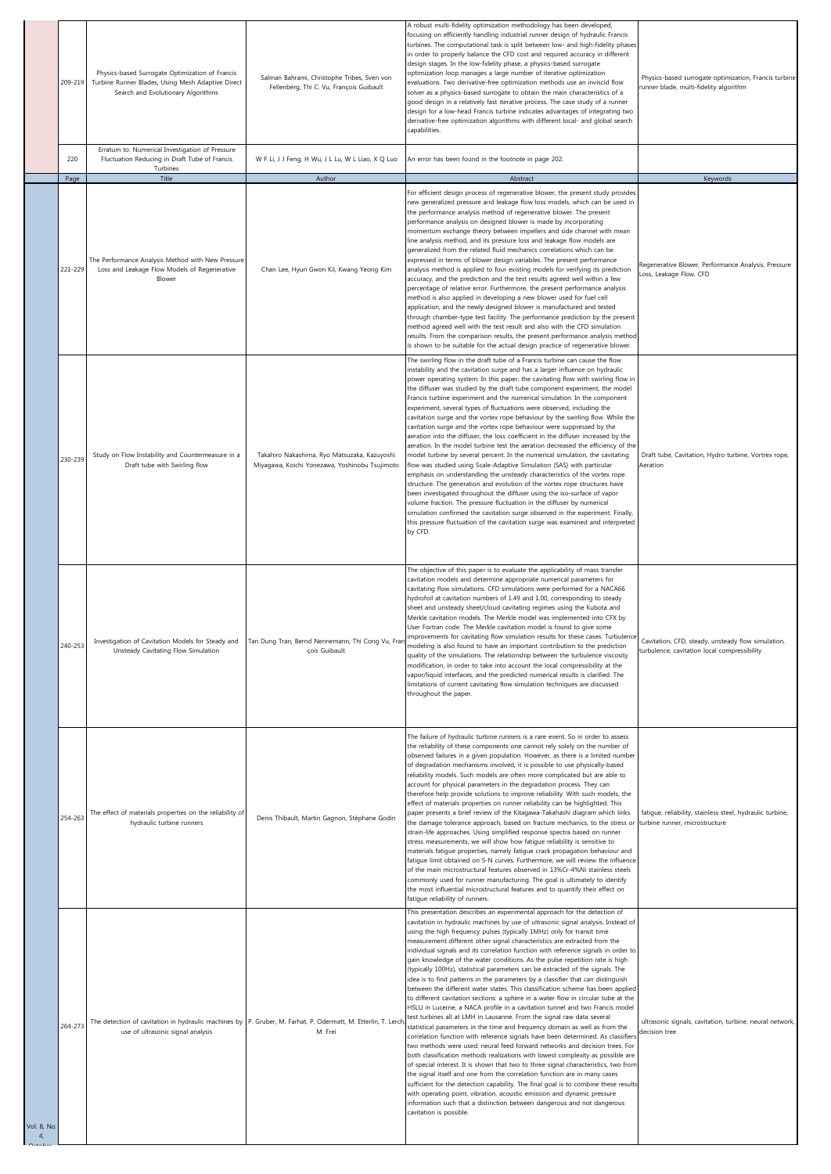|                               | 209-219 | Physics-based Surrogate Optimization of Francis<br>Turbine Runner Blades, Using Mesh Adaptive Direct<br>Search and Evolutionary Algorithms         | Salman Bahrami, Christophe Tribes, Sven von<br>Fellenberg, Thi C. Vu, François Guibault                                | A robust multi-fidelity optimization methodology has been developed,<br>focusing on efficiently handling industrial runner design of hydraulic Francis<br>turbines. The computational task is split between low- and high-fidelity phases<br>in order to properly balance the CFD cost and required accuracy in different<br>design stages. In the low-fidelity phase, a physics-based surrogate<br>optimization loop manages a large number of iterative optimization<br>evaluations. Two derivative-free optimization methods use an inviscid flow<br>solver as a physics-based surrogate to obtain the main characteristics of a<br>good design in a relatively fast iterative process. The case study of a runner<br>design for a low-head Francis turbine indicates advantages of integrating two<br>derivative-free optimization algorithms with different local- and global search<br>capabilities.                                                                                                                                                                                                                                                                                                                                                                                                                                                                                                                                                                                                                                                                                                                                                                                                                                                                           | Physics-based surrogate optimization, Francis turbine<br>runner blade, multi-fidelity algorithm    |
|-------------------------------|---------|----------------------------------------------------------------------------------------------------------------------------------------------------|------------------------------------------------------------------------------------------------------------------------|--------------------------------------------------------------------------------------------------------------------------------------------------------------------------------------------------------------------------------------------------------------------------------------------------------------------------------------------------------------------------------------------------------------------------------------------------------------------------------------------------------------------------------------------------------------------------------------------------------------------------------------------------------------------------------------------------------------------------------------------------------------------------------------------------------------------------------------------------------------------------------------------------------------------------------------------------------------------------------------------------------------------------------------------------------------------------------------------------------------------------------------------------------------------------------------------------------------------------------------------------------------------------------------------------------------------------------------------------------------------------------------------------------------------------------------------------------------------------------------------------------------------------------------------------------------------------------------------------------------------------------------------------------------------------------------------------------------------------------------------------------------------------------------|----------------------------------------------------------------------------------------------------|
|                               | 220     | Erratum to: Numerical Investigation of Pressure<br>Fluctuation Reducing in Draft Tube of Francis                                                   | W F Li, J J Feng, H Wu, J L Lu, W L Liao, X Q Luo                                                                      | An error has been found in the footnote in page 202.                                                                                                                                                                                                                                                                                                                                                                                                                                                                                                                                                                                                                                                                                                                                                                                                                                                                                                                                                                                                                                                                                                                                                                                                                                                                                                                                                                                                                                                                                                                                                                                                                                                                                                                                 |                                                                                                    |
|                               | Page    | Turbines<br>Title                                                                                                                                  | Author                                                                                                                 | Abstract                                                                                                                                                                                                                                                                                                                                                                                                                                                                                                                                                                                                                                                                                                                                                                                                                                                                                                                                                                                                                                                                                                                                                                                                                                                                                                                                                                                                                                                                                                                                                                                                                                                                                                                                                                             | Keywords                                                                                           |
|                               | 221-229 | The Performance Analysis Method with New Pressure<br>Loss and Leakage Flow Models of Regenerative<br>Blower                                        | Chan Lee, Hyun Gwon Kil, Kwang Yeong Kim                                                                               | For efficient design process of regenerative blower, the present study provides<br>new generalized pressure and leakage flow loss models, which can be used in<br>the performance analysis method of regenerative blower. The present<br>performance analysis on designed blower is made by incorporating<br>momentum exchange theory between impellers and side channel with mean<br>line analysis method, and its pressure loss and leakage flow models are<br>generalized from the related fluid mechanics correlations which can be<br>expressed in terms of blower design variables. The present performance<br>analysis method is applied to four existing models for verifying its prediction<br>accuracy, and the prediction and the test results agreed well within a few<br>percentage of relative error. Furthermore, the present performance analysis<br>method is also applied in developing a new blower used for fuel cell<br>application, and the newly designed blower is manufactured and tested<br>through chamber-type test facility. The performance prediction by the present<br>method agreed well with the test result and also with the CFD simulation<br>results. From the comparison results, the present performance analysis method<br>is shown to be suitable for the actual design practice of regenerative blower.                                                                                                                                                                                                                                                                                                                                                                                                                                   | Regenerative Blower, Performance Analysis, Pressure<br>Loss, Leakage Flow, CFD                     |
|                               | 230-239 | Study on Flow Instability and Countermeasure in a<br>Draft tube with Swirling flow                                                                 | Takahiro Nakashima, Ryo Matsuzaka, Kazuyoshi<br>Miyagawa, Koichi Yonezawa, Yoshinobu Tsujimoto                         | The swirling flow in the draft tube of a Francis turbine can cause the flow<br>instability and the cavitation surge and has a larger influence on hydraulic<br>power operating system. In this paper, the cavitating flow with swirling flow in<br>the diffuser was studied by the draft tube component experiment, the model<br>Francis turbine experiment and the numerical simulation. In the component<br>experiment, several types of fluctuations were observed, including the<br>cavitation surge and the vortex rope behaviour by the swirling flow. While the<br>cavitation surge and the vortex rope behaviour were suppressed by the<br>aeration into the diffuser, the loss coefficient in the diffuser increased by the<br>aeration. In the model turbine test the aeration decreased the efficiency of the<br>model turbine by several percent. In the numerical simulation, the cavitating<br>flow was studied using Scale-Adaptive Simulation (SAS) with particular<br>emphasis on understanding the unsteady characteristics of the vortex rope<br>structure. The generation and evolution of the vortex rope structures have<br>been investigated throughout the diffuser using the iso-surface of vapor<br>volume fraction. The pressure fluctuation in the diffuser by numerical<br>simulation confirmed the cavitation surge observed in the experiment. Finally,<br>this pressure fluctuation of the cavitation surge was examined and interpreted<br>by CFD.                                                                                                                                                                                                                                                                                                  | Draft tube, Cavitation, Hydro turbine, Vortrex rope,<br>Aeration                                   |
|                               | 240-253 | Unsteady Cavitating Flow Simulation                                                                                                                | Investigation of Cavitation Models for Steady and   Tan Dung Tran, Bernd Nennemann, Thi Cong Vu, Fran<br>çois Guibault | The objective of this paper is to evaluate the applicability of mass transfer<br>cavitation models and determine appropriate numerical parameters for<br>cavitating flow simulations. CFD simulations were performed for a NACA66<br>hydrofoil at cavitation numbers of 1.49 and 1.00, corresponding to steady<br>sheet and unsteady sheet/cloud cavitating regimes using the Kubota and<br>Merkle cavitation models. The Merkle model was implemented into CFX by<br>User Fortran code. The Merkle cavitation model is found to give some<br>improvements for cavitating flow simulation results for these cases. Turbulence<br>nodeling is also found to have an important contribution to the prediction<br>quality of the simulations. The relationship between the turbulence viscosity<br>modification, in order to take into account the local compressibility at the<br>vapor/liquid interfaces, and the predicted numerical results is clarified. The<br>limitations of current cavitating flow simulation techniques are discussed<br>throughout the paper.                                                                                                                                                                                                                                                                                                                                                                                                                                                                                                                                                                                                                                                                                                                | Cavitation, CFD, steady, unsteady flow simulation,<br>turbulence, cavitation local compressibility |
|                               | 254-263 | The effect of materials properties on the reliability of<br>hydraulic turbine runners                                                              | Denis Thibault, Martin Gagnon, Stéphane Godin                                                                          | The failure of hydraulic turbine runners is a rare event. So in order to assess<br>the reliability of these components one cannot rely solely on the number of<br>observed failures in a given population. However, as there is a limited number<br>of degradation mechanisms involved, it is possible to use physically-based<br>reliability models. Such models are often more complicated but are able to<br>account for physical parameters in the degradation process. They can<br>therefore help provide solutions to improve reliability. With such models, the<br>effect of materials properties on runner reliability can be highlighted. This<br>paper presents a brief review of the Kitagawa-Takahashi diagram which links<br>the damage tolerance approach, based on fracture mechanics, to the stress or<br>strain-life approaches. Using simplified response spectra based on runner<br>stress measurements, we will show how fatigue reliability is sensitive to<br>materials fatigue properties, namely fatigue crack propagation behaviour and<br>fatigue limit obtained on S-N curves. Furthermore, we will review the influence<br>of the main microstructural features observed in 13%Cr-4%Ni stainless steels<br>commonly used for runner manufacturing. The goal is ultimately to identify<br>the most influential microstructural features and to quantify their effect on<br>fatigue reliability of runners.                                                                                                                                                                                                                                                                                                                                                | fatigue, reliability, stainless steel, hydraulic turbine,<br>turbine runner, microstructure        |
| Vol. 8, No.<br>$\overline{4}$ | 264-273 | The detection of cavitation in hydraulic machines by P. Gruber, M. Farhat, P. Odermatt, M. Etterlin, T. Lerch<br>use of ultrasonic signal analysis | M. Frei                                                                                                                | This presentation describes an experimental approach for the detection of<br>cavitation in hydraulic machines by use of ultrasonic signal analysis. Instead of<br>using the high frequency pulses (typically 1MHz) only for transit time<br>measurement different other signal characteristics are extracted from the<br>individual signals and its correlation function with reference signals in order to<br>gain knowledge of the water conditions. As the pulse repetition rate is high<br>(typically 100Hz), statistical parameters can be extracted of the signals. The<br>idea is to find patterns in the parameters by a classifier that can distinguish<br>between the different water states. This classification scheme has been applied<br>to different cavitation sections: a sphere in a water flow in circular tube at the<br>HSLU in Lucerne, a NACA profile in a cavitation tunnel and two Francis model<br>test turbines all at LMH in Lausanne. From the signal raw data several<br>statistical parameters in the time and frequency domain as well as from the<br>correlation function with reference signals have been determined. As classifiers<br>two methods were used: neural feed forward networks and decision trees. For<br>both classification methods realizations with lowest complexity as possible are<br>of special interest. It is shown that two to three signal characteristics, two from<br>the signal itself and one from the correlation function are in many cases<br>sufficient for the detection capability. The final goal is to combine these results<br>with operating point, vibration, acoustic emission and dynamic pressure<br>information such that a distinction between dangerous and not dangerous<br>cavitation is possible. | ultrasonic signals, cavitation, turbine, neural network,<br>decision tree                          |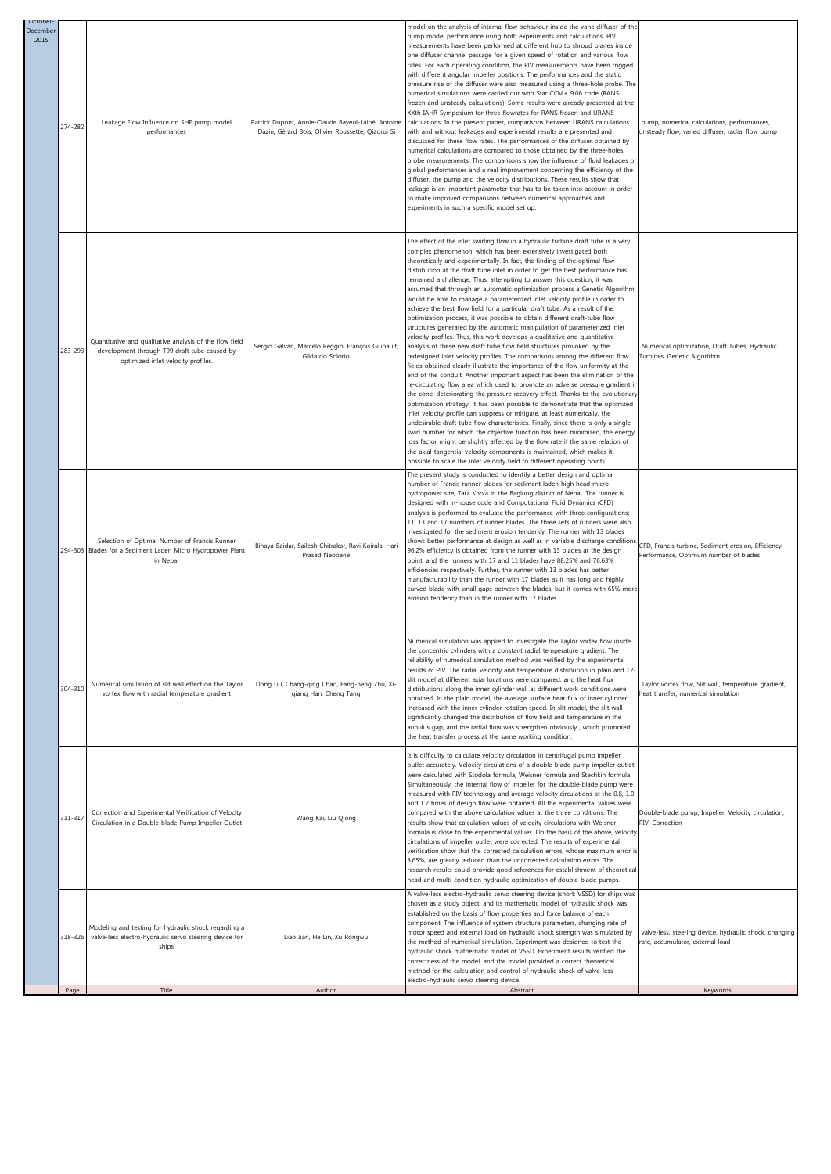|                             |                                                                                                                                               |                                                                                                         | method for the calculation and control of hydraulic shock of valve-less<br>electro-hydraulic servo steering device.                                                                                                                                                                                                                                                                                                                                                                                                                                                                                                                                                                                                                                                                                                                                                                                                                                                                                                                                                                                                                                                                                                                                                                                                                                                                                                                                                                                                                                                                                                                                                                                                                                                                                                                                                                                                                                                 |                                                                                                |
|-----------------------------|-----------------------------------------------------------------------------------------------------------------------------------------------|---------------------------------------------------------------------------------------------------------|---------------------------------------------------------------------------------------------------------------------------------------------------------------------------------------------------------------------------------------------------------------------------------------------------------------------------------------------------------------------------------------------------------------------------------------------------------------------------------------------------------------------------------------------------------------------------------------------------------------------------------------------------------------------------------------------------------------------------------------------------------------------------------------------------------------------------------------------------------------------------------------------------------------------------------------------------------------------------------------------------------------------------------------------------------------------------------------------------------------------------------------------------------------------------------------------------------------------------------------------------------------------------------------------------------------------------------------------------------------------------------------------------------------------------------------------------------------------------------------------------------------------------------------------------------------------------------------------------------------------------------------------------------------------------------------------------------------------------------------------------------------------------------------------------------------------------------------------------------------------------------------------------------------------------------------------------------------------|------------------------------------------------------------------------------------------------|
| 318-326                     | Modeling and testing for hydraulic shock regarding a<br>valve-less electro-hydraulic servo steering device for<br>ships                       | Liao Jian, He Lin, Xu Rongwu                                                                            | A valve-less electro-hydraulic servo steering device (short: VSSD) for ships was<br>chosen as a study object, and its mathematic model of hydraulic shock was<br>established on the basis of flow properties and force balance of each<br>component. The influence of system structure parameters, changing rate of<br>motor speed and external load on hydraulic shock strength was simulated by<br>the method of numerical simulation. Experiment was designed to test the<br>hydraulic shock mathematic model of VSSD. Experiment results verified the<br>correctness of the model, and the model provided a correct theoretical                                                                                                                                                                                                                                                                                                                                                                                                                                                                                                                                                                                                                                                                                                                                                                                                                                                                                                                                                                                                                                                                                                                                                                                                                                                                                                                                 | valve-less, steering device, hydraulic shock, changing<br>rate, accumulator, external load     |
| 311-317                     | Correction and Experimental Verification of Velocity<br>Circulation in a Double-blade Pump Impeller Outlet                                    | Wang Kai, Liu Qiong                                                                                     | It is difficulty to calculate velocity circulation in centrifugal pump impeller<br>outlet accurately. Velocity circulations of a double-blade pump impeller outlet<br>were calculated with Stodola formula, Weisner formula and Stechkin formula.<br>Simultaneously, the internal flow of impeller for the double-blade pump were<br>measured with PIV technology and average velocity circulations at the 0.8, 1.0<br>and 1.2 times of design flow were obtained. All the experimental values were<br>compared with the above calculation values at the three conditions. The<br>results show that calculation values of velocity circulations with Weisner<br>formula is close to the experimental values. On the basis of the above, velocity<br>circulations of impeller outlet were corrected. The results of experimental<br>verification show that the corrected calculation errors, whose maximum error is<br>3.65%, are greatly reduced than the uncorrected calculation errors. The<br>research results could provide good references for establishment of theoretical<br>head and multi-condition hydraulic optimization of double-blade pumps.                                                                                                                                                                                                                                                                                                                                                                                                                                                                                                                                                                                                                                                                                                                                                                                                          | Double-blade pump, Impeller, Velocity circulation,<br>PIV, Correction                          |
| 304-310                     | Numerical simulation of slit wall effect on the Taylor<br>vortex flow with radial temperature gradient                                        | Dong Liu, Chang-qing Chao, Fang-neng Zhu, Xi-<br>qiang Han, Cheng Tang                                  | lumerical simulation was applied to investigate the Taylor vortex flow inside<br>the concentric cylinders with a constant radial temperature gradient. The<br>reliability of numerical simulation method was verified by the experimental<br>results of PIV. The radial velocity and temperature distribution in plain and 12-<br>slit model at different axial locations were compared, and the heat flux<br>distributions along the inner cylinder wall at different work conditions were<br>obtained. In the plain model, the average surface heat flux of inner cylinder<br>increased with the inner cylinder rotation speed. In slit model, the slit wall<br>significantly changed the distribution of flow field and temperature in the<br>annulus gap, and the radial flow was strengthen obviously, which promoted<br>the heat transfer process at the same working condition.                                                                                                                                                                                                                                                                                                                                                                                                                                                                                                                                                                                                                                                                                                                                                                                                                                                                                                                                                                                                                                                                              | Taylor vortex flow, Slit wall, temperature gradient,<br>heat transfer, numerical simulation    |
|                             | Selection of Optimal Number of Francis Runner<br>294-303 Blades for a Sediment Laden Micro Hydropower Plant<br>in Nepal                       | Binaya Baidar, Sailesh Chitrakar, Ravi Koirala, Hari<br>Prasad Neopane                                  | The present study is conducted to identify a better design and optimal<br>number of Francis runner blades for sediment laden high head micro<br>hydropower site, Tara Khola in the Baglung district of Nepal. The runner is<br>designed with in-house code and Computational Fluid Dynamics (CFD)<br>analysis is performed to evaluate the performance with three configurations;<br>11, 13 and 17 numbers of runner blades. The three sets of runners were also<br>investigated for the sediment erosion tendency. The runner with 13 blades<br>shows better performance at design as well as in variable discharge conditions<br>96.2% efficiency is obtained from the runner with 13 blades at the design<br>point, and the runners with 17 and 11 blades have 88.25% and 76.63%<br>efficiencies respectively. Further, the runner with 13 blades has better<br>manufacturability than the runner with 17 blades as it has long and highly<br>curved blade with small gaps between the blades, but it comes with 65% more<br>erosion tendency than in the runner with 17 blades.                                                                                                                                                                                                                                                                                                                                                                                                                                                                                                                                                                                                                                                                                                                                                                                                                                                                                 | CFD, Francis turbine, Sediment erosion, Efficiency,<br>Performance, Optimum number of blades   |
| 283-293                     | Quantitative and qualitative analysis of the flow field<br>development through T99 draft tube caused by<br>optimized inlet velocity profiles. | Sergio Galván, Marcelo Reggio, François Guibault,<br>Gildardo Solorio                                   | The effect of the inlet swirling flow in a hydraulic turbine draft tube is a very<br>complex phenomenon, which has been extensively investigated both<br>theoretically and experimentally. In fact, the finding of the optimal flow<br>distribution at the draft tube inlet in order to get the best performance has<br>remained a challenge. Thus, attempting to answer this question, it was<br>assumed that through an automatic optimization process a Genetic Algorithm<br>would be able to manage a parameterized inlet velocity profile in order to<br>achieve the best flow field for a particular draft tube. As a result of the<br>optimization process, it was possible to obtain different draft-tube flow<br>structures generated by the automatic manipulation of parameterized inlet<br>velocity profiles. Thus, this work develops a qualitative and quantitative<br>analysis of these new draft tube flow field structures provoked by the<br>redesigned inlet velocity profiles. The comparisons among the different flow<br>fields obtained clearly illustrate the importance of the flow uniformity at the<br>end of the conduit. Another important aspect has been the elimination of the<br>re-circulating flow area which used to promote an adverse pressure gradient in<br>the cone, deteriorating the pressure recovery effect. Thanks to the evolutionary<br>optimization strategy, it has been possible to demonstrate that the optimized<br>inlet velocity profile can suppress or mitigate, at least numerically, the<br>undesirable draft tube flow characteristics. Finally, since there is only a single<br>swirl number for which the objective function has been minimized, the energy<br>loss factor might be slightly affected by the flow rate if the same relation of<br>the axial-tangential velocity components is maintained, which makes it<br>possible to scale the inlet velocity field to different operating points. | Numerical optimization, Draft Tubes, Hydraulic<br>Turbines, Genetic Algorithm                  |
| December<br>2015<br>274-282 | Leakage Flow Influence on SHF pump model<br>performances                                                                                      | Patrick Dupont, Annie-Claude Bayeul-Lainé, Antoine<br>Dazin, Gérard Bois, Olivier Roussette, Qiaorui Si | model on the analysis of internal flow behaviour inside the vane diffuser of the<br>pump model performance using both experiments and calculations. PIV<br>measurements have been performed at different hub to shroud planes inside<br>one diffuser channel passage for a given speed of rotation and various flow<br>rates. For each operating condition, the PIV measurements have been trigged<br>with different angular impeller positions. The performances and the static<br>pressure rise of the diffuser were also measured using a three-hole probe. The<br>numerical simulations were carried out with Star CCM+ 9.06 code (RANS<br>frozen and unsteady calculations). Some results were already presented at the<br>XXth IAHR Symposium for three flowrates for RANS frozen and URANS<br>calculations. In the present paper, comparisons between URANS calculations<br>with and without leakages and experimental results are presented and<br>discussed for these flow rates. The performances of the diffuser obtained by<br>numerical calculations are compared to those obtained by the three-holes<br>probe measurements. The comparisons show the influence of fluid leakages or<br>global performances and a real improvement concerning the efficiency of the<br>diffuser, the pump and the velocity distributions. These results show that<br>leakage is an important parameter that has to be taken into account in order<br>to make improved comparisons between numerical approaches and<br>experiments in such a specific model set up.                                                                                                                                                                                                                                                                                                                                                                                                    | pump, numerical calculations, performances,<br>unsteady flow, vaned diffuser, radial flow pump |
| October-                    |                                                                                                                                               |                                                                                                         |                                                                                                                                                                                                                                                                                                                                                                                                                                                                                                                                                                                                                                                                                                                                                                                                                                                                                                                                                                                                                                                                                                                                                                                                                                                                                                                                                                                                                                                                                                                                                                                                                                                                                                                                                                                                                                                                                                                                                                     |                                                                                                |

ľ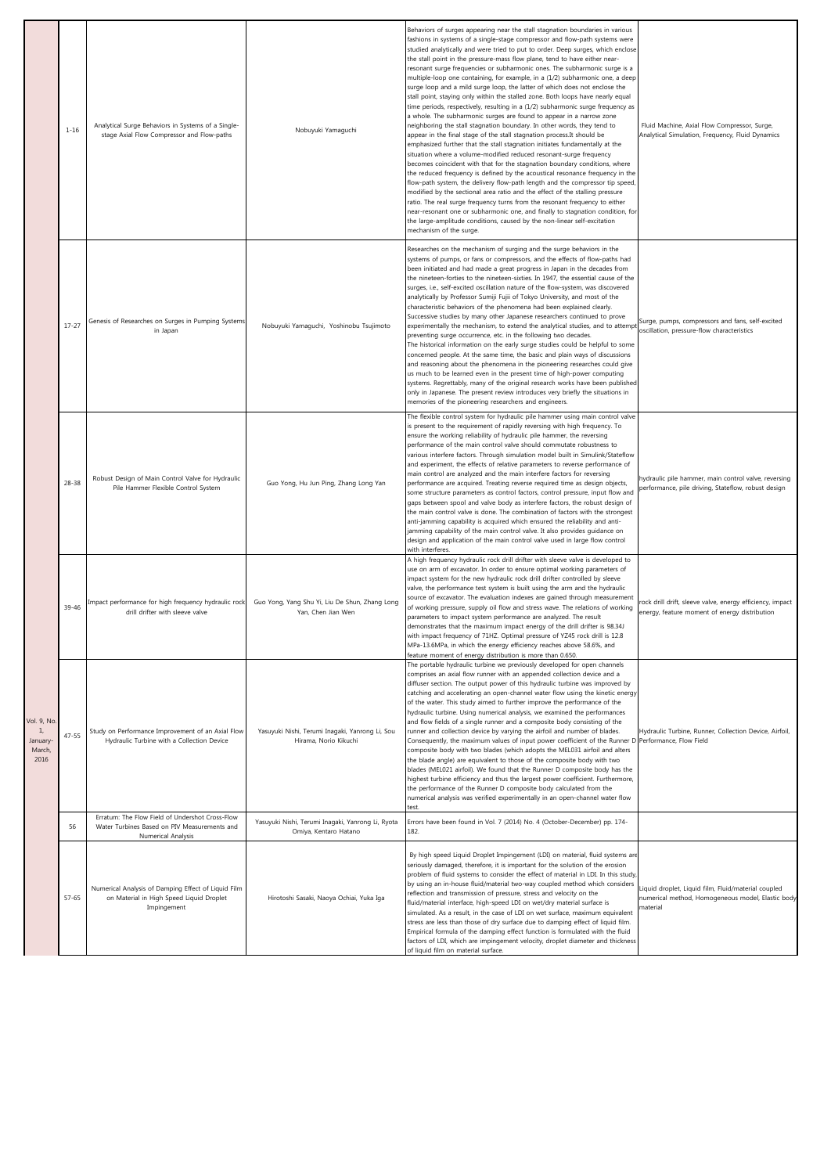|                                                 | $1 - 16$  | Analytical Surge Behaviors in Systems of a Single-<br>stage Axial Flow Compressor and Flow-paths                      | Nobuyuki Yamaguchi                                                         | Behaviors of surges appearing near the stall stagnation boundaries in various<br>fashions in systems of a single-stage compressor and flow-path systems were<br>studied analytically and were tried to put to order. Deep surges, which enclose<br>the stall point in the pressure-mass flow plane, tend to have either near-<br>resonant surge frequencies or subharmonic ones. The subharmonic surge is a<br>multiple-loop one containing, for example, in a (1/2) subharmonic one, a deep<br>surge loop and a mild surge loop, the latter of which does not enclose the<br>stall point, staying only within the stalled zone. Both loops have nearly equal<br>time periods, respectively, resulting in a (1/2) subharmonic surge frequency as<br>a whole. The subharmonic surges are found to appear in a narrow zone<br>neighboring the stall stagnation boundary. In other words, they tend to<br>appear in the final stage of the stall stagnation process.It should be<br>emphasized further that the stall stagnation initiates fundamentally at the<br>situation where a volume-modified reduced resonant-surge frequency<br>becomes coincident with that for the stagnation boundary conditions, where<br>the reduced frequency is defined by the acoustical resonance frequency in the<br>flow-path system, the delivery flow-path length and the compressor tip speed<br>modified by the sectional area ratio and the effect of the stalling pressure<br>ratio. The real surge frequency turns from the resonant frequency to either<br>near-resonant one or subharmonic one, and finally to stagnation condition, for<br>the large-amplitude conditions, caused by the non-linear self-excitation<br>mechanism of the surge. | Fluid Machine, Axial Flow Compressor, Surge,<br>Analytical Simulation, Frequency, Fluid Dynamics                     |
|-------------------------------------------------|-----------|-----------------------------------------------------------------------------------------------------------------------|----------------------------------------------------------------------------|-------------------------------------------------------------------------------------------------------------------------------------------------------------------------------------------------------------------------------------------------------------------------------------------------------------------------------------------------------------------------------------------------------------------------------------------------------------------------------------------------------------------------------------------------------------------------------------------------------------------------------------------------------------------------------------------------------------------------------------------------------------------------------------------------------------------------------------------------------------------------------------------------------------------------------------------------------------------------------------------------------------------------------------------------------------------------------------------------------------------------------------------------------------------------------------------------------------------------------------------------------------------------------------------------------------------------------------------------------------------------------------------------------------------------------------------------------------------------------------------------------------------------------------------------------------------------------------------------------------------------------------------------------------------------------------------------------------------------------------------|----------------------------------------------------------------------------------------------------------------------|
|                                                 | $17 - 27$ | Genesis of Researches on Surges in Pumping Systems<br>in Japan                                                        | Nobuyuki Yamaguchi, Yoshinobu Tsujimoto                                    | Researches on the mechanism of surging and the surge behaviors in the<br>systems of pumps, or fans or compressors, and the effects of flow-paths had<br>been initiated and had made a great progress in Japan in the decades from<br>the nineteen-forties to the nineteen-sixties. In 1947, the essential cause of the<br>surges, i.e., self-excited oscillation nature of the flow-system, was discovered<br>analytically by Professor Sumiji Fujii of Tokyo University, and most of the<br>characteristic behaviors of the phenomena had been explained clearly.<br>Successive studies by many other Japanese researchers continued to prove<br>experimentally the mechanism, to extend the analytical studies, and to attempt<br>preventing surge occurrence, etc. in the following two decades.<br>The historical information on the early surge studies could be helpful to some<br>concerned people. At the same time, the basic and plain ways of discussions<br>and reasoning about the phenomena in the pioneering researches could give<br>us much to be learned even in the present time of high-power computing<br>systems. Regrettably, many of the original research works have been published<br>only in Japanese. The present review introduces very briefly the situations in<br>memories of the pioneering researchers and engineers.                                                                                                                                                                                                                                                                                                                                                                                   | Surge, pumps, compressors and fans, self-excited<br>oscillation, pressure-flow characteristics                       |
|                                                 | $28 - 38$ | Robust Design of Main Control Valve for Hydraulic<br>Pile Hammer Flexible Control System                              | Guo Yong, Hu Jun Ping, Zhang Long Yan                                      | The flexible control system for hydraulic pile hammer using main control valve<br>is present to the requirement of rapidly reversing with high frequency. To<br>ensure the working reliability of hydraulic pile hammer, the reversing<br>performance of the main control valve should commutate robustness to<br>various interfere factors. Through simulation model built in Simulink/Stateflow<br>and experiment, the effects of relative parameters to reverse performance of<br>main control are analyzed and the main interfere factors for reversing<br>performance are acquired. Treating reverse required time as design objects,<br>some structure parameters as control factors, control pressure, input flow and<br>gaps between spool and valve body as interfere factors, the robust design of<br>the main control valve is done. The combination of factors with the strongest<br>anti-jamming capability is acquired which ensured the reliability and anti-<br>jamming capability of the main control valve. It also provides guidance on<br>design and application of the main control valve used in large flow control                                                                                                                                                                                                                                                                                                                                                                                                                                                                                                                                                                                                 | hydraulic pile hammer, main control valve, reversing<br>performance, pile driving, Stateflow, robust design          |
|                                                 | 39-46     | Impact performance for high frequency hydraulic rock<br>drill drifter with sleeve valve                               | Guo Yong, Yang Shu Yi, Liu De Shun, Zhang Long<br>Yan, Chen Jian Wen       | with interferes.<br>A high frequency hydraulic rock drill drifter with sleeve valve is developed to<br>use on arm of excavator. In order to ensure optimal working parameters of<br>impact system for the new hydraulic rock drill drifter controlled by sleeve<br>valve, the performance test system is built using the arm and the hydraulic<br>source of excavator. The evaluation indexes are gained through measurement<br>of working pressure, supply oil flow and stress wave. The relations of working<br>parameters to impact system performance are analyzed. The result<br>demonstrates that the maximum impact energy of the drill drifter is 98.34J<br>with impact frequency of 71HZ. Optimal pressure of YZ45 rock drill is 12.8<br>MPa-13.6MPa, in which the energy efficiency reaches above 58.6%, and<br>feature moment of energy distribution is more than 0.650.                                                                                                                                                                                                                                                                                                                                                                                                                                                                                                                                                                                                                                                                                                                                                                                                                                                       | rock drill drift, sleeve valve, energy efficiency, impact<br>energy, feature moment of energy distribution           |
| Vol. 9, No.<br>1.<br>January-<br>March,<br>2016 | $47 - 55$ | Study on Performance Improvement of an Axial Flow<br>Hydraulic Turbine with a Collection Device                       | Yasuyuki Nishi, Terumi Inaqaki, Yanrong Li, Sou<br>Hirama, Norio Kikuchi   | The portable hydraulic turbine we previously developed for open channels<br>comprises an axial flow runner with an appended collection device and a<br>diffuser section. The output power of this hydraulic turbine was improved by<br>catching and accelerating an open-channel water flow using the kinetic energy<br>of the water. This study aimed to further improve the performance of the<br>hydraulic turbine. Using numerical analysis, we examined the performances<br>and flow fields of a single runner and a composite body consisting of the<br>runner and collection device by varying the airfoil and number of blades.<br>Consequently, the maximum values of input power coefficient of the Runner D Performance, Flow Field<br>composite body with two blades (which adopts the MEL031 airfoil and alters<br>the blade angle) are equivalent to those of the composite body with two<br>blades (MEL021 airfoil). We found that the Runner D composite body has the<br>highest turbine efficiency and thus the largest power coefficient. Furthermore,<br>the performance of the Runner D composite body calculated from the<br>numerical analysis was verified experimentally in an open-channel water flow<br>test.                                                                                                                                                                                                                                                                                                                                                                                                                                                                                                   | Hydraulic Turbine, Runner, Collection Device, Airfoil,                                                               |
|                                                 | 56        | Erratum: The Flow Field of Undershot Cross-Flow<br>Water Turbines Based on PIV Measurements and<br>Numerical Analysis | Yasuyuki Nishi, Terumi Inagaki, Yanrong Li, Ryota<br>Omiya, Kentaro Hatano | Errors have been found in Vol. 7 (2014) No. 4 (October-December) pp. 174-<br>182.                                                                                                                                                                                                                                                                                                                                                                                                                                                                                                                                                                                                                                                                                                                                                                                                                                                                                                                                                                                                                                                                                                                                                                                                                                                                                                                                                                                                                                                                                                                                                                                                                                                         |                                                                                                                      |
|                                                 | $57 - 65$ | Numerical Analysis of Damping Effect of Liquid Film<br>on Material in High Speed Liquid Droplet<br>Impingement        | Hirotoshi Sasaki, Naoya Ochiai, Yuka Iga                                   | By high speed Liquid Droplet Impingement (LDI) on material, fluid systems are<br>seriously damaged, therefore, it is important for the solution of the erosion<br>problem of fluid systems to consider the effect of material in LDI. In this study,<br>by using an in-house fluid/material two-way coupled method which considers<br>reflection and transmission of pressure, stress and velocity on the<br>fluid/material interface, high-speed LDI on wet/dry material surface is<br>simulated. As a result, in the case of LDI on wet surface, maximum equivalent<br>stress are less than those of dry surface due to damping effect of liquid film.<br>Empirical formula of the damping effect function is formulated with the fluid<br>factors of LDI, which are impingement velocity, droplet diameter and thickness<br>of liquid film on material surface.                                                                                                                                                                                                                                                                                                                                                                                                                                                                                                                                                                                                                                                                                                                                                                                                                                                                        | Liquid droplet, Liquid film, Fluid/material coupled<br>numerical method, Homogeneous model, Elastic body<br>material |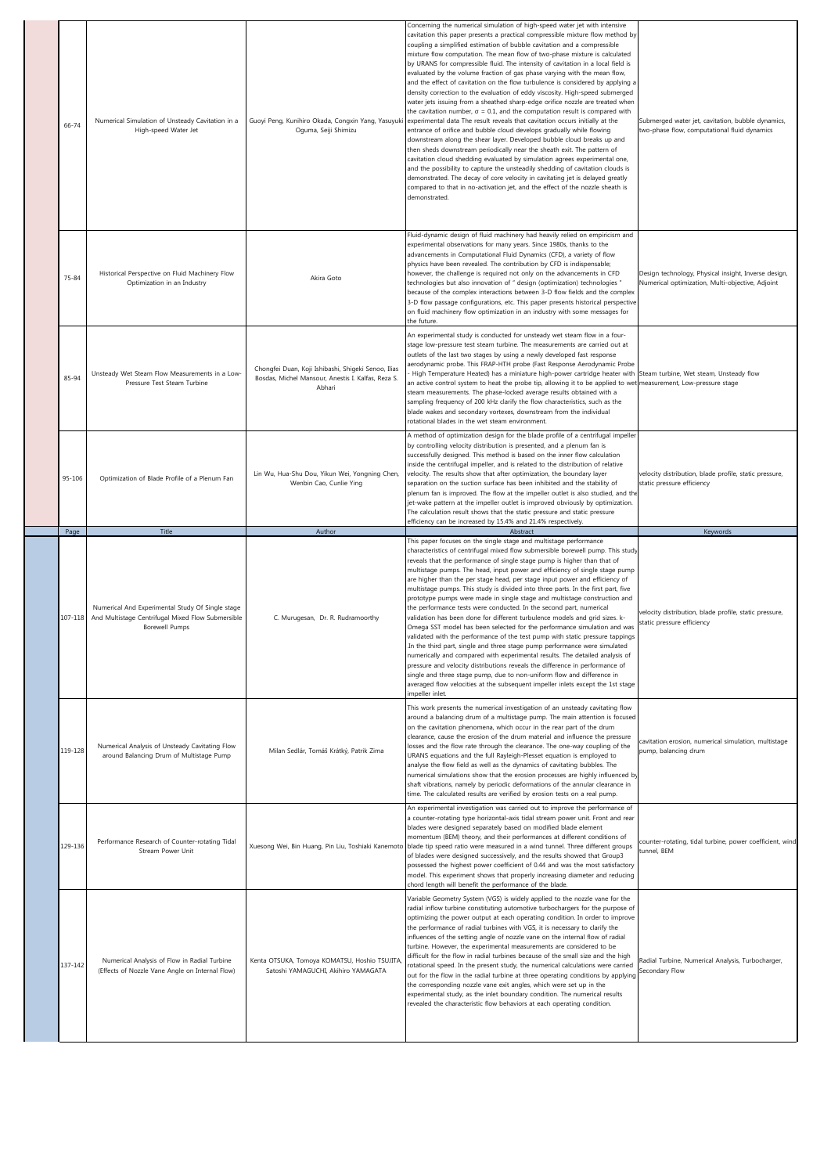| 66-74   | Numerical Simulation of Unsteady Cavitation in a<br>High-speed Water Jet                                                | Oguma, Seiji Shimizu                                                                                                | Concerning the numerical simulation of high-speed water jet with intensive<br>cavitation this paper presents a practical compressible mixture flow method by<br>coupling a simplified estimation of bubble cavitation and a compressible<br>mixture flow computation. The mean flow of two-phase mixture is calculated<br>by URANS for compressible fluid. The intensity of cavitation in a local field is<br>evaluated by the volume fraction of gas phase varying with the mean flow,<br>and the effect of cavitation on the flow turbulence is considered by applying a<br>density correction to the evaluation of eddy viscosity. High-speed submerged<br>water jets issuing from a sheathed sharp-edge orifice nozzle are treated when<br>the cavitation number, $\sigma = 0.1$ , and the computation result is compared with<br>Guoyi Peng, Kunihiro Okada, Congxin Yang, Yasuyuki experimental data The result reveals that cavitation occurs initially at the<br>entrance of orifice and bubble cloud develops gradually while flowing<br>downstream along the shear layer. Developed bubble cloud breaks up and<br>then sheds downstream periodically near the sheath exit. The pattern of<br>cavitation cloud shedding evaluated by simulation agrees experimental one,<br>and the possibility to capture the unsteadily shedding of cavitation clouds is<br>demonstrated. The decay of core velocity in cavitating jet is delayed greatly<br>compared to that in no-activation jet, and the effect of the nozzle sheath is<br>demonstrated. | Submerged water jet, cavitation, bubble dynamics,<br>two-phase flow, computational fluid dynamics        |
|---------|-------------------------------------------------------------------------------------------------------------------------|---------------------------------------------------------------------------------------------------------------------|--------------------------------------------------------------------------------------------------------------------------------------------------------------------------------------------------------------------------------------------------------------------------------------------------------------------------------------------------------------------------------------------------------------------------------------------------------------------------------------------------------------------------------------------------------------------------------------------------------------------------------------------------------------------------------------------------------------------------------------------------------------------------------------------------------------------------------------------------------------------------------------------------------------------------------------------------------------------------------------------------------------------------------------------------------------------------------------------------------------------------------------------------------------------------------------------------------------------------------------------------------------------------------------------------------------------------------------------------------------------------------------------------------------------------------------------------------------------------------------------------------------------------------------------------------|----------------------------------------------------------------------------------------------------------|
| 75-84   | Historical Perspective on Fluid Machinery Flow<br>Optimization in an Industry                                           | Akira Goto                                                                                                          | Fluid-dynamic design of fluid machinery had heavily relied on empiricism and<br>experimental observations for many years. Since 1980s, thanks to the<br>advancements in Computational Fluid Dynamics (CFD), a variety of flow<br>physics have been revealed. The contribution by CFD is indispensable;<br>however, the challenge is required not only on the advancements in CFD<br>technologies but also innovation of " design (optimization) technologies "<br>because of the complex interactions between 3-D flow fields and the complex<br>3-D flow passage configurations, etc. This paper presents historical perspective<br>on fluid machinery flow optimization in an industry with some messages for<br>the future.                                                                                                                                                                                                                                                                                                                                                                                                                                                                                                                                                                                                                                                                                                                                                                                                                         | Design technology, Physical insight, Inverse design,<br>Numerical optimization, Multi-objective, Adjoint |
| 85-94   | Unsteady Wet Steam Flow Measurements in a Low-<br>Pressure Test Steam Turbine                                           | Chongfei Duan, Koji Ishibashi, Shigeki Senoo, Ilias<br>Bosdas, Michel Mansour, Anestis I. Kalfas, Reza S.<br>Abhari | An experimental study is conducted for unsteady wet steam flow in a four-<br>stage low-pressure test steam turbine. The measurements are carried out at<br>outlets of the last two stages by using a newly developed fast response<br>aerodynamic probe. This FRAP-HTH probe (Fast Response Aerodynamic Probe<br>High Temperature Heated) has a miniature high-power cartridge heater with Steam turbine, Wet steam, Unsteady flow<br>an active control system to heat the probe tip, allowing it to be applied to wet measurement, Low-pressure stage<br>steam measurements. The phase-locked average results obtained with a<br>sampling frequency of 200 kHz clarify the flow characteristics, such as the<br>blade wakes and secondary vortexes, downstream from the individual<br>rotational blades in the wet steam environment.                                                                                                                                                                                                                                                                                                                                                                                                                                                                                                                                                                                                                                                                                                                 |                                                                                                          |
| 95-106  | Optimization of Blade Profile of a Plenum Fan                                                                           | Lin Wu, Hua-Shu Dou, Yikun Wei, Yongning Chen,<br>Wenbin Cao, Cunlie Ying                                           | A method of optimization design for the blade profile of a centrifugal impeller<br>by controlling velocity distribution is presented, and a plenum fan is<br>successfully designed. This method is based on the inner flow calculation<br>inside the centrifugal impeller, and is related to the distribution of relative<br>velocity. The results show that after optimization, the boundary layer<br>separation on the suction surface has been inhibited and the stability of<br>plenum fan is improved. The flow at the impeller outlet is also studied, and the<br>jet-wake pattern at the impeller outlet is improved obviously by optimization.<br>The calculation result shows that the static pressure and static pressure<br>efficiency can be increased by 15.4% and 21.4% respectively.                                                                                                                                                                                                                                                                                                                                                                                                                                                                                                                                                                                                                                                                                                                                                    | velocity distribution, blade profile, static pressure,<br>static pressure efficiency                     |
| Page    | Title                                                                                                                   | Author                                                                                                              | Abstract                                                                                                                                                                                                                                                                                                                                                                                                                                                                                                                                                                                                                                                                                                                                                                                                                                                                                                                                                                                                                                                                                                                                                                                                                                                                                                                                                                                                                                                                                                                                               | Keywords                                                                                                 |
|         |                                                                                                                         |                                                                                                                     |                                                                                                                                                                                                                                                                                                                                                                                                                                                                                                                                                                                                                                                                                                                                                                                                                                                                                                                                                                                                                                                                                                                                                                                                                                                                                                                                                                                                                                                                                                                                                        |                                                                                                          |
| 107-118 | Numerical And Experimental Study Of Single stage<br>And Multistage Centrifugal Mixed Flow Submersible<br>Borewell Pumps | C. Murugesan, Dr. R. Rudramoorthy                                                                                   | This paper focuses on the single stage and multistage performance<br>characteristics of centrifugal mixed flow submersible borewell pump. This study<br>reveals that the performance of single stage pump is higher than that of<br>multistage pumps. The head, input power and efficiency of single stage pump<br>are higher than the per stage head, per stage input power and efficiency of<br>multistage pumps. This study is divided into three parts. In the first part, five<br>prototype pumps were made in single stage and multistage construction and<br>the performance tests were conducted. In the second part, numerical<br>validation has been done for different turbulence models and grid sizes. k-<br>Omega SST model has been selected for the performance simulation and was<br>validated with the performance of the test pump with static pressure tappings<br>In the third part, single and three stage pump performance were simulated<br>numerically and compared with experimental results. The detailed analysis of<br>pressure and velocity distributions reveals the difference in performance of<br>single and three stage pump, due to non-uniform flow and difference in<br>averaged flow velocities at the subsequent impeller inlets except the 1st stage                                                                                                                                                                                                                                                          | velocity distribution, blade profile, static pressure,<br>static pressure efficiency                     |
| 119-128 | Numerical Analysis of Unsteady Cavitating Flow<br>around Balancing Drum of Multistage Pump                              | Milan Sedlár, Tomáš Krátký, Patrik Zima                                                                             | impeller inlet.<br>This work presents the numerical investigation of an unsteady cavitating flow<br>around a balancing drum of a multistage pump. The main attention is focused<br>on the cavitation phenomena, which occur in the rear part of the drum<br>clearance, cause the erosion of the drum material and influence the pressure<br>losses and the flow rate through the clearance. The one-way coupling of the<br>URANS equations and the full Rayleigh-Plesset equation is employed to<br>analyse the flow field as well as the dynamics of cavitating bubbles. The<br>numerical simulations show that the erosion processes are highly influenced by<br>shaft vibrations, namely by periodic deformations of the annular clearance in<br>time. The calculated results are verified by erosion tests on a real pump.                                                                                                                                                                                                                                                                                                                                                                                                                                                                                                                                                                                                                                                                                                                         | cavitation erosion, numerical simulation, multistage<br>pump, balancing drum                             |
| 129-136 | Performance Research of Counter-rotating Tidal<br>Stream Power Unit                                                     |                                                                                                                     | An experimental investigation was carried out to improve the performance of<br>a counter-rotating type horizontal-axis tidal stream power unit. Front and rear<br>blades were designed separately based on modified blade element<br>momentum (BEM) theory, and their performances at different conditions of<br>Xuesong Wei, Bin Huang, Pin Liu, Toshiaki Kanemoto blade tip speed ratio were measured in a wind tunnel. Three different groups<br>of blades were designed successively, and the results showed that Group3<br>possessed the highest power coefficient of 0.44 and was the most satisfactory<br>model. This experiment shows that properly increasing diameter and reducing<br>chord length will benefit the performance of the blade.<br>Variable Geometry System (VGS) is widely applied to the nozzle vane for the                                                                                                                                                                                                                                                                                                                                                                                                                                                                                                                                                                                                                                                                                                                 | counter-rotating, tidal turbine, power coefficient, wind<br>tunnel, BEM                                  |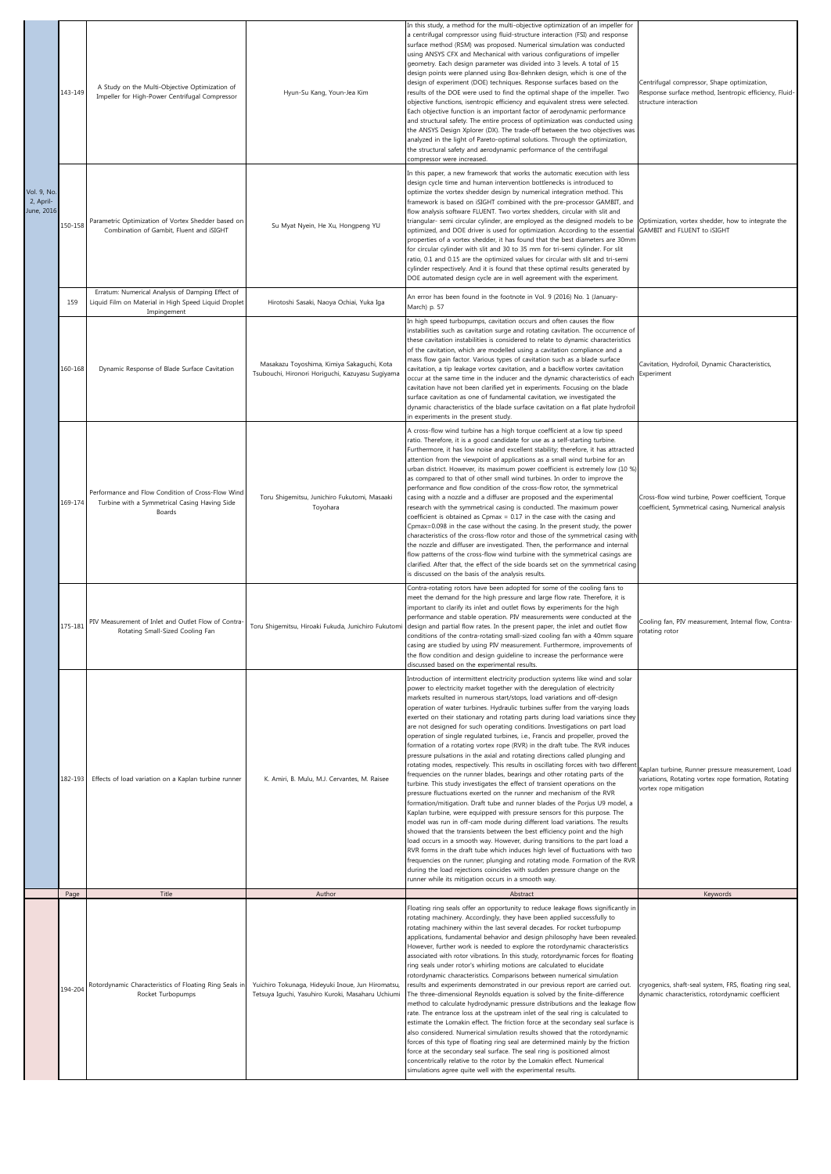|                                        | 143-149 | A Study on the Multi-Objective Optimization of<br>Impeller for High-Power Centrifugal Compressor             | Hyun-Su Kang, Youn-Jea Kim                                                                             | In this study, a method for the multi-objective optimization of an impeller for<br>a centrifugal compressor using fluid-structure interaction (FSI) and response<br>surface method (RSM) was proposed. Numerical simulation was conducted<br>using ANSYS CFX and Mechanical with various configurations of impeller<br>geometry. Each design parameter was divided into 3 levels. A total of 15<br>design points were planned using Box-Behnken design, which is one of the<br>design of experiment (DOE) techniques. Response surfaces based on the<br>results of the DOE were used to find the optimal shape of the impeller. Two<br>objective functions, isentropic efficiency and equivalent stress were selected.<br>Each objective function is an important factor of aerodynamic performance<br>and structural safety. The entire process of optimization was conducted using<br>the ANSYS Design Xplorer (DX). The trade-off between the two objectives was<br>analyzed in the light of Pareto-optimal solutions. Through the optimization,<br>the structural safety and aerodynamic performance of the centrifugal<br>compressor were increased.                                                                                                                                                                                                                                                                                                                                                                                                                                                                                                                                                                                                                            | Centrifugal compressor, Shape optimization,<br>Response surface method, Isentropic efficiency, Fluid-<br>structure interaction      |
|----------------------------------------|---------|--------------------------------------------------------------------------------------------------------------|--------------------------------------------------------------------------------------------------------|--------------------------------------------------------------------------------------------------------------------------------------------------------------------------------------------------------------------------------------------------------------------------------------------------------------------------------------------------------------------------------------------------------------------------------------------------------------------------------------------------------------------------------------------------------------------------------------------------------------------------------------------------------------------------------------------------------------------------------------------------------------------------------------------------------------------------------------------------------------------------------------------------------------------------------------------------------------------------------------------------------------------------------------------------------------------------------------------------------------------------------------------------------------------------------------------------------------------------------------------------------------------------------------------------------------------------------------------------------------------------------------------------------------------------------------------------------------------------------------------------------------------------------------------------------------------------------------------------------------------------------------------------------------------------------------------------------------------------------------------------------------------------------------|-------------------------------------------------------------------------------------------------------------------------------------|
| Vol. 9, No.<br>2, April-<br>June, 2016 | 150-158 | Parametric Optimization of Vortex Shedder based on<br>Combination of Gambit, Fluent and iSIGHT               | Su Myat Nyein, He Xu, Hongpeng YU                                                                      | In this paper, a new framework that works the automatic execution with less<br>design cycle time and human intervention bottlenecks is introduced to<br>optimize the vortex shedder design by numerical integration method. This<br>framework is based on iSIGHT combined with the pre-processor GAMBIT, and<br>flow analysis software FLUENT. Two vortex shedders, circular with slit and<br>triangular- semi circular cylinder, are employed as the designed models to be<br>optimized, and DOE driver is used for optimization. According to the essential<br>properties of a vortex shedder, it has found that the best diameters are 30mm<br>for circular cylinder with slit and 30 to 35 mm for tri-semi cylinder. For slit<br>ratio, 0.1 and 0.15 are the optimized values for circular with slit and tri-semi<br>cylinder respectively. And it is found that these optimal results generated by<br>DOE automated design cycle are in well agreement with the experiment.                                                                                                                                                                                                                                                                                                                                                                                                                                                                                                                                                                                                                                                                                                                                                                                                     | Optimization, vortex shedder, how to integrate the<br>GAMBIT and FLUENT to iSIGHT                                                   |
|                                        | 159     | Erratum: Numerical Analysis of Damping Effect of<br>Liquid Film on Material in High Speed Liquid Droplet     | Hirotoshi Sasaki, Naoya Ochiai, Yuka Iga                                                               | An error has been found in the footnote in Vol. 9 (2016) No. 1 (January-<br>March) p. 57                                                                                                                                                                                                                                                                                                                                                                                                                                                                                                                                                                                                                                                                                                                                                                                                                                                                                                                                                                                                                                                                                                                                                                                                                                                                                                                                                                                                                                                                                                                                                                                                                                                                                             |                                                                                                                                     |
|                                        | 160-168 | Impingement<br>Dynamic Response of Blade Surface Cavitation                                                  | Masakazu Toyoshima, Kimiya Sakaguchi, Kota<br>Tsubouchi, Hironori Horiguchi, Kazuyasu Sugiyama         | In high speed turbopumps, cavitation occurs and often causes the flow<br>instabilities such as cavitation surge and rotating cavitation. The occurrence of<br>these cavitation instabilities is considered to relate to dynamic characteristics<br>of the cavitation, which are modelled using a cavitation compliance and a<br>mass flow gain factor. Various types of cavitation such as a blade surface<br>cavitation, a tip leakage vortex cavitation, and a backflow vortex cavitation<br>occur at the same time in the inducer and the dynamic characteristics of each<br>cavitation have not been clarified yet in experiments. Focusing on the blade<br>surface cavitation as one of fundamental cavitation, we investigated the<br>dynamic characteristics of the blade surface cavitation on a flat plate hydrofoil<br>in experiments in the present study.                                                                                                                                                                                                                                                                                                                                                                                                                                                                                                                                                                                                                                                                                                                                                                                                                                                                                                                | Cavitation, Hydrofoil, Dynamic Characteristics,<br>Experiment                                                                       |
|                                        | 169-174 | Performance and Flow Condition of Cross-Flow Wind<br>Turbine with a Symmetrical Casing Having Side<br>Boards | Toru Shigemitsu, Junichiro Fukutomi, Masaaki<br>Toyohara                                               | A cross-flow wind turbine has a high torque coefficient at a low tip speed<br>ratio. Therefore, it is a good candidate for use as a self-starting turbine.<br>Furthermore, it has low noise and excellent stability; therefore, it has attracted<br>attention from the viewpoint of applications as a small wind turbine for an<br>urban district. However, its maximum power coefficient is extremely low (10 %)<br>as compared to that of other small wind turbines. In order to improve the<br>performance and flow condition of the cross-flow rotor, the symmetrical<br>casing with a nozzle and a diffuser are proposed and the experimental<br>research with the symmetrical casing is conducted. The maximum power<br>coefficient is obtained as Cpmax = 0.17 in the case with the casing and<br>Cpmax=0.098 in the case without the casing. In the present study, the power<br>characteristics of the cross-flow rotor and those of the symmetrical casing with<br>the nozzle and diffuser are investigated. Then, the performance and internal<br>flow patterns of the cross-flow wind turbine with the symmetrical casings are<br>clarified. After that, the effect of the side boards set on the symmetrical casing<br>is discussed on the basis of the analysis results.                                                                                                                                                                                                                                                                                                                                                                                                                                                                                                | Cross-flow wind turbine, Power coefficient, Torque<br>coefficient, Symmetrical casing, Numerical analysis                           |
|                                        | 175-181 | PIV Measurement of Inlet and Outlet Flow of Contra-<br>Rotating Small-Sized Cooling Fan                      |                                                                                                        | Contra-rotating rotors have been adopted for some of the cooling fans to<br>meet the demand for the high pressure and large flow rate. Therefore, it is<br>important to clarify its inlet and outlet flows by experiments for the high<br>performance and stable operation. PIV measurements were conducted at the<br>Toru Shigemitsu, Hiroaki Fukuda, Junichiro Fukutomi design and partial flow rates. In the present paper, the inlet and outlet flow<br>conditions of the contra-rotating small-sized cooling fan with a 40mm square<br>casing are studied by using PIV measurement. Furthermore, improvements of<br>the flow condition and design guideline to increase the performance were<br>discussed based on the experimental results.                                                                                                                                                                                                                                                                                                                                                                                                                                                                                                                                                                                                                                                                                                                                                                                                                                                                                                                                                                                                                                    | Cooling fan, PIV measurement, Internal flow, Contra-<br>rotating rotor                                                              |
|                                        | 182-193 | Effects of load variation on a Kaplan turbine runner                                                         | K. Amiri, B. Mulu, M.J. Cervantes, M. Raisee                                                           | Introduction of intermittent electricity production systems like wind and solar<br>power to electricity market together with the deregulation of electricity<br>markets resulted in numerous start/stops, load variations and off-design<br>operation of water turbines. Hydraulic turbines suffer from the varying loads<br>exerted on their stationary and rotating parts during load variations since they<br>are not designed for such operating conditions. Investigations on part load<br>operation of single regulated turbines, i.e., Francis and propeller, proved the<br>formation of a rotating vortex rope (RVR) in the draft tube. The RVR induces<br>pressure pulsations in the axial and rotating directions called plunging and<br>rotating modes, respectively. This results in oscillating forces with two different<br>frequencies on the runner blades, bearings and other rotating parts of the<br>turbine. This study investigates the effect of transient operations on the<br>pressure fluctuations exerted on the runner and mechanism of the RVR<br>formation/mitigation. Draft tube and runner blades of the Porjus U9 model, a<br>Kaplan turbine, were equipped with pressure sensors for this purpose. The<br>model was run in off-cam mode during different load variations. The results<br>showed that the transients between the best efficiency point and the high<br>load occurs in a smooth way. However, during transitions to the part load a<br>RVR forms in the draft tube which induces high level of fluctuations with two<br>frequencies on the runner; plunging and rotating mode. Formation of the RVR<br>during the load rejections coincides with sudden pressure change on the<br>runner while its mitigation occurs in a smooth way. | Kaplan turbine, Runner pressure measurement, Load<br>variations, Rotating vortex rope formation, Rotating<br>vortex rope mitigation |
|                                        | Page    | Title                                                                                                        | Author                                                                                                 | Abstract<br>Floating ring seals offer an opportunity to reduce leakage flows significantly in                                                                                                                                                                                                                                                                                                                                                                                                                                                                                                                                                                                                                                                                                                                                                                                                                                                                                                                                                                                                                                                                                                                                                                                                                                                                                                                                                                                                                                                                                                                                                                                                                                                                                        | Keywords                                                                                                                            |
|                                        | 194-204 | Rotordynamic Characteristics of Floating Ring Seals in<br>Rocket Turbopumps                                  | Yuichiro Tokunaga, Hideyuki Inoue, Jun Hiromatsu,<br>Tetsuya Iguchi, Yasuhiro Kuroki, Masaharu Uchiumi | rotating machinery. Accordingly, they have been applied successfully to<br>rotating machinery within the last several decades. For rocket turbopump<br>applications, fundamental behavior and design philosophy have been revealed.<br>However, further work is needed to explore the rotordynamic characteristics<br>associated with rotor vibrations. In this study, rotordynamic forces for floating<br>ring seals under rotor's whirling motions are calculated to elucidate<br>rotordynamic characteristics. Comparisons between numerical simulation<br>results and experiments demonstrated in our previous report are carried out.<br>The three-dimensional Reynolds equation is solved by the finite-difference<br>method to calculate hydrodynamic pressure distributions and the leakage flow<br>rate. The entrance loss at the upstream inlet of the seal ring is calculated to<br>estimate the Lomakin effect. The friction force at the secondary seal surface is<br>also considered. Numerical simulation results showed that the rotordynamic<br>forces of this type of floating ring seal are determined mainly by the friction<br>force at the secondary seal surface. The seal ring is positioned almost<br>concentrically relative to the rotor by the Lomakin effect. Numerical<br>simulations agree quite well with the experimental results.                                                                                                                                                                                                                                                                                                                                                                                                                  | cryogenics, shaft-seal system, FRS, floating ring seal,<br>dynamic characteristics, rotordynamic coefficient                        |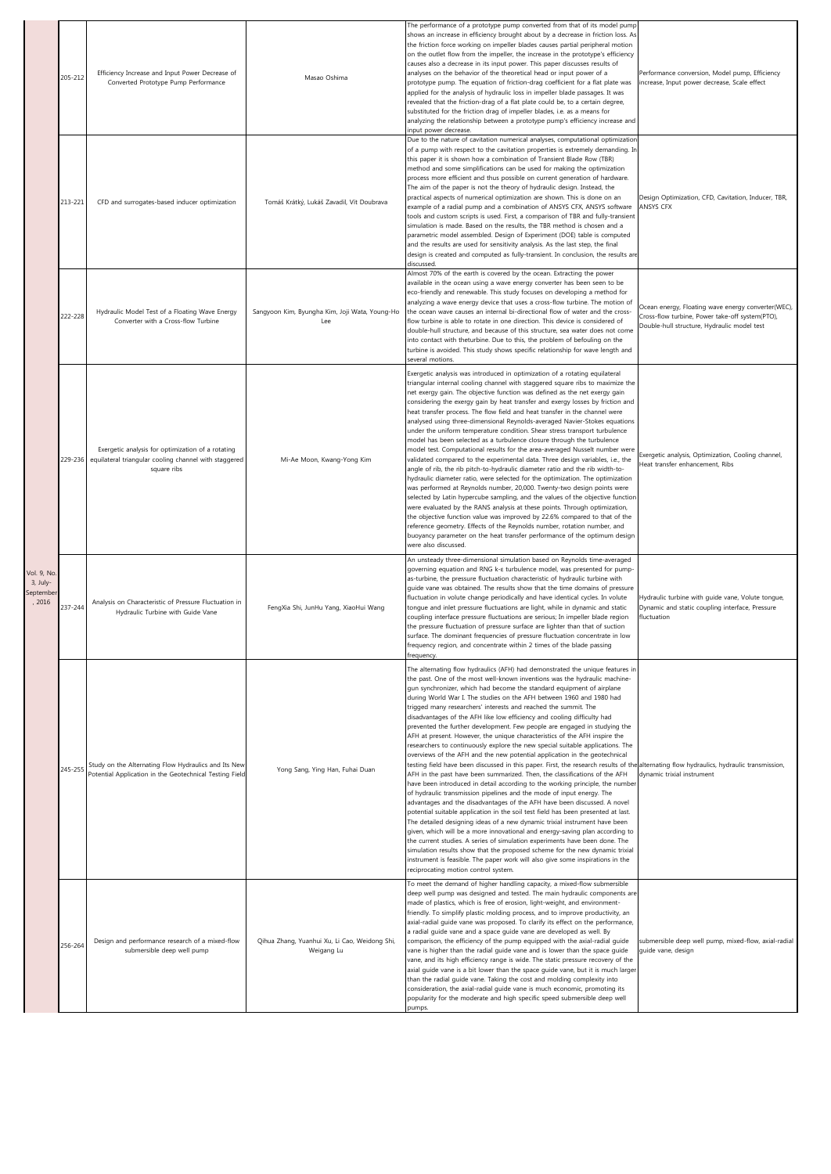|                                                | 205-212 | Efficiency Increase and Input Power Decrease of<br>Converted Prototype Pump Performance                                   | Masao Oshima                                                | The performance of a prototype pump converted from that of its model pump<br>shows an increase in efficiency brought about by a decrease in friction loss. As<br>the friction force working on impeller blades causes partial peripheral motion<br>on the outlet flow from the impeller, the increase in the prototype's efficiency<br>causes also a decrease in its input power. This paper discusses results of<br>analyses on the behavior of the theoretical head or input power of a<br>prototype pump. The equation of friction-drag coefficient for a flat plate was<br>applied for the analysis of hydraulic loss in impeller blade passages. It was<br>revealed that the friction-drag of a flat plate could be, to a certain degree,<br>substituted for the friction drag of impeller blades, i.e. as a means for<br>analyzing the relationship between a prototype pump's efficiency increase and<br>input power decrease.                                                                                                                                                                                                                                                                                                                                                                                                                                                                                                                                                                                                                                                                                                                                                                                                                                                             | Performance conversion, Model pump, Efficiency<br>increase, Input power decrease, Scale effect                                                       |
|------------------------------------------------|---------|---------------------------------------------------------------------------------------------------------------------------|-------------------------------------------------------------|---------------------------------------------------------------------------------------------------------------------------------------------------------------------------------------------------------------------------------------------------------------------------------------------------------------------------------------------------------------------------------------------------------------------------------------------------------------------------------------------------------------------------------------------------------------------------------------------------------------------------------------------------------------------------------------------------------------------------------------------------------------------------------------------------------------------------------------------------------------------------------------------------------------------------------------------------------------------------------------------------------------------------------------------------------------------------------------------------------------------------------------------------------------------------------------------------------------------------------------------------------------------------------------------------------------------------------------------------------------------------------------------------------------------------------------------------------------------------------------------------------------------------------------------------------------------------------------------------------------------------------------------------------------------------------------------------------------------------------------------------------------------------------------------------|------------------------------------------------------------------------------------------------------------------------------------------------------|
|                                                | 213-221 | CFD and surrogates-based inducer optimization                                                                             | Tomáš Krátký, Lukáš Zavadil, Vít Doubrava                   | Due to the nature of cavitation numerical analyses, computational optimization<br>of a pump with respect to the cavitation properties is extremely demanding. In<br>this paper it is shown how a combination of Transient Blade Row (TBR)<br>method and some simplifications can be used for making the optimization<br>process more efficient and thus possible on current generation of hardware.<br>The aim of the paper is not the theory of hydraulic design. Instead, the<br>practical aspects of numerical optimization are shown. This is done on an<br>example of a radial pump and a combination of ANSYS CFX, ANSYS software<br>tools and custom scripts is used. First, a comparison of TBR and fully-transient<br>simulation is made. Based on the results, the TBR method is chosen and a<br>parametric model assembled. Design of Experiment (DOE) table is computed<br>and the results are used for sensitivity analysis. As the last step, the final<br>design is created and computed as fully-transient. In conclusion, the results are<br>discussed.                                                                                                                                                                                                                                                                                                                                                                                                                                                                                                                                                                                                                                                                                                                          | Design Optimization, CFD, Cavitation, Inducer, TBR,<br>ANSYS CFX                                                                                     |
|                                                | 222-228 | Hydraulic Model Test of a Floating Wave Energy<br>Converter with a Cross-flow Turbine                                     | Sangyoon Kim, Byungha Kim, Joji Wata, Young-Ho<br>Lee       | Almost 70% of the earth is covered by the ocean. Extracting the power<br>available in the ocean using a wave energy converter has been seen to be<br>eco-friendly and renewable. This study focuses on developing a method for<br>analyzing a wave energy device that uses a cross-flow turbine. The motion of<br>the ocean wave causes an internal bi-directional flow of water and the cross-<br>flow turbine is able to rotate in one direction. This device is considered of<br>double-hull structure, and because of this structure, sea water does not come<br>into contact with theturbine. Due to this, the problem of befouling on the<br>turbine is avoided. This study shows specific relationship for wave length and<br>several motions.                                                                                                                                                                                                                                                                                                                                                                                                                                                                                                                                                                                                                                                                                                                                                                                                                                                                                                                                                                                                                                             | Ocean energy, Floating wave energy converter(WEC),<br>Cross-flow turbine, Power take-off system(PTO),<br>Double-hull structure, Hydraulic model test |
|                                                | 229-236 | Exergetic analysis for optimization of a rotating<br>equilateral triangular cooling channel with staggered<br>square ribs | Mi-Ae Moon, Kwang-Yong Kim                                  | Exergetic analysis was introduced in optimization of a rotating equilateral<br>triangular internal cooling channel with staggered square ribs to maximize the<br>net exergy gain. The objective function was defined as the net exergy gain<br>considering the exergy gain by heat transfer and exergy losses by friction and<br>heat transfer process. The flow field and heat transfer in the channel were<br>analysed using three-dimensional Reynolds-averaged Navier-Stokes equations<br>under the uniform temperature condition. Shear stress transport turbulence<br>model has been selected as a turbulence closure through the turbulence<br>model test. Computational results for the area-averaged Nusselt number were<br>validated compared to the experimental data. Three design variables, i.e., the<br>angle of rib, the rib pitch-to-hydraulic diameter ratio and the rib width-to-<br>hydraulic diameter ratio, were selected for the optimization. The optimization<br>was performed at Reynolds number, 20,000. Twenty-two design points were<br>selected by Latin hypercube sampling, and the values of the objective function<br>were evaluated by the RANS analysis at these points. Through optimization,<br>the objective function value was improved by 22.6% compared to that of the<br>reference geometry. Effects of the Reynolds number, rotation number, and<br>buoyancy parameter on the heat transfer performance of the optimum design<br>were also discussed.                                                                                                                                                                                                                                                                                                  | Exergetic analysis, Optimization, Cooling channel,<br>Heat transfer enhancement, Ribs                                                                |
| Vol. 9, No.<br>3, July-<br>September<br>, 2016 | 237-244 | Analysis on Characteristic of Pressure Fluctuation in<br>Hydraulic Turbine with Guide Vane                                | FengXia Shi, JunHu Yang, XiaoHui Wang                       | An unsteady three-dimensional simulation based on Reynolds time-averaged<br>governing equation and RNG k-& turbulence model, was presented for pump-<br>as-turbine, the pressure fluctuation characteristic of hydraulic turbine with<br>guide vane was obtained. The results show that the time domains of pressure<br>fluctuation in volute change periodically and have identical cycles. In volute<br>tongue and inlet pressure fluctuations are light, while in dynamic and static<br>coupling interface pressure fluctuations are serious; In impeller blade region<br>the pressure fluctuation of pressure surface are lighter than that of suction<br>surface. The dominant frequencies of pressure fluctuation concentrate in low<br>frequency region, and concentrate within 2 times of the blade passing<br>frequency.                                                                                                                                                                                                                                                                                                                                                                                                                                                                                                                                                                                                                                                                                                                                                                                                                                                                                                                                                                 | Hydraulic turbine with guide vane, Volute tongue,<br>Dynamic and static coupling interface, Pressure<br>fluctuation                                  |
|                                                | 245-255 | Study on the Alternating Flow Hydraulics and Its New<br>Potential Application in the Geotechnical Testing Field           | Yong Sang, Ying Han, Fuhai Duan                             | The alternating flow hydraulics (AFH) had demonstrated the unique features in<br>the past. One of the most well-known inventions was the hydraulic machine-<br>gun synchronizer, which had become the standard equipment of airplane<br>during World War I. The studies on the AFH between 1960 and 1980 had<br>trigged many researchers' interests and reached the summit. The<br>disadvantages of the AFH like low efficiency and cooling difficulty had<br>prevented the further development. Few people are engaged in studying the<br>AFH at present. However, the unique characteristics of the AFH inspire the<br>researchers to continuously explore the new special suitable applications. The<br>overviews of the AFH and the new potential application in the geotechnical<br>testing field have been discussed in this paper. First, the research results of the alternating flow hydraulics, hydraulic transmission,<br>AFH in the past have been summarized. Then, the classifications of the AFH<br>have been introduced in detail according to the working principle, the number<br>of hydraulic transmission pipelines and the mode of input energy. The<br>advantages and the disadvantages of the AFH have been discussed. A novel<br>potential suitable application in the soil test field has been presented at last.<br>The detailed designing ideas of a new dynamic trixial instrument have been<br>given, which will be a more innovational and energy-saving plan according to<br>the current studies. A series of simulation experiments have been done. The<br>simulation results show that the proposed scheme for the new dynamic trixial<br>instrument is feasible. The paper work will also give some inspirations in the<br>reciprocating motion control system. | dynamic trixial instrument                                                                                                                           |
|                                                | 256-264 | Design and performance research of a mixed-flow<br>submersible deep well pump                                             | Qihua Zhang, Yuanhui Xu, Li Cao, Weidong Shi,<br>Weigang Lu | To meet the demand of higher handling capacity, a mixed-flow submersible<br>deep well pump was designed and tested. The main hydraulic components are<br>made of plastics, which is free of erosion, light-weight, and environment-<br>friendly. To simplify plastic molding process, and to improve productivity, an<br>axial-radial guide vane was proposed. To clarify its effect on the performance,<br>a radial guide vane and a space guide vane are developed as well. By<br>comparison, the efficiency of the pump equipped with the axial-radial guide<br>vane is higher than the radial guide vane and is lower than the space guide<br>vane, and its high efficiency range is wide. The static pressure recovery of the<br>axial guide vane is a bit lower than the space guide vane, but it is much larger<br>than the radial guide vane. Taking the cost and molding complexity into<br>consideration, the axial-radial guide vane is much economic, promoting its<br>popularity for the moderate and high specific speed submersible deep well<br>pumps.                                                                                                                                                                                                                                                                                                                                                                                                                                                                                                                                                                                                                                                                                                                            | submersible deep well pump, mixed-flow, axial-radial<br>quide vane, design                                                                           |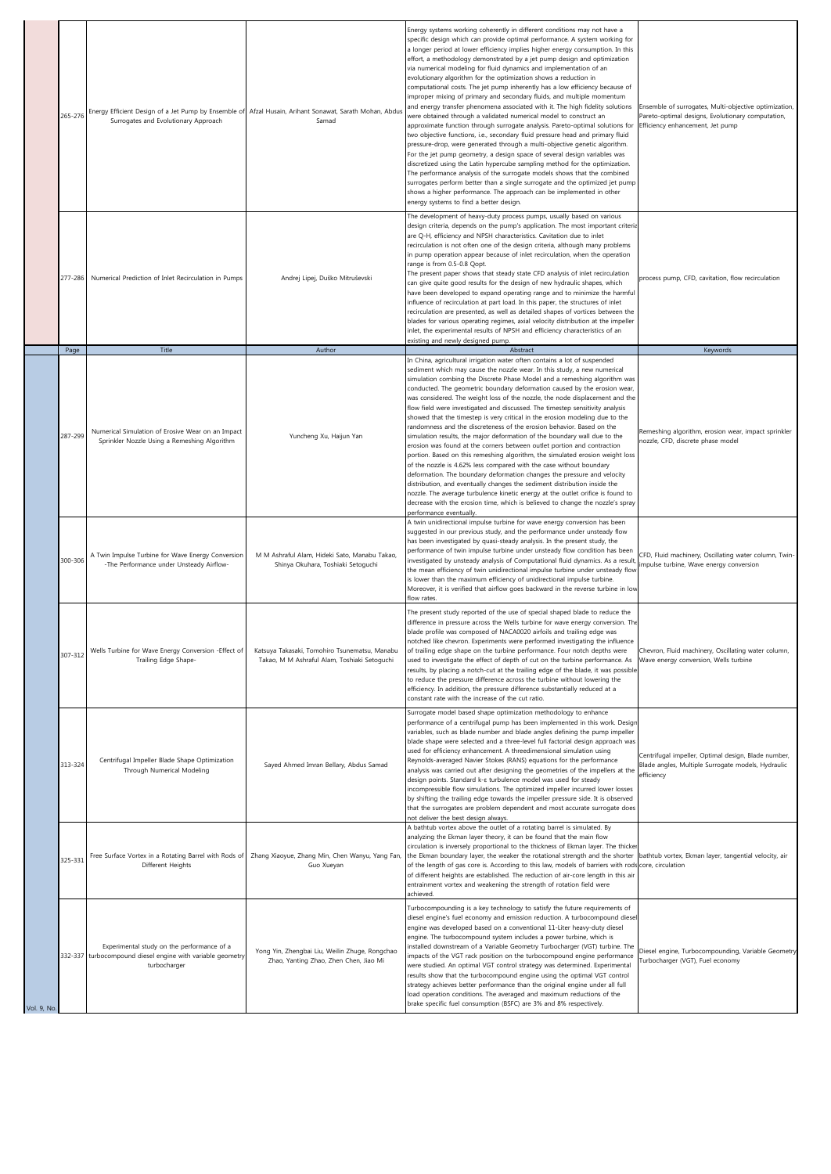|            | 265-276 | Energy Efficient Design of a Jet Pump by Ensemble of Afzal Husain, Arihant Sonawat, Sarath Mohan, Abdus<br>Surrogates and Evolutionary Approach | Samad                                                                                         | Energy systems working coherently in different conditions may not have a<br>specific design which can provide optimal performance. A system working for<br>a longer period at lower efficiency implies higher energy consumption. In this<br>effort, a methodology demonstrated by a jet pump design and optimization<br>via numerical modeling for fluid dynamics and implementation of an<br>evolutionary algorithm for the optimization shows a reduction in<br>computational costs. The jet pump inherently has a low efficiency because of<br>improper mixing of primary and secondary fluids, and multiple momentum<br>and energy transfer phenomena associated with it. The high fidelity solutions<br>were obtained through a validated numerical model to construct an<br>approximate function through surrogate analysis. Pareto-optimal solutions for<br>two objective functions, i.e., secondary fluid pressure head and primary fluid<br>pressure-drop, were generated through a multi-objective genetic algorithm.<br>For the jet pump geometry, a design space of several design variables was<br>discretized using the Latin hypercube sampling method for the optimization.<br>The performance analysis of the surrogate models shows that the combined<br>surrogates perform better than a single surrogate and the optimized jet pump<br>shows a higher performance. The approach can be implemented in other<br>energy systems to find a better design. | Ensemble of surrogates, Multi-objective optimization,<br>Pareto-optimal designs, Evolutionary computation,<br>Efficiency enhancement, Jet pump |
|------------|---------|-------------------------------------------------------------------------------------------------------------------------------------------------|-----------------------------------------------------------------------------------------------|-----------------------------------------------------------------------------------------------------------------------------------------------------------------------------------------------------------------------------------------------------------------------------------------------------------------------------------------------------------------------------------------------------------------------------------------------------------------------------------------------------------------------------------------------------------------------------------------------------------------------------------------------------------------------------------------------------------------------------------------------------------------------------------------------------------------------------------------------------------------------------------------------------------------------------------------------------------------------------------------------------------------------------------------------------------------------------------------------------------------------------------------------------------------------------------------------------------------------------------------------------------------------------------------------------------------------------------------------------------------------------------------------------------------------------------------------------------------------------|------------------------------------------------------------------------------------------------------------------------------------------------|
|            | 277-286 | Numerical Prediction of Inlet Recirculation in Pumps                                                                                            | Andrej Lipej, Duško Mitruševski                                                               | The development of heavy-duty process pumps, usually based on various<br>design criteria, depends on the pump's application. The most important criteria<br>are Q-H, efficiency and NPSH characteristics. Cavitation due to inlet<br>recirculation is not often one of the design criteria, although many problems<br>in pump operation appear because of inlet recirculation, when the operation<br>range is from 0.5-0.8 Qopt.<br>The present paper shows that steady state CFD analysis of inlet recirculation<br>can give quite good results for the design of new hydraulic shapes, which<br>have been developed to expand operating range and to minimize the harmful<br>influence of recirculation at part load. In this paper, the structures of inlet<br>recirculation are presented, as well as detailed shapes of vortices between the<br>blades for various operating regimes, axial velocity distribution at the impeller<br>inlet, the experimental results of NPSH and efficiency characteristics of an<br>existing and newly designed pump.                                                                                                                                                                                                                                                                                                                                                                                                                 | process pump, CFD, cavitation, flow recirculation                                                                                              |
|            | Page    | Title                                                                                                                                           | Author                                                                                        | Abstract                                                                                                                                                                                                                                                                                                                                                                                                                                                                                                                                                                                                                                                                                                                                                                                                                                                                                                                                                                                                                                                                                                                                                                                                                                                                                                                                                                                                                                                                    | Keywords                                                                                                                                       |
|            | 287-299 | Numerical Simulation of Erosive Wear on an Impact<br>Sprinkler Nozzle Using a Remeshing Algorithm                                               | Yuncheng Xu, Haijun Yan                                                                       | In China, agricultural irrigation water often contains a lot of suspended<br>sediment which may cause the nozzle wear. In this study, a new numerical<br>simulation combing the Discrete Phase Model and a remeshing algorithm was<br>conducted. The geometric boundary deformation caused by the erosion wear,<br>was considered. The weight loss of the nozzle, the node displacement and the<br>flow field were investigated and discussed. The timestep sensitivity analysis<br>showed that the timestep is very critical in the erosion modeling due to the<br>randomness and the discreteness of the erosion behavior. Based on the<br>simulation results, the major deformation of the boundary wall due to the<br>erosion was found at the corners between outlet portion and contraction<br>portion. Based on this remeshing algorithm, the simulated erosion weight loss<br>of the nozzle is 4.62% less compared with the case without boundary<br>deformation. The boundary deformation changes the pressure and velocity<br>distribution, and eventually changes the sediment distribution inside the<br>nozzle. The average turbulence kinetic energy at the outlet orifice is found to                                                                                                                                                                                                                                                                        | Remeshing algorithm, erosion wear, impact sprinkler<br>nozzle, CFD, discrete phase model                                                       |
|            | 300-306 | A Twin Impulse Turbine for Wave Energy Conversion<br>-The Performance under Unsteady Airflow-                                                   | M M Ashraful Alam, Hideki Sato, Manabu Takao,<br>Shinya Okuhara, Toshiaki Setoguchi           | decrease with the erosion time, which is believed to change the nozzle's spray<br>performance eventually.<br>A twin unidirectional impulse turbine for wave energy conversion has been<br>suggested in our previous study, and the performance under unsteady flow<br>has been investigated by quasi-steady analysis. In the present study, the<br>performance of twin impulse turbine under unsteady flow condition has been<br>investigated by unsteady analysis of Computational fluid dynamics. As a result<br>the mean efficiency of twin unidirectional impulse turbine under unsteady flow<br>is lower than the maximum efficiency of unidirectional impulse turbine.<br>Moreover, it is verified that airflow goes backward in the reverse turbine in low<br>flow rates.<br>The present study reported of the use of special shaped blade to reduce the                                                                                                                                                                                                                                                                                                                                                                                                                                                                                                                                                                                                             | CFD, Fluid machinery, Oscillating water column, Twin-<br>impulse turbine, Wave energy conversion                                               |
|            | 307-312 | Wells Turbine for Wave Energy Conversion - Effect of<br>Trailing Edge Shape-                                                                    | Katsuya Takasaki, Tomohiro Tsunematsu, Manabu<br>Takao, M M Ashraful Alam, Toshiaki Setoguchi | difference in pressure across the Wells turbine for wave energy conversion. The<br>blade profile was composed of NACA0020 airfoils and trailing edge was<br>notched like chevron. Experiments were performed investigating the influence<br>of trailing edge shape on the turbine performance. Four notch depths were<br>used to investigate the effect of depth of cut on the turbine performance. As<br>results, by placing a notch-cut at the trailing edge of the blade, it was possible<br>to reduce the pressure difference across the turbine without lowering the<br>efficiency. In addition, the pressure difference substantially reduced at a<br>constant rate with the increase of the cut ratio.                                                                                                                                                                                                                                                                                                                                                                                                                                                                                                                                                                                                                                                                                                                                                               | Chevron, Fluid machinery, Oscillating water column,<br>Wave energy conversion, Wells turbine                                                   |
|            | 313-324 | Centrifugal Impeller Blade Shape Optimization<br>Through Numerical Modeling                                                                     | Sayed Ahmed Imran Bellary, Abdus Samad                                                        | Surrogate model based shape optimization methodology to enhance<br>performance of a centrifugal pump has been implemented in this work. Design<br>variables, such as blade number and blade angles defining the pump impeller<br>blade shape were selected and a three-level full factorial design approach was<br>used for efficiency enhancement. A threedimensional simulation using<br>Reynolds-averaged Navier Stokes (RANS) equations for the performance<br>analysis was carried out after designing the geometries of the impellers at the<br>design points. Standard k-& turbulence model was used for steady<br>incompressible flow simulations. The optimized impeller incurred lower losses<br>by shifting the trailing edge towards the impeller pressure side. It is observed<br>that the surrogates are problem dependent and most accurate surrogate does<br>not deliver the best design always.                                                                                                                                                                                                                                                                                                                                                                                                                                                                                                                                                            | Centrifugal impeller, Optimal design, Blade number,<br>Blade angles, Multiple Surrogate models, Hydraulic<br>efficiency                        |
|            | 325-331 | Free Surface Vortex in a Rotating Barrel with Rods of   Zhang Xiaoyue, Zhang Min, Chen Wanyu, Yang Fan<br>Different Heights                     | Guo Xueyan                                                                                    | A bathtub vortex above the outlet of a rotating barrel is simulated. By<br>analyzing the Ekman layer theory, it can be found that the main flow<br>circulation is inversely proportional to the thickness of Ekman layer. The thicker<br>the Ekman boundary layer, the weaker the rotational strength and the shorter bathtub vortex, Ekman layer, tangential velocity, air<br>of the length of gas core is. According to this law, models of barriers with rods core, circulation<br>of different heights are established. The reduction of air-core length in this air<br>entrainment vortex and weakening the strength of rotation field were<br>achieved.                                                                                                                                                                                                                                                                                                                                                                                                                                                                                                                                                                                                                                                                                                                                                                                                               |                                                                                                                                                |
| Vol. 9, No |         | Experimental study on the performance of a<br>332-337 turbocompound diesel engine with variable geometry<br>turbocharger                        | Yong Yin, Zhengbai Liu, Weilin Zhuge, Rongchao<br>Zhao, Yanting Zhao, Zhen Chen, Jiao Mi      | Turbocompounding is a key technology to satisfy the future requirements of<br>diesel engine's fuel economy and emission reduction. A turbocompound diesel<br>engine was developed based on a conventional 11-Liter heavy-duty diesel<br>engine. The turbocompound system includes a power turbine, which is<br>installed downstream of a Variable Geometry Turbocharger (VGT) turbine. The<br>impacts of the VGT rack position on the turbocompound engine performance<br>were studied. An optimal VGT control strategy was determined. Experimental<br>results show that the turbocompound engine using the optimal VGT control<br>strategy achieves better performance than the original engine under all full<br>load operation conditions. The averaged and maximum reductions of the<br>brake specific fuel consumption (BSFC) are 3% and 8% respectively.                                                                                                                                                                                                                                                                                                                                                                                                                                                                                                                                                                                                             | Diesel engine, Turbocompounding, Variable Geometry<br>Turbocharger (VGT), Fuel economy                                                         |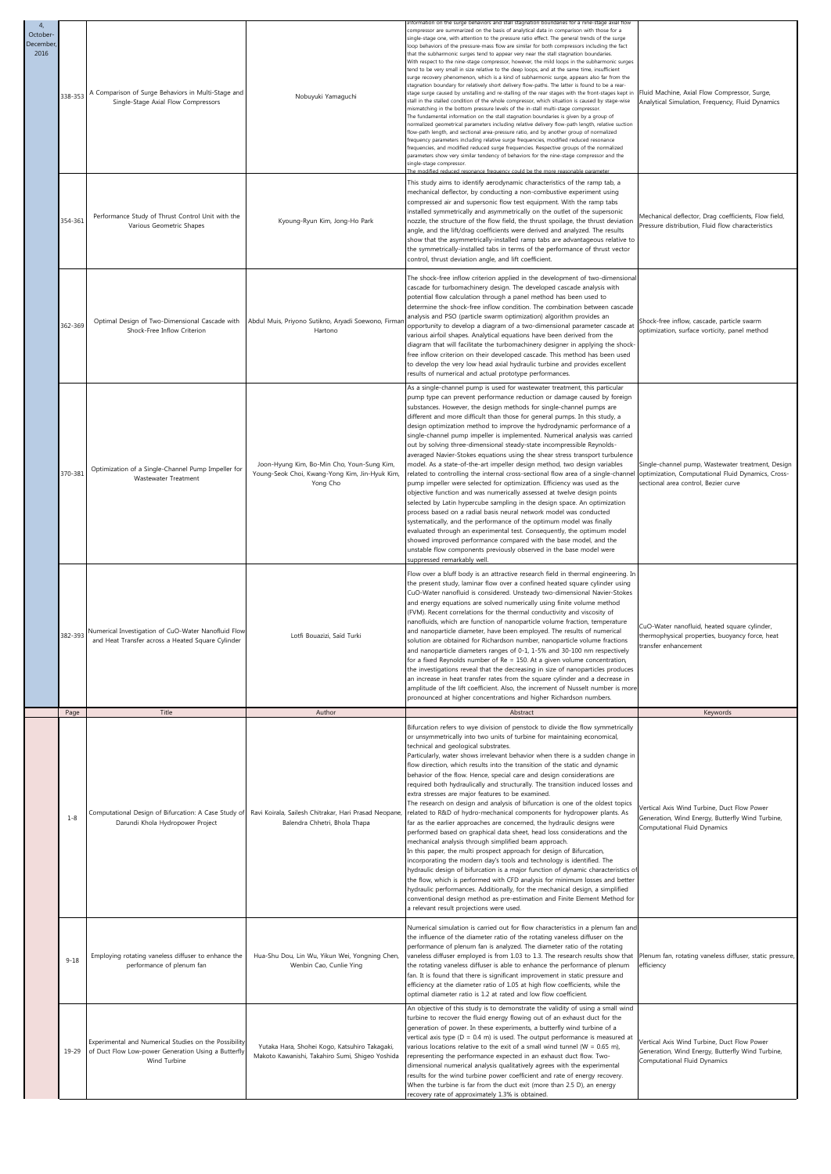| $\overline{4}$<br>October<br>December<br>2016 | 338-353  | A Comparison of Surge Behaviors in Multi-Stage and<br>Single-Stage Axial Flow Compressors                                    | Nobuyuki Yamaguchi                                                                                       | nation on the surge behaviors and stall stagnation boundaries for a nine-stage axial flor<br>compressor are summarized on the basis of analytical data in comparison with those for a<br>single-stage one, with attention to the pressure ratio effect. The general trends of the surge<br>loop behaviors of the pressure-mass flow are similar for both compressors including the fact<br>that the subharmonic surges tend to appear very near the stall stagnation boundaries.<br>With respect to the nine-stage compressor, however, the mild loops in the subharmonic surges<br>tend to be very small in size relative to the deep loops, and at the same time, insufficient<br>surge recovery phenomenon, which is a kind of subharmonic surge, appears also far from the<br>stagnation boundary for relatively short delivery flow-paths. The latter is found to be a rear-<br>stage surge caused by unstalling and re-stalling of the rear stages with the front-stages kept in<br>stall in the stalled condition of the whole compressor, which situation is caused by stage-wise<br>nismatching in the bottom pressure levels of the in-stall multi-stage compressor<br>The fundamental information on the stall stagnation boundaries is given by a group of<br>ormalized geometrical parameters including relative delivery flow-path length, relative suction<br>flow-path length, and sectional area-pressure ratio, and by another group of normalized<br>frequency parameters including relative surge frequencies, modified reduced resonance<br>frequencies, and modified reduced surge frequencies. Respective groups of the normalized<br>parameters show very similar tendency of behaviors for the nine-stage compressor and the<br>single-stage compressor. | Fluid Machine, Axial Flow Compressor, Surge,<br>Analytical Simulation, Frequency, Fluid Dynamics                                                |
|-----------------------------------------------|----------|------------------------------------------------------------------------------------------------------------------------------|----------------------------------------------------------------------------------------------------------|-----------------------------------------------------------------------------------------------------------------------------------------------------------------------------------------------------------------------------------------------------------------------------------------------------------------------------------------------------------------------------------------------------------------------------------------------------------------------------------------------------------------------------------------------------------------------------------------------------------------------------------------------------------------------------------------------------------------------------------------------------------------------------------------------------------------------------------------------------------------------------------------------------------------------------------------------------------------------------------------------------------------------------------------------------------------------------------------------------------------------------------------------------------------------------------------------------------------------------------------------------------------------------------------------------------------------------------------------------------------------------------------------------------------------------------------------------------------------------------------------------------------------------------------------------------------------------------------------------------------------------------------------------------------------------------------------------------------------------------------------------------------------------------|-------------------------------------------------------------------------------------------------------------------------------------------------|
|                                               | 354-361  | Performance Study of Thrust Control Unit with the<br>Various Geometric Shapes                                                | Kyoung-Ryun Kim, Jong-Ho Park                                                                            | This study aims to identify aerodynamic characteristics of the ramp tab, a<br>mechanical deflector, by conducting a non-combustive experiment using<br>compressed air and supersonic flow test equipment. With the ramp tabs<br>installed symmetrically and asymmetrically on the outlet of the supersonic<br>nozzle, the structure of the flow field, the thrust spoilage, the thrust deviation<br>angle, and the lift/drag coefficients were derived and analyzed. The results<br>show that the asymmetrically-installed ramp tabs are advantageous relative to<br>the symmetrically-installed tabs in terms of the performance of thrust vector<br>control, thrust deviation angle, and lift coefficient.                                                                                                                                                                                                                                                                                                                                                                                                                                                                                                                                                                                                                                                                                                                                                                                                                                                                                                                                                                                                                                                                      | Mechanical deflector, Drag coefficients, Flow field,<br>Pressure distribution, Fluid flow characteristics                                       |
|                                               | 362-369  | Optimal Design of Two-Dimensional Cascade with<br>Shock-Free Inflow Criterion                                                | Abdul Muis, Priyono Sutikno, Aryadi Soewono, Firmar<br>Hartono                                           | The shock-free inflow criterion applied in the development of two-dimensional<br>cascade for turbomachinery design. The developed cascade analysis with<br>potential flow calculation through a panel method has been used to<br>determine the shock-free inflow condition. The combination between cascade<br>analysis and PSO (particle swarm optimization) algorithm provides an<br>opportunity to develop a diagram of a two-dimensional parameter cascade at<br>various airfoil shapes. Analytical equations have been derived from the<br>diagram that will facilitate the turbomachinery designer in applying the shock-<br>free inflow criterion on their developed cascade. This method has been used<br>to develop the very low head axial hydraulic turbine and provides excellent<br>results of numerical and actual prototype performances.                                                                                                                                                                                                                                                                                                                                                                                                                                                                                                                                                                                                                                                                                                                                                                                                                                                                                                                          | Shock-free inflow, cascade, particle swarm<br>optimization, surface vorticity, panel method                                                     |
|                                               | 370-381  | Optimization of a Single-Channel Pump Impeller for<br>Wastewater Treatment                                                   | Joon-Hyung Kim, Bo-Min Cho, Youn-Sung Kim,<br>Young-Seok Choi, Kwang-Yong Kim, Jin-Hyuk Kim,<br>Yong Cho | As a single-channel pump is used for wastewater treatment, this particular<br>pump type can prevent performance reduction or damage caused by foreign<br>substances. However, the design methods for single-channel pumps are<br>different and more difficult than those for general pumps. In this study, a<br>design optimization method to improve the hydrodynamic performance of a<br>single-channel pump impeller is implemented. Numerical analysis was carried<br>out by solving three-dimensional steady-state incompressible Reynolds-<br>averaged Navier-Stokes equations using the shear stress transport turbulence<br>model. As a state-of-the-art impeller design method, two design variables<br>related to controlling the internal cross-sectional flow area of a single-channel<br>pump impeller were selected for optimization. Efficiency was used as the<br>objective function and was numerically assessed at twelve design points<br>selected by Latin hypercube sampling in the design space. An optimization<br>process based on a radial basis neural network model was conducted<br>systematically, and the performance of the optimum model was finally<br>evaluated through an experimental test. Consequently, the optimum model<br>showed improved performance compared with the base model, and the<br>unstable flow components previously observed in the base model were<br>suppressed remarkably well.                                                                                                                                                                                                                                                                                                                                        | Single-channel pump, Wastewater treatment, Design<br>optimization, Computational Fluid Dynamics, Cross-<br>sectional area control, Bezier curve |
|                                               | 382-393  | Numerical Investigation of CuO-Water Nanofluid Flow<br>and Heat Transfer across a Heated Square Cylinder                     | Lotfi Bouazizi, Saïd Turki                                                                               | Flow over a bluff body is an attractive research field in thermal engineering. In<br>the present study, laminar flow over a confined heated square cylinder using<br>CuO-Water nanofluid is considered. Unsteady two-dimensional Navier-Stokes<br>and energy equations are solved numerically using finite volume method<br>(FVM). Recent correlations for the thermal conductivity and viscosity of<br>nanofluids, which are function of nanoparticle volume fraction, temperature<br>and nanoparticle diameter, have been employed. The results of numerical<br>solution are obtained for Richardson number, nanoparticle volume fractions<br>and nanoparticle diameters ranges of 0-1, 1-5% and 30-100 nm respectively<br>for a fixed Reynolds number of Re = 150. At a given volume concentration,<br>the investigations reveal that the decreasing in size of nanoparticles produces<br>an increase in heat transfer rates from the square cylinder and a decrease in<br>amplitude of the lift coefficient. Also, the increment of Nusselt number is more<br>pronounced at higher concentrations and higher Richardson numbers.                                                                                                                                                                                                                                                                                                                                                                                                                                                                                                                                                                                                                                              | CuO-Water nanofluid, heated square cylinder,<br>thermophysical properties, buoyancy force, heat<br>ransfer enhancement                          |
|                                               | Page     | Title                                                                                                                        | Author                                                                                                   | Abstract<br>Bifurcation refers to wye division of penstock to divide the flow symmetrically<br>or unsymmetrically into two units of turbine for maintaining economical,                                                                                                                                                                                                                                                                                                                                                                                                                                                                                                                                                                                                                                                                                                                                                                                                                                                                                                                                                                                                                                                                                                                                                                                                                                                                                                                                                                                                                                                                                                                                                                                                           | Keywords                                                                                                                                        |
|                                               | $1 - 8$  | Computational Design of Bifurcation: A Case Study of<br>Darundi Khola Hydropower Project                                     | Ravi Koirala, Sailesh Chitrakar, Hari Prasad Neopane,<br>Balendra Chhetri, Bhola Thapa                   | technical and geological substrates.<br>Particularly, water shows irrelevant behavior when there is a sudden change in<br>flow direction, which results into the transition of the static and dynamic<br>behavior of the flow. Hence, special care and design considerations are<br>required both hydraulically and structurally. The transition induced losses and<br>extra stresses are major features to be examined.<br>The research on design and analysis of bifurcation is one of the oldest topics<br>related to R&D of hydro-mechanical components for hydropower plants. As<br>far as the earlier approaches are concerned, the hydraulic designs were<br>performed based on graphical data sheet, head loss considerations and the<br>mechanical analysis through simplified beam approach.<br>In this paper, the multi prospect approach for design of Bifurcation,<br>incorporating the modern day's tools and technology is identified. The<br>hydraulic design of bifurcation is a major function of dynamic characteristics of<br>the flow, which is performed with CFD analysis for minimum losses and better<br>hydraulic performances. Additionally, for the mechanical design, a simplified<br>conventional design method as pre-estimation and Finite Element Method for<br>a relevant result projections were used.                                                                                                                                                                                                                                                                                                                                                                                                                                         | Vertical Axis Wind Turbine, Duct Flow Power<br>Generation, Wind Energy, Butterfly Wind Turbine,<br>Computational Fluid Dynamics                 |
|                                               | $9 - 18$ | Employing rotating vaneless diffuser to enhance the<br>performance of plenum fan                                             | Hua-Shu Dou, Lin Wu, Yikun Wei, Yongning Chen,<br>Wenbin Cao, Cunlie Ying                                | Numerical simulation is carried out for flow characteristics in a plenum fan and<br>the influence of the diameter ratio of the rotating vaneless diffuser on the<br>performance of plenum fan is analyzed. The diameter ratio of the rotating<br>vaneless diffuser employed is from 1.03 to 1.3. The research results show that<br>the rotating vaneless diffuser is able to enhance the performance of plenum<br>fan. It is found that there is significant improvement in static pressure and<br>efficiency at the diameter ratio of 1.05 at high flow coefficients, while the<br>optimal diameter ratio is 1.2 at rated and low flow coefficient.                                                                                                                                                                                                                                                                                                                                                                                                                                                                                                                                                                                                                                                                                                                                                                                                                                                                                                                                                                                                                                                                                                                              | Plenum fan, rotating vaneless diffuser, static pressure,<br>efficiency                                                                          |
|                                               | 19-29    | Experimental and Numerical Studies on the Possibility<br>of Duct Flow Low-power Generation Using a Butterfly<br>Wind Turbine | Yutaka Hara, Shohei Kogo, Katsuhiro Takagaki,<br>Makoto Kawanishi, Takahiro Sumi, Shigeo Yoshida         | An objective of this study is to demonstrate the validity of using a small wind<br>turbine to recover the fluid energy flowing out of an exhaust duct for the<br>generation of power. In these experiments, a butterfly wind turbine of a<br>vertical axis type (D = 0.4 m) is used. The output performance is measured at<br>various locations relative to the exit of a small wind tunnel ( $W = 0.65$ m),<br>representing the performance expected in an exhaust duct flow. Two-<br>dimensional numerical analysis qualitatively agrees with the experimental<br>results for the wind turbine power coefficient and rate of energy recovery.<br>When the turbine is far from the duct exit (more than 2.5 D), an energy<br>recovery rate of approximately 1.3% is obtained.                                                                                                                                                                                                                                                                                                                                                                                                                                                                                                                                                                                                                                                                                                                                                                                                                                                                                                                                                                                                    | Vertical Axis Wind Turbine, Duct Flow Power<br>Generation, Wind Energy, Butterfly Wind Turbine,<br>Computational Fluid Dynamics                 |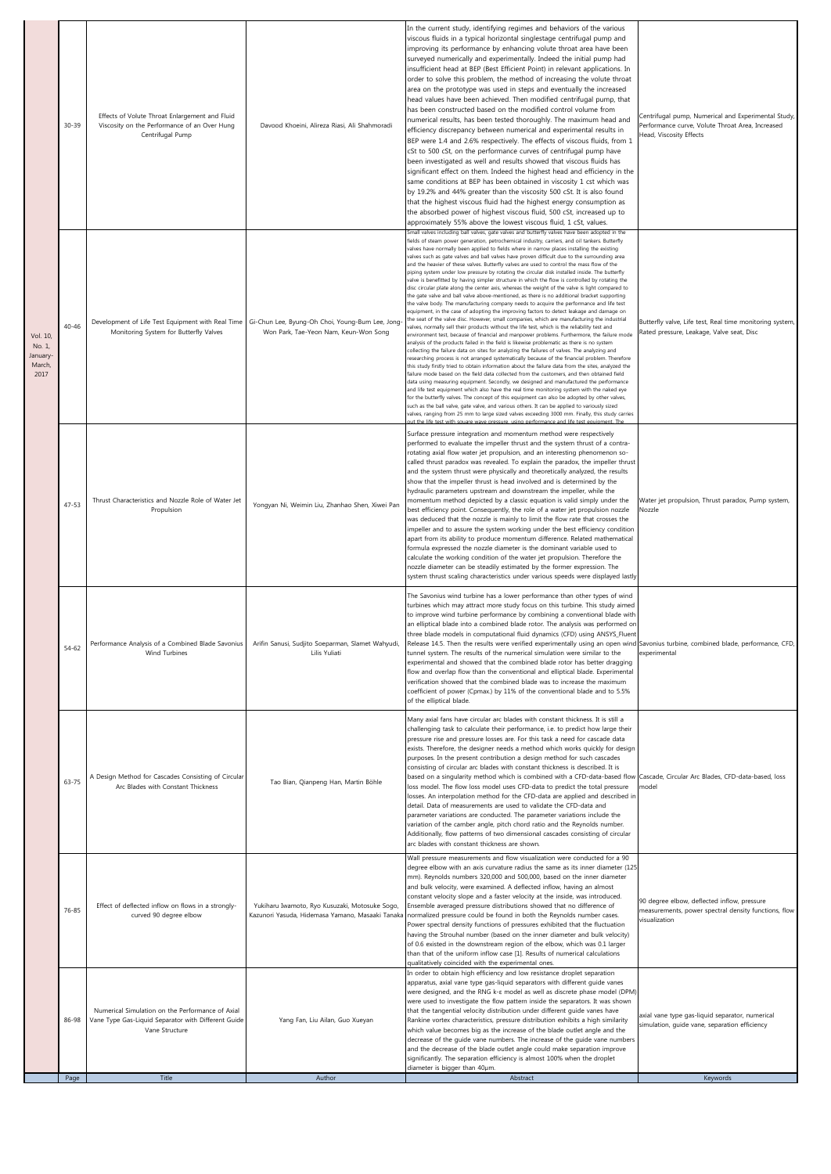|                                                  | $30 - 39$ | Effects of Volute Throat Enlargement and Fluid<br>Viscosity on the Performance of an Over Hung<br>Centrifugal Pump            | Davood Khoeini, Alireza Riasi, Ali Shahmoradi                                                      | In the current study, identifying regimes and behaviors of the various<br>viscous fluids in a typical horizontal singlestage centrifugal pump and<br>improving its performance by enhancing volute throat area have been<br>surveyed numerically and experimentally. Indeed the initial pump had<br>insufficient head at BEP (Best Efficient Point) in relevant applications. In<br>order to solve this problem, the method of increasing the volute throat<br>area on the prototype was used in steps and eventually the increased<br>head values have been achieved. Then modified centrifugal pump, that<br>has been constructed based on the modified control volume from<br>numerical results, has been tested thoroughly. The maximum head and<br>efficiency discrepancy between numerical and experimental results in<br>BEP were 1.4 and 2.6% respectively. The effects of viscous fluids, from 1<br>cSt to 500 cSt, on the performance curves of centrifugal pump have<br>been investigated as well and results showed that viscous fluids has<br>significant effect on them. Indeed the highest head and efficiency in the<br>same conditions at BEP has been obtained in viscosity 1 cst which was<br>by 19.2% and 44% greater than the viscosity 500 cSt. It is also found<br>that the highest viscous fluid had the highest energy consumption as<br>the absorbed power of highest viscous fluid, 500 cSt, increased up to<br>approximately 55% above the lowest viscous fluid, 1 cSt, values.                                                                                                                                                                                                                                                                                                                                                                                                                                                                                                                                                                                                                                                                                                                                                                                                                                                                                                                                                                              | Centrifugal pump, Numerical and Experimental Study,<br>Performance curve, Volute Throat Area, Increased<br>Head, Viscosity Effects |
|--------------------------------------------------|-----------|-------------------------------------------------------------------------------------------------------------------------------|----------------------------------------------------------------------------------------------------|------------------------------------------------------------------------------------------------------------------------------------------------------------------------------------------------------------------------------------------------------------------------------------------------------------------------------------------------------------------------------------------------------------------------------------------------------------------------------------------------------------------------------------------------------------------------------------------------------------------------------------------------------------------------------------------------------------------------------------------------------------------------------------------------------------------------------------------------------------------------------------------------------------------------------------------------------------------------------------------------------------------------------------------------------------------------------------------------------------------------------------------------------------------------------------------------------------------------------------------------------------------------------------------------------------------------------------------------------------------------------------------------------------------------------------------------------------------------------------------------------------------------------------------------------------------------------------------------------------------------------------------------------------------------------------------------------------------------------------------------------------------------------------------------------------------------------------------------------------------------------------------------------------------------------------------------------------------------------------------------------------------------------------------------------------------------------------------------------------------------------------------------------------------------------------------------------------------------------------------------------------------------------------------------------------------------------------------------------------------------------------------------------------------------------------------------------------------------------------------|------------------------------------------------------------------------------------------------------------------------------------|
| Vol. 10,<br>No. 1,<br>January-<br>March,<br>2017 | $40 - 46$ | Development of Life Test Equipment with Real Time<br>Monitoring System for Butterfly Valves                                   | Gi-Chun Lee, Byung-Oh Choi, Young-Bum Lee, Jong-<br>Won Park, Tae-Yeon Nam, Keun-Won Song          | Small valves including ball valves, gate valves and butterfly valves have been adopted in the<br>fields of steam power generation, petrochemical industry, carriers, and oil tankers. Butterfly<br>valves have normally been applied to fields where in narrow places installing the existing<br>valves such as gate valves and ball valves have proven difficult due to the surrounding area<br>and the heavier of these valves. Butterfly valves are used to control the mass flow of the<br>piping system under low pressure by rotating the circular disk installed inside. The butterfly<br>valve is benefitted by having simpler structure in which the flow is controlled by rotating the<br>disc circular plate along the center axis, whereas the weight of the valve is light compared to<br>the gate valve and ball valve above-mentioned, as there is no additional bracket supporting<br>the valve body. The manufacturing company needs to acquire the performance and life test<br>equipment, in the case of adopting the improving factors to detect leakage and damage on<br>the seat of the valve disc. However, small companies, which are manufacturing the industrial<br>ralves, normally sell their products without the life test, which is the reliability test and<br>environment test, because of financial and manpower problems. Furthermore, the failure mode<br>analysis of the products failed in the field is likewise problematic as there is no system<br>collecting the failure data on sites for analyzing the failures of valves. The analyzing and<br>researching process is not arranged systematically because of the financial problem. Therefore<br>this study firstly tried to obtain information about the failure data from the sites, analyzed the<br>failure mode based on the field data collected from the customers, and then obtained field<br>data using measuring equipment. Secondly, we designed and manufactured the performance<br>and life test equipment which also have the real time monitoring system with the naked eye<br>for the butterfly valves. The concept of this equipment can also be adopted by other valves,<br>such as the ball valve, gate valve, and various others. It can be applied to variously sized<br>valves, ranging from 25 mm to large sized valves exceeding 3000 mm. Finally, this study carries<br>out the life test with square wave pressure, using performance and life test equipment. The | Butterfly valve, Life test, Real time monitoring system,<br>Rated pressure, Leakage, Valve seat, Disc                              |
|                                                  | $47 - 53$ | Thrust Characteristics and Nozzle Role of Water Jet<br>Propulsion                                                             | Yongyan Ni, Weimin Liu, Zhanhao Shen, Xiwei Pan                                                    | Surface pressure integration and momentum method were respectively<br>performed to evaluate the impeller thrust and the system thrust of a contra-<br>rotating axial flow water jet propulsion, and an interesting phenomenon so-<br>called thrust paradox was revealed. To explain the paradox, the impeller thrust<br>and the system thrust were physically and theoretically analyzed, the results<br>show that the impeller thrust is head involved and is determined by the<br>hydraulic parameters upstream and downstream the impeller, while the<br>momentum method depicted by a classic equation is valid simply under the<br>best efficiency point. Consequently, the role of a water jet propulsion nozzle<br>was deduced that the nozzle is mainly to limit the flow rate that crosses the<br>impeller and to assure the system working under the best efficiency condition<br>apart from its ability to produce momentum difference. Related mathematical<br>formula expressed the nozzle diameter is the dominant variable used to<br>calculate the working condition of the water jet propulsion. Therefore the<br>nozzle diameter can be steadily estimated by the former expression. The<br>system thrust scaling characteristics under various speeds were displayed lastly                                                                                                                                                                                                                                                                                                                                                                                                                                                                                                                                                                                                                                                                                                                                                                                                                                                                                                                                                                                                                                                                                                                                                                                           | Water jet propulsion, Thrust paradox, Pump system,<br>Nozzle                                                                       |
|                                                  | $54 - 62$ | Performance Analysis of a Combined Blade Savonius   Arifin Sanusi, Sudjito Soeparman, Slamet Wahyudi,<br><b>Wind Turbines</b> | Lilis Yuliati                                                                                      | The Savonius wind turbine has a lower performance than other types of wind<br>turbines which may attract more study focus on this turbine. This study aimed<br>to improve wind turbine performance by combining a conventional blade with<br>an elliptical blade into a combined blade rotor. The analysis was performed on<br>three blade models in computational fluid dynamics (CFD) using ANSYS_Fluent<br>Release 14.5. Then the results were verified experimentally using an open wind Savonius turbine, combined blade, performance, CFD<br>tunnel system. The results of the numerical simulation were similar to the<br>experimental and showed that the combined blade rotor has better dragging<br>flow and overlap flow than the conventional and elliptical blade. Experimental<br>verification showed that the combined blade was to increase the maximum<br>coefficient of power (Cpmax.) by 11% of the conventional blade and to 5.5%<br>of the elliptical blade.                                                                                                                                                                                                                                                                                                                                                                                                                                                                                                                                                                                                                                                                                                                                                                                                                                                                                                                                                                                                                                                                                                                                                                                                                                                                                                                                                                                                                                                                                                        | experimental                                                                                                                       |
|                                                  | 63-75     | A Design Method for Cascades Consisting of Circular<br>Arc Blades with Constant Thickness                                     | Tao Bian, Qianpeng Han, Martin Böhle                                                               | Many axial fans have circular arc blades with constant thickness. It is still a<br>challenging task to calculate their performance, i.e. to predict how large their<br>pressure rise and pressure losses are. For this task a need for cascade data<br>exists. Therefore, the designer needs a method which works quickly for design<br>purposes. In the present contribution a design method for such cascades<br>consisting of circular arc blades with constant thickness is described. It is<br>based on a singularity method which is combined with a CFD-data-based flow Cascade, Circular Arc Blades, CFD-data-based, loss<br>loss model. The flow loss model uses CFD-data to predict the total pressure<br>losses. An interpolation method for the CFD-data are applied and described in<br>detail. Data of measurements are used to validate the CFD-data and<br>parameter variations are conducted. The parameter variations include the<br>variation of the camber angle, pitch chord ratio and the Reynolds number.<br>Additionally, flow patterns of two dimensional cascades consisting of circular<br>arc blades with constant thickness are shown.                                                                                                                                                                                                                                                                                                                                                                                                                                                                                                                                                                                                                                                                                                                                                                                                                                                                                                                                                                                                                                                                                                                                                                                                                                                                                                                      | model                                                                                                                              |
|                                                  | 76-85     | Effect of deflected inflow on flows in a strongly-<br>curved 90 degree elbow                                                  | Yukiharu Iwamoto, Ryo Kusuzaki, Motosuke Sogo,<br>Kazunori Yasuda, Hidemasa Yamano, Masaaki Tanaka | Wall pressure measurements and flow visualization were conducted for a 90<br>degree elbow with an axis curvature radius the same as its inner diameter (125<br>mm). Reynolds numbers 320,000 and 500,000, based on the inner diameter<br>and bulk velocity, were examined. A deflected inflow, having an almost<br>constant velocity slope and a faster velocity at the inside, was introduced.<br>Ensemble averaged pressure distributions showed that no difference of<br>normalized pressure could be found in both the Reynolds number cases.<br>Power spectral density functions of pressures exhibited that the fluctuation<br>having the Strouhal number (based on the inner diameter and bulk velocity)<br>of 0.6 existed in the downstream region of the elbow, which was 0.1 larger<br>than that of the uniform inflow case [1]. Results of numerical calculations<br>qualitatively coincided with the experimental ones.                                                                                                                                                                                                                                                                                                                                                                                                                                                                                                                                                                                                                                                                                                                                                                                                                                                                                                                                                                                                                                                                                                                                                                                                                                                                                                                                                                                                                                                                                                                                                      | 90 degree elbow, deflected inflow, pressure<br>measurements, power spectral density functions, flow<br>visualization               |
|                                                  | 86-98     | Numerical Simulation on the Performance of Axial<br>Vane Type Gas-Liquid Separator with Different Guide<br>Vane Structure     | Yang Fan, Liu Ailan, Guo Xueyan                                                                    | In order to obtain high efficiency and low resistance droplet separation<br>apparatus, axial vane type gas-liquid separators with different guide vanes<br>were designed, and the RNG k-& model as well as discrete phase model (DPM)<br>were used to investigate the flow pattern inside the separators. It was shown<br>that the tangential velocity distribution under different guide vanes have<br>Rankine vortex characteristics, pressure distribution exhibits a high similarity<br>which value becomes big as the increase of the blade outlet angle and the<br>decrease of the guide vane numbers. The increase of the guide vane numbers<br>and the decrease of the blade outlet angle could make separation improve<br>significantly. The separation efficiency is almost 100% when the droplet<br>diameter is bigger than 40um.                                                                                                                                                                                                                                                                                                                                                                                                                                                                                                                                                                                                                                                                                                                                                                                                                                                                                                                                                                                                                                                                                                                                                                                                                                                                                                                                                                                                                                                                                                                                                                                                                                             | axial vane type gas-liquid separator, numerical<br>simulation, guide vane, separation efficiency                                   |
|                                                  | Page      | Title                                                                                                                         | Author                                                                                             | Abstract                                                                                                                                                                                                                                                                                                                                                                                                                                                                                                                                                                                                                                                                                                                                                                                                                                                                                                                                                                                                                                                                                                                                                                                                                                                                                                                                                                                                                                                                                                                                                                                                                                                                                                                                                                                                                                                                                                                                                                                                                                                                                                                                                                                                                                                                                                                                                                                                                                                                                 | Keywords                                                                                                                           |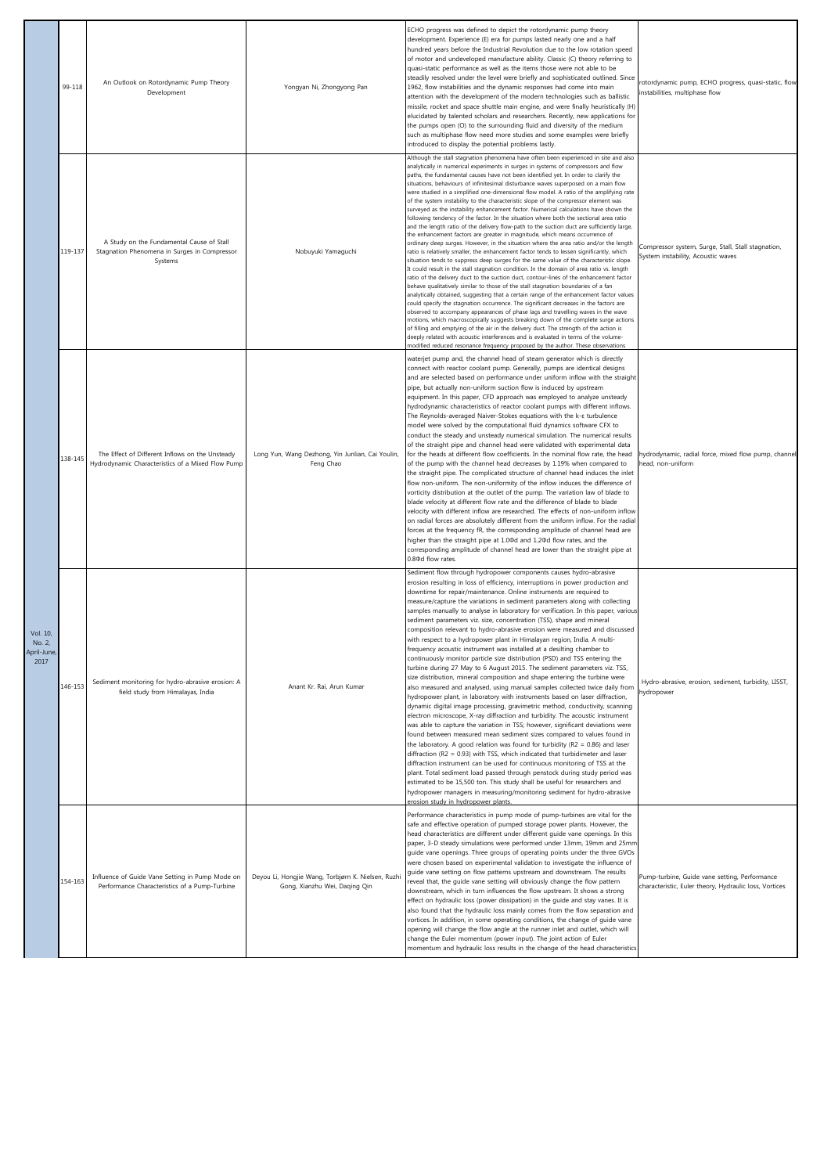|                                          | 99-118  | An Outlook on Rotordynamic Pump Theory<br>Development                                                | Yongyan Ni, Zhongyong Pan                                                           | ECHO progress was defined to depict the rotordynamic pump theory<br>development. Experience (E) era for pumps lasted nearly one and a half<br>hundred years before the Industrial Revolution due to the low rotation speed<br>of motor and undeveloped manufacture ability. Classic (C) theory referring to<br>quasi-static performance as well as the items those were not able to be<br>steadily resolved under the level were briefly and sophisticated outlined. Since<br>1962, flow instabilities and the dynamic responses had come into main<br>attention with the development of the modern technologies such as ballistic<br>missile, rocket and space shuttle main engine, and were finally heuristically (H)<br>elucidated by talented scholars and researchers. Recently, new applications for<br>the pumps open (O) to the surrounding fluid and diversity of the medium<br>such as multiphase flow need more studies and some examples were briefly<br>introduced to display the potential problems lastly.                                                                                                                                                                                                                                                                                                                                                                                                                                                                                                                                                                                                                                                                                                                                                                                                                                                                                                                                                                                                                                                                                   | rotordynamic pump, ECHO progress, quasi-static, flow<br>instabilities, multiphase flow                  |
|------------------------------------------|---------|------------------------------------------------------------------------------------------------------|-------------------------------------------------------------------------------------|-------------------------------------------------------------------------------------------------------------------------------------------------------------------------------------------------------------------------------------------------------------------------------------------------------------------------------------------------------------------------------------------------------------------------------------------------------------------------------------------------------------------------------------------------------------------------------------------------------------------------------------------------------------------------------------------------------------------------------------------------------------------------------------------------------------------------------------------------------------------------------------------------------------------------------------------------------------------------------------------------------------------------------------------------------------------------------------------------------------------------------------------------------------------------------------------------------------------------------------------------------------------------------------------------------------------------------------------------------------------------------------------------------------------------------------------------------------------------------------------------------------------------------------------------------------------------------------------------------------------------------------------------------------------------------------------------------------------------------------------------------------------------------------------------------------------------------------------------------------------------------------------------------------------------------------------------------------------------------------------------------------------------------------------------------------------------------------------------------------|---------------------------------------------------------------------------------------------------------|
|                                          | 119-137 | A Study on the Fundamental Cause of Stall<br>Stagnation Phenomena in Surges in Compressor<br>Systems | Nobuyuki Yamaguchi                                                                  | Although the stall stagnation phenomena have often been experienced in site and also<br>analytically in numerical experiments in surges in systems of compressors and flow<br>paths, the fundamental causes have not been identified yet. In order to clarify the<br>situations, behaviours of infinitesimal disturbance waves superposed on a main flow<br>were studied in a simplified one-dimensional flow model. A ratio of the amplifying rate<br>of the system instability to the characteristic slope of the compressor element was<br>surveyed as the instability enhancement factor. Numerical calculations have shown the<br>following tendency of the factor. In the situation where both the sectional area ratio<br>and the length ratio of the delivery flow-path to the suction duct are sufficiently large,<br>the enhancement factors are greater in magnitude, which means occurrence of<br>ordinary deep surges. However, in the situation where the area ratio and/or the length<br>ratio is relatively smaller, the enhancement factor tends to lessen significantly, which<br>situation tends to suppress deep surges for the same value of the characteristic slope.<br>It could result in the stall stagnation condition. In the domain of area ratio vs. length<br>ratio of the delivery duct to the suction duct, contour-lines of the enhancement factor<br>behave qualitatively similar to those of the stall stagnation boundaries of a fan<br>analytically obtained, suggesting that a certain range of the enhancement factor values<br>could specify the stagnation occurrence. The significant decreases in the factors are<br>observed to accompany appearances of phase lags and travelling waves in the wave<br>motions, which macroscopically suggests breaking down of the complete surge actions<br>of filling and emptying of the air in the delivery duct. The strength of the action is<br>deeply related with acoustic interferences and is evaluated in terms of the volume-<br>modified reduced resonance frequency proposed by the author. These observations | Compressor system, Surge, Stall, Stall stagnation,<br>System instability, Acoustic waves                |
|                                          | 138-145 | The Effect of Different Inflows on the Unsteady<br>Hydrodynamic Characteristics of a Mixed Flow Pump | Long Yun, Wang Dezhong, Yin Junlian, Cai Youlin,<br>Feng Chao                       | waterjet pump and, the channel head of steam generator which is directly<br>connect with reactor coolant pump. Generally, pumps are identical designs<br>and are selected based on performance under uniform inflow with the straight<br>pipe, but actually non-uniform suction flow is induced by upstream<br>equipment. In this paper, CFD approach was employed to analyze unsteady<br>hydrodynamic characteristics of reactor coolant pumps with different inflows.<br>The Reynolds-averaged Naiver-Stokes equations with the k-E turbulence<br>model were solved by the computational fluid dynamics software CFX to<br>conduct the steady and unsteady numerical simulation. The numerical results<br>of the straight pipe and channel head were validated with experimental data<br>for the heads at different flow coefficients. In the nominal flow rate, the head<br>of the pump with the channel head decreases by 1.19% when compared to<br>the straight pipe. The complicated structure of channel head induces the inlet<br>flow non-uniform. The non-uniformity of the inflow induces the difference of<br>vorticity distribution at the outlet of the pump. The variation law of blade to<br>blade velocity at different flow rate and the difference of blade to blade<br>velocity with different inflow are researched. The effects of non-uniform inflow<br>on radial forces are absolutely different from the uniform inflow. For the radial<br>forces at the frequency fR, the corresponding amplitude of channel head are<br>higher than the straight pipe at 1.00d and 1.20d flow rates, and the<br>corresponding amplitude of channel head are lower than the straight pipe at<br>0.80d flow rates.                                                                                                                                                                                                                                                                                                                                                                                 | hydrodynamic, radial force, mixed flow pump, channel<br>head, non-uniform                               |
| Vol. 10,<br>NO. 2,<br>April-June<br>2017 | 146-153 | Sediment monitoring for hydro-abrasive erosion: A<br>field study from Himalayas, India               | Anant Kr. Rai, Arun Kumar                                                           | Sediment flow through hydropower components causes hydro-abrasive<br>erosion resulting in loss of efficiency, interruptions in power production and<br>downtime for repair/maintenance. Online instruments are required to<br>measure/capture the variations in sediment parameters along with collecting<br>samples manually to analyse in laboratory for verification. In this paper, various<br>sediment parameters viz. size, concentration (TSS), shape and mineral<br>composition relevant to hydro-abrasive erosion were measured and discussed<br>with respect to a hydropower plant in Himalayan region, India. A multi-<br>frequency acoustic instrument was installed at a desilting chamber to<br>continuously monitor particle size distribution (PSD) and TSS entering the<br>turbine during 27 May to 6 August 2015. The sediment parameters viz. TSS,<br>size distribution, mineral composition and shape entering the turbine were<br>also measured and analysed, using manual samples collected twice daily from<br>hydropower plant, in laboratory with instruments based on laser diffraction,<br>dynamic digital image processing, gravimetric method, conductivity, scanning<br>electron microscope, X-ray diffraction and turbidity. The acoustic instrument<br>was able to capture the variation in TSS; however, significant deviations were<br>found between measured mean sediment sizes compared to values found in<br>the laboratory. A good relation was found for turbidity ( $R2 = 0.86$ ) and laser<br>diffraction (R2 = 0.93) with TSS, which indicated that turbidimeter and laser<br>diffraction instrument can be used for continuous monitoring of TSS at the<br>plant. Total sediment load passed through penstock during study period was<br>estimated to be 15,500 ton. This study shall be useful for researchers and<br>hydropower managers in measuring/monitoring sediment for hydro-abrasive<br>erosion study in hydropower plants.                                                                                                                           | Hydro-abrasive, erosion, sediment, turbidity, LISST,<br>hydropower                                      |
|                                          | 154-163 | Influence of Guide Vane Setting in Pump Mode on<br>Performance Characteristics of a Pump-Turbine     | Deyou Li, Hongjie Wang, Torbjørn K. Nielsen, Ruzhi<br>Gong, Xianzhu Wei, Daqing Qin | Performance characteristics in pump mode of pump-turbines are vital for the<br>safe and effective operation of pumped storage power plants. However, the<br>head characteristics are different under different guide vane openings. In this<br>paper, 3-D steady simulations were performed under 13mm, 19mm and 25mm<br>guide vane openings. Three groups of operating points under the three GVOs<br>were chosen based on experimental validation to investigate the influence of<br>guide vane setting on flow patterns upstream and downstream. The results<br>reveal that, the guide vane setting will obviously change the flow pattern<br>downstream, which in turn influences the flow upstream. It shows a strong<br>effect on hydraulic loss (power dissipation) in the guide and stay vanes. It is<br>also found that the hydraulic loss mainly comes from the flow separation and<br>vortices. In addition, in some operating conditions, the change of guide vane<br>opening will change the flow angle at the runner inlet and outlet, which will<br>change the Euler momentum (power input). The joint action of Euler<br>momentum and hydraulic loss results in the change of the head characteristics                                                                                                                                                                                                                                                                                                                                                                                                                                                                                                                                                                                                                                                                                                                                                                                                                                                                                      | Pump-turbine, Guide vane setting, Performance<br>characteristic, Euler theory, Hydraulic loss, Vortices |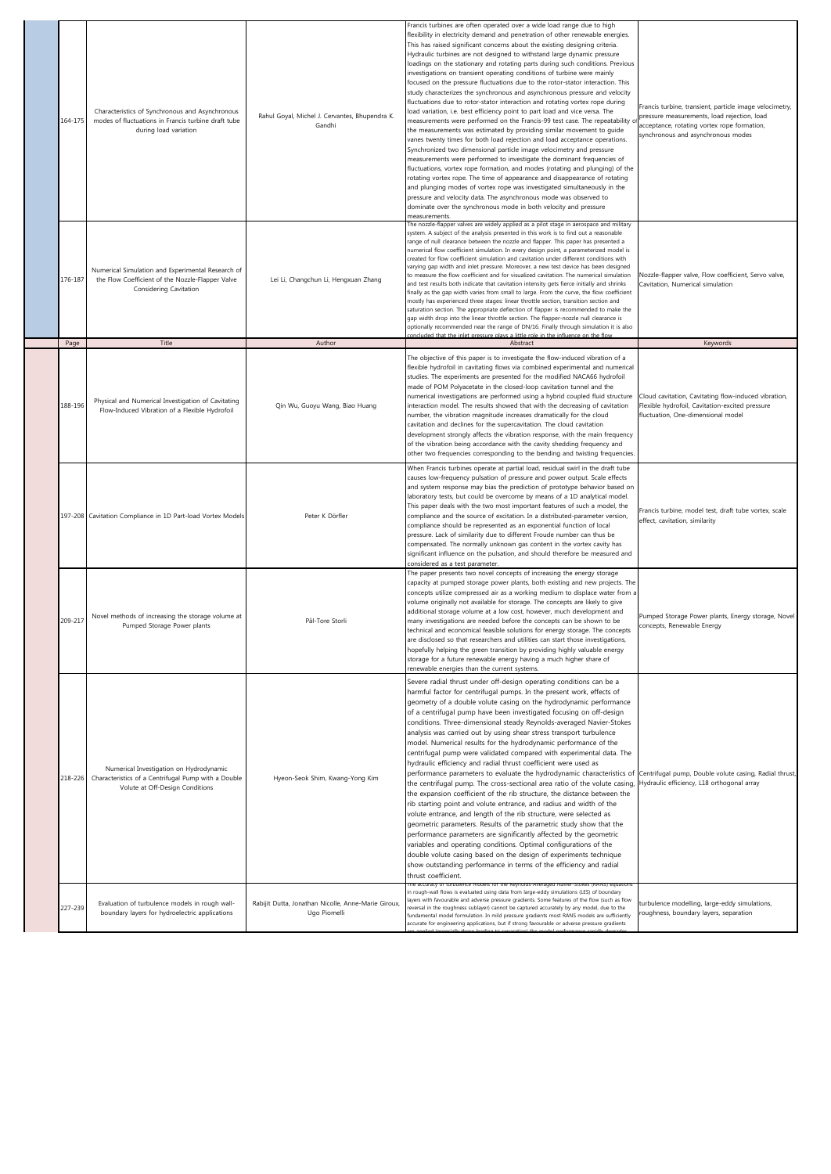| 164-175         | Characteristics of Synchronous and Asynchronous<br>modes of fluctuations in Francis turbine draft tube<br>during load variation          | Rahul Goyal, Michel J. Cervantes, Bhupendra K.<br>Gandhi            | Francis turbines are often operated over a wide load range due to high<br>flexibility in electricity demand and penetration of other renewable energies.<br>This has raised significant concerns about the existing designing criteria.<br>Hydraulic turbines are not designed to withstand large dynamic pressure<br>loadings on the stationary and rotating parts during such conditions. Previous<br>investigations on transient operating conditions of turbine were mainly<br>focused on the pressure fluctuations due to the rotor-stator interaction. This<br>study characterizes the synchronous and asynchronous pressure and velocity<br>fluctuations due to rotor-stator interaction and rotating vortex rope during<br>load variation, i.e. best efficiency point to part load and vice versa. The<br>measurements were performed on the Francis-99 test case. The repeatability c<br>the measurements was estimated by providing similar movement to guide<br>vanes twenty times for both load rejection and load acceptance operations.<br>Synchronized two dimensional particle image velocimetry and pressure<br>measurements were performed to investigate the dominant frequencies of<br>fluctuations, vortex rope formation, and modes (rotating and plunging) of the<br>rotating vortex rope. The time of appearance and disappearance of rotating<br>and plunging modes of vortex rope was investigated simultaneously in the<br>pressure and velocity data. The asynchronous mode was observed to<br>dominate over the synchronous mode in both velocity and pressure<br>measurements. | Francis turbine, transient, particle image velocimetry,<br>pressure measurements, load rejection, load<br>acceptance, rotating vortex rope formation,<br>synchronous and asynchronous modes |
|-----------------|------------------------------------------------------------------------------------------------------------------------------------------|---------------------------------------------------------------------|--------------------------------------------------------------------------------------------------------------------------------------------------------------------------------------------------------------------------------------------------------------------------------------------------------------------------------------------------------------------------------------------------------------------------------------------------------------------------------------------------------------------------------------------------------------------------------------------------------------------------------------------------------------------------------------------------------------------------------------------------------------------------------------------------------------------------------------------------------------------------------------------------------------------------------------------------------------------------------------------------------------------------------------------------------------------------------------------------------------------------------------------------------------------------------------------------------------------------------------------------------------------------------------------------------------------------------------------------------------------------------------------------------------------------------------------------------------------------------------------------------------------------------------------------------------------------------------------------------------|---------------------------------------------------------------------------------------------------------------------------------------------------------------------------------------------|
| 176-187<br>Page | Numerical Simulation and Experimental Research of<br>the Flow Coefficient of the Nozzle-Flapper Valve<br>Considering Cavitation<br>Title | Lei Li, Changchun Li, Hengxuan Zhang<br>Author                      | The nozzle-flapper valves are widely applied as a pilot stage in aerospace and military<br>system. A subject of the analysis presented in this work is to find out a reasonable<br>range of null clearance between the nozzle and flapper. This paper has presented a<br>numerical flow coefficient simulation. In every design point, a parameterized model is<br>created for flow coefficient simulation and cavitation under different conditions with<br>varying gap width and inlet pressure. Moreover, a new test device has been designed<br>to measure the flow coefficient and for visualized cavitation. The numerical simulation<br>and test results both indicate that cavitation intensity gets fierce initially and shrinks<br>finally as the gap width varies from small to large. From the curve, the flow coefficient<br>mostly has experienced three stages: linear throttle section, transition section and<br>saturation section. The appropriate deflection of flapper is recommended to make the<br>gap width drop into the linear throttle section. The flapper-nozzle null clearance is<br>optionally recommended near the range of DN/16. Finally through simulation it is also<br>oncluded that the inlet pressure plays a little role in the influence on the flow<br>Abstract                                                                                                                                                                                                                                                                                                    | Nozzle-flapper valve, Flow coefficient, Servo valve,<br>Cavitation, Numerical simulation<br>Keywords                                                                                        |
|                 |                                                                                                                                          |                                                                     |                                                                                                                                                                                                                                                                                                                                                                                                                                                                                                                                                                                                                                                                                                                                                                                                                                                                                                                                                                                                                                                                                                                                                                                                                                                                                                                                                                                                                                                                                                                                                                                                              |                                                                                                                                                                                             |
| 188-196         | Physical and Numerical Investigation of Cavitating<br>Flow-Induced Vibration of a Flexible Hydrofoil                                     | Qin Wu, Guoyu Wang, Biao Huang                                      | The objective of this paper is to investigate the flow-induced vibration of a<br>flexible hydrofoil in cavitating flows via combined experimental and numerical<br>studies. The experiments are presented for the modified NACA66 hydrofoil<br>made of POM Polyacetate in the closed-loop cavitation tunnel and the<br>numerical investigations are performed using a hybrid coupled fluid structure<br>interaction model. The results showed that with the decreasing of cavitation<br>number, the vibration magnitude increases dramatically for the cloud<br>cavitation and declines for the supercavitation. The cloud cavitation<br>development strongly affects the vibration response, with the main frequency<br>of the vibration being accordance with the cavity shedding frequency and<br>other two frequencies corresponding to the bending and twisting frequencies.                                                                                                                                                                                                                                                                                                                                                                                                                                                                                                                                                                                                                                                                                                                            | Cloud cavitation, Cavitating flow-induced vibration,<br>Flexible hydrofoil, Cavitation-excited pressure<br>fluctuation, One-dimensional model                                               |
|                 | 197-208 Cavitation Compliance in 1D Part-load Vortex Models                                                                              | Peter K Dörfler                                                     | When Francis turbines operate at partial load, residual swirl in the draft tube<br>causes low-frequency pulsation of pressure and power output. Scale effects<br>and system response may bias the prediction of prototype behavior based on<br>laboratory tests, but could be overcome by means of a 1D analytical model.<br>This paper deals with the two most important features of such a model, the<br>compliance and the source of excitation. In a distributed-parameter version,<br>compliance should be represented as an exponential function of local<br>pressure. Lack of similarity due to different Froude number can thus be<br>compensated. The normally unknown gas content in the vortex cavity has<br>significant influence on the pulsation, and should therefore be measured and<br>considered as a test parameter.                                                                                                                                                                                                                                                                                                                                                                                                                                                                                                                                                                                                                                                                                                                                                                      | Francis turbine, model test, draft tube vortex, scale<br>effect, cavitation, similarity                                                                                                     |
| 209-217         | Novel methods of increasing the storage volume at<br>Pumped Storage Power plants                                                         | Pål-Tore Storli                                                     | The paper presents two novel concepts of increasing the energy storage<br>capacity at pumped storage power plants, both existing and new projects. The<br>concepts utilize compressed air as a working medium to displace water from a<br>volume originally not available for storage. The concepts are likely to give<br>additional storage volume at a low cost, however, much development and<br>many investigations are needed before the concepts can be shown to be<br>technical and economical feasible solutions for energy storage. The concepts<br>are disclosed so that researchers and utilities can start those investigations,<br>hopefully helping the green transition by providing highly valuable energy<br>storage for a future renewable energy having a much higher share of<br>renewable energies than the current systems.                                                                                                                                                                                                                                                                                                                                                                                                                                                                                                                                                                                                                                                                                                                                                            | Pumped Storage Power plants, Energy storage, Novel<br>concepts, Renewable Energy                                                                                                            |
| 218-226         | Numerical Investigation on Hydrodynamic<br>Characteristics of a Centrifugal Pump with a Double<br>Volute at Off-Design Conditions        | Hyeon-Seok Shim, Kwang-Yong Kim                                     | Severe radial thrust under off-design operating conditions can be a<br>harmful factor for centrifugal pumps. In the present work, effects of<br>geometry of a double volute casing on the hydrodynamic performance<br>of a centrifugal pump have been investigated focusing on off-design<br>conditions. Three-dimensional steady Reynolds-averaged Navier-Stokes<br>analysis was carried out by using shear stress transport turbulence<br>model. Numerical results for the hydrodynamic performance of the<br>centrifugal pump were validated compared with experimental data. The<br>hydraulic efficiency and radial thrust coefficient were used as<br>performance parameters to evaluate the hydrodynamic characteristics of Centrifugal pump, Double volute casing, Radial thrust,<br>the centrifugal pump. The cross-sectional area ratio of the volute casing,<br>the expansion coefficient of the rib structure, the distance between the<br>rib starting point and volute entrance, and radius and width of the<br>volute entrance, and length of the rib structure, were selected as<br>geometric parameters. Results of the parametric study show that the<br>performance parameters are significantly affected by the geometric<br>variables and operating conditions. Optimal configurations of the<br>double volute casing based on the design of experiments technique<br>show outstanding performance in terms of the efficiency and radial<br>thrust coefficient.                                                                                                                          | Hydraulic efficiency, L18 orthogonal array                                                                                                                                                  |
| 227-239         | Evaluation of turbulence models in rough wall-<br>boundary layers for hydroelectric applications                                         | Rabijit Dutta, Jonathan Nicolle, Anne-Marie Giroux,<br>Ugo Piomelli | in rough-wall flows is evaluated using data from large-eddy simulations (LES) of boundary<br>layers with favourable and adverse pressure gradients. Some features of the flow (such as flow<br>reversal in the roughness sublayer) cannot be captured accurately by any model, due to the<br>fundamental model formulation. In mild pressure gradients most RANS models are sufficiently<br>accurate for engineering applications, but if strong favourable or adverse pressure gradients                                                                                                                                                                                                                                                                                                                                                                                                                                                                                                                                                                                                                                                                                                                                                                                                                                                                                                                                                                                                                                                                                                                    | turbulence modelling, large-eddy simulations,<br>roughness, boundary layers, separation                                                                                                     |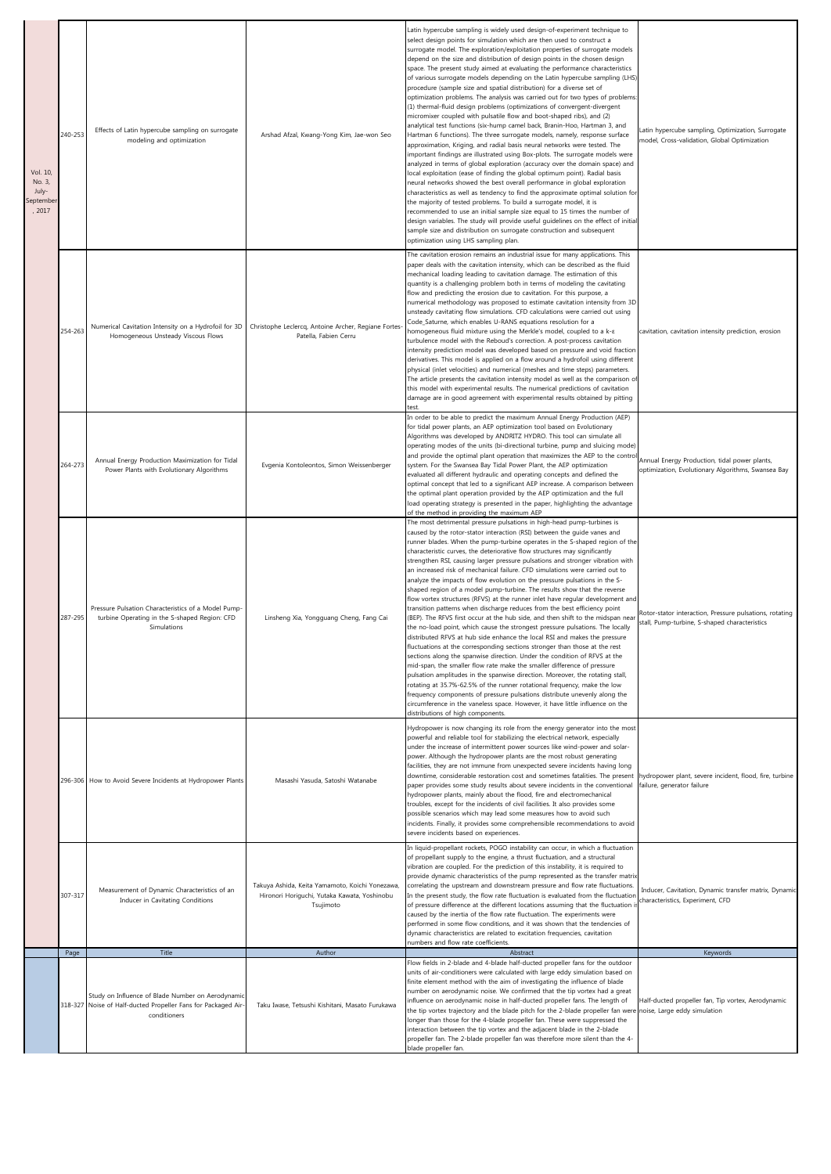| Vol. 10,<br>No. 3,<br>July-<br>eptembe<br>, 2017 | 240-253 | Effects of Latin hypercube sampling on surrogate<br>modeling and optimization                                                      | Arshad Afzal, Kwang-Yong Kim, Jae-won Seo                                                                    | Latin hypercube sampling is widely used design-of-experiment technique to<br>select design points for simulation which are then used to construct a<br>surrogate model. The exploration/exploitation properties of surrogate models<br>depend on the size and distribution of design points in the chosen design<br>space. The present study aimed at evaluating the performance characteristics<br>of various surrogate models depending on the Latin hypercube sampling (LHS)<br>procedure (sample size and spatial distribution) for a diverse set of<br>optimization problems. The analysis was carried out for two types of problems:<br>(1) thermal-fluid design problems (optimizations of convergent-divergent<br>micromixer coupled with pulsatile flow and boot-shaped ribs), and (2)<br>analytical test functions (six-hump camel back, Branin-Hoo, Hartman 3, and<br>Hartman 6 functions). The three surrogate models, namely, response surface<br>approximation, Kriging, and radial basis neural networks were tested. The<br>important findings are illustrated using Box-plots. The surrogate models were<br>analyzed in terms of global exploration (accuracy over the domain space) and<br>local exploitation (ease of finding the global optimum point). Radial basis<br>neural networks showed the best overall performance in global exploration<br>characteristics as well as tendency to find the approximate optimal solution for<br>the majority of tested problems. To build a surrogate model, it is<br>recommended to use an initial sample size equal to 15 times the number of<br>design variables. The study will provide useful guidelines on the effect of initial<br>sample size and distribution on surrogate construction and subsequent<br>optimization using LHS sampling plan. | Latin hypercube sampling, Optimization, Surrogate<br>model, Cross-validation, Global Optimization        |
|--------------------------------------------------|---------|------------------------------------------------------------------------------------------------------------------------------------|--------------------------------------------------------------------------------------------------------------|-----------------------------------------------------------------------------------------------------------------------------------------------------------------------------------------------------------------------------------------------------------------------------------------------------------------------------------------------------------------------------------------------------------------------------------------------------------------------------------------------------------------------------------------------------------------------------------------------------------------------------------------------------------------------------------------------------------------------------------------------------------------------------------------------------------------------------------------------------------------------------------------------------------------------------------------------------------------------------------------------------------------------------------------------------------------------------------------------------------------------------------------------------------------------------------------------------------------------------------------------------------------------------------------------------------------------------------------------------------------------------------------------------------------------------------------------------------------------------------------------------------------------------------------------------------------------------------------------------------------------------------------------------------------------------------------------------------------------------------------------------------------------------------------------------------------------|----------------------------------------------------------------------------------------------------------|
|                                                  | 254-263 | Numerical Cavitation Intensity on a Hydrofoil for 3D<br>Homogeneous Unsteady Viscous Flows                                         | Christophe Leclercq, Antoine Archer, Regiane Fortes<br>Patella, Fabien Cerru                                 | The cavitation erosion remains an industrial issue for many applications. This<br>paper deals with the cavitation intensity, which can be described as the fluid<br>mechanical loading leading to cavitation damage. The estimation of this<br>quantity is a challenging problem both in terms of modeling the cavitating<br>flow and predicting the erosion due to cavitation. For this purpose, a<br>numerical methodology was proposed to estimate cavitation intensity from 3D<br>unsteady cavitating flow simulations. CFD calculations were carried out using<br>Code_Saturne, which enables U-RANS equations resolution for a<br>homogeneous fluid mixture using the Merkle's model, coupled to a k-E<br>turbulence model with the Reboud's correction. A post-process cavitation<br>intensity prediction model was developed based on pressure and void fraction<br>derivatives. This model is applied on a flow around a hydrofoil using different<br>physical (inlet velocities) and numerical (meshes and time steps) parameters.<br>The article presents the cavitation intensity model as well as the comparison of<br>this model with experimental results. The numerical predictions of cavitation<br>damage are in good agreement with experimental results obtained by pitting<br>test                                                                                                                                                                                                                                                                                                                                                                                                                                                                                                               | cavitation, cavitation intensity prediction, erosion                                                     |
|                                                  | 264-273 | Annual Energy Production Maximization for Tidal<br>Power Plants with Evolutionary Algorithms                                       | Evgenia Kontoleontos, Simon Weissenberger                                                                    | In order to be able to predict the maximum Annual Energy Production (AEP)<br>for tidal power plants, an AEP optimization tool based on Evolutionary<br>Algorithms was developed by ANDRITZ HYDRO. This tool can simulate all<br>operating modes of the units (bi-directional turbine, pump and sluicing mode)<br>and provide the optimal plant operation that maximizes the AEP to the contro<br>system. For the Swansea Bay Tidal Power Plant, the AEP optimization<br>evaluated all different hydraulic and operating concepts and defined the<br>optimal concept that led to a significant AEP increase. A comparison between<br>the optimal plant operation provided by the AEP optimization and the full<br>load operating strategy is presented in the paper, highlighting the advantage<br>of the method in providing the maximum AEP                                                                                                                                                                                                                                                                                                                                                                                                                                                                                                                                                                                                                                                                                                                                                                                                                                                                                                                                                                          | Annual Energy Production, tidal power plants,<br>optimization, Evolutionary Algorithms, Swansea Bay      |
|                                                  | 287-295 | Pressure Pulsation Characteristics of a Model Pump-<br>turbine Operating in the S-shaped Region: CFD<br>Simulations                | Linsheng Xia, Yongguang Cheng, Fang Cai                                                                      | The most detrimental pressure pulsations in high-head pump-turbines is<br>caused by the rotor-stator interaction (RSI) between the guide vanes and<br>runner blades. When the pump-turbine operates in the S-shaped region of the<br>characteristic curves, the deteriorative flow structures may significantly<br>strengthen RSI, causing larger pressure pulsations and stronger vibration with<br>an increased risk of mechanical failure. CFD simulations were carried out to<br>analyze the impacts of flow evolution on the pressure pulsations in the S-<br>shaped region of a model pump-turbine. The results show that the reverse<br>flow vortex structures (RFVS) at the runner inlet have regular development and<br>transition patterns when discharge reduces from the best efficiency point<br>(BEP). The RFVS first occur at the hub side, and then shift to the midspan near<br>the no-load point, which cause the strongest pressure pulsations. The locally<br>distributed RFVS at hub side enhance the local RSI and makes the pressure<br>fluctuations at the corresponding sections stronger than those at the rest<br>sections along the spanwise direction. Under the condition of RFVS at the<br>mid-span, the smaller flow rate make the smaller difference of pressure<br>pulsation amplitudes in the spanwise direction. Moreover, the rotating stall,<br>rotating at 35.7%-62.5% of the runner rotational frequency, make the low<br>frequency components of pressure pulsations distribute unevenly along the<br>circumference in the vaneless space. However, it have little influence on the<br>distributions of high components.                                                                                                                                                     | Rotor-stator interaction, Pressure pulsations, rotating<br>stall, Pump-turbine, S-shaped characteristics |
|                                                  |         | 296-306 How to Avoid Severe Incidents at Hydropower Plants                                                                         | Masashi Yasuda, Satoshi Watanabe                                                                             | Hydropower is now changing its role from the energy generator into the most<br>powerful and reliable tool for stabilizing the electrical network, especially<br>under the increase of intermittent power sources like wind-power and solar-<br>power. Although the hydropower plants are the most robust generating<br>facilities, they are not immune from unexpected severe incidents having long<br>downtime, considerable restoration cost and sometimes fatalities. The present<br>paper provides some study results about severe incidents in the conventional<br>hydropower plants, mainly about the flood, fire and electromechanical<br>troubles, except for the incidents of civil facilities. It also provides some<br>possible scenarios which may lead some measures how to avoid such<br>incidents. Finally, it provides some comprehensible recommendations to avoid<br>severe incidents based on experiences.                                                                                                                                                                                                                                                                                                                                                                                                                                                                                                                                                                                                                                                                                                                                                                                                                                                                                         | hydropower plant, severe incident, flood, fire, turbine<br>failure, generator failure                    |
|                                                  | 307-317 | Measurement of Dynamic Characteristics of an<br>Inducer in Cavitating Conditions                                                   | Takuya Ashida, Keita Yamamoto, Koichi Yonezawa,<br>Hironori Horiguchi, Yutaka Kawata, Yoshinobu<br>Tsujimoto | In liquid-propellant rockets, POGO instability can occur, in which a fluctuation<br>of propellant supply to the engine, a thrust fluctuation, and a structural<br>vibration are coupled. For the prediction of this instability, it is required to<br>provide dynamic characteristics of the pump represented as the transfer matrix<br>correlating the upstream and downstream pressure and flow rate fluctuations.<br>In the present study, the flow rate fluctuation is evaluated from the fluctuation<br>of pressure difference at the different locations assuming that the fluctuation is<br>caused by the inertia of the flow rate fluctuation. The experiments were<br>performed in some flow conditions, and it was shown that the tendencies of<br>dynamic characteristics are related to excitation frequencies, cavitation<br>numbers and flow rate coefficients.                                                                                                                                                                                                                                                                                                                                                                                                                                                                                                                                                                                                                                                                                                                                                                                                                                                                                                                                         | Inducer, Cavitation, Dynamic transfer matrix, Dynamic<br>characteristics, Experiment, CFD                |
|                                                  | Page    | Title                                                                                                                              | Author                                                                                                       | Abstract<br>Flow fields in 2-blade and 4-blade half-ducted propeller fans for the outdoor                                                                                                                                                                                                                                                                                                                                                                                                                                                                                                                                                                                                                                                                                                                                                                                                                                                                                                                                                                                                                                                                                                                                                                                                                                                                                                                                                                                                                                                                                                                                                                                                                                                                                                                             | Keywords                                                                                                 |
|                                                  |         | Study on Influence of Blade Number on Aerodynamic<br>318-327 Noise of Half-ducted Propeller Fans for Packaged Air-<br>conditioners | Taku Iwase, Tetsushi Kishitani, Masato Furukawa                                                              | units of air-conditioners were calculated with large eddy simulation based on<br>finite element method with the aim of investigating the influence of blade<br>number on aerodynamic noise. We confirmed that the tip vortex had a great<br>influence on aerodynamic noise in half-ducted propeller fans. The length of<br>the tip vortex trajectory and the blade pitch for the 2-blade propeller fan were noise, Large eddy simulation<br>longer than those for the 4-blade propeller fan. These were suppressed the<br>interaction between the tip vortex and the adjacent blade in the 2-blade<br>propeller fan. The 2-blade propeller fan was therefore more silent than the 4-<br>blade propeller fan.                                                                                                                                                                                                                                                                                                                                                                                                                                                                                                                                                                                                                                                                                                                                                                                                                                                                                                                                                                                                                                                                                                          | Half-ducted propeller fan, Tip vortex, Aerodynamic                                                       |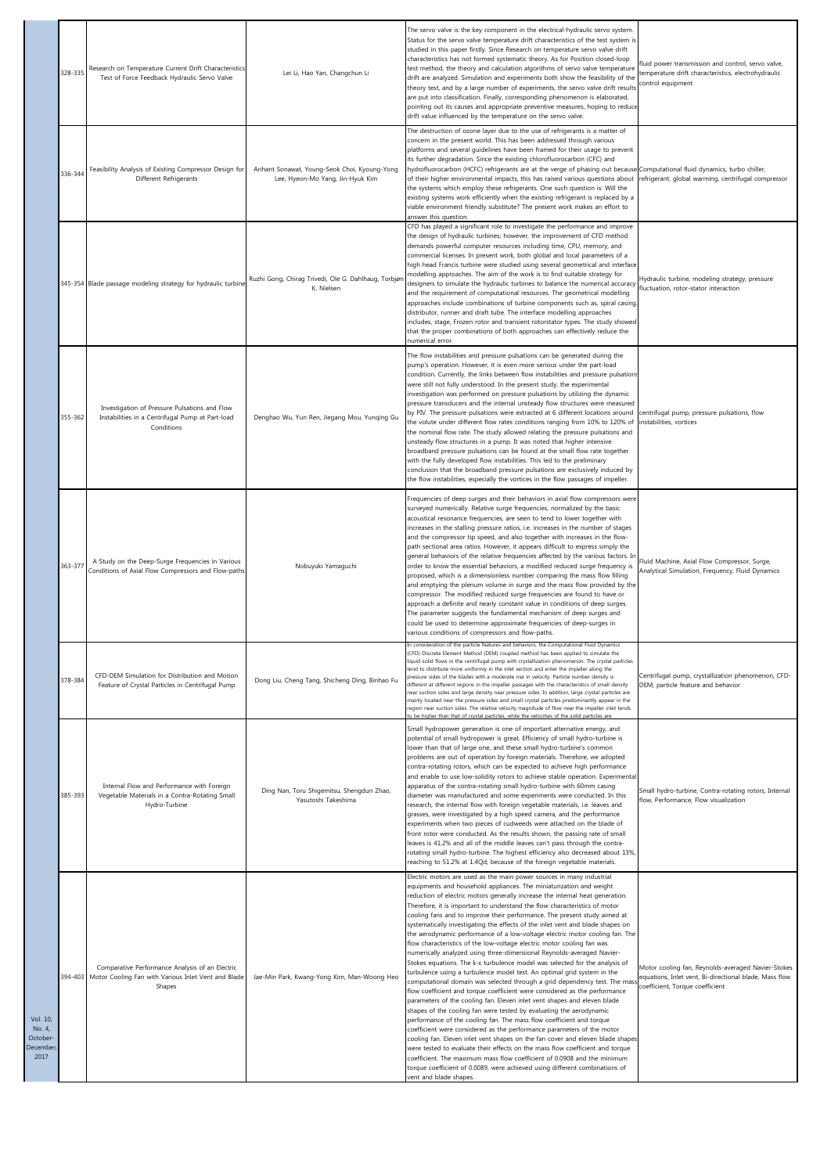|                                                           | 328-335 | Research on Temperature Current Drift Characteristics<br>Test of Force Feedback Hydraulic Servo Valve                    | Lei Li, Hao Yan, Changchun Li                                                     | The servo valve is the key component in the electrical-hydraulic servo system.<br>Status for the servo valve temperature drift characteristics of the test system is<br>studied in this paper firstly. Since Research on temperature servo valve drift<br>characteristics has not formed systematic theory. As for Position closed-loop<br>test method, the theory and calculation algorithms of servo valve temperature<br>drift are analyzed. Simulation and experiments both show the feasibility of the<br>theory test, and by a large number of experiments, the servo valve drift results<br>are put into classification. Finally, corresponding phenomenon is elaborated,<br>pointing out its causes and appropriate preventive measures, hoping to reduce<br>drift value influenced by the temperature on the servo valve.                                                                                                                                                                                                                                                                                                                                                                                                                                                                                                                                                                                                                                                                                                                                                                                                                                                                            | fluid power transmission and control, servo valve,<br>temperature drift characteristics, electrohydraulic<br>control equipment                  |
|-----------------------------------------------------------|---------|--------------------------------------------------------------------------------------------------------------------------|-----------------------------------------------------------------------------------|---------------------------------------------------------------------------------------------------------------------------------------------------------------------------------------------------------------------------------------------------------------------------------------------------------------------------------------------------------------------------------------------------------------------------------------------------------------------------------------------------------------------------------------------------------------------------------------------------------------------------------------------------------------------------------------------------------------------------------------------------------------------------------------------------------------------------------------------------------------------------------------------------------------------------------------------------------------------------------------------------------------------------------------------------------------------------------------------------------------------------------------------------------------------------------------------------------------------------------------------------------------------------------------------------------------------------------------------------------------------------------------------------------------------------------------------------------------------------------------------------------------------------------------------------------------------------------------------------------------------------------------------------------------------------------------------------------------|-------------------------------------------------------------------------------------------------------------------------------------------------|
|                                                           | 336-344 | Feasibility Analysis of Existing Compressor Design for<br>Different Refrigerants                                         | Arihant Sonawat, Young-Seok Choi, Kyoung-Yong<br>Lee, Hyeon-Mo Yang, Jin-Hyuk Kim | The destruction of ozone layer due to the use of refrigerants is a matter of<br>concern in the present world. This has been addressed through various<br>platforms and several guidelines have been framed for their usage to prevent<br>its further degradation. Since the existing chlorofluorocarbon (CFC) and<br>hydrofluorocarbon (HCFC) refrigerants are at the verge of phasing out because Computational fluid dynamics, turbo chiller,<br>of their higher environmental impacts, this has raised various questions about<br>the systems which employ these refrigerants. One such question is: Will the<br>existing systems work efficiently when the existing refrigerant is replaced by a<br>viable environment friendly substitute? The present work makes an effort to<br>answer this question.                                                                                                                                                                                                                                                                                                                                                                                                                                                                                                                                                                                                                                                                                                                                                                                                                                                                                                  | refrigerant, global warming, centrifugal compressor                                                                                             |
|                                                           |         | 345-354 Blade passage modeling strategy for hydraulic turbine                                                            | Ruzhi Gong, Chirag Trivedi, Ole G. Dahlhaug, Torbjør<br>K. Nielsen                | CFD has played a significant role to investigate the performance and improve<br>the design of hydraulic turbines; however, the improvement of CFD method<br>demands powerful computer resources including time, CPU, memory, and<br>commercial licenses. In present work, both global and local parameters of a<br>high head Francis turbine were studied using several geometrical and interface<br>modelling approaches. The aim of the work is to find suitable strategy for<br>designers to simulate the hydraulic turbines to balance the numerical accuracy<br>and the requirement of computational resources. The geometrical modelling<br>approaches include combinations of turbine components such as, spiral casing,<br>distributor, runner and draft tube. The interface modelling approaches<br>includes, stage, Frozen rotor and transient rotorstator types. The study showed<br>that the proper combinations of both approaches can effectively reduce the<br>numerical error.                                                                                                                                                                                                                                                                                                                                                                                                                                                                                                                                                                                                                                                                                                                | Hydraulic turbine, modeling strategy, pressure<br>fluctuation, rotor-stator interaction                                                         |
|                                                           | 355-362 | Investigation of Pressure Pulsations and Flow<br>Instabilities in a Centrifugal Pump at Part-load<br>Conditions          | Denghao Wu, Yun Ren, Jiegang Mou, Yunging Gu                                      | The flow instabilities and pressure pulsations can be generated during the<br>pump's operation. However, it is even more serious under the part-load<br>condition. Currently, the links between flow instabilities and pressure pulsations<br>were still not fully understood. In the present study, the experimental<br>investigation was performed on pressure pulsations by utilizing the dynamic<br>pressure transducers and the internal unsteady flow structures were measured<br>by PIV. The pressure pulsations were extracted at 6 different locations around<br>the volute under different flow rates conditions ranging from 10% to 120% of<br>the nominal flow rate. The study allowed relating the pressure pulsations and<br>unsteady flow structures in a pump. It was noted that higher intensive<br>broadband pressure pulsations can be found at the small flow rate together<br>with the fully developed flow instabilities. This led to the preliminary<br>conclusion that the broadband pressure pulsations are exclusively induced by<br>the flow instabilities, especially the vortices in the flow passages of impeller.                                                                                                                                                                                                                                                                                                                                                                                                                                                                                                                                                              | centrifugal pump, pressure pulsations, flow<br>instabilities, vortices                                                                          |
|                                                           | 363-377 | A Study on the Deep-Surge Frequencies in Various<br>Conditions of Axial Flow Compressors and Flow-paths                  | Nobuyuki Yamaguchi                                                                | Frequencies of deep surges and their behaviors in axial flow compressors were<br>surveyed numerically. Relative surge frequencies, normalized by the basic<br>acoustical resonance frequencies, are seen to tend to lower together with<br>increases in the stalling pressure ratios, i.e. increases in the number of stages<br>and the compressor tip speed, and also together with increases in the flow-<br>path sectional area ratios. However, it appears difficult to express simply the<br>general behaviors of the relative frequencies affected by the various factors. In<br>order to know the essential behaviors, a modified reduced surge frequency is<br>proposed, which is a dimensionless number comparing the mass flow filling<br>and emptying the plenum volume in surge and the mass flow provided by the<br>compressor. The modified reduced surge frequencies are found to have or<br>approach a definite and nearly constant value in conditions of deep surges.<br>The parameter suggests the fundamental mechanism of deep surges and<br>could be used to determine approximate frequencies of deep-surges in<br>various conditions of compressors and flow-paths.                                                                                                                                                                                                                                                                                                                                                                                                                                                                                                                   | Fluid Machine, Axial Flow Compressor, Surge,<br>Analytical Simulation, Frequency, Fluid Dynamics                                                |
|                                                           | 378-384 | CFD-DEM Simulation for Distribution and Motion<br>Feature of Crystal Particles in Centrifugal Pump                       | Dong Liu, Cheng Tang, Shicheng Ding, Binhao Fu                                    | (CFD)-Discrete Element Method (DEM) coupled method has been applied to simulate the<br>liquid-solid flows in the centrifugal pump with crystallization phenomenon. The crystal particles<br>tend to distribute more uniformly in the inlet section and enter the impeller along the<br>pressure sides of the blades with a moderate rise in velocity. Particle number density is<br>different at different regions in the impeller passages with the characteristics of small density<br>near suction sides and large density near pressure sides. In addition, large crystal particles are<br>mainly located near the pressure sides and small crystal particles predominantly appear in the<br>region near suction sides. The relative velocity magnitude of flow near the impeller inlet tends<br>o be higher than that of crystal particles, while the velocities of the solid particles ar                                                                                                                                                                                                                                                                                                                                                                                                                                                                                                                                                                                                                                                                                                                                                                                                               | Centrifugal pump, crystallization phenomenon, CFD-<br>DEM, particle feature and behavior                                                        |
|                                                           | 385-393 | Internal Flow and Performance with Foreign<br>Vegetable Materials in a Contra-Rotating Small<br>Hydro-Turbine            | Ding Nan, Toru Shigemitsu, Shengdun Zhao,<br>Yasutoshi Takeshima                  | Small hydropower generation is one of important alternative energy, and<br>potential of small hydropower is great. Efficiency of small hydro-turbine is<br>lower than that of large one, and these small hydro-turbine's common<br>problems are out of operation by foreign materials. Therefore, we adopted<br>contra-rotating rotors, which can be expected to achieve high performance<br>and enable to use low-solidity rotors to achieve stable operation. Experimental<br>apparatus of the contra-rotating small hydro-turbine with 60mm casing<br>diameter was manufactured and some experiments were conducted. In this<br>research, the internal flow with foreign vegetable materials, i.e. leaves and<br>grasses, were investigated by a high speed camera, and the performance<br>experiments when two pieces of cudweeds were attached on the blade of<br>front rotor were conducted. As the results shown, the passing rate of small<br>leaves is 41.2% and all of the middle leaves can't pass through the contra-<br>rotating small hydro-turbine. The highest efficiency also decreased about 13%,<br>reaching to 51.2% at 1.4Qd, because of the foreign vegetable materials.                                                                                                                                                                                                                                                                                                                                                                                                                                                                                                                | Small hydro-turbine, Contra-rotating rotors, Internal<br>flow, Performance, Flow visualization                                                  |
| Vol. 10,<br>No. 4,<br>October-<br><b>December</b><br>2017 |         | Comparative Performance Analysis of an Electric<br>394-403 Motor Cooling Fan with Various Inlet Vent and Blade<br>Shapes | Jae-Min Park, Kwang-Yong Kim, Man-Woong Heo                                       | Electric motors are used as the main power sources in many industrial<br>equipments and household appliances. The miniaturization and weight<br>reduction of electric motors generally increase the internal heat generation.<br>Therefore, it is important to understand the flow characteristics of motor<br>cooling fans and to improve their performance. The present study aimed at<br>systematically investigating the effects of the inlet vent and blade shapes on<br>the aerodynamic performance of a low-voltage electric motor cooling fan. The<br>flow characteristics of the low-voltage electric motor cooling fan was<br>numerically analyzed using three-dimensional Reynolds-averaged Navier-<br>Stokes equations. The k- $\varepsilon$ turbulence model was selected for the analysis of<br>turbulence using a turbulence model test. An optimal grid system in the<br>computational domain was selected through a grid dependency test. The mas<br>flow coefficient and torque coefficient were considered as the performance<br>parameters of the cooling fan. Eleven inlet vent shapes and eleven blade<br>shapes of the cooling fan were tested by evaluating the aerodynamic<br>performance of the cooling fan. The mass flow coefficient and torque<br>coefficient were considered as the performance parameters of the motor<br>cooling fan. Eleven inlet vent shapes on the fan cover and eleven blade shapes<br>were tested to evaluate their effects on the mass flow coefficient and torque<br>coefficient. The maximum mass flow coefficient of 0.0908 and the minimum<br>torque coefficient of 0.0089, were achieved using different combinations of<br>vent and blade shapes. | Motor cooling fan, Reynolds-averaged Navier-Stokes<br>equations, Inlet vent, Bi-directional blade, Mass flow<br>coefficient, Torque coefficient |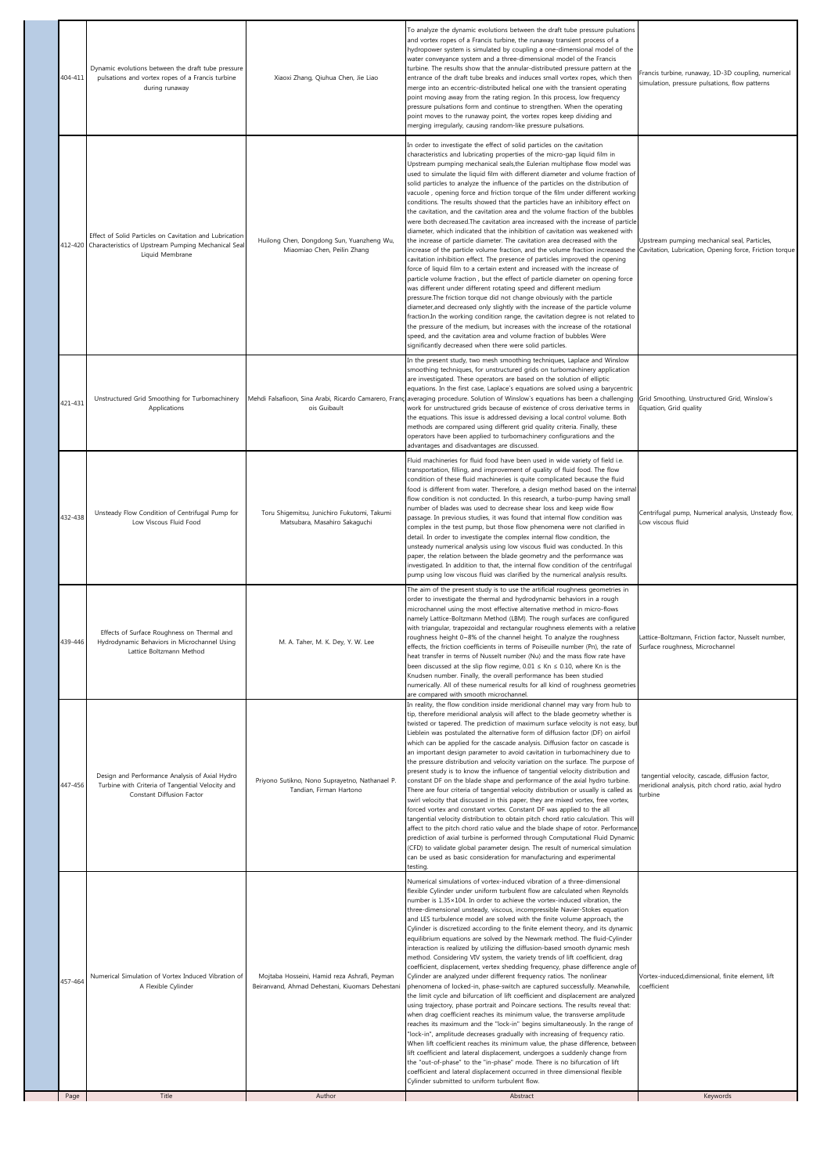| 404-411 | Dynamic evolutions between the draft tube pressure<br>pulsations and vortex ropes of a Francis turbine<br>during runaway                 | Xiaoxi Zhang, Qiuhua Chen, Jie Liao                                                             | To analyze the dynamic evolutions between the draft tube pressure pulsations<br>and vortex ropes of a Francis turbine, the runaway transient process of a<br>hydropower system is simulated by coupling a one-dimensional model of the<br>water conveyance system and a three-dimensional model of the Francis<br>turbine. The results show that the annular-distributed pressure pattern at the<br>entrance of the draft tube breaks and induces small vortex ropes, which then<br>merge into an eccentric-distributed helical one with the transient operating<br>point moving away from the rating region. In this process, low frequency<br>pressure pulsations form and continue to strengthen. When the operating<br>point moves to the runaway point, the vortex ropes keep dividing and<br>merging irregularly, causing random-like pressure pulsations.                                                                                                                                                                                                                                                                                                                                                                                                                                                                                                                                                                                                                                                                                                                                                                                                                                                                                                                                                                                        | rancis turbine, runaway, 1D-3D coupling, numerical<br>simulation, pressure pulsations, flow patterns              |
|---------|------------------------------------------------------------------------------------------------------------------------------------------|-------------------------------------------------------------------------------------------------|---------------------------------------------------------------------------------------------------------------------------------------------------------------------------------------------------------------------------------------------------------------------------------------------------------------------------------------------------------------------------------------------------------------------------------------------------------------------------------------------------------------------------------------------------------------------------------------------------------------------------------------------------------------------------------------------------------------------------------------------------------------------------------------------------------------------------------------------------------------------------------------------------------------------------------------------------------------------------------------------------------------------------------------------------------------------------------------------------------------------------------------------------------------------------------------------------------------------------------------------------------------------------------------------------------------------------------------------------------------------------------------------------------------------------------------------------------------------------------------------------------------------------------------------------------------------------------------------------------------------------------------------------------------------------------------------------------------------------------------------------------------------------------------------------------------------------------------------------------|-------------------------------------------------------------------------------------------------------------------|
|         | Effect of Solid Particles on Cavitation and Lubrication<br>412-420 Characteristics of Upstream Pumping Mechanical Sea<br>Liquid Membrane | Huilong Chen, Dongdong Sun, Yuanzheng Wu,<br>Miaomiao Chen, Peilin Zhang                        | In order to investigate the effect of solid particles on the cavitation<br>characteristics and lubricating properties of the micro-gap liquid film in<br>Upstream pumping mechanical seals, the Eulerian multiphase flow model was<br>used to simulate the liquid film with different diameter and volume fraction of<br>solid particles to analyze the influence of the particles on the distribution of<br>vacuole, opening force and friction torque of the film under different working<br>conditions. The results showed that the particles have an inhibitory effect on<br>the cavitation, and the cavitation area and the volume fraction of the bubbles<br>were both decreased. The cavitation area increased with the increase of particle<br>diameter, which indicated that the inhibition of cavitation was weakened with<br>the increase of particle diameter. The cavitation area decreased with the<br>increase of the particle volume fraction, and the volume fraction increased the Cavitation, Lubrication, Opening force, Friction torque<br>cavitation inhibition effect. The presence of particles improved the opening<br>force of liquid film to a certain extent and increased with the increase of<br>particle volume fraction, but the effect of particle diameter on opening force<br>was different under different rotating speed and different medium<br>pressure. The friction torque did not change obviously with the particle<br>diameter, and decreased only slightly with the increase of the particle volume<br>fraction.In the working condition range, the cavitation degree is not related to<br>the pressure of the medium, but increases with the increase of the rotational<br>speed, and the cavitation area and volume fraction of bubbles Were<br>significantly decreased when there were solid particles. | Upstream pumping mechanical seal, Particles,                                                                      |
| 421-431 | Unstructured Grid Smoothing for Turbomachinery<br>Applications                                                                           | ois Guibault                                                                                    | In the present study, two mesh smoothing techniques, Laplace and Winslow<br>smoothing techniques, for unstructured grids on turbomachinery application<br>are investigated. These operators are based on the solution of elliptic<br>equations. In the first case, Laplace's equations are solved using a barycentric<br>Mehdi Falsafioon, Sina Arabi, Ricardo Camarero, Franç averaging procedure. Solution of Winslow's equations has been a challenging<br>work for unstructured grids because of existence of cross derivative terms in<br>the equations. This issue is addressed devising a local control volume. Both<br>methods are compared using different grid quality criteria. Finally, these<br>operators have been applied to turbomachinery configurations and the<br>advantages and disadvantages are discussed.                                                                                                                                                                                                                                                                                                                                                                                                                                                                                                                                                                                                                                                                                                                                                                                                                                                                                                                                                                                                                        | Grid Smoothing, Unstructured Grid, Winslow's<br>Equation, Grid quality                                            |
| 432-438 | Unsteady Flow Condition of Centrifugal Pump for<br>Low Viscous Fluid Food                                                                | Toru Shigemitsu, Junichiro Fukutomi, Takumi<br>Matsubara, Masahiro Sakaguchi                    | Fluid machineries for fluid food have been used in wide variety of field i.e.<br>transportation, filling, and improvement of quality of fluid food. The flow<br>condition of these fluid machineries is quite complicated because the fluid<br>food is different from water. Therefore, a design method based on the internal<br>flow condition is not conducted. In this research, a turbo-pump having small<br>number of blades was used to decrease shear loss and keep wide flow<br>passage. In previous studies, it was found that internal flow condition was<br>complex in the test pump, but those flow phenomena were not clarified in<br>detail. In order to investigate the complex internal flow condition, the<br>unsteady numerical analysis using low viscous fluid was conducted. In this<br>paper, the relation between the blade geometry and the performance was<br>investigated. In addition to that, the internal flow condition of the centrifugal<br>pump using low viscous fluid was clarified by the numerical analysis results.                                                                                                                                                                                                                                                                                                                                                                                                                                                                                                                                                                                                                                                                                                                                                                                               | Centrifugal pump, Numerical analysis, Unsteady flow,<br>Low viscous fluid                                         |
| 439-446 | Effects of Surface Roughness on Thermal and<br>Hydrodynamic Behaviors in Microchannel Using<br>Lattice Boltzmann Method                  | M. A. Taher, M. K. Dey, Y. W. Lee                                                               | The aim of the present study is to use the artificial roughness geometries in<br>order to investigate the thermal and hydrodynamic behaviors in a rough<br>microchannel using the most effective alternative method in micro-flows<br>namely Lattice-Boltzmann Method (LBM). The rough surfaces are configured<br>with triangular, trapezoidal and rectangular roughness elements with a relative<br>roughness height 0~8% of the channel height. To analyze the roughness<br>effects, the friction coefficients in terms of Poiseuille number (Pn), the rate of<br>heat transfer in terms of Nusselt number (Nu) and the mass flow rate have<br>been discussed at the slip flow regime, $0.01 \leq Kn \leq 0.10$ , where Kn is the<br>Knudsen number. Finally, the overall performance has been studied<br>numerically. All of these numerical results for all kind of roughness geometries<br>are compared with smooth microchannel.                                                                                                                                                                                                                                                                                                                                                                                                                                                                                                                                                                                                                                                                                                                                                                                                                                                                                                                  | Lattice-Boltzmann, Friction factor, Nusselt number,<br>Surface roughness, Microchanne                             |
| 447-456 | Design and Performance Analysis of Axial Hydro<br>Turbine with Criteria of Tangential Velocity and<br>Constant Diffusion Factor          | Priyono Sutikno, Nono Suprayetno, Nathanael P.<br>Tandian, Firman Hartono                       | In reality, the flow condition inside meridional channel may vary from hub to<br>tip, therefore meridional analysis will affect to the blade geometry whether is<br>twisted or tapered. The prediction of maximum surface velocity is not easy, but<br>Lieblein was postulated the alternative form of diffusion factor (DF) on airfoil<br>which can be applied for the cascade analysis. Diffusion factor on cascade is<br>an important design parameter to avoid cavitation in turbomachinery due to<br>the pressure distribution and velocity variation on the surface. The purpose of<br>present study is to know the influence of tangential velocity distribution and<br>constant DF on the blade shape and performance of the axial hydro turbine.<br>There are four criteria of tangential velocity distribution or usually is called as<br>swirl velocity that discussed in this paper, they are mixed vortex, free vortex,<br>forced vortex and constant vortex. Constant DF was applied to the all<br>tangential velocity distribution to obtain pitch chord ratio calculation. This will<br>affect to the pitch chord ratio value and the blade shape of rotor. Performance<br>prediction of axial turbine is performed through Computational Fluid Dynamic<br>(CFD) to validate global parameter design. The result of numerical simulation<br>can be used as basic consideration for manufacturing and experimental<br>testing                                                                                                                                                                                                                                                                                                                                                                                                            | tangential velocity, cascade, diffusion factor,<br>neridional analysis, pitch chord ratio, axial hydro<br>turbine |
| 457-464 | Numerical Simulation of Vortex Induced Vibration of<br>A Flexible Cylinder                                                               | Mojtaba Hosseini, Hamid reza Ashrafi, Peyman<br>Beiranvand, Ahmad Dehestani, Kiuomars Dehestani | Numerical simulations of vortex-induced vibration of a three-dimensional<br>flexible Cylinder under uniform turbulent flow are calculated when Reynolds<br>number is 1.35×104. In order to achieve the vortex-induced vibration, the<br>three-dimensional unsteady, viscous, incompressible Navier-Stokes equation<br>and LES turbulence model are solved with the finite volume approach, the<br>Cylinder is discretized according to the finite element theory, and its dynamic<br>equilibrium equations are solved by the Newmark method. The fluid-Cylinder<br>interaction is realized by utilizing the diffusion-based smooth dynamic mesh<br>method. Considering VIV system, the variety trends of lift coefficient, drag<br>coefficient, displacement, vertex shedding frequency, phase difference angle of<br>Cylinder are analyzed under different frequency ratios. The nonlinear<br>phenomena of locked-in, phase-switch are captured successfully. Meanwhile,<br>the limit cycle and bifurcation of lift coefficient and displacement are analyzed<br>using trajectory, phase portrait and Poincare sections. The results reveal that:<br>when drag coefficient reaches its minimum value, the transverse amplitude<br>reaches its maximum and the "lock-in" begins simultaneously. In the range of<br>"lock-in", amplitude decreases gradually with increasing of frequency ratio.<br>When lift coefficient reaches its minimum value, the phase difference, between<br>lift coefficient and lateral displacement, undergoes a suddenly change from<br>the "out-of-phase" to the "in-phase" mode. There is no bifurcation of lift<br>coefficient and lateral displacement occurred in three dimensional flexible<br>Cylinder submitted to uniform turbulent flow.                                                                          | Vortex-induced,dimensional, finite element, lift<br>coefficient                                                   |
| Page    | Title                                                                                                                                    | Author                                                                                          | Abstract                                                                                                                                                                                                                                                                                                                                                                                                                                                                                                                                                                                                                                                                                                                                                                                                                                                                                                                                                                                                                                                                                                                                                                                                                                                                                                                                                                                                                                                                                                                                                                                                                                                                                                                                                                                                                                                | Keywords                                                                                                          |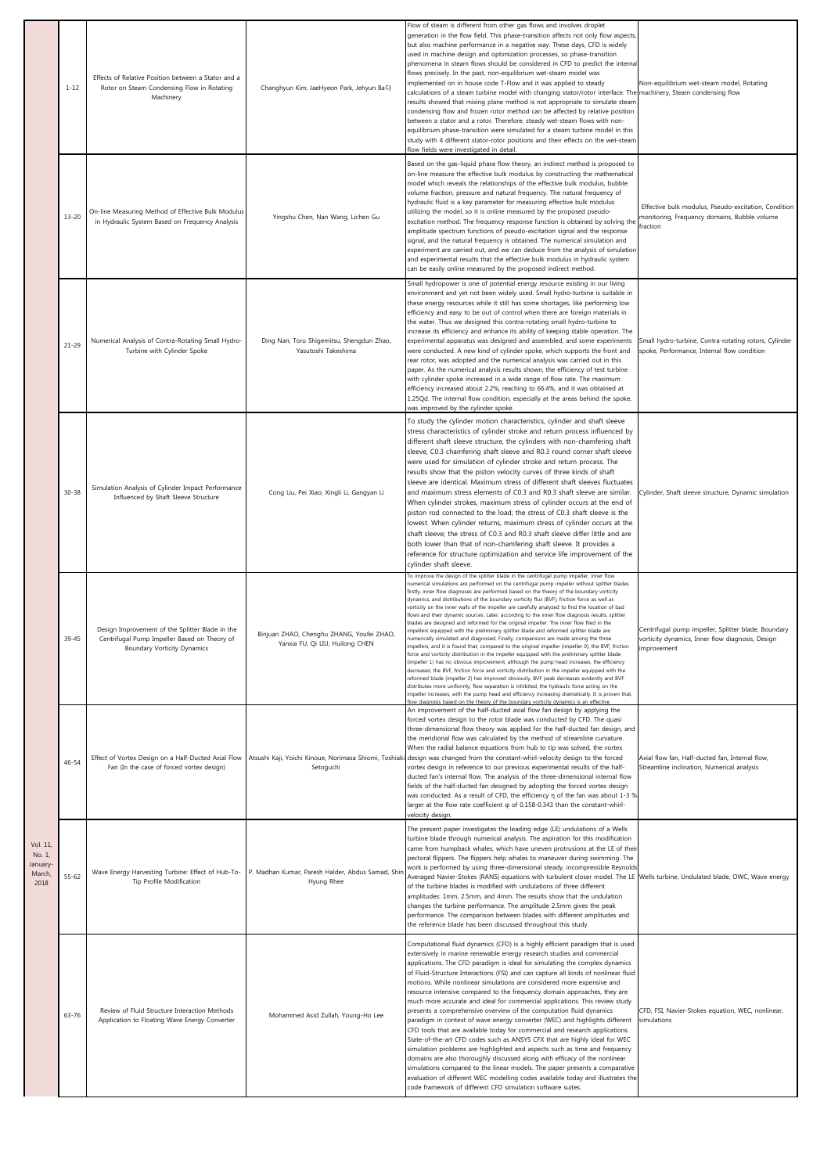|                                               | $1 - 12$  | Effects of Relative Position between a Stator and a<br>Rotor on Steam Condensing Flow in Rotating<br>Machinery                        | Changhyun Kim, JaeHyeon Park, Jehyun BaCł                                    | Flow of steam is different from other gas flows and involves droplet<br>generation in the flow field. This phase-transition affects not only flow aspects,<br>but also machine performance in a negative way. These days, CFD is widely<br>used in machine design and optimization processes, so phase-transition<br>phenomena in steam flows should be considered in CFD to predict the internal<br>flows precisely. In the past, non-equilibrium wet-steam model was<br>implemented on in house code T-Flow and it was applied to steady<br>calculations of a steam turbine model with changing stator/rotor interface. The machinery, Steam condensing flow<br>results showed that mixing plane method is not appropriate to simulate steam<br>condensing flow and frozen rotor method can be affected by relative position<br>between a stator and a rotor. Therefore, steady wet-steam flows with non-<br>equilibrium phase-transition were simulated for a steam turbine model in this<br>study with 4 different stator-rotor positions and their effects on the wet-steam<br>flow fields were investigated in detail                                                                                                                                                                                                                                                                                                                                                                                                                                                                                                                                      | Non-equilibrium wet-steam model, Rotating                                                                              |
|-----------------------------------------------|-----------|---------------------------------------------------------------------------------------------------------------------------------------|------------------------------------------------------------------------------|------------------------------------------------------------------------------------------------------------------------------------------------------------------------------------------------------------------------------------------------------------------------------------------------------------------------------------------------------------------------------------------------------------------------------------------------------------------------------------------------------------------------------------------------------------------------------------------------------------------------------------------------------------------------------------------------------------------------------------------------------------------------------------------------------------------------------------------------------------------------------------------------------------------------------------------------------------------------------------------------------------------------------------------------------------------------------------------------------------------------------------------------------------------------------------------------------------------------------------------------------------------------------------------------------------------------------------------------------------------------------------------------------------------------------------------------------------------------------------------------------------------------------------------------------------------------------------------------------------------------------------------------------------------|------------------------------------------------------------------------------------------------------------------------|
|                                               | $13 - 20$ | On-line Measuring Method of Effective Bulk Modulus<br>in Hydraulic System Based on Frequency Analysis                                 | Yingshu Chen, Nan Wang, Lichen Gu                                            | Based on the gas-liquid phase flow theory, an indirect method is proposed to<br>on-line measure the effective bulk modulus by constructing the mathematical<br>model which reveals the relationships of the effective bulk modulus, bubble<br>volume fraction, pressure and natural frequency. The natural frequency of<br>hydraulic fluid is a key parameter for measuring effective bulk modulus<br>utilizing the model, so it is online measured by the proposed pseudo-<br>excitation method. The frequency response function is obtained by solving the<br>amplitude spectrum functions of pseudo-excitation signal and the response<br>signal, and the natural frequency is obtained. The numerical simulation and<br>experiment are carried out, and we can deduce from the analysis of simulation<br>and experimental results that the effective bulk modulus in hydraulic system<br>can be easily online measured by the proposed indirect method.                                                                                                                                                                                                                                                                                                                                                                                                                                                                                                                                                                                                                                                                                                      | Effective bulk modulus, Pseudo-excitation, Condition<br>monitoring, Frequency domains, Bubble volume<br>fraction       |
|                                               | $21 - 29$ | Numerical Analysis of Contra-Rotating Small Hydro-<br>Turbine with Cylinder Spoke                                                     | Ding Nan, Toru Shigemitsu, Shengdun Zhao,<br>Yasutoshi Takeshima             | Small hydropower is one of potential energy resource existing in our living<br>environment and yet not been widely used. Small hydro-turbine is suitable in<br>these energy resources while it still has some shortages, like performing low<br>efficiency and easy to be out of control when there are foreign materials in<br>the water. Thus we designed this contra-rotating small hydro-turbine to<br>increase its efficiency and enhance its ability of keeping stable operation. The<br>experimental apparatus was designed and assembled, and some experiments<br>were conducted. A new kind of cylinder spoke, which supports the front and<br>rear rotor, was adopted and the numerical analysis was carried out in this<br>paper. As the numerical analysis results shown, the efficiency of test turbine<br>with cylinder spoke increased in a wide range of flow rate. The maximum<br>efficiency increased about 2.2%, reaching to 66.4%, and it was obtained at<br>1.25Qd. The internal flow condition, especially at the areas behind the spoke,<br>was improved by the cylinder spoke.                                                                                                                                                                                                                                                                                                                                                                                                                                                                                                                                                           | Small hydro-turbine, Contra-rotating rotors, Cylinder<br>spoke, Performance, Internal flow condition                   |
|                                               | $30 - 38$ | Simulation Analysis of Cylinder Impact Performance<br>Influenced by Shaft Sleeve Structure                                            | Cong Liu, Pei Xiao, Xingli Li, Gangyan Li                                    | To study the cylinder motion characteristics, cylinder and shaft sleeve<br>stress characteristics of cylinder stroke and return process influenced by<br>different shaft sleeve structure, the cylinders with non-chamfering shaft<br>sleeve, C0.3 chamfering shaft sleeve and R0.3 round corner shaft sleeve<br>were used for simulation of cylinder stroke and return process. The<br>results show that the piston velocity curves of three kinds of shaft<br>sleeve are identical. Maximum stress of different shaft sleeves fluctuates<br>and maximum stress elements of C0.3 and R0.3 shaft sleeve are similar.<br>When cylinder strokes, maximum stress of cylinder occurs at the end of<br>piston rod connected to the load; the stress of C0.3 shaft sleeve is the<br>lowest. When cylinder returns, maximum stress of cylinder occurs at the<br>shaft sleeve; the stress of C0.3 and R0.3 shaft sleeve differ little and are<br>both lower than that of non-chamfering shaft sleeve. It provides a<br>reference for structure optimization and service life improvement of the<br>cylinder shaft sleeve.                                                                                                                                                                                                                                                                                                                                                                                                                                                                                                                                                | Cylinder, Shaft sleeve structure, Dynamic simulation                                                                   |
|                                               | $39 - 45$ | Design Improvement of the Splitter Blade in the<br>Centrifugal Pump Impeller Based on Theory of<br><b>Boundary Vorticity Dynamics</b> | Binjuan ZHAO, Chenghu ZHANG, Youfei ZHAO,<br>Yanxia FU, Qi LIU, Huilong CHEN | To improve the design of the splitter blade in the centrifugal pump impeller, inner flow<br>numerical simulations are performed on the centrifugal pump impeller without splitter blades<br>firstly, inner flow diagnoses are performed based on the theory of the boundary vorticity<br>dynamics, and distributions of the boundary vorticity flux (BVF), friction force as well as<br>vorticity on the inner walls of the impeller are carefully analyzed to find the location of bad<br>flows and their dynamic sources. Later, according to the inner flow diagnosis results, splitter<br>blades are designed and reformed for the original impeller. The inner flow filed in the<br>impellers equipped with the preliminary splitter blade and reformed splitter blade are<br>numerically simulated and diagnosed. Finally, comparisons are made among the three<br>ellers, and it is found that, compared to the original impeller (impeller 0), the BVF, friction<br>force and vorticity distribution in the impeller equipped with the preliminary splitter blade<br>(impeller 1) has no obvious improvement, although the pump head increases, the efficiency<br>decreases; the BVF, friction force and vorticity distribution in the impeller equipped with the<br>reformed blade (impeller 2) has improved obviously, BVF peak decreases evidently and BVF<br>distributes more uniformly, flow separation is inhibited, the hydraulic force acting on the<br>impeller increases, with the pump head and efficiency increasing dramatically. It is proven that,<br>ow diagnosis based on the theory of the boundary vorticity dynamics is an effective | Centrifugal pump impeller, Splitter blade, Boundary<br>vorticity dynamics, Inner flow diagnosis, Design<br>improvement |
|                                               | $46 - 54$ | Effect of Vortex Design on a Half-Ducted Axial Flow<br>Fan (In the case of forced vortex design)                                      | Setoguchi                                                                    | An improvement of the half-ducted axial flow fan design by applying the<br>forced vortex design to the rotor blade was conducted by CFD. The quasi<br>three-dimensional flow theory was applied for the half-ducted fan design, and<br>the meridional flow was calculated by the method of streamline curvature.<br>When the radial balance equations from hub to tip was solved, the vortex<br>Atsushi Kaji, Yoichi Kinoue, Norimasa Shiomi, Toshiaki design was changed from the constant-whirl-velocity design to the forced<br>vortex design in reference to our previous experimental results of the half-<br>ducted fan's internal flow. The analysis of the three-dimensional internal flow<br>fields of the half-ducted fan designed by adopting the forced vortex design<br>was conducted. As a result of CFD, the efficiency n of the fan was about 1-3 %<br>larger at the flow rate coefficient $\varphi$ of 0.158-0.343 than the constant-whirl-<br>velocity design.                                                                                                                                                                                                                                                                                                                                                                                                                                                                                                                                                                                                                                                                                 | Axial flow fan, Half-ducted fan, Internal flow,<br>Streamline inclination, Numerical analysis                          |
| Vol. 11<br>No. 1,<br>anuary<br>March.<br>2018 | $55 - 62$ | Wave Energy Harvesting Turbine: Effect of Hub-To-<br>Tip Profile Modification                                                         | P. Madhan Kumar, Paresh Halder, Abdus Samad, Shir<br>Hyung Rhee              | The present paper investigates the leading edge (LE) undulations of a Wells<br>turbine blade through numerical analysis. The aspiration for this modification<br>came from humpback whales, which have uneven protrusions at the LE of their<br>pectoral flippers. The flippers help whales to maneuver during swimming. The<br>work is performed by using three-dimensional steady, incompressible Reynolds<br>Averaged Navier-Stokes (RANS) equations with turbulent closer model. The LE Wells turbine, Undulated blade, OWC, Wave energy<br>of the turbine blades is modified with undulations of three different<br>amplitudes: 1mm, 2.5mm, and 4mm. The results show that the undulation<br>changes the turbine performance. The amplitude 2.5mm gives the peak<br>performance. The comparison between blades with different amplitudes and<br>the reference blade has been discussed throughout this study.                                                                                                                                                                                                                                                                                                                                                                                                                                                                                                                                                                                                                                                                                                                                               |                                                                                                                        |
|                                               | 63-76     | Review of Fluid Structure Interaction Methods<br>Application to Floating Wave Energy Converter                                        | Mohammed Asid Zullah, Young-Ho Lee                                           | Computational fluid dynamics (CFD) is a highly efficient paradigm that is used<br>extensively in marine renewable energy research studies and commercial<br>applications. The CFD paradigm is ideal for simulating the complex dynamics<br>of Fluid-Structure Interactions (FSI) and can capture all kinds of nonlinear fluid<br>motions. While nonlinear simulations are considered more expensive and<br>resource intensive compared to the frequency domain approaches, they are<br>much more accurate and ideal for commercial applications. This review study<br>presents a comprehensive overview of the computation fluid dynamics<br>paradigm in context of wave energy converter (WEC) and highlights different<br>CFD tools that are available today for commercial and research applications.<br>State-of-the-art CFD codes such as ANSYS CFX that are highly ideal for WEC<br>simulation problems are highlighted and aspects such as time and frequency<br>domains are also thoroughly discussed along with efficacy of the nonlinear<br>simulations compared to the linear models. The paper presents a comparative<br>evaluation of different WEC modelling codes available today and illustrates the<br>code framework of different CFD simulation software suites.                                                                                                                                                                                                                                                                                                                                                                              | CFD, FSI, Navier-Stokes equation, WEC, nonlinear,<br>simulations                                                       |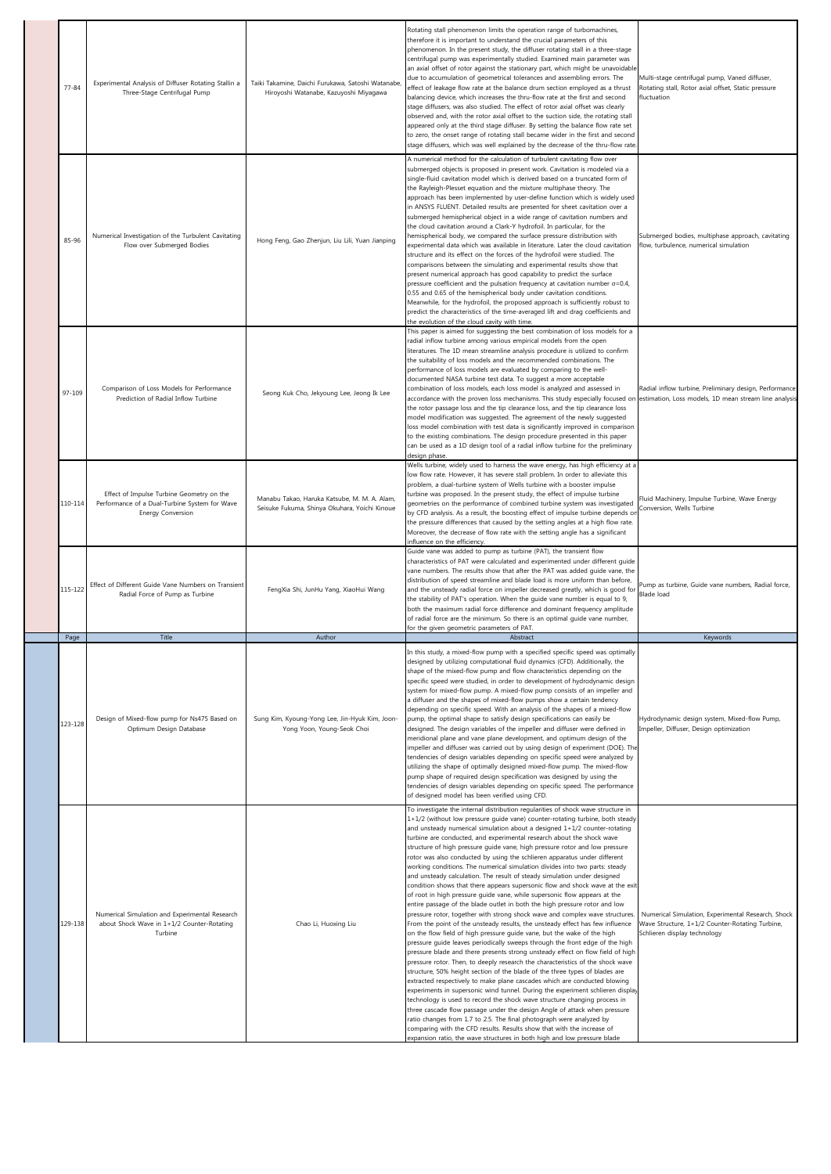| $77 - 84$ | Experimental Analysis of Diffuser Rotating Stallin a<br>Three-Stage Centrifugal Pump                            | Taiki Takamine, Daichi Furukawa, Satoshi Watanabe,<br>Hiroyoshi Watanabe, Kazuyoshi Miyagawa  | Rotating stall phenomenon limits the operation range of turbomachines,<br>therefore it is important to understand the crucial parameters of this<br>phenomenon. In the present study, the diffuser rotating stall in a three-stage<br>centrifugal pump was experimentally studied. Examined main parameter was<br>an axial offset of rotor against the stationary part, which might be unavoidable<br>due to accumulation of geometrical tolerances and assembling errors. The<br>effect of leakage flow rate at the balance drum section employed as a thrust<br>balancing device, which increases the thru-flow rate at the first and second<br>stage diffusers, was also studied. The effect of rotor axial offset was clearly<br>observed and, with the rotor axial offset to the suction side, the rotating stall<br>appeared only at the third stage diffuser. By setting the balance flow rate set<br>to zero, the onset range of rotating stall became wider in the first and second<br>stage diffusers, which was well explained by the decrease of the thru-flow rate                                                                                                                                                                                                                                                                                                                                                                                                                                                                                                                                                                                                                                                                                                                                                                                                                                                                                                                                                  | Multi-stage centrifugal pump, Vaned diffuser,<br>Rotating stall, Rotor axial offset, Static pressure<br>fluctuation                   |
|-----------|-----------------------------------------------------------------------------------------------------------------|-----------------------------------------------------------------------------------------------|----------------------------------------------------------------------------------------------------------------------------------------------------------------------------------------------------------------------------------------------------------------------------------------------------------------------------------------------------------------------------------------------------------------------------------------------------------------------------------------------------------------------------------------------------------------------------------------------------------------------------------------------------------------------------------------------------------------------------------------------------------------------------------------------------------------------------------------------------------------------------------------------------------------------------------------------------------------------------------------------------------------------------------------------------------------------------------------------------------------------------------------------------------------------------------------------------------------------------------------------------------------------------------------------------------------------------------------------------------------------------------------------------------------------------------------------------------------------------------------------------------------------------------------------------------------------------------------------------------------------------------------------------------------------------------------------------------------------------------------------------------------------------------------------------------------------------------------------------------------------------------------------------------------------------------------------------------------------------------------------------------------------------------|---------------------------------------------------------------------------------------------------------------------------------------|
| 85-96     | Numerical Investigation of the Turbulent Cavitating<br>Flow over Submerged Bodies                               | Hong Feng, Gao Zhenjun, Liu Lili, Yuan Jianping                                               | A numerical method for the calculation of turbulent cavitating flow over<br>submerged objects is proposed in present work. Cavitation is modeled via a<br>single-fluid cavitation model which is derived based on a truncated form of<br>the Rayleigh-Plesset equation and the mixture multiphase theory. The<br>approach has been implemented by user-define function which is widely used<br>in ANSYS FLUENT. Detailed results are presented for sheet cavitation over a<br>submerged hemispherical object in a wide range of cavitation numbers and<br>the cloud cavitation around a Clark-Y hydrofoil. In particular, for the<br>hemispherical body, we compared the surface pressure distribution with<br>experimental data which was available in literature. Later the cloud cavitation<br>structure and its effect on the forces of the hydrofoil were studied. The<br>comparisons between the simulating and experimental results show that<br>present numerical approach has good capability to predict the surface<br>pressure coefficient and the pulsation frequency at cavitation number $\sigma = 0.4$ ,<br>0.55 and 0.65 of the hemispherical body under cavitation conditions.<br>Meanwhile, for the hydrofoil, the proposed approach is sufficiently robust to<br>predict the characteristics of the time-averaged lift and drag coefficients and<br>the evolution of the cloud cavity with time.                                                                                                                                                                                                                                                                                                                                                                                                                                                                                                                                                                                                              | Submerged bodies, multiphase approach, cavitating<br>flow, turbulence, numerical simulation                                           |
| 97-109    | Comparison of Loss Models for Performance<br>Prediction of Radial Inflow Turbine                                | Seong Kuk Cho, Jekyoung Lee, Jeong Ik Lee                                                     | This paper is aimed for suggesting the best combination of loss models for a<br>radial inflow turbine among various empirical models from the open<br>literatures. The 1D mean streamline analysis procedure is utilized to confirm<br>the suitability of loss models and the recommended combinations. The<br>performance of loss models are evaluated by comparing to the well-<br>documented NASA turbine test data. To suggest a more acceptable<br>combination of loss models, each loss model is analyzed and assessed in<br>accordance with the proven loss mechanisms. This study especially focused on estimation, Loss models, 1D mean stream line analysis<br>the rotor passage loss and the tip clearance loss, and the tip clearance loss<br>model modification was suggested. The agreement of the newly suggested<br>loss model combination with test data is significantly improved in comparison<br>to the existing combinations. The design procedure presented in this paper<br>can be used as a 1D design tool of a radial inflow turbine for the preliminary<br>design phase.                                                                                                                                                                                                                                                                                                                                                                                                                                                                                                                                                                                                                                                                                                                                                                                                                                                                                                                               | Radial inflow turbine, Preliminary design, Performance                                                                                |
| 110-114   | Effect of Impulse Turbine Geometry on the<br>Performance of a Dual-Turbine System for Wave<br>Energy Conversion | Manabu Takao, Haruka Katsube, M. M. A. Alam,<br>Seisuke Fukuma, Shinya Okuhara, Yoichi Kinoue | Wells turbine, widely used to harness the wave energy, has high efficiency at a<br>low flow rate. However, it has severe stall problem. In order to alleviate this<br>problem, a dual-turbine system of Wells turbine with a booster impulse<br>turbine was proposed. In the present study, the effect of impulse turbine<br>geometries on the performance of combined turbine system was investigated<br>by CFD analysis. As a result, the boosting effect of impulse turbine depends or<br>the pressure differences that caused by the setting angles at a high flow rate.<br>Moreover, the decrease of flow rate with the setting angle has a significant<br>influence on the efficiency.                                                                                                                                                                                                                                                                                                                                                                                                                                                                                                                                                                                                                                                                                                                                                                                                                                                                                                                                                                                                                                                                                                                                                                                                                                                                                                                                     | Fluid Machinery, Impulse Turbine, Wave Energy<br>Conversion, Wells Turbine                                                            |
| 115-122   | Effect of Different Guide Vane Numbers on Transient<br>Radial Force of Pump as Turbine                          | FengXia Shi, JunHu Yang, XiaoHui Wang                                                         | Guide vane was added to pump as turbine (PAT), the transient flow<br>characteristics of PAT were calculated and experimented under different guide<br>vane numbers. The results show that after the PAT was added quide vane, the<br>distribution of speed streamline and blade load is more uniform than before,<br>and the unsteady radial force on impeller decreased greatly, which is good for<br>the stability of PAT's operation. When the guide vane number is equal to 9,<br>both the maximum radial force difference and dominant frequency amplitude<br>of radial force are the minimum. So there is an optimal guide vane number,<br>for the given geometric parameters of PAT.                                                                                                                                                                                                                                                                                                                                                                                                                                                                                                                                                                                                                                                                                                                                                                                                                                                                                                                                                                                                                                                                                                                                                                                                                                                                                                                                      | Pump as turbine, Guide vane numbers, Radial force,<br><b>Blade load</b>                                                               |
| Page      | Title                                                                                                           | Author                                                                                        | Abstract                                                                                                                                                                                                                                                                                                                                                                                                                                                                                                                                                                                                                                                                                                                                                                                                                                                                                                                                                                                                                                                                                                                                                                                                                                                                                                                                                                                                                                                                                                                                                                                                                                                                                                                                                                                                                                                                                                                                                                                                                         | Keywords                                                                                                                              |
| 123-128   | Design of Mixed-flow pump for Ns475 Based on<br>Optimum Design Database                                         | Sung Kim, Kyoung-Yong Lee, Jin-Hyuk Kim, Joon-<br>Yong Yoon, Young-Seok Choi                  | In this study, a mixed-flow pump with a specified specific speed was optimally<br>designed by utilizing computational fluid dynamics (CFD). Additionally, the<br>shape of the mixed-flow pump and flow characteristics depending on the<br>specific speed were studied, in order to development of hydrodynamic design<br>system for mixed-flow pump. A mixed-flow pump consists of an impeller and<br>a diffuser and the shapes of mixed-flow pumps show a certain tendency<br>depending on specific speed. With an analysis of the shapes of a mixed-flow<br>pump, the optimal shape to satisfy design specifications can easily be<br>designed. The design variables of the impeller and diffuser were defined in<br>meridional plane and vane plane development, and optimum design of the<br>impeller and diffuser was carried out by using design of experiment (DOE). The<br>tendencies of design variables depending on specific speed were analyzed by<br>utilizing the shape of optimally designed mixed-flow pump. The mixed-flow<br>pump shape of required design specification was designed by using the<br>tendencies of design variables depending on specific speed. The performance<br>of designed model has been verified using CFD.                                                                                                                                                                                                                                                                                                                                                                                                                                                                                                                                                                                                                                                                                                                                                                           | Hydrodynamic design system, Mixed-flow Pump,<br>Impeller, Diffuser, Design optimization                                               |
| 129-138   | Numerical Simulation and Experimental Research<br>about Shock Wave in 1+1/2 Counter-Rotating<br>Turbine         | Chao Li, Huoxing Liu                                                                          | To investigate the internal distribution regularities of shock wave structure in<br>1+1/2 (without low pressure guide vane) counter-rotating turbine, both steady<br>and unsteady numerical simulation about a designed 1+1/2 counter-rotating<br>turbine are conducted, and experimental research about the shock wave<br>structure of high pressure guide vane, high pressure rotor and low pressure<br>rotor was also conducted by using the schlieren apparatus under different<br>working conditions. The numerical simulation divides into two parts: steady<br>and unsteady calculation. The result of steady simulation under designed<br>condition shows that there appears supersonic flow and shock wave at the exit<br>of root in high pressure guide vane, while supersonic flow appears at the<br>entire passage of the blade outlet in both the high pressure rotor and low<br>pressure rotor, together with strong shock wave and complex wave structures.<br>From the point of the unsteady results, the unsteady effect has few influence<br>on the flow field of high pressure guide vane, but the wake of the high<br>pressure guide leaves periodically sweeps through the front edge of the high<br>pressure blade and there presents strong unsteady effect on flow field of high<br>pressure rotor. Then, to deeply research the characteristics of the shock wave<br>structure, 50% height section of the blade of the three types of blades are<br>extracted respectively to make plane cascades which are conducted blowing<br>experiments in supersonic wind tunnel. During the experiment schlieren display<br>technology is used to record the shock wave structure changing process in<br>three cascade flow passage under the design Angle of attack when pressure<br>ratio changes from 1.7 to 2.5. The final photograph were analyzed by<br>comparing with the CFD results. Results show that with the increase of<br>expansion ratio, the wave structures in both high and low pressure blade | Numerical Simulation, Experimental Research, Shock<br>Wave Structure, 1+1/2 Counter-Rotating Turbine,<br>Schlieren display technology |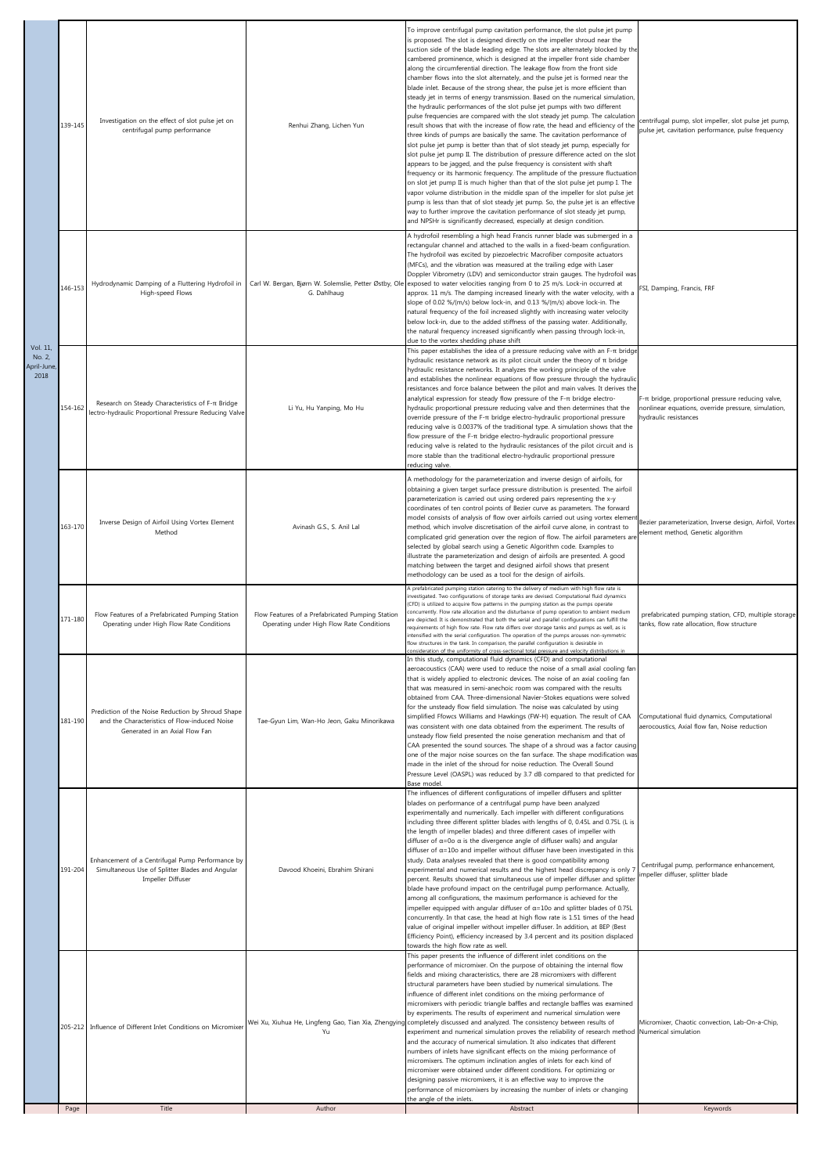|                               | Page    | Title                                                                                                                                | Author                                                                                        | Abstract                                                                                                                                                                                                                                                                                                                                                                                                                                                                                                                                                                                                                                                                                                                                                                                                                                                                                                                                                                                                                                                                                                                                                                                                                                                                                                                                                                                                                                                                                                                                                                                                                                                                                                                                          | Keywords                                                                                                                               |
|-------------------------------|---------|--------------------------------------------------------------------------------------------------------------------------------------|-----------------------------------------------------------------------------------------------|---------------------------------------------------------------------------------------------------------------------------------------------------------------------------------------------------------------------------------------------------------------------------------------------------------------------------------------------------------------------------------------------------------------------------------------------------------------------------------------------------------------------------------------------------------------------------------------------------------------------------------------------------------------------------------------------------------------------------------------------------------------------------------------------------------------------------------------------------------------------------------------------------------------------------------------------------------------------------------------------------------------------------------------------------------------------------------------------------------------------------------------------------------------------------------------------------------------------------------------------------------------------------------------------------------------------------------------------------------------------------------------------------------------------------------------------------------------------------------------------------------------------------------------------------------------------------------------------------------------------------------------------------------------------------------------------------------------------------------------------------|----------------------------------------------------------------------------------------------------------------------------------------|
|                               |         | 205-212 Influence of Different Inlet Conditions on Micromixer                                                                        | Yu                                                                                            | This paper presents the influence of different inlet conditions on the<br>performance of micromixer. On the purpose of obtaining the internal flow<br>fields and mixing characteristics, there are 28 micromixers with different<br>structural parameters have been studied by numerical simulations. The<br>influence of different inlet conditions on the mixing performance of<br>micromixers with periodic triangle baffles and rectangle baffles was examined<br>by experiments. The results of experiment and numerical simulation were<br>Wei Xu, Xiuhua He, Lingfeng Gao, Tian Xia, Zhengying completely discussed and analyzed. The consistency between results of<br>experiment and numerical simulation proves the reliability of research method Numerical simulation<br>and the accuracy of numerical simulation. It also indicates that different<br>numbers of inlets have significant effects on the mixing performance of<br>micromixers. The optimum inclination angles of inlets for each kind of<br>micromixer were obtained under different conditions. For optimizing or<br>designing passive micromixers, it is an effective way to improve the<br>performance of micromixers by increasing the number of inlets or changing<br>the angle of the inlets.                                                                                                                                                                                                                                                                                                                                                                                                                                                                   | Micromixer, Chaotic convection, Lab-On-a-Chip,                                                                                         |
|                               | 191-204 | Enhancement of a Centrifugal Pump Performance by<br>Simultaneous Use of Splitter Blades and Angular<br>Impeller Diffuser             | Davood Khoeini, Ebrahim Shirani                                                               | The influences of different configurations of impeller diffusers and splitter<br>blades on performance of a centrifugal pump have been analyzed<br>experimentally and numerically. Each impeller with different configurations<br>including three different splitter blades with lengths of 0, 0.45L and 0.75L (L is<br>the length of impeller blades) and three different cases of impeller with<br>diffuser of $\alpha$ =0o $\alpha$ is the divergence angle of diffuser walls) and angular<br>diffuser of $\alpha$ =10o and impeller without diffuser have been investigated in this<br>study. Data analyses revealed that there is good compatibility among<br>experimental and numerical results and the highest head discrepancy is only 7<br>percent. Results showed that simultaneous use of impeller diffuser and splitter<br>blade have profound impact on the centrifugal pump performance. Actually,<br>among all configurations, the maximum performance is achieved for the<br>impeller equipped with angular diffuser of $\alpha$ =10o and splitter blades of 0.75L<br>concurrently. In that case, the head at high flow rate is 1.51 times of the head<br>value of original impeller without impeller diffuser. In addition, at BEP (Best<br>Efficiency Point), efficiency increased by 3.4 percent and its position displaced<br>towards the high flow rate as well.                                                                                                                                                                                                                                                                                                                                                             | Centrifugal pump, performance enhancement,<br>impeller diffuser, splitter blade                                                        |
|                               | 181-190 | Prediction of the Noise Reduction by Shroud Shape<br>and the Characteristics of Flow-induced Noise<br>Generated in an Axial Flow Fan | Tae-Gyun Lim, Wan-Ho Jeon, Gaku Minorikawa                                                    | In this study, computational fluid dynamics (CFD) and computational<br>aeroacoustics (CAA) were used to reduce the noise of a small axial cooling fan<br>that is widely applied to electronic devices. The noise of an axial cooling fan<br>that was measured in semi-anechoic room was compared with the results<br>obtained from CAA. Three-dimensional Navier-Stokes equations were solved<br>for the unsteady flow field simulation. The noise was calculated by using<br>simplified Ffowcs Williams and Hawkings (FW-H) equation. The result of CAA<br>was consistent with one data obtained from the experiment. The results of<br>unsteady flow field presented the noise generation mechanism and that of<br>CAA presented the sound sources. The shape of a shroud was a factor causing<br>one of the major noise sources on the fan surface. The shape modification was<br>made in the inlet of the shroud for noise reduction. The Overall Sound<br>Pressure Level (OASPL) was reduced by 3.7 dB compared to that predicted for<br>Base model.                                                                                                                                                                                                                                                                                                                                                                                                                                                                                                                                                                                                                                                                                         | Computational fluid dynamics, Computational<br>aerocoustics, Axial flow fan, Noise reduction                                           |
|                               | 171-180 | Flow Features of a Prefabricated Pumping Station<br>Operating under High Flow Rate Conditions                                        | Flow Features of a Prefabricated Pumping Station<br>Operating under High Flow Rate Conditions | A prefabricated pumping station catering to the delivery of medium with high flow rate is<br>nvestigated. Two configurations of storage tanks are devised. Computational fluid dynamics<br>(CFD) is utilized to acquire flow patterns in the pumping station as the pumps operate<br>concurrently. Flow rate allocation and the disturbance of pump operation to ambient medium<br>are depicted. It is demonstrated that both the serial and parallel configurations can fulfill the<br>requirements of high flow rate. Flow rate differs over storage tanks and pumps as well, as is<br>intensified with the serial configuration. The operation of the pumps arouses non-symmetric<br>flow structures in the tank. In comparison, the parallel configuration is desirable in<br>consideration of the uniformity of cross-sectional total pressure and velocity distributions in                                                                                                                                                                                                                                                                                                                                                                                                                                                                                                                                                                                                                                                                                                                                                                                                                                                                 | prefabricated pumping station, CFD, multiple storage<br>tanks, flow rate allocation, flow structure                                    |
|                               | 163-170 | Inverse Design of Airfoil Using Vortex Element<br>Method                                                                             | Avinash G.S., S. Anil Lal                                                                     | A methodology for the parameterization and inverse design of airfoils, for<br>obtaining a given target surface pressure distribution is presented. The airfoil<br>parameterization is carried out using ordered pairs representing the x-y<br>coordinates of ten control points of Bezier curve as parameters. The forward<br>model consists of analysis of flow over airfoils carried out using vortex element<br>method, which involve discretisation of the airfoil curve alone, in contrast to<br>complicated grid generation over the region of flow. The airfoil parameters are<br>selected by global search using a Genetic Algorithm code. Examples to<br>illustrate the parameterization and design of airfoils are presented. A good<br>matching between the target and designed airfoil shows that present<br>methodology can be used as a tool for the design of airfoils.                                                                                                                                                                                                                                                                                                                                                                                                                                                                                                                                                                                                                                                                                                                                                                                                                                                            | Bezier parameterization, Inverse design, Airfoil, Vortex<br>element method, Genetic algorithm                                          |
| No. 2,<br>April-June,<br>2018 | 154-162 | Research on Steady Characteristics of F-π Bridge<br>lectro-hydraulic Proportional Pressure Reducing Valve                            | Li Yu, Hu Yanping, Mo Hu                                                                      | This paper establishes the idea of a pressure reducing valve with an F-T bridge<br>hydraulic resistance network as its pilot circuit under the theory of $\pi$ bridge<br>hydraulic resistance networks. It analyzes the working principle of the valve<br>and establishes the nonlinear equations of flow pressure through the hydraulic<br>resistances and force balance between the pilot and main valves. It derives the<br>analytical expression for steady flow pressure of the F- $\pi$ bridge electro-<br>hydraulic proportional pressure reducing valve and then determines that the<br>override pressure of the F-π bridge electro-hydraulic proportional pressure<br>reducing valve is 0.0037% of the traditional type. A simulation shows that the<br>flow pressure of the F- $\pi$ bridge electro-hydraulic proportional pressure<br>reducing valve is related to the hydraulic resistances of the pilot circuit and is<br>more stable than the traditional electro-hydraulic proportional pressure<br>reducing valve.                                                                                                                                                                                                                                                                                                                                                                                                                                                                                                                                                                                                                                                                                                                | F- $\pi$ bridge, proportional pressure reducing valve,<br>nonlinear equations, override pressure, simulation,<br>hydraulic resistances |
| Vol. 11,                      | 146-153 | Hydrodynamic Damping of a Fluttering Hydrofoil in<br>High-speed Flows                                                                | G. Dahlhaug                                                                                   | A hydrofoil resembling a high head Francis runner blade was submerged in a<br>rectangular channel and attached to the walls in a fixed-beam configuration.<br>The hydrofoil was excited by piezoelectric Macrofiber composite actuators<br>(MFCs), and the vibration was measured at the trailing edge with Laser<br>Doppler Vibrometry (LDV) and semiconductor strain gauges. The hydrofoil was<br>Carl W. Bergan, Bjørn W. Solemslie, Petter Østby, Ole exposed to water velocities ranging from 0 to 25 m/s. Lock-in occurred at<br>approx. 11 m/s. The damping increased linearly with the water velocity, with a<br>slope of 0.02 %/(m/s) below lock-in, and 0.13 %/(m/s) above lock-in. The<br>natural frequency of the foil increased slightly with increasing water velocity<br>below lock-in, due to the added stiffness of the passing water. Additionally,<br>the natural frequency increased significantly when passing through lock-in,<br>due to the vortex shedding phase shift                                                                                                                                                                                                                                                                                                                                                                                                                                                                                                                                                                                                                                                                                                                                                    | FSI, Damping, Francis, FRF                                                                                                             |
|                               | 139-145 | Investigation on the effect of slot pulse jet on<br>centrifugal pump performance                                                     | Renhui Zhang, Lichen Yun                                                                      | To improve centrifugal pump cavitation performance, the slot pulse jet pump<br>is proposed. The slot is designed directly on the impeller shroud near the<br>suction side of the blade leading edge. The slots are alternately blocked by the<br>cambered prominence, which is designed at the impeller front side chamber<br>along the circumferential direction. The leakage flow from the front side<br>chamber flows into the slot alternately, and the pulse jet is formed near the<br>blade inlet. Because of the strong shear, the pulse jet is more efficient than<br>steady jet in terms of energy transmission. Based on the numerical simulation,<br>the hydraulic performances of the slot pulse jet pumps with two different<br>pulse frequencies are compared with the slot steady jet pump. The calculation<br>result shows that with the increase of flow rate, the head and efficiency of the<br>three kinds of pumps are basically the same. The cavitation performance of<br>slot pulse jet pump is better than that of slot steady jet pump, especially for<br>slot pulse jet pump II. The distribution of pressure difference acted on the slot<br>appears to be jagged, and the pulse frequency is consistent with shaft<br>frequency or its harmonic frequency. The amplitude of the pressure fluctuation<br>on slot jet pump II is much higher than that of the slot pulse jet pump I. The<br>vapor volume distribution in the middle span of the impeller for slot pulse jet<br>pump is less than that of slot steady jet pump. So, the pulse jet is an effective<br>way to further improve the cavitation performance of slot steady jet pump,<br>and NPSHr is significantly decreased, especially at design condition. | centrifugal pump, slot impeller, slot pulse jet pump,<br>pulse jet, cavitation performance, pulse frequency                            |
|                               |         |                                                                                                                                      |                                                                                               |                                                                                                                                                                                                                                                                                                                                                                                                                                                                                                                                                                                                                                                                                                                                                                                                                                                                                                                                                                                                                                                                                                                                                                                                                                                                                                                                                                                                                                                                                                                                                                                                                                                                                                                                                   |                                                                                                                                        |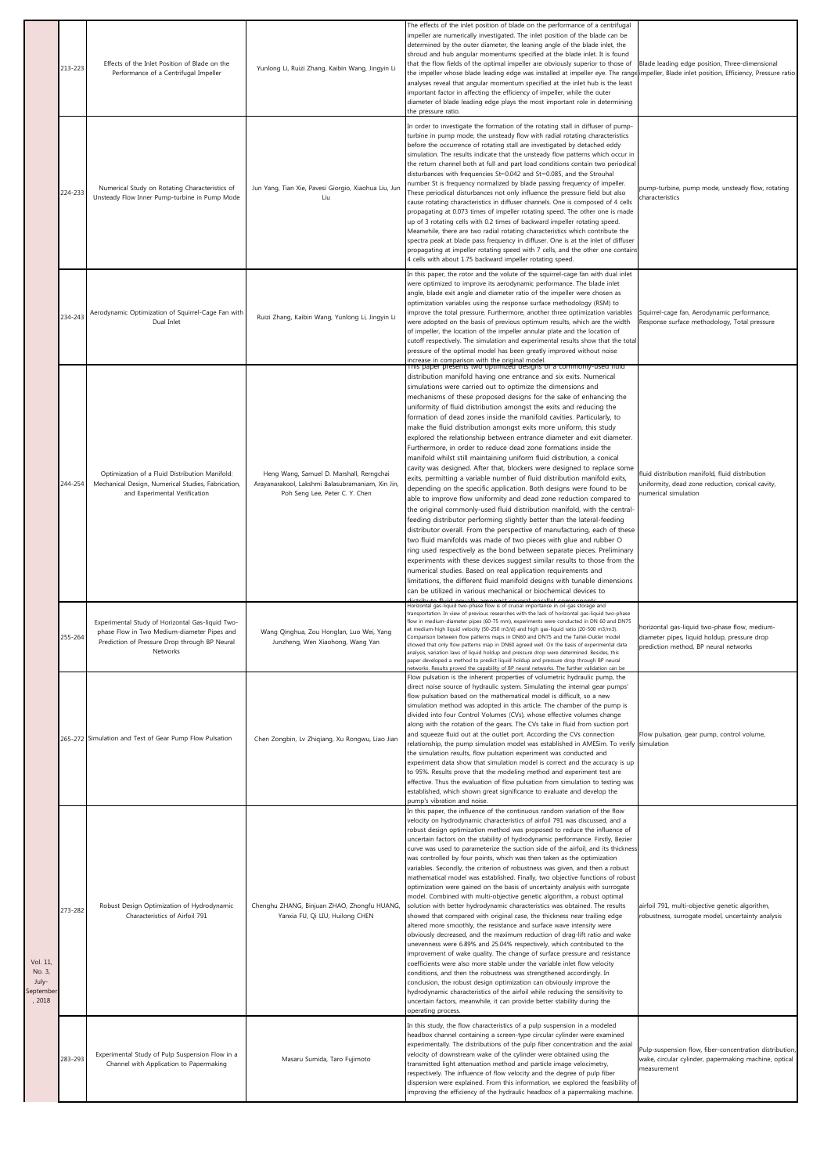|                                                    | 213-223 | Effects of the Inlet Position of Blade on the<br>Performance of a Centrifugal Impeller                                                                       | Yunlong Li, Ruizi Zhang, Kaibin Wang, Jingyin Li                                                                               | The effects of the inlet position of blade on the performance of a centrifugal<br>impeller are numerically investigated. The inlet position of the blade can be<br>determined by the outer diameter, the leaning angle of the blade inlet, the<br>shroud and hub angular momentums specified at the blade inlet. It is found<br>that the flow fields of the optimal impeller are obviously superior to those of<br>the impeller whose blade leading edge was installed at impeller eye. The range impeller, Blade inlet position, Efficiency, Pressure ratio<br>analyses reveal that angular momentum specified at the inlet hub is the least<br>important factor in affecting the efficiency of impeller, while the outer<br>diameter of blade leading edge plays the most important role in determining<br>the pressure ratio.                                                                                                                                                                                                                                                                                                                                                                                                                                                                                                                                                                                                                                                                                                                                                                                                                                                                                       | Blade leading edge position, Three-dimensional                                                                                         |
|----------------------------------------------------|---------|--------------------------------------------------------------------------------------------------------------------------------------------------------------|--------------------------------------------------------------------------------------------------------------------------------|------------------------------------------------------------------------------------------------------------------------------------------------------------------------------------------------------------------------------------------------------------------------------------------------------------------------------------------------------------------------------------------------------------------------------------------------------------------------------------------------------------------------------------------------------------------------------------------------------------------------------------------------------------------------------------------------------------------------------------------------------------------------------------------------------------------------------------------------------------------------------------------------------------------------------------------------------------------------------------------------------------------------------------------------------------------------------------------------------------------------------------------------------------------------------------------------------------------------------------------------------------------------------------------------------------------------------------------------------------------------------------------------------------------------------------------------------------------------------------------------------------------------------------------------------------------------------------------------------------------------------------------------------------------------------------------------------------------------|----------------------------------------------------------------------------------------------------------------------------------------|
|                                                    | 224-233 | Numerical Study on Rotating Characteristics of<br>Unsteady Flow Inner Pump-turbine in Pump Mode                                                              | Jun Yang, Tian Xie, Pavesi Giorgio, Xiaohua Liu, Jun<br>Tiu                                                                    | In order to investigate the formation of the rotating stall in diffuser of pump-<br>turbine in pump mode, the unsteady flow with radial rotating characteristics<br>before the occurrence of rotating stall are investigated by detached eddy<br>simulation. The results indicate that the unsteady flow patterns which occur in<br>the return channel both at full and part load conditions contain two periodical<br>disturbances with frequencies St=0.042 and St=0.085, and the Strouhal<br>number St is frequency normalized by blade passing frequency of impeller.<br>These periodical disturbances not only influence the pressure field but also<br>cause rotating characteristics in diffuser channels. One is composed of 4 cells<br>propagating at 0.073 times of impeller rotating speed. The other one is made<br>up of 3 rotating cells with 0.2 times of backward impeller rotating speed.<br>Meanwhile, there are two radial rotating characteristics which contribute the<br>spectra peak at blade pass frequency in diffuser. One is at the inlet of diffuser<br>propagating at impeller rotating speed with 7 cells, and the other one contains<br>4 cells with about 1.75 backward impeller rotating speed.                                                                                                                                                                                                                                                                                                                                                                                                                                                                                       | pump-turbine, pump mode, unsteady flow, rotating<br>characteristics                                                                    |
|                                                    | 234-243 | Aerodynamic Optimization of Squirrel-Cage Fan with<br>Dual Inlet                                                                                             | Ruizi Zhang, Kaibin Wang, Yunlong Li, Jingyin Li                                                                               | In this paper, the rotor and the volute of the squirrel-cage fan with dual inlet<br>were optimized to improve its aerodynamic performance. The blade inlet<br>angle, blade exit angle and diameter ratio of the impeller were chosen as<br>optimization variables using the response surface methodology (RSM) to<br>improve the total pressure. Furthermore, another three optimization variables<br>were adopted on the basis of previous optimum results, which are the width<br>of impeller, the location of the impeller annular plate and the location of<br>cutoff respectively. The simulation and experimental results show that the total<br>pressure of the optimal model has been greatly improved without noise<br>increase in comparison with the original model.                                                                                                                                                                                                                                                                                                                                                                                                                                                                                                                                                                                                                                                                                                                                                                                                                                                                                                                                        | Squirrel-cage fan, Aerodynamic performance,<br>Response surface methodology, Total pressure                                            |
|                                                    | 244-254 | Optimization of a Fluid Distribution Manifold:<br>Mechanical Design, Numerical Studies, Fabrication,<br>and Experimental Verification                        | Heng Wang, Samuel D. Marshall, Rerngchai<br>Arayanarakool, Lakshmi Balasubramaniam, Xin Jin,<br>Poh Seng Lee, Peter C. Y. Chen | rms paper presents two optimized designs or a commonly-used litild<br>distribution manifold having one entrance and six exits. Numerical<br>simulations were carried out to optimize the dimensions and<br>mechanisms of these proposed designs for the sake of enhancing the<br>uniformity of fluid distribution amongst the exits and reducing the<br>formation of dead zones inside the manifold cavities. Particularly, to<br>make the fluid distribution amongst exits more uniform, this study<br>explored the relationship between entrance diameter and exit diameter.<br>Furthermore, in order to reduce dead zone formations inside the<br>manifold whilst still maintaining uniform fluid distribution, a conical<br>cavity was designed. After that, blockers were designed to replace some<br>exits, permitting a variable number of fluid distribution manifold exits,<br>depending on the specific application. Both designs were found to be<br>able to improve flow uniformity and dead zone reduction compared to<br>the original commonly-used fluid distribution manifold, with the central-<br>feeding distributor performing slightly better than the lateral-feeding<br>distributor overall. From the perspective of manufacturing, each of these<br>two fluid manifolds was made of two pieces with glue and rubber O<br>ring used respectively as the bond between separate pieces. Preliminary<br>experiments with these devices suggest similar results to those from the<br>numerical studies. Based on real application requirements and<br>limitations, the different fluid manifold designs with tunable dimensions<br>can be utilized in various mechanical or biochemical devices to  | fluid distribution manifold, fluid distribution<br>uniformity, dead zone reduction, conical cavity,<br>numerical simulation            |
|                                                    | 255-264 | Experimental Study of Horizontal Gas-liquid Two-<br>phase Flow in Two Medium-diameter Pipes and<br>Prediction of Pressure Drop through BP Neural<br>Networks | Wang Qinghua, Zou Honglan, Luo Wei, Yang<br>Junzheng, Wen Xiaohong, Wang Yan                                                   | Horizontal gas-liquid two-phase flow is of crucial importance in oil-gas storage and<br>transportation. In view of previous researches with the lack of horizontal gas-liquid two-phase<br>flow in medium-diameter pipes (60-75 mm), experiments were conducted in DN 60 and DN75<br>at medium-high liquid velocity (50-250 m3/d) and high gas-liquid ratio (20-500 m3/m3).<br>Comparison between flow patterns maps in DN60 and DN75 and the Taitel-Dukler model<br>iowed that only flow patterns map in DN60 agreed well. On the basis of experimental data<br>analysis, variation laws of liquid holdup and pressure drop were determined. Besides, this<br>paper developed a method to predict liquid holdup and pressure drop through BP neural                                                                                                                                                                                                                                                                                                                                                                                                                                                                                                                                                                                                                                                                                                                                                                                                                                                                                                                                                                   | horizontal gas-liquid two-phase flow, medium-<br>diameter pipes, liquid holdup, pressure drop<br>prediction method, BP neural networks |
|                                                    |         | 265-272 Simulation and Test of Gear Pump Flow Pulsation                                                                                                      | Chen Zongbin, Lv Zhiqiang, Xu Rongwu, Liao Jian                                                                                | etworks. Results proved the capability of BP neural networks. The further validation can be<br>Flow pulsation is the inherent properties of volumetric hydraulic pump, the<br>direct noise source of hydraulic system. Simulating the internal gear pumps'<br>flow pulsation based on the mathematical model is difficult, so a new<br>simulation method was adopted in this article. The chamber of the pump is<br>divided into four Control Volumes (CVs), whose effective volumes change<br>along with the rotation of the gears. The CVs take in fluid from suction port<br>and squeeze fluid out at the outlet port. According the CVs connection<br>relationship, the pump simulation model was established in AMESim. To verify simulation<br>the simulation results, flow pulsation experiment was conducted and<br>experiment data show that simulation model is correct and the accuracy is up<br>to 95%. Results prove that the modeling method and experiment test are<br>effective. Thus the evaluation of flow pulsation from simulation to testing was<br>established, which shown great significance to evaluate and develop the<br>pump's vibration and noise.                                                                                                                                                                                                                                                                                                                                                                                                                                                                                                                                        | Flow pulsation, gear pump, control volume,                                                                                             |
| Vol. 11,<br>No. 3,<br>July-<br>Septembei<br>, 2018 | 273-282 | Robust Design Optimization of Hydrodynamic<br>Characteristics of Airfoil 791                                                                                 | Chenghu ZHANG, Binjuan ZHAO, Zhongfu HUANG,<br>Yanxia FU, Qi LIU, Huilong CHEN                                                 | In this paper, the influence of the continuous random variation of the flow<br>velocity on hydrodynamic characteristics of airfoil 791 was discussed, and a<br>robust design optimization method was proposed to reduce the influence of<br>uncertain factors on the stability of hydrodynamic performance. Firstly, Bezier<br>curve was used to parameterize the suction side of the airfoil, and its thickness<br>was controlled by four points, which was then taken as the optimization<br>variables. Secondly, the criterion of robustness was given, and then a robust<br>mathematical model was established. Finally, two objective functions of robust<br>optimization were gained on the basis of uncertainty analysis with surrogate<br>model. Combined with multi-objective genetic algorithm, a robust optimal<br>solution with better hydrodynamic characteristics was obtained. The results<br>showed that compared with original case, the thickness near trailing edge<br>altered more smoothly, the resistance and surface wave intensity were<br>obviously decreased, and the maximum reduction of drag-lift ratio and wake<br>unevenness were 6.89% and 25.04% respectively, which contributed to the<br>improvement of wake quality. The change of surface pressure and resistance<br>coefficients were also more stable under the variable inlet flow velocity<br>conditions, and then the robustness was strengthened accordingly. In<br>conclusion, the robust design optimization can obviously improve the<br>hydrodynamic characteristics of the airfoil while reducing the sensitivity to<br>uncertain factors, meanwhile, it can provide better stability during the<br>operating process. | airfoil 791, multi-objective genetic algorithm,<br>robustness, surrogate model, uncertainty analysis                                   |
|                                                    | 283-293 | Experimental Study of Pulp Suspension Flow in a<br>Channel with Application to Papermaking                                                                   | Masaru Sumida, Taro Fujimoto                                                                                                   | In this study, the flow characteristics of a pulp suspension in a modeled<br>headbox channel containing a screen-type circular cylinder were examined<br>experimentally. The distributions of the pulp fiber concentration and the axial<br>velocity of downstream wake of the cylinder were obtained using the<br>transmitted light attenuation method and particle image velocimetry,<br>respectively. The influence of flow velocity and the degree of pulp fiber<br>dispersion were explained. From this information, we explored the feasibility of<br>improving the efficiency of the hydraulic headbox of a papermaking machine.                                                                                                                                                                                                                                                                                                                                                                                                                                                                                                                                                                                                                                                                                                                                                                                                                                                                                                                                                                                                                                                                                | Pulp-suspension flow, fiber-concentration distribution,<br>wake, circular cylinder, papermaking machine, optical<br>measurement        |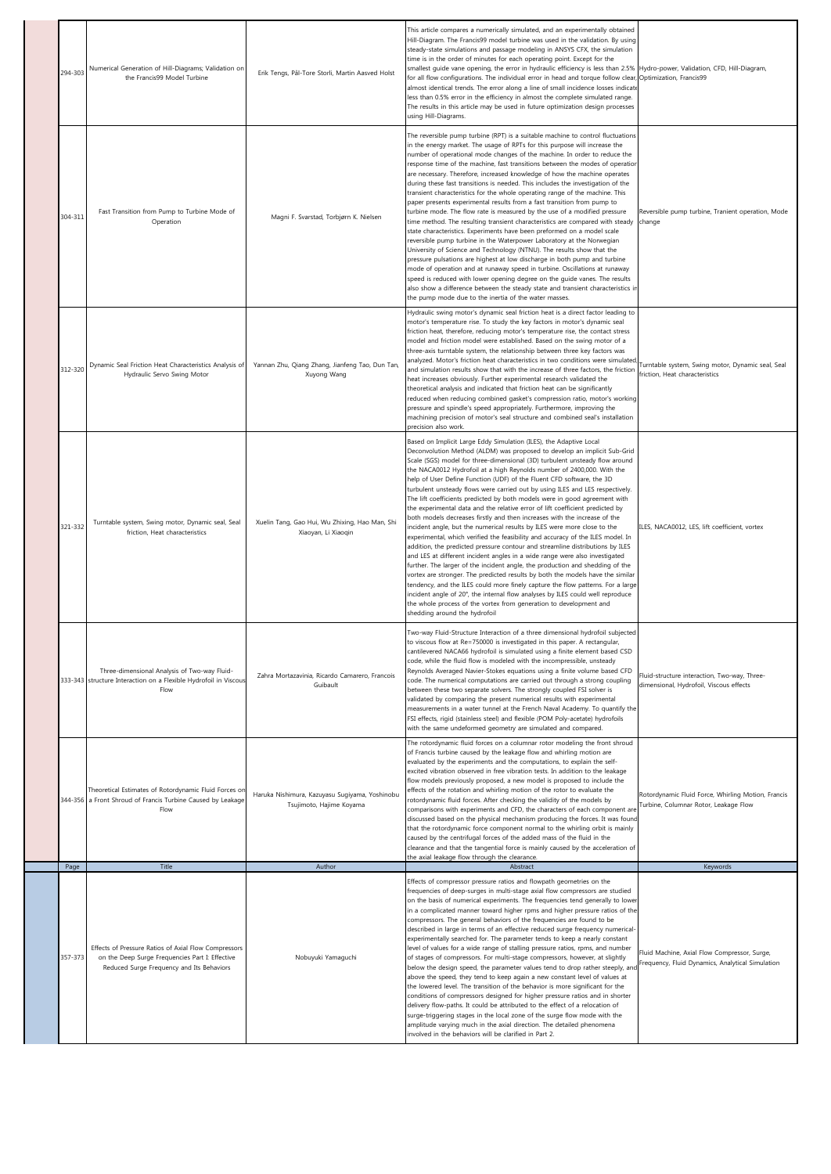| 294-303 | Numerical Generation of Hill-Diagrams; Validation on<br>the Francis99 Model Turbine                                                                  | Erik Tengs, Pål-Tore Storli, Martin Aasved Holst                           | This article compares a numerically simulated, and an experimentally obtained<br>Hill-Diagram. The Francis99 model turbine was used in the validation. By using<br>steady-state simulations and passage modeling in ANSYS CFX, the simulation<br>time is in the order of minutes for each operating point. Except for the<br>smallest guide vane opening, the error in hydraulic efficiency is less than 2.5%<br>for all flow configurations. The individual error in head and torque follow clear,<br>almost identical trends. The error along a line of small incidence losses indicate<br>less than 0.5% error in the efficiency in almost the complete simulated range.<br>The results in this article may be used in future optimization design processes<br>using Hill-Diagrams.                                                                                                                                                                                                                                                                                                                                                                                                                                                                                                                                                                                                                                                                                                      | Hydro-power, Validation, CFD, Hill-Diagram,<br>Optimization, Francis99                           |
|---------|------------------------------------------------------------------------------------------------------------------------------------------------------|----------------------------------------------------------------------------|---------------------------------------------------------------------------------------------------------------------------------------------------------------------------------------------------------------------------------------------------------------------------------------------------------------------------------------------------------------------------------------------------------------------------------------------------------------------------------------------------------------------------------------------------------------------------------------------------------------------------------------------------------------------------------------------------------------------------------------------------------------------------------------------------------------------------------------------------------------------------------------------------------------------------------------------------------------------------------------------------------------------------------------------------------------------------------------------------------------------------------------------------------------------------------------------------------------------------------------------------------------------------------------------------------------------------------------------------------------------------------------------------------------------------------------------------------------------------------------------|--------------------------------------------------------------------------------------------------|
| 304-311 | Fast Transition from Pump to Turbine Mode of<br>Operation                                                                                            | Magni F. Svarstad, Torbjørn K. Nielsen                                     | The reversible pump turbine (RPT) is a suitable machine to control fluctuations<br>in the energy market. The usage of RPTs for this purpose will increase the<br>number of operational mode changes of the machine. In order to reduce the<br>response time of the machine, fast transitions between the modes of operation<br>are necessary. Therefore, increased knowledge of how the machine operates<br>during these fast transitions is needed. This includes the investigation of the<br>transient characteristics for the whole operating range of the machine. This<br>paper presents experimental results from a fast transition from pump to<br>turbine mode. The flow rate is measured by the use of a modified pressure<br>time method. The resulting transient characteristics are compared with steady<br>state characteristics. Experiments have been preformed on a model scale<br>reversible pump turbine in the Waterpower Laboratory at the Norwegian<br>University of Science and Technology (NTNU). The results show that the<br>pressure pulsations are highest at low discharge in both pump and turbine<br>mode of operation and at runaway speed in turbine. Oscillations at runaway<br>speed is reduced with lower opening degree on the guide vanes. The results<br>also show a difference between the steady state and transient characteristics in<br>the pump mode due to the inertia of the water masses.                                                    | Reversible pump turbine, Tranient operation, Mode<br>change                                      |
| 312-320 | Dynamic Seal Friction Heat Characteristics Analysis of<br>Hydraulic Servo Swing Motor                                                                | Yannan Zhu, Qiang Zhang, Jianfeng Tao, Dun Tan,<br>Xuyong Wang             | Hydraulic swing motor's dynamic seal friction heat is a direct factor leading to<br>motor's temperature rise. To study the key factors in motor's dynamic seal<br>friction heat, therefore, reducing motor's temperature rise, the contact stress<br>model and friction model were established. Based on the swing motor of a<br>three-axis turntable system, the relationship between three key factors was<br>analyzed. Motor's friction heat characteristics in two conditions were simulated<br>and simulation results show that with the increase of three factors, the friction<br>heat increases obviously. Further experimental research validated the<br>theoretical analysis and indicated that friction heat can be significantly<br>reduced when reducing combined gasket's compression ratio, motor's working<br>pressure and spindle's speed appropriately. Furthermore, improving the<br>machining precision of motor's seal structure and combined seal's installation<br>precision also work.                                                                                                                                                                                                                                                                                                                                                                                                                                                                              | Turntable system, Swing motor, Dynamic seal, Seal<br>friction, Heat characteristics              |
| 321-332 | Turntable system, Swing motor, Dynamic seal, Seal<br>friction, Heat characteristics                                                                  | Xuelin Tang, Gao Hui, Wu Zhixing, Hao Man, Shi<br>Xiaoyan, Li Xiaoqin      | Based on Implicit Large Eddy Simulation (ILES), the Adaptive Local<br>Deconvolution Method (ALDM) was proposed to develop an implicit Sub-Grid<br>Scale (SGS) model for three-dimensional (3D) turbulent unsteady flow around<br>the NACA0012 Hydrofoil at a high Reynolds number of 2400,000. With the<br>help of User Define Function (UDF) of the Fluent CFD software, the 3D<br>turbulent unsteady flows were carried out by using ILES and LES respectively.<br>The lift coefficients predicted by both models were in good agreement with<br>the experimental data and the relative error of lift coefficient predicted by<br>both models decreases firstly and then increases with the increase of the<br>incident angle, but the numerical results by ILES were more close to the<br>experimental, which verified the feasibility and accuracy of the ILES model. In<br>addition, the predicted pressure contour and streamline distributions by ILES<br>and LES at different incident angles in a wide range were also investigated<br>further. The larger of the incident angle, the production and shedding of the<br>vortex are stronger. The predicted results by both the models have the similar<br>tendency, and the ILES could more finely capture the flow patterns. For a large<br>incident angle of 20°, the internal flow analyses by ILES could well reproduce<br>the whole process of the vortex from generation to development and<br>shedding around the hydrofoil | ILES, NACA0012, LES, lift coefficient, vortex                                                    |
|         | Three-dimensional Analysis of Two-way Fluid-<br>333-343 structure Interaction on a Flexible Hydrofoil in Viscous<br>Flow                             | Zahra Mortazavinia, Ricardo Camarero, Francois<br>Guibault                 | Two-way Fluid-Structure Interaction of a three dimensional hydrofoil subjected<br>to viscous flow at Re=750000 is investigated in this paper. A rectangular,<br>cantilevered NACA66 hydrofoil is simulated using a finite element based CSD<br>code, while the fluid flow is modeled with the incompressible, unsteady<br>Reynolds Averaged Navier-Stokes equations using a finite volume based CFD<br>code. The numerical computations are carried out through a strong coupling<br>between these two separate solvers. The strongly coupled FSI solver is<br>validated by comparing the present numerical results with experimental<br>measurements in a water tunnel at the French Naval Academy. To quantify the<br>FSI effects, rigid (stainless steel) and flexible (POM Poly-acetate) hydrofoils<br>with the same undeformed geometry are simulated and compared.                                                                                                                                                                                                                                                                                                                                                                                                                                                                                                                                                                                                                    | Fluid-structure interaction, Two-way, Three-<br>dimensional, Hydrofoil, Viscous effects          |
|         | Theoretical Estimates of Rotordynamic Fluid Forces or<br>344-356 a Front Shroud of Francis Turbine Caused by Leakage<br>Flow                         | Haruka Nishimura, Kazuyasu Sugiyama, Yoshinobu<br>Tsujimoto, Hajime Koyama | The rotordynamic fluid forces on a columnar rotor modeling the front shroud<br>of Francis turbine caused by the leakage flow and whirling motion are<br>evaluated by the experiments and the computations, to explain the self-<br>excited vibration observed in free vibration tests. In addition to the leakage<br>flow models previously proposed, a new model is proposed to include the<br>effects of the rotation and whirling motion of the rotor to evaluate the<br>rotordynamic fluid forces. After checking the validity of the models by<br>comparisons with experiments and CFD, the characters of each component are<br>discussed based on the physical mechanism producing the forces. It was found<br>that the rotordynamic force component normal to the whirling orbit is mainly<br>caused by the centrifugal forces of the added mass of the fluid in the<br>clearance and that the tangential force is mainly caused by the acceleration of<br>the axial leakage flow through the clearance.                                                                                                                                                                                                                                                                                                                                                                                                                                                                             | Rotordynamic Fluid Force, Whirling Motion, Francis<br>Turbine, Columnar Rotor, Leakage Flow      |
| Page    | Title                                                                                                                                                | Author                                                                     | Abstract                                                                                                                                                                                                                                                                                                                                                                                                                                                                                                                                                                                                                                                                                                                                                                                                                                                                                                                                                                                                                                                                                                                                                                                                                                                                                                                                                                                                                                                                                    | Keywords                                                                                         |
| 357-373 | Effects of Pressure Ratios of Axial Flow Compressors<br>on the Deep Surge Frequencies Part I: Effective<br>Reduced Surge Frequency and Its Behaviors | Nobuyuki Yamaguchi                                                         | Effects of compressor pressure ratios and flowpath geometries on the<br>frequencies of deep-surges in multi-stage axial flow compressors are studied<br>on the basis of numerical experiments. The frequencies tend generally to lower<br>in a complicated manner toward higher rpms and higher pressure ratios of the<br>compressors. The general behaviors of the frequencies are found to be<br>described in large in terms of an effective reduced surge frequency numerical-<br>experimentally searched for. The parameter tends to keep a nearly constant<br>level of values for a wide range of stalling pressure ratios, rpms, and number<br>of stages of compressors. For multi-stage compressors, however, at slightly<br>below the design speed, the parameter values tend to drop rather steeply, and<br>above the speed, they tend to keep again a new constant level of values at<br>the lowered level. The transition of the behavior is more significant for the<br>conditions of compressors designed for higher pressure ratios and in shorter<br>delivery flow-paths. It could be attributed to the effect of a relocation of<br>surge-triggering stages in the local zone of the surge flow mode with the<br>amplitude varying much in the axial direction. The detailed phenomena<br>involved in the behaviors will be clarified in Part 2.                                                                                                                            | Fluid Machine, Axial Flow Compressor, Surge,<br>Frequency, Fluid Dynamics, Analytical Simulation |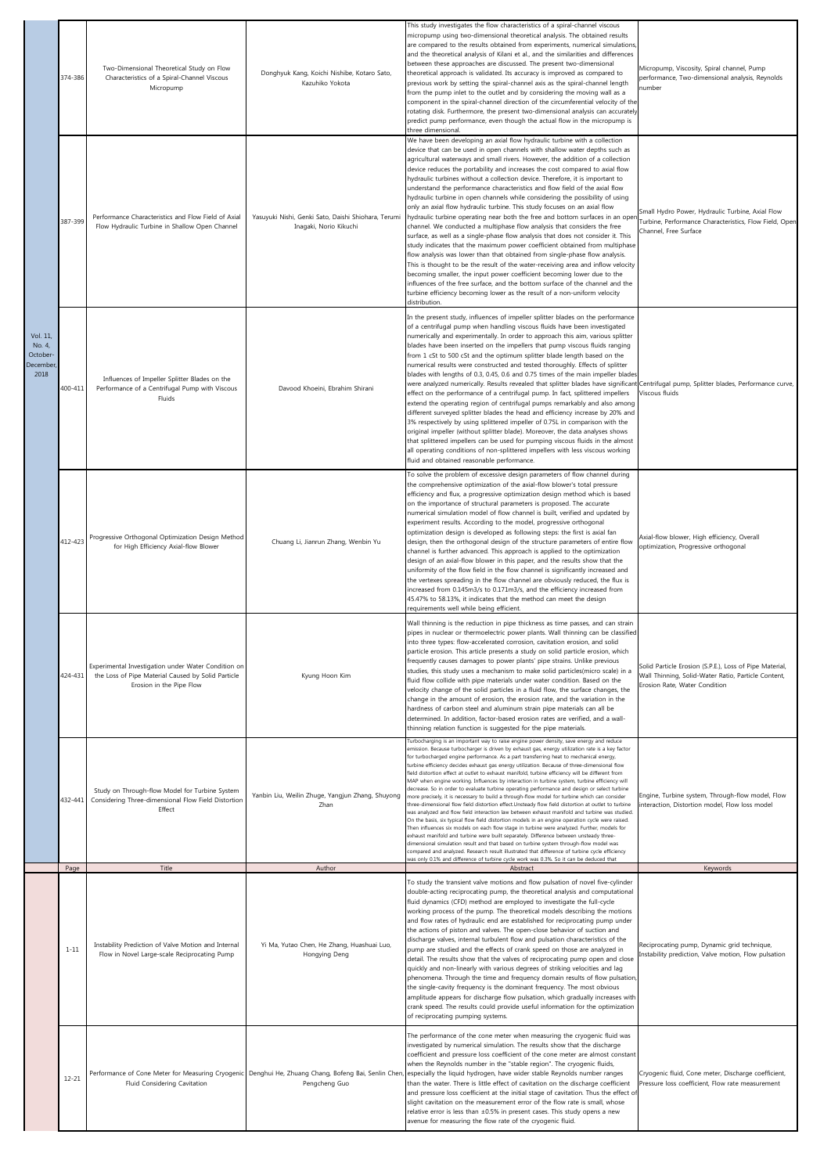|                                                     | 374-386   | Two-Dimensional Theoretical Study on Flow<br>Characteristics of a Spiral-Channel Viscous<br>Micropump                                 | Donghyuk Kang, Koichi Nishibe, Kotaro Sato,<br>Kazuhiko Yokota                                                        | This study investigates the flow characteristics of a spiral-channel viscous<br>micropump using two-dimensional theoretical analysis. The obtained results<br>are compared to the results obtained from experiments, numerical simulations,<br>and the theoretical analysis of Kilani et al., and the similarities and differences<br>between these approaches are discussed. The present two-dimensional<br>theoretical approach is validated. Its accuracy is improved as compared to<br>previous work by setting the spiral-channel axis as the spiral-channel length<br>from the pump inlet to the outlet and by considering the moving wall as a<br>component in the spiral-channel direction of the circumferential velocity of the<br>rotating disk. Furthermore, the present two-dimensional analysis can accurately<br>predict pump performance, even though the actual flow in the micropump is<br>three dimensional.                                                                                                                                                                                                                                                                                                                                                                                                                                                                                                                                                                                                                                                    | Micropump, Viscosity, Spiral channel, Pump<br>performance, Two-dimensional analysis, Reynolds<br>number                                         |
|-----------------------------------------------------|-----------|---------------------------------------------------------------------------------------------------------------------------------------|-----------------------------------------------------------------------------------------------------------------------|------------------------------------------------------------------------------------------------------------------------------------------------------------------------------------------------------------------------------------------------------------------------------------------------------------------------------------------------------------------------------------------------------------------------------------------------------------------------------------------------------------------------------------------------------------------------------------------------------------------------------------------------------------------------------------------------------------------------------------------------------------------------------------------------------------------------------------------------------------------------------------------------------------------------------------------------------------------------------------------------------------------------------------------------------------------------------------------------------------------------------------------------------------------------------------------------------------------------------------------------------------------------------------------------------------------------------------------------------------------------------------------------------------------------------------------------------------------------------------------------------------------------------------------------------------------------------------|-------------------------------------------------------------------------------------------------------------------------------------------------|
|                                                     | 387-399   | Performance Characteristics and Flow Field of Axial<br>Flow Hydraulic Turbine in Shallow Open Channel                                 | Yasuyuki Nishi, Genki Sato, Daishi Shiohara, Terumi<br>Inagaki, Norio Kikuchi                                         | We have been developing an axial flow hydraulic turbine with a collection<br>device that can be used in open channels with shallow water depths such as<br>agricultural waterways and small rivers. However, the addition of a collection<br>device reduces the portability and increases the cost compared to axial flow<br>hydraulic turbines without a collection device. Therefore, it is important to<br>understand the performance characteristics and flow field of the axial flow<br>hydraulic turbine in open channels while considering the possibility of using<br>only an axial flow hydraulic turbine. This study focuses on an axial flow<br>hydraulic turbine operating near both the free and bottom surfaces in an ope<br>channel. We conducted a multiphase flow analysis that considers the free<br>surface, as well as a single-phase flow analysis that does not consider it. This<br>study indicates that the maximum power coefficient obtained from multiphase<br>flow analysis was lower than that obtained from single-phase flow analysis.<br>This is thought to be the result of the water-receiving area and inflow velocity<br>becoming smaller, the input power coefficient becoming lower due to the<br>influences of the free surface, and the bottom surface of the channel and the<br>turbine efficiency becoming lower as the result of a non-uniform velocity<br>distribution.                                                                                                                                                                | Small Hydro Power, Hydraulic Turbine, Axial Flow<br>Furbine, Performance Characteristics, Flow Field, Oper<br>Channel, Free Surface             |
| Vol. 11,<br>No. 4,<br>October-<br>December,<br>2018 | 400-411   | Influences of Impeller Splitter Blades on the<br>Performance of a Centrifugal Pump with Viscous<br>Fluids                             | Davood Khoeini, Ebrahim Shirani                                                                                       | In the present study, influences of impeller splitter blades on the performance<br>of a centrifugal pump when handling viscous fluids have been investigated<br>numerically and experimentally. In order to approach this aim, various splitter<br>blades have been inserted on the impellers that pump viscous fluids ranging<br>from 1 cSt to 500 cSt and the optimum splitter blade length based on the<br>numerical results were constructed and tested thoroughly. Effects of splitter<br>blades with lengths of 0.3, 0.45, 0.6 and 0.75 times of the main impeller blades<br>were analyzed numerically. Results revealed that splitter blades have significant Centrifugal pump, Splitter blades, Performance curve,<br>effect on the performance of a centrifugal pump. In fact, splittered impellers<br>extend the operating region of centrifugal pumps remarkably and also among<br>different surveyed splitter blades the head and efficiency increase by 20% and<br>3% respectively by using splittered impeller of 0.75L in comparison with the<br>original impeller (without splitter blade). Moreover, the data analyses shows<br>that splittered impellers can be used for pumping viscous fluids in the almost<br>all operating conditions of non-splittered impellers with less viscous working<br>fluid and obtained reasonable performance.                                                                                                                                                                                                                    | Viscous fluids                                                                                                                                  |
|                                                     | 412-423   | Progressive Orthogonal Optimization Design Method<br>for High Efficiency Axial-flow Blower                                            | Chuang Li, Jianrun Zhang, Wenbin Yu                                                                                   | To solve the problem of excessive design parameters of flow channel during<br>the comprehensive optimization of the axial-flow blower's total pressure<br>efficiency and flux, a progressive optimization design method which is based<br>on the importance of structural parameters is proposed. The accurate<br>numerical simulation model of flow channel is built, verified and updated by<br>experiment results. According to the model, progressive orthogonal<br>optimization design is developed as following steps: the first is axial fan<br>design, then the orthogonal design of the structure parameters of entire flow<br>channel is further advanced. This approach is applied to the optimization<br>design of an axial-flow blower in this paper, and the results show that the<br>uniformity of the flow field in the flow channel is significantly increased and<br>the vertexes spreading in the flow channel are obviously reduced, the flux is<br>increased from 0.145m3/s to 0.171m3/s, and the efficiency increased from<br>45.47% to 58.13%, it indicates that the method can meet the design<br>requirements well while being efficient.                                                                                                                                                                                                                                                                                                                                                                                                                 | Axial-flow blower, High efficiency, Overall<br>optimization, Progressive orthogonal                                                             |
|                                                     | 424-431   | Experimental Investigation under Water Condition on<br>the Loss of Pipe Material Caused by Solid Particle<br>Erosion in the Pipe Flow | Kyung Hoon Kim                                                                                                        | Wall thinning is the reduction in pipe thickness as time passes, and can strain<br>pipes in nuclear or thermoelectric power plants. Wall thinning can be classified<br>into three types: flow-accelerated corrosion, cavitation erosion, and solid<br>particle erosion. This article presents a study on solid particle erosion, which<br>frequently causes damages to power plants' pipe strains. Unlike previous<br>studies, this study uses a mechanism to make solid particles(micro scale) in a<br>fluid flow collide with pipe materials under water condition. Based on the<br>velocity change of the solid particles in a fluid flow, the surface changes, the<br>change in the amount of erosion, the erosion rate, and the variation in the<br>hardness of carbon steel and aluminum strain pipe materials can all be<br>determined. In addition, factor-based erosion rates are verified, and a wall-<br>thinning relation function is suggested for the pipe materials.                                                                                                                                                                                                                                                                                                                                                                                                                                                                                                                                                                                                | Solid Particle Erosion (S.P.E.), Loss of Pipe Material,<br>Wall Thinning, Solid-Water Ratio, Particle Content,<br>Erosion Rate, Water Condition |
|                                                     | 432-441   | Study on Through-flow Model for Turbine System<br>Considering Three-dimensional Flow Field Distortion<br>Effect                       | Yanbin Liu, Weilin Zhuge, Yangjun Zhang, Shuyong<br>Zhan                                                              | Turbocharging is an important way to raise engine power density, save energy and reduce<br>emission. Because turbocharger is driven by exhaust gas, energy utilization rate is a key factor<br>for turbocharged engine performance. As a part transferring heat to mechanical energy,<br>turbine efficiency decides exhaust gas energy utilization. Because of three-dimensional flow<br>field distortion effect at outlet to exhaust manifold, turbine efficiency will be different from<br>MAP when engine working. Influences by interaction in turbine system, turbine efficiency will<br>decrease. So in order to evaluate turbine operating performance and design or select turbine<br>more precisely, it is necessary to build a through-flow model for turbine which can consider<br>three-dimensional flow field distortion effect.Unsteady flow field distortion at outlet to turbine<br>was analyzed and flow field interaction law between exhaust manifold and turbine was studied<br>On the basis, six typical flow field distortion models in an engine operation cycle were raised.<br>Then influences six models on each flow stage in turbine were analyzed. Further, models for<br>exhaust manifold and turbine were built separately. Difference between unsteady three-<br>dimensional simulation result and that based on turbine system through-flow model was<br>compared and analyzed. Research result illustrated that difference of turbine cycle efficiency<br>was only 0.1% and difference of turbine cycle work was 0.3%. So it can be deduced that | Engine, Turbine system, Through-flow model, Flow<br>interaction, Distortion model, Flow loss model                                              |
|                                                     | Page      | Title                                                                                                                                 | Author                                                                                                                | Abstract                                                                                                                                                                                                                                                                                                                                                                                                                                                                                                                                                                                                                                                                                                                                                                                                                                                                                                                                                                                                                                                                                                                                                                                                                                                                                                                                                                                                                                                                                                                                                                           | Keywords                                                                                                                                        |
|                                                     | $1 - 11$  | Instability Prediction of Valve Motion and Internal<br>Flow in Novel Large-scale Reciprocating Pump                                   | Yi Ma, Yutao Chen, He Zhang, Huashuai Luo,<br>Hongying Deng                                                           | To study the transient valve motions and flow pulsation of novel five-cylinder<br>double-acting reciprocating pump, the theoretical analysis and computational<br>fluid dynamics (CFD) method are employed to investigate the full-cycle<br>working process of the pump. The theoretical models describing the motions<br>and flow rates of hydraulic end are established for reciprocating pump under<br>the actions of piston and valves. The open-close behavior of suction and<br>discharge valves, internal turbulent flow and pulsation characteristics of the<br>pump are studied and the effects of crank speed on those are analyzed in<br>detail. The results show that the valves of reciprocating pump open and close<br>quickly and non-linearly with various degrees of striking velocities and lag<br>phenomena. Through the time and frequency domain results of flow pulsation,<br>the single-cavity frequency is the dominant frequency. The most obvious<br>amplitude appears for discharge flow pulsation, which gradually increases with<br>crank speed. The results could provide useful information for the optimization<br>of reciprocating pumping systems.                                                                                                                                                                                                                                                                                                                                                                                               | Reciprocating pump, Dynamic grid technique,<br>Instability prediction, Valve motion, Flow pulsation                                             |
|                                                     | $12 - 21$ | Fluid Considering Cavitation                                                                                                          | Performance of Cone Meter for Measuring Cryogenic Denghui He, Zhuang Chang, Bofeng Bai, Senlin Chen,<br>Pengcheng Guo | The performance of the cone meter when measuring the cryogenic fluid was<br>investigated by numerical simulation. The results show that the discharge<br>coefficient and pressure loss coefficient of the cone meter are almost constant<br>when the Reynolds number in the "stable region". The cryogenic fluids,<br>especially the liquid hydrogen, have wider stable Reynolds number ranges<br>than the water. There is little effect of cavitation on the discharge coefficient<br>and pressure loss coefficient at the initial stage of cavitation. Thus the effect of<br>slight cavitation on the measurement error of the flow rate is small, whose<br>relative error is less than ±0.5% in present cases. This study opens a new<br>avenue for measuring the flow rate of the cryogenic fluid.                                                                                                                                                                                                                                                                                                                                                                                                                                                                                                                                                                                                                                                                                                                                                                             | Cryogenic fluid, Cone meter, Discharge coefficient,<br>Pressure loss coefficient, Flow rate measurement                                         |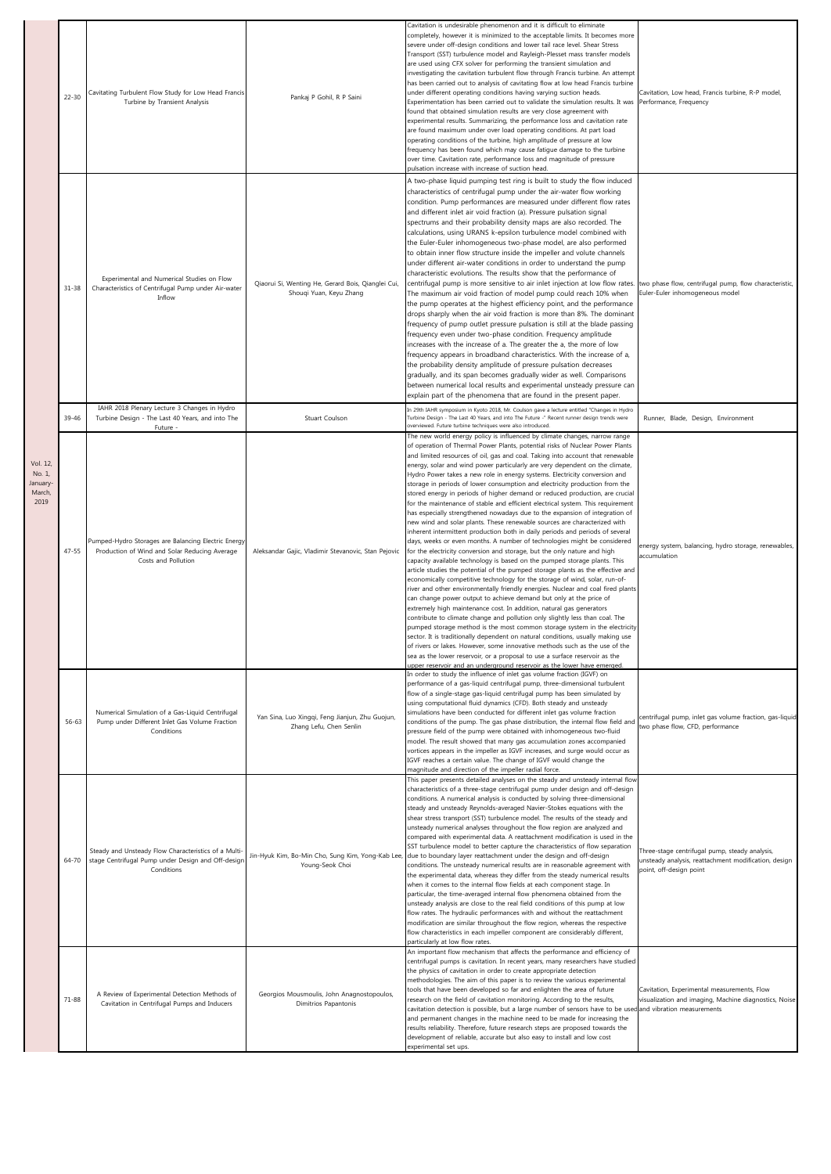|                                                | $22 - 30$ | Cavitating Turbulent Flow Study for Low Head Francis<br>Turbine by Transient Analysis                                       | Pankaj P Gohil, R P Saini                                                     | Cavitation is undesirable phenomenon and it is difficult to eliminate<br>completely, however it is minimized to the acceptable limits. It becomes more<br>severe under off-design conditions and lower tail race level. Shear Stress<br>Transport (SST) turbulence model and Rayleigh-Plesset mass transfer models<br>are used using CFX solver for performing the transient simulation and<br>investigating the cavitation turbulent flow through Francis turbine. An attempt<br>has been carried out to analysis of cavitating flow at low head Francis turbine<br>under different operating conditions having varying suction heads.<br>Experimentation has been carried out to validate the simulation results. It was<br>found that obtained simulation results are very close agreement with<br>experimental results. Summarizing, the performance loss and cavitation rate<br>are found maximum under over load operating conditions. At part load<br>operating conditions of the turbine, high amplitude of pressure at low<br>frequency has been found which may cause fatigue damage to the turbine<br>over time. Cavitation rate, performance loss and magnitude of pressure<br>pulsation increase with increase of suction head.                                                                                                                                                                                                                                                                                                                                                                                                                                                                                                                                                                                                                                                                                                                                                                                                  | Cavitation, Low head, Francis turbine, R-P model,<br>Performance, Frequency                                                        |
|------------------------------------------------|-----------|-----------------------------------------------------------------------------------------------------------------------------|-------------------------------------------------------------------------------|-----------------------------------------------------------------------------------------------------------------------------------------------------------------------------------------------------------------------------------------------------------------------------------------------------------------------------------------------------------------------------------------------------------------------------------------------------------------------------------------------------------------------------------------------------------------------------------------------------------------------------------------------------------------------------------------------------------------------------------------------------------------------------------------------------------------------------------------------------------------------------------------------------------------------------------------------------------------------------------------------------------------------------------------------------------------------------------------------------------------------------------------------------------------------------------------------------------------------------------------------------------------------------------------------------------------------------------------------------------------------------------------------------------------------------------------------------------------------------------------------------------------------------------------------------------------------------------------------------------------------------------------------------------------------------------------------------------------------------------------------------------------------------------------------------------------------------------------------------------------------------------------------------------------------------------------------------------------------------------------------------------------------------------------------|------------------------------------------------------------------------------------------------------------------------------------|
|                                                | $31 - 38$ | Experimental and Numerical Studies on Flow<br>Characteristics of Centrifugal Pump under Air-water<br>Inflow                 | Qiaorui Si, Wenting He, Gerard Bois, Qianglei Cui,<br>Shouqi Yuan, Keyu Zhang | A two-phase liquid pumping test ring is built to study the flow induced<br>characteristics of centrifugal pump under the air-water flow working<br>condition. Pump performances are measured under different flow rates<br>and different inlet air void fraction (a). Pressure pulsation signal<br>spectrums and their probability density maps are also recorded. The<br>calculations, using URANS k-epsilon turbulence model combined with<br>the Euler-Euler inhomogeneous two-phase model, are also performed<br>to obtain inner flow structure inside the impeller and volute channels<br>under different air-water conditions in order to understand the pump<br>characteristic evolutions. The results show that the performance of<br>centrifugal pump is more sensitive to air inlet injection at low flow rates.<br>The maximum air void fraction of model pump could reach 10% when<br>the pump operates at the highest efficiency point, and the performance<br>drops sharply when the air void fraction is more than 8%. The dominant<br>frequency of pump outlet pressure pulsation is still at the blade passing<br>frequency even under two-phase condition. Frequency amplitude<br>increases with the increase of a. The greater the a, the more of low<br>frequency appears in broadband characteristics. With the increase of a,<br>the probability density amplitude of pressure pulsation decreases<br>gradually, and its span becomes gradually wider as well. Comparisons<br>between numerical local results and experimental unsteady pressure can<br>explain part of the phenomena that are found in the present paper.                                                                                                                                                                                                                                                                                                                                                                                              | two phase flow, centrifugal pump, flow characteristic,<br>Euler-Euler inhomogeneous model                                          |
|                                                | 39-46     | IAHR 2018 Plenary Lecture 3 Changes in Hydro<br>Turbine Design - The Last 40 Years, and into The<br>Future -                | Stuart Coulson                                                                | In 29th IAHR symposium in Kyoto 2018, Mr. Coulson gave a lecture entitled "Changes in Hydro<br>Turbine Design - The Last 40 Years, and into The Future -" Recent runner design trends were<br>overviewed. Future turbine techniques were also introduced.                                                                                                                                                                                                                                                                                                                                                                                                                                                                                                                                                                                                                                                                                                                                                                                                                                                                                                                                                                                                                                                                                                                                                                                                                                                                                                                                                                                                                                                                                                                                                                                                                                                                                                                                                                                     | Runner, Blade, Design, Environment                                                                                                 |
| Vol. 12,<br>No. 1,<br>anuary<br>March,<br>2019 | $47 - 55$ | Pumped-Hydro Storages are Balancing Electric Energy<br>Production of Wind and Solar Reducing Average<br>Costs and Pollution | Aleksandar Gajic, Vladimir Stevanovic, Stan Pejovic                           | The new world energy policy is influenced by climate changes, narrow range<br>of operation of Thermal Power Plants, potential risks of Nuclear Power Plants<br>and limited resources of oil, gas and coal. Taking into account that renewable<br>energy, solar and wind power particularly are very dependent on the climate,<br>Hydro Power takes a new role in energy systems. Electricity conversion and<br>storage in periods of lower consumption and electricity production from the<br>stored energy in periods of higher demand or reduced production, are crucial<br>for the maintenance of stable and efficient electrical system. This requirement<br>has especially strengthened nowadays due to the expansion of integration of<br>new wind and solar plants. These renewable sources are characterized with<br>inherent intermittent production both in daily periods and periods of several<br>days, weeks or even months. A number of technologies might be considered<br>for the electricity conversion and storage, but the only nature and high<br>capacity available technology is based on the pumped storage plants. This<br>article studies the potential of the pumped storage plants as the effective and<br>economically competitive technology for the storage of wind, solar, run-of-<br>river and other environmentally friendly energies. Nuclear and coal fired plants<br>can change power output to achieve demand but only at the price of<br>extremely high maintenance cost. In addition, natural gas generators<br>contribute to climate change and pollution only slightly less than coal. The<br>pumped storage method is the most common storage system in the electricity<br>sector. It is traditionally dependent on natural conditions, usually making use<br>of rivers or lakes. However, some innovative methods such as the use of the<br>sea as the lower reservoir, or a proposal to use a surface reservoir as the<br>upper reservoir and an underground reservoir as the lower have emerged. | energy system, balancing, hydro storage, renewables,<br>accumulation                                                               |
|                                                | 56-63     | Numerical Simulation of a Gas-Liquid Centrifugal<br>Pump under Different Inlet Gas Volume Fraction<br>Conditions            | Yan Sina, Luo Xingqi, Feng Jianjun, Zhu Guojun,<br>Zhang Lefu, Chen Senlin    | In order to study the influence of inlet gas volume fraction (IGVF) on<br>performance of a gas-liquid centrifugal pump, three-dimensional turbulent<br>flow of a single-stage gas-liquid centrifugal pump has been simulated by<br>using computational fluid dynamics (CFD). Both steady and unsteady<br>simulations have been conducted for different inlet gas volume fraction<br>conditions of the pump. The gas phase distribution, the internal flow field and<br>pressure field of the pump were obtained with inhomogeneous two-fluid<br>model. The result showed that many gas accumulation zones accompanied<br>vortices appears in the impeller as IGVF increases, and surge would occur as<br>IGVF reaches a certain value. The change of IGVF would change the<br>magnitude and direction of the impeller radial force.                                                                                                                                                                                                                                                                                                                                                                                                                                                                                                                                                                                                                                                                                                                                                                                                                                                                                                                                                                                                                                                                                                                                                                                                           | centrifugal pump, inlet gas volume fraction, gas-liquid<br>two phase flow, CFD, performance                                        |
|                                                | 64-70     | Steady and Unsteady Flow Characteristics of a Multi-<br>stage Centrifugal Pump under Design and Off-design<br>Conditions    | Jin-Hyuk Kim, Bo-Min Cho, Sung Kim, Yong-Kab Lee,<br>Young-Seok Choi          | This paper presents detailed analyses on the steady and unsteady internal flow<br>characteristics of a three-stage centrifugal pump under design and off-design<br>conditions. A numerical analysis is conducted by solving three-dimensional<br>steady and unsteady Reynolds-averaged Navier-Stokes equations with the<br>shear stress transport (SST) turbulence model. The results of the steady and<br>unsteady numerical analyses throughout the flow region are analyzed and<br>compared with experimental data. A reattachment modification is used in the<br>SST turbulence model to better capture the characteristics of flow separation<br>due to boundary layer reattachment under the design and off-design<br>conditions. The unsteady numerical results are in reasonable agreement with<br>the experimental data, whereas they differ from the steady numerical results<br>when it comes to the internal flow fields at each component stage. In<br>particular, the time-averaged internal flow phenomena obtained from the<br>unsteady analysis are close to the real field conditions of this pump at low<br>flow rates. The hydraulic performances with and without the reattachment<br>modification are similar throughout the flow region, whereas the respective<br>flow characteristics in each impeller component are considerably different,<br>particularly at low flow rates.                                                                                                                                                                                                                                                                                                                                                                                                                                                                                                                                                                                                                                      | Three-stage centrifugal pump, steady analysis,<br>unsteady analysis, reattachment modification, design<br>point, off-design point  |
|                                                | $71 - 88$ | A Review of Experimental Detection Methods of<br>Cavitation in Centrifugal Pumps and Inducers                               | Georgios Mousmoulis, John Anagnostopoulos,<br>Dimitrios Papantonis            | An important flow mechanism that affects the performance and efficiency of<br>centrifugal pumps is cavitation. In recent years, many researchers have studied<br>the physics of cavitation in order to create appropriate detection<br>methodologies. The aim of this paper is to review the various experimental<br>tools that have been developed so far and enlighten the area of future<br>research on the field of cavitation monitoring. According to the results,<br>cavitation detection is possible, but a large number of sensors have to be used<br>and permanent changes in the machine need to be made for increasing the<br>results reliability. Therefore, future research steps are proposed towards the<br>development of reliable, accurate but also easy to install and low cost<br>experimental set ups.                                                                                                                                                                                                                                                                                                                                                                                                                                                                                                                                                                                                                                                                                                                                                                                                                                                                                                                                                                                                                                                                                                                                                                                                                  | Cavitation, Experimental measurements, Flow<br>visualization and imaging, Machine diagnostics, Noise<br>and vibration measurements |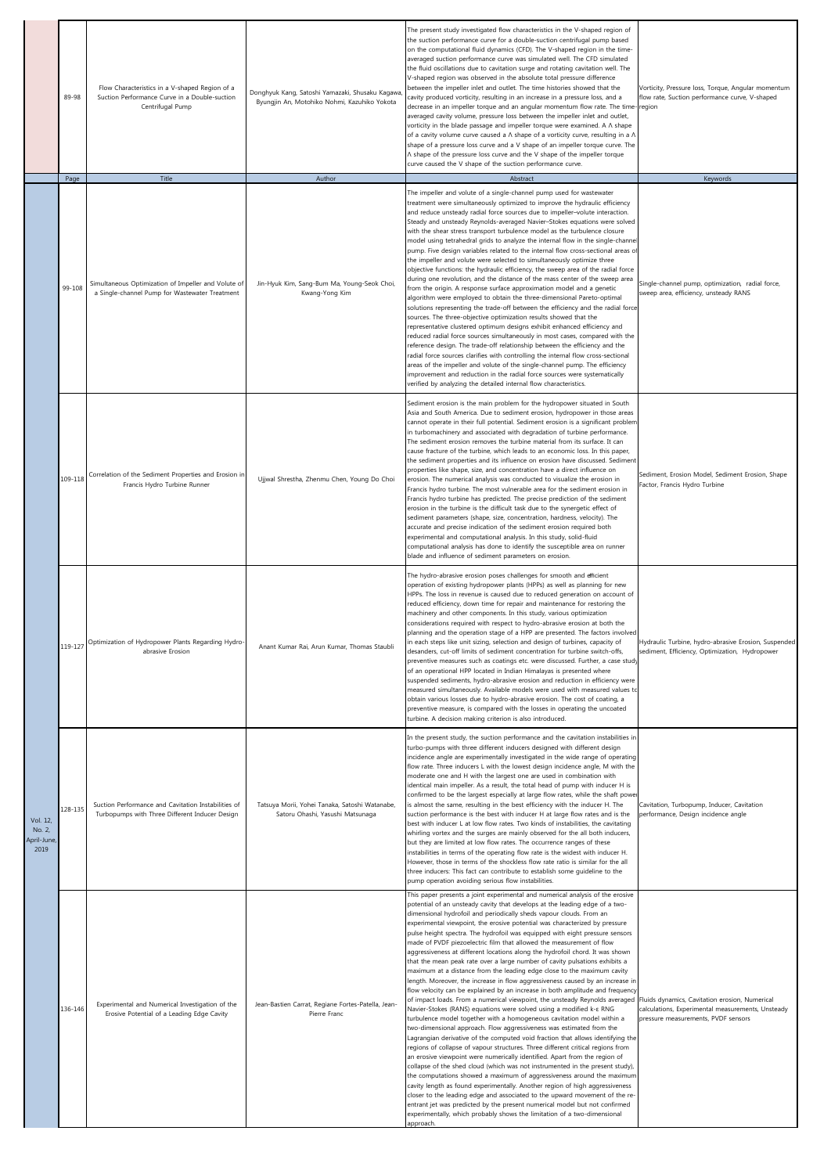|                                          | 89-98          | Flow Characteristics in a V-shaped Region of a<br>Suction Performance Curve in a Double-suction<br>Centrifugal Pump | Donghyuk Kang, Satoshi Yamazaki, Shusaku Kagawa<br>Byungjin An, Motohiko Nohmi, Kazuhiko Yokota | The present study investigated flow characteristics in the V-shaped region of<br>the suction performance curve for a double-suction centrifugal pump based<br>on the computational fluid dynamics (CFD). The V-shaped region in the time-<br>averaged suction performance curve was simulated well. The CFD simulated<br>the fluid oscillations due to cavitation surge and rotating cavitation well. The<br>V-shaped region was observed in the absolute total pressure difference<br>between the impeller inlet and outlet. The time histories showed that the<br>cavity produced vorticity, resulting in an increase in a pressure loss, and a<br>decrease in an impeller torque and an angular momentum flow rate. The time-region<br>averaged cavity volume, pressure loss between the impeller inlet and outlet,<br>vorticity in the blade passage and impeller torque were examined. A A shape<br>of a cavity volume curve caused a $\Lambda$ shape of a vorticity curve, resulting in a $\Lambda$<br>shape of a pressure loss curve and a V shape of an impeller torque curve. The<br>A shape of the pressure loss curve and the V shape of the impeller torque<br>curve caused the V shape of the suction performance curve.                                                                                                                                                                                                                                                                                                                                                                                                                                                                                                                                                                                                                                                                                                                                                                | Vorticity, Pressure loss, Torque, Angular momentum<br>flow rate, Suction performance curve, V-shaped   |
|------------------------------------------|----------------|---------------------------------------------------------------------------------------------------------------------|-------------------------------------------------------------------------------------------------|------------------------------------------------------------------------------------------------------------------------------------------------------------------------------------------------------------------------------------------------------------------------------------------------------------------------------------------------------------------------------------------------------------------------------------------------------------------------------------------------------------------------------------------------------------------------------------------------------------------------------------------------------------------------------------------------------------------------------------------------------------------------------------------------------------------------------------------------------------------------------------------------------------------------------------------------------------------------------------------------------------------------------------------------------------------------------------------------------------------------------------------------------------------------------------------------------------------------------------------------------------------------------------------------------------------------------------------------------------------------------------------------------------------------------------------------------------------------------------------------------------------------------------------------------------------------------------------------------------------------------------------------------------------------------------------------------------------------------------------------------------------------------------------------------------------------------------------------------------------------------------------------------------------------------------------------------------------------------------------------------|--------------------------------------------------------------------------------------------------------|
|                                          | Page<br>99-108 | Title<br>Simultaneous Optimization of Impeller and Volute of<br>a Single-channel Pump for Wastewater Treatment      | Author<br>Jin-Hyuk Kim, Sang-Bum Ma, Young-Seok Choi,<br>Kwang-Yong Kim                         | Abstract<br>The impeller and volute of a single-channel pump used for wastewater<br>treatment were simultaneously optimized to improve the hydraulic efficiency<br>and reduce unsteady radial force sources due to impeller-volute interaction.<br>Steady and unsteady Reynolds-averaged Navier-Stokes equations were solved<br>with the shear stress transport turbulence model as the turbulence closure<br>model using tetrahedral grids to analyze the internal flow in the single-channe<br>pump. Five design variables related to the internal flow cross-sectional areas o<br>the impeller and volute were selected to simultaneously optimize three<br>objective functions: the hydraulic efficiency, the sweep area of the radial force<br>during one revolution, and the distance of the mass center of the sweep area<br>from the origin. A response surface approximation model and a genetic<br>algorithm were employed to obtain the three-dimensional Pareto-optimal<br>solutions representing the trade-off between the efficiency and the radial force<br>sources. The three-objective optimization results showed that the<br>representative clustered optimum designs exhibit enhanced efficiency and<br>reduced radial force sources simultaneously in most cases, compared with the<br>reference design. The trade-off relationship between the efficiency and the<br>radial force sources clarifies with controlling the internal flow cross-sectional<br>areas of the impeller and volute of the single-channel pump. The efficiency<br>improvement and reduction in the radial force sources were systematically<br>verified by analyzing the detailed internal flow characteristics.                                                                                                                                                                                                                                                                                        | Keywords<br>Single-channel pump, optimization, radial force,<br>sweep area, efficiency, unsteady RANS  |
| Vol. 12,<br>No. 2,<br>April-June<br>2019 | 109-118        | Correlation of the Sediment Properties and Erosion in<br>Francis Hydro Turbine Runner                               | Ujjwal Shrestha, Zhenmu Chen, Young Do Choi                                                     | Sediment erosion is the main problem for the hydropower situated in South<br>Asia and South America. Due to sediment erosion, hydropower in those areas<br>cannot operate in their full potential. Sediment erosion is a significant problem<br>in turbomachinery and associated with degradation of turbine performance.<br>The sediment erosion removes the turbine material from its surface. It can<br>cause fracture of the turbine, which leads to an economic loss. In this paper,<br>the sediment properties and its influence on erosion have discussed. Sediment<br>properties like shape, size, and concentration have a direct influence on<br>erosion. The numerical analysis was conducted to visualize the erosion in<br>Francis hydro turbine. The most vulnerable area for the sediment erosion in<br>Francis hydro turbine has predicted. The precise prediction of the sediment<br>erosion in the turbine is the difficult task due to the synergetic effect of<br>sediment parameters (shape, size, concentration, hardness, velocity). The<br>accurate and precise indication of the sediment erosion required both<br>experimental and computational analysis. In this study, solid-fluid<br>computational analysis has done to identify the susceptible area on runner<br>blade and influence of sediment parameters on erosion.                                                                                                                                                                                                                                                                                                                                                                                                                                                                                                                                                                                                                                              | Sediment, Erosion Model, Sediment Erosion, Shape<br>Factor, Francis Hydro Turbine                      |
|                                          | 119-127        | Optimization of Hydropower Plants Regarding Hydro-<br>abrasive Erosion                                              | Anant Kumar Rai, Arun Kumar, Thomas Staubli                                                     | The hydro-abrasive erosion poses challenges for smooth and efficient<br>operation of existing hydropower plants (HPPs) as well as planning for new<br>HPPs. The loss in revenue is caused due to reduced generation on account of<br>reduced efficiency, down time for repair and maintenance for restoring the<br>machinery and other components. In this study, various optimization<br>considerations required with respect to hydro-abrasive erosion at both the<br>planning and the operation stage of a HPP are presented. The factors involved<br>in each steps like unit sizing, selection and design of turbines, capacity of<br>desanders, cut-off limits of sediment concentration for turbine switch-offs,<br>preventive measures such as coatings etc. were discussed. Further, a case study<br>of an operational HPP located in Indian Himalayas is presented where<br>suspended sediments, hydro-abrasive erosion and reduction in efficiency were<br>measured simultaneously. Available models were used with measured values to<br>obtain various losses due to hydro-abrasive erosion. The cost of coating, a<br>preventive measure, is compared with the losses in operating the uncoated<br>turbine. A decision making criterion is also introduced.                                                                                                                                                                                                                                                                                                                                                                                                                                                                                                                                                                                                                                                                                                                             | Hydraulic Turbine, hydro-abrasive Erosion, Suspended<br>sediment, Efficiency, Optimization, Hydropower |
|                                          | 128-135        | Suction Performance and Cavitation Instabilities of<br>Turbopumps with Three Different Inducer Design               | Tatsuya Morii, Yohei Tanaka, Satoshi Watanabe,<br>Satoru Ohashi, Yasushi Matsunaga              | In the present study, the suction performance and the cavitation instabilities in<br>turbo-pumps with three different inducers designed with different design<br>incidence angle are experimentally investigated in the wide range of operating<br>flow rate. Three inducers L with the lowest design incidence angle, M with the<br>moderate one and H with the largest one are used in combination with<br>identical main impeller. As a result, the total head of pump with inducer H is<br>confirmed to be the largest especially at large flow rates, while the shaft powe<br>is almost the same, resulting in the best efficiency with the inducer H. The<br>suction performance is the best with inducer H at large flow rates and is the<br>best with inducer L at low flow rates. Two kinds of instabilities, the cavitating<br>whirling vortex and the surges are mainly observed for the all both inducers,<br>but they are limited at low flow rates. The occurrence ranges of these<br>instabilities in terms of the operating flow rate is the widest with inducer H.<br>However, those in terms of the shockless flow rate ratio is similar for the all<br>three inducers: This fact can contribute to establish some guideline to the<br>pump operation avoiding serious flow instabilities.                                                                                                                                                                                                                                                                                                                                                                                                                                                                                                                                                                                                                                                                                         | Cavitation, Turbopump, Inducer, Cavitation<br>performance, Design incidence angle                      |
|                                          | 136-146        | Experimental and Numerical Investigation of the<br>Erosive Potential of a Leading Edge Cavity                       | Jean-Bastien Carrat, Regiane Fortes-Patella, Jean-<br>Pierre Franc                              | This paper presents a joint experimental and numerical analysis of the erosive<br>potential of an unsteady cavity that develops at the leading edge of a two-<br>dimensional hydrofoil and periodically sheds vapour clouds. From an<br>experimental viewpoint, the erosive potential was characterized by pressure<br>pulse height spectra. The hydrofoil was equipped with eight pressure sensors<br>made of PVDF piezoelectric film that allowed the measurement of flow<br>aggressiveness at different locations along the hydrofoil chord. It was shown<br>that the mean peak rate over a large number of cavity pulsations exhibits a<br>maximum at a distance from the leading edge close to the maximum cavity<br>length. Moreover, the increase in flow aggressiveness caused by an increase in<br>flow velocity can be explained by an increase in both amplitude and frequency<br>of impact loads. From a numerical viewpoint, the unsteady Reynolds averaged Fluids dynamics, Cavitation erosion, Numerical<br>Navier-Stokes (RANS) equations were solved using a modified k-& RNG<br>turbulence model together with a homogeneous cavitation model within a<br>two-dimensional approach. Flow aggressiveness was estimated from the<br>Lagrangian derivative of the computed void fraction that allows identifying the<br>regions of collapse of vapour structures. Three different critical regions from<br>an erosive viewpoint were numerically identified. Apart from the region of<br>collapse of the shed cloud (which was not instrumented in the present study),<br>the computations showed a maximum of aggressiveness around the maximum<br>cavity length as found experimentally. Another region of high aggressiveness<br>closer to the leading edge and associated to the upward movement of the re-<br>entrant jet was predicted by the present numerical model but not confirmed<br>experimentally, which probably shows the limitation of a two-dimensional<br>ipproach | calculations, Experimental measurements, Unsteady<br>pressure measurements, PVDF sensors               |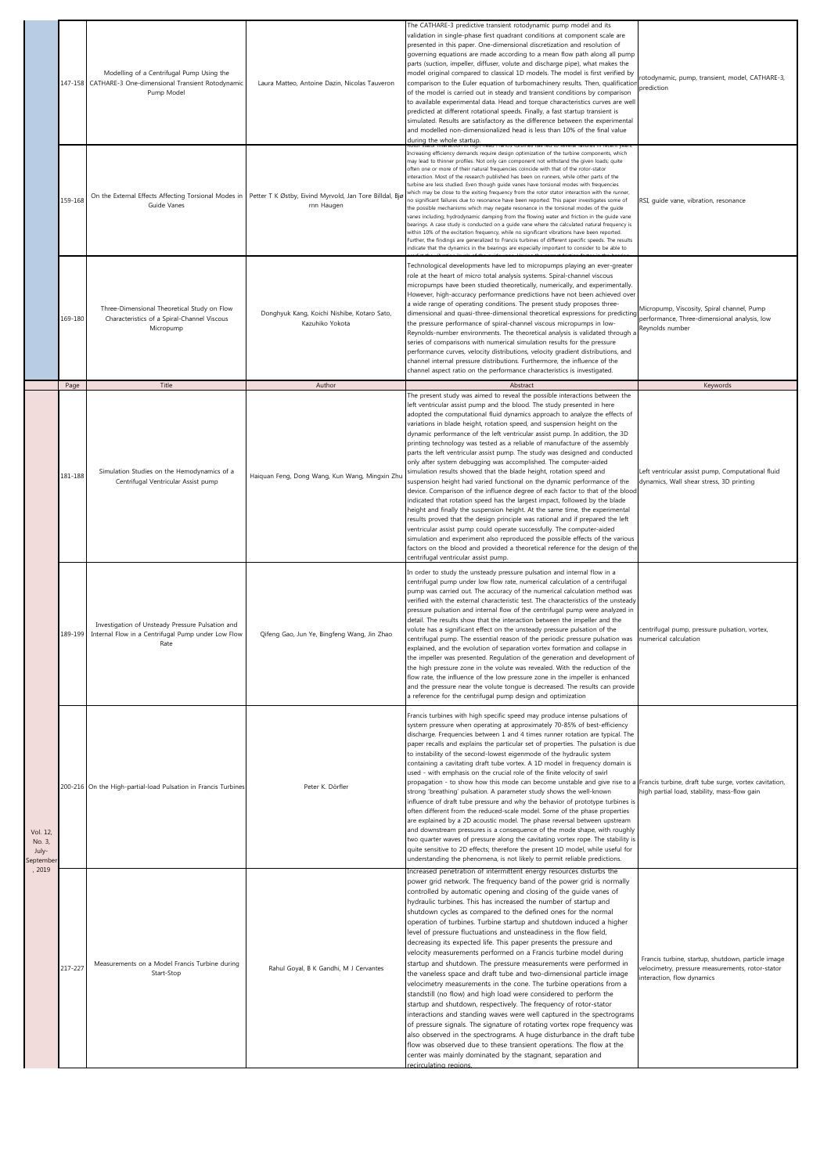|                                        |                 | Modelling of a Centrifugal Pump Using the<br>147-158 CATHARE-3 One-dimensional Transient Rotodynamic<br>Pump Model | Laura Matteo, Antoine Dazin, Nicolas Tauveron                            | The CATHARE-3 predictive transient rotodynamic pump model and its<br>validation in single-phase first quadrant conditions at component scale are<br>presented in this paper. One-dimensional discretization and resolution of<br>governing equations are made according to a mean flow path along all pump<br>parts (suction, impeller, diffuser, volute and discharge pipe), what makes the<br>model original compared to classical 1D models. The model is first verified by<br>comparison to the Euler equation of turbomachinery results. Then, qualification<br>of the model is carried out in steady and transient conditions by comparison<br>to available experimental data. Head and torque characteristics curves are well<br>predicted at different rotational speeds. Finally, a fast startup transient is<br>simulated. Results are satisfactory as the difference between the experimental<br>and modelled non-dimensionalized head is less than 10% of the final value<br>during the whole startup.                                                                                                                                                                                                                                                                                                                                                                                                | rotodynamic, pump, transient, model, CATHARE-3,<br>prediction                                                                        |
|----------------------------------------|-----------------|--------------------------------------------------------------------------------------------------------------------|--------------------------------------------------------------------------|-------------------------------------------------------------------------------------------------------------------------------------------------------------------------------------------------------------------------------------------------------------------------------------------------------------------------------------------------------------------------------------------------------------------------------------------------------------------------------------------------------------------------------------------------------------------------------------------------------------------------------------------------------------------------------------------------------------------------------------------------------------------------------------------------------------------------------------------------------------------------------------------------------------------------------------------------------------------------------------------------------------------------------------------------------------------------------------------------------------------------------------------------------------------------------------------------------------------------------------------------------------------------------------------------------------------------------------------------------------------------------------------------------------------|--------------------------------------------------------------------------------------------------------------------------------------|
|                                        | 159-168         | On the External Effects Affecting Torsional Modes in<br>Guide Vanes                                                | Petter T K Østby, Eivind Myrvold, Jan Tore Billdal, Bjø<br>rnn Haugen    | Increasing efficiency demands require design optimization of the turbine components, which<br>may lead to thinner profiles. Not only can component not withstand the given loads; quite<br>often one or more of their natural frequencies coincide with that of the rotor-stator<br>nteraction. Most of the research published has been on runners, while other parts of the<br>turbine are less studied. Even though guide vanes have torsional modes with frequencies<br>which may be close to the exiting frequency from the rotor stator interaction with the runner,<br>no significant failures due to resonance have been reported. This paper investigates some of<br>the possible mechanisms which may negate resonance in the torsional modes of the guide<br>vanes including; hydrodynamic damping from the flowing water and friction in the guide vane<br>bearings. A case study is conducted on a guide vane where the calculated natural frequency is<br>within 10% of the excitation frequency, while no significant vibrations have been reported.<br>Further, the findings are generalized to Francis turbines of different specific speeds. The results<br>indicate that the dynamics in the bearings are especially important to consider to be able to                                                                                                                                        | RSI, guide vane, vibration, resonance                                                                                                |
|                                        | 169-180<br>Page | Three-Dimensional Theoretical Study on Flow<br>Characteristics of a Spiral-Channel Viscous<br>Micropump<br>Title   | Donghyuk Kang, Koichi Nishibe, Kotaro Sato,<br>Kazuhiko Yokota<br>Author | Technological developments have led to micropumps playing an ever-greater<br>role at the heart of micro total analysis systems. Spiral-channel viscous<br>micropumps have been studied theoretically, numerically, and experimentally.<br>However, high-accuracy performance predictions have not been achieved over<br>a wide range of operating conditions. The present study proposes three-<br>dimensional and quasi-three-dimensional theoretical expressions for predicting<br>the pressure performance of spiral-channel viscous micropumps in low-<br>Reynolds-number environments. The theoretical analysis is validated through a<br>series of comparisons with numerical simulation results for the pressure<br>performance curves, velocity distributions, velocity gradient distributions, and<br>channel internal pressure distributions. Furthermore, the influence of the<br>channel aspect ratio on the performance characteristics is investigated.<br>Abstract                                                                                                                                                                                                                                                                                                                                                                                                                                 | Micropump, Viscosity, Spiral channel, Pump<br>performance, Three-dimensional analysis, low<br>Reynolds number<br>Keywords            |
|                                        | 181-188         | Simulation Studies on the Hemodynamics of a<br>Centrifugal Ventricular Assist pump                                 | Haiquan Feng, Dong Wang, Kun Wang, Mingxin Zhu                           | The present study was aimed to reveal the possible interactions between the<br>left ventricular assist pump and the blood. The study presented in here<br>adopted the computational fluid dynamics approach to analyze the effects of<br>variations in blade height, rotation speed, and suspension height on the<br>dynamic performance of the left ventricular assist pump. In addition, the 3D<br>printing technology was tested as a reliable of manufacture of the assembly<br>parts the left ventricular assist pump. The study was designed and conducted<br>only after system debugging was accomplished. The computer-aided<br>simulation results showed that the blade height, rotation speed and<br>suspension height had varied functional on the dynamic performance of the<br>device. Comparison of the influence degree of each factor to that of the blood<br>indicated that rotation speed has the largest impact, followed by the blade<br>height and finally the suspension height. At the same time, the experimental<br>results proved that the design principle was rational and if prepared the left<br>ventricular assist pump could operate successfully. The computer-aided<br>simulation and experiment also reproduced the possible effects of the various<br>factors on the blood and provided a theoretical reference for the design of the<br>centrifugal ventricular assist pump. | Left ventricular assist pump, Computational fluid<br>dynamics, Wall shear stress, 3D printing                                        |
| Vol. 12,<br>No. 3,<br>July-<br>eptembe | 189-199         | Investigation of Unsteady Pressure Pulsation and<br>Internal Flow in a Centrifugal Pump under Low Flow<br>Rate     | Qifeng Gao, Jun Ye, Bingfeng Wang, Jin Zhao                              | In order to study the unsteady pressure pulsation and internal flow in a<br>centrifugal pump under low flow rate, numerical calculation of a centrifugal<br>pump was carried out. The accuracy of the numerical calculation method was<br>verified with the external characteristic test. The characteristics of the unsteady<br>pressure pulsation and internal flow of the centrifugal pump were analyzed in<br>detail. The results show that the interaction between the impeller and the<br>volute has a significant effect on the unsteady pressure pulsation of the<br>centrifugal pump. The essential reason of the periodic pressure pulsation was<br>explained, and the evolution of separation vortex formation and collapse in<br>the impeller was presented. Regulation of the generation and development of<br>the high pressure zone in the volute was revealed. With the reduction of the<br>flow rate, the influence of the low pressure zone in the impeller is enhanced<br>and the pressure near the volute tongue is decreased. The results can provide<br>a reference for the centrifugal pump design and optimization                                                                                                                                                                                                                                                                        | centrifugal pump, pressure pulsation, vortex,<br>numerical calculation                                                               |
|                                        |                 | 200-216 On the High-partial-load Pulsation in Francis Turbines                                                     | Peter K. Dörfler                                                         | Francis turbines with high specific speed may produce intense pulsations of<br>system pressure when operating at approximately 70-85% of best-efficiency<br>discharge. Frequencies between 1 and 4 times runner rotation are typical. The<br>paper recalls and explains the particular set of properties. The pulsation is due<br>to instability of the second-lowest eigenmode of the hydraulic system<br>containing a cavitating draft tube vortex. A 1D model in frequency domain is<br>used - with emphasis on the crucial role of the finite velocity of swirl<br>propagation - to show how this mode can become unstable and give rise to a Francis turbine, draft tube surge, vortex cavitation,<br>strong 'breathing' pulsation. A parameter study shows the well-known<br>influence of draft tube pressure and why the behavior of prototype turbines is<br>often different from the reduced-scale model. Some of the phase properties<br>are explained by a 2D acoustic model. The phase reversal between upstream<br>and downstream pressures is a consequence of the mode shape, with roughly<br>two quarter waves of pressure along the cavitating vortex rope. The stability is<br>quite sensitive to 2D effects; therefore the present 1D model, while useful for<br>understanding the phenomena, is not likely to permit reliable predictions.                                                    | high partial load, stability, mass-flow gain                                                                                         |
| 2019                                   | 217-227         | Measurements on a Model Francis Turbine during<br>Start-Stop                                                       | Rahul Goyal, B K Gandhi, M J Cervantes                                   | Increased penetration of intermittent energy resources disturbs the<br>power grid network. The frequency band of the power grid is normally<br>controlled by automatic opening and closing of the guide vanes of<br>hydraulic turbines. This has increased the number of startup and<br>shutdown cycles as compared to the defined ones for the normal<br>operation of turbines. Turbine startup and shutdown induced a higher<br>level of pressure fluctuations and unsteadiness in the flow field,<br>decreasing its expected life. This paper presents the pressure and<br>velocity measurements performed on a Francis turbine model during<br>startup and shutdown. The pressure measurements were performed in<br>the vaneless space and draft tube and two-dimensional particle image<br>velocimetry measurements in the cone. The turbine operations from a<br>standstill (no flow) and high load were considered to perform the<br>startup and shutdown, respectively. The frequency of rotor-stator<br>interactions and standing waves were well captured in the spectrograms<br>of pressure signals. The signature of rotating vortex rope frequency was<br>also observed in the spectrograms. A huge disturbance in the draft tube<br>flow was observed due to these transient operations. The flow at the<br>center was mainly dominated by the stagnant, separation and<br>recirculating regions.   | Francis turbine, startup, shutdown, particle image<br>velocimetry, pressure measurements, rotor-stator<br>interaction, flow dynamics |